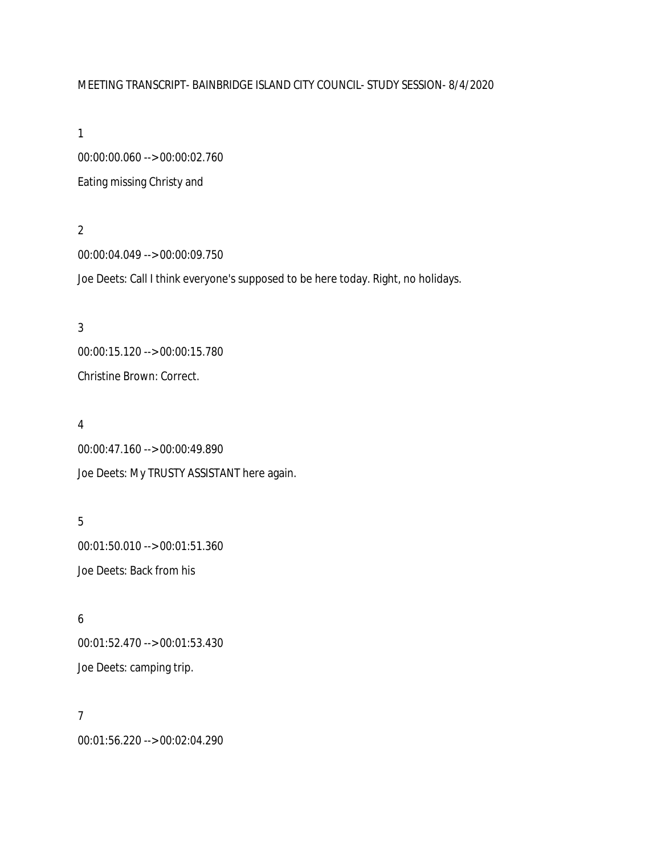# MEETING TRANSCRIPT- BAINBRIDGE ISLAND CITY COUNCIL- STUDY SESSION- 8/4/2020

1

00:00:00.060 --> 00:00:02.760 Eating missing Christy and

2

00:00:04.049 --> 00:00:09.750 Joe Deets: Call I think everyone's supposed to be here today. Right, no holidays.

3 00:00:15.120 --> 00:00:15.780 Christine Brown: Correct.

### 4

00:00:47.160 --> 00:00:49.890 Joe Deets: My TRUSTY ASSISTANT here again.

5

00:01:50.010 --> 00:01:51.360 Joe Deets: Back from his

6

00:01:52.470 --> 00:01:53.430 Joe Deets: camping trip.

7

00:01:56.220 --> 00:02:04.290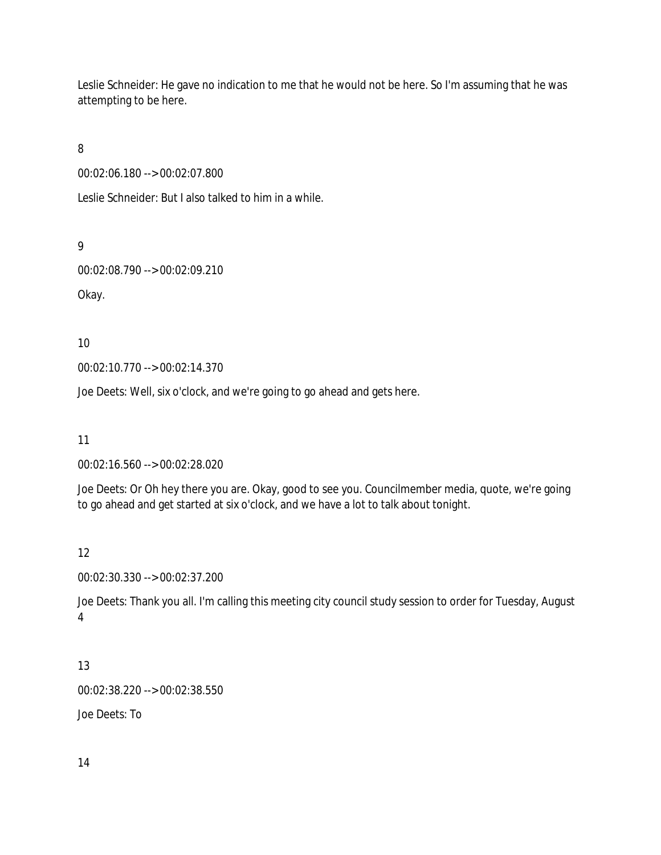Leslie Schneider: He gave no indication to me that he would not be here. So I'm assuming that he was attempting to be here.

8

00:02:06.180 --> 00:02:07.800

Leslie Schneider: But I also talked to him in a while.

9

00:02:08.790 --> 00:02:09.210

Okay.

10

00:02:10.770 --> 00:02:14.370

Joe Deets: Well, six o'clock, and we're going to go ahead and gets here.

11

00:02:16.560 --> 00:02:28.020

Joe Deets: Or Oh hey there you are. Okay, good to see you. Councilmember media, quote, we're going to go ahead and get started at six o'clock, and we have a lot to talk about tonight.

12

00:02:30.330 --> 00:02:37.200

Joe Deets: Thank you all. I'm calling this meeting city council study session to order for Tuesday, August 4

# 13

00:02:38.220 --> 00:02:38.550

Joe Deets: To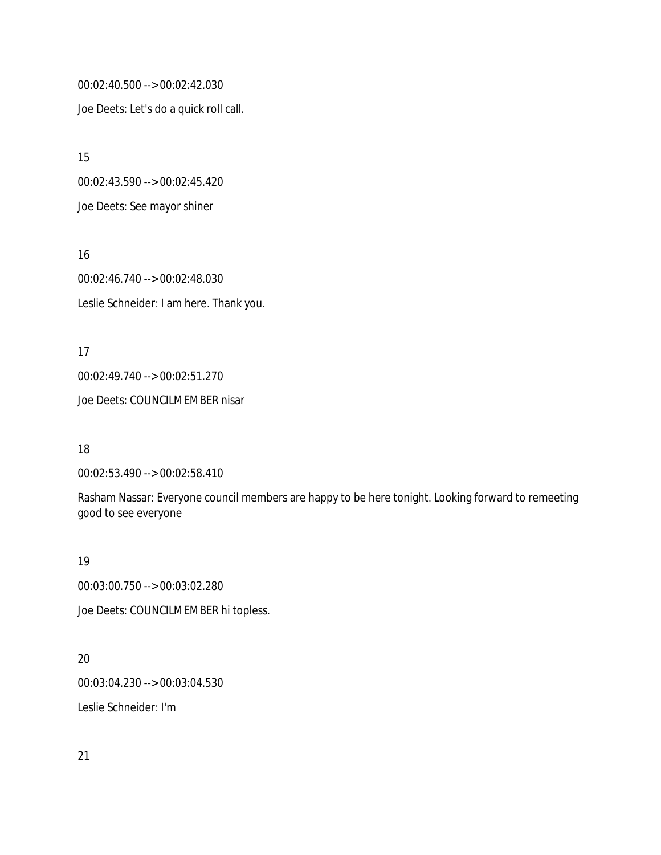00:02:40.500 --> 00:02:42.030 Joe Deets: Let's do a quick roll call.

15 00:02:43.590 --> 00:02:45.420 Joe Deets: See mayor shiner

16 00:02:46.740 --> 00:02:48.030 Leslie Schneider: I am here. Thank you.

17 00:02:49.740 --> 00:02:51.270 Joe Deets: COUNCILMEMBER nisar

18

00:02:53.490 --> 00:02:58.410

Rasham Nassar: Everyone council members are happy to be here tonight. Looking forward to remeeting good to see everyone

19

00:03:00.750 --> 00:03:02.280

Joe Deets: COUNCILMEMBER hi topless.

20

00:03:04.230 --> 00:03:04.530

Leslie Schneider: I'm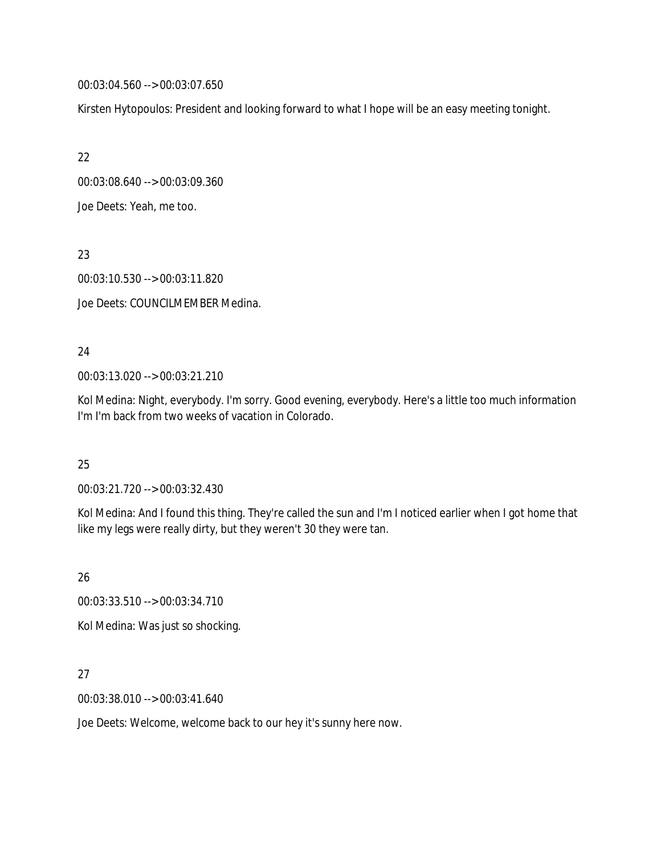00:03:04.560 --> 00:03:07.650

Kirsten Hytopoulos: President and looking forward to what I hope will be an easy meeting tonight.

22

00:03:08.640 --> 00:03:09.360

Joe Deets: Yeah, me too.

23

00:03:10.530 --> 00:03:11.820

Joe Deets: COUNCILMEMBER Medina.

## 24

00:03:13.020 --> 00:03:21.210

Kol Medina: Night, everybody. I'm sorry. Good evening, everybody. Here's a little too much information I'm I'm back from two weeks of vacation in Colorado.

# 25

00:03:21.720 --> 00:03:32.430

Kol Medina: And I found this thing. They're called the sun and I'm I noticed earlier when I got home that like my legs were really dirty, but they weren't 30 they were tan.

26

00:03:33.510 --> 00:03:34.710

Kol Medina: Was just so shocking.

## 27

00:03:38.010 --> 00:03:41.640

Joe Deets: Welcome, welcome back to our hey it's sunny here now.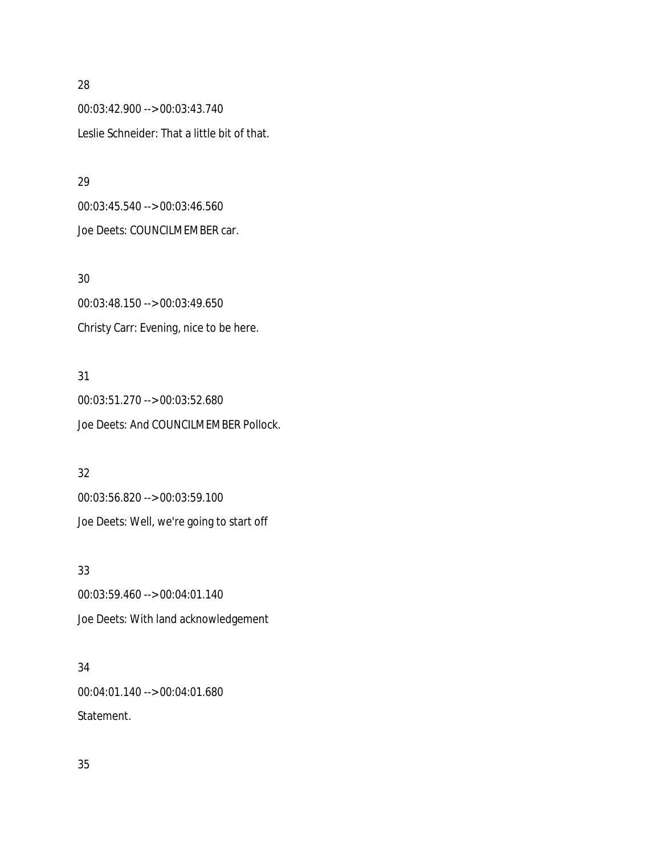00:03:42.900 --> 00:03:43.740 Leslie Schneider: That a little bit of that.

### 29

00:03:45.540 --> 00:03:46.560 Joe Deets: COUNCILMEMBER car.

## 30

00:03:48.150 --> 00:03:49.650 Christy Carr: Evening, nice to be here.

# 31

00:03:51.270 --> 00:03:52.680 Joe Deets: And COUNCILMEMBER Pollock.

# 32

00:03:56.820 --> 00:03:59.100 Joe Deets: Well, we're going to start off

# 33

00:03:59.460 --> 00:04:01.140 Joe Deets: With land acknowledgement

# 34

00:04:01.140 --> 00:04:01.680 Statement.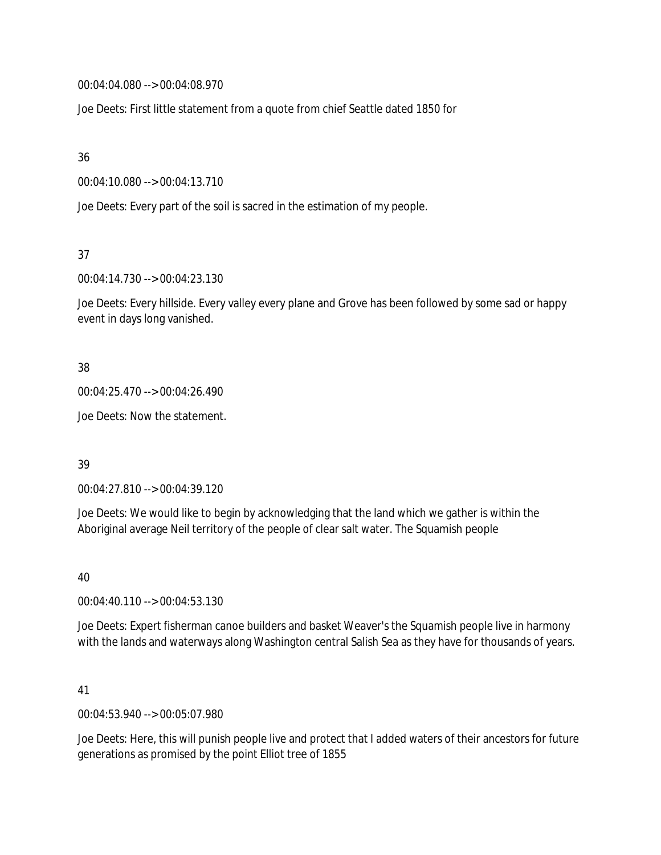00:04:04.080 --> 00:04:08.970

Joe Deets: First little statement from a quote from chief Seattle dated 1850 for

36

00:04:10.080 --> 00:04:13.710

Joe Deets: Every part of the soil is sacred in the estimation of my people.

37

00:04:14.730 --> 00:04:23.130

Joe Deets: Every hillside. Every valley every plane and Grove has been followed by some sad or happy event in days long vanished.

38

00:04:25.470 --> 00:04:26.490

Joe Deets: Now the statement.

39

00:04:27.810 --> 00:04:39.120

Joe Deets: We would like to begin by acknowledging that the land which we gather is within the Aboriginal average Neil territory of the people of clear salt water. The Squamish people

40

00:04:40.110 --> 00:04:53.130

Joe Deets: Expert fisherman canoe builders and basket Weaver's the Squamish people live in harmony with the lands and waterways along Washington central Salish Sea as they have for thousands of years.

41

00:04:53.940 --> 00:05:07.980

Joe Deets: Here, this will punish people live and protect that I added waters of their ancestors for future generations as promised by the point Elliot tree of 1855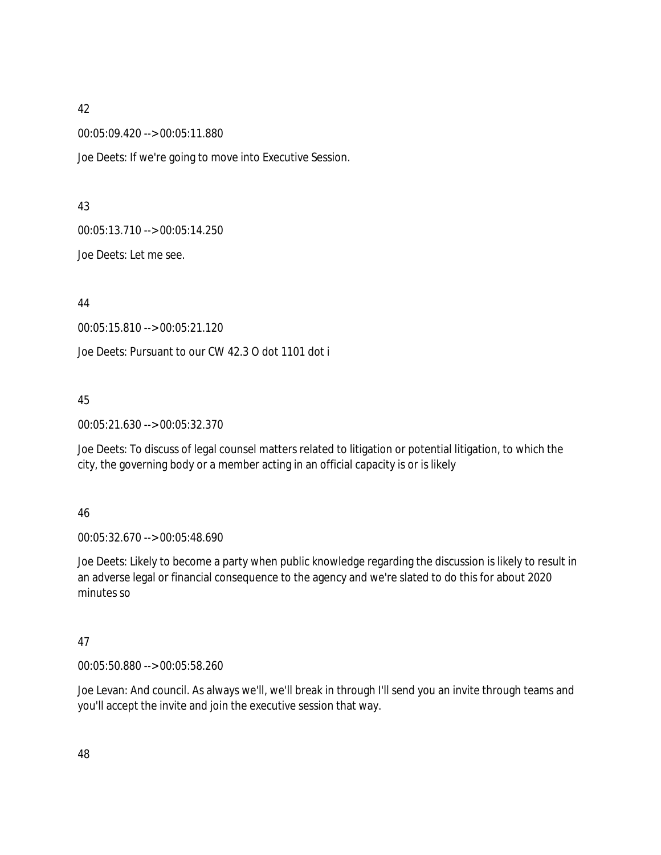00:05:09.420 --> 00:05:11.880

Joe Deets: If we're going to move into Executive Session.

### 43

00:05:13.710 --> 00:05:14.250

Joe Deets: Let me see.

44

00:05:15.810 --> 00:05:21.120

Joe Deets: Pursuant to our CW 42.3 O dot 1101 dot i

### 45

00:05:21.630 --> 00:05:32.370

Joe Deets: To discuss of legal counsel matters related to litigation or potential litigation, to which the city, the governing body or a member acting in an official capacity is or is likely

### 46

00:05:32.670 --> 00:05:48.690

Joe Deets: Likely to become a party when public knowledge regarding the discussion is likely to result in an adverse legal or financial consequence to the agency and we're slated to do this for about 2020 minutes so

## 47

00:05:50.880 --> 00:05:58.260

Joe Levan: And council. As always we'll, we'll break in through I'll send you an invite through teams and you'll accept the invite and join the executive session that way.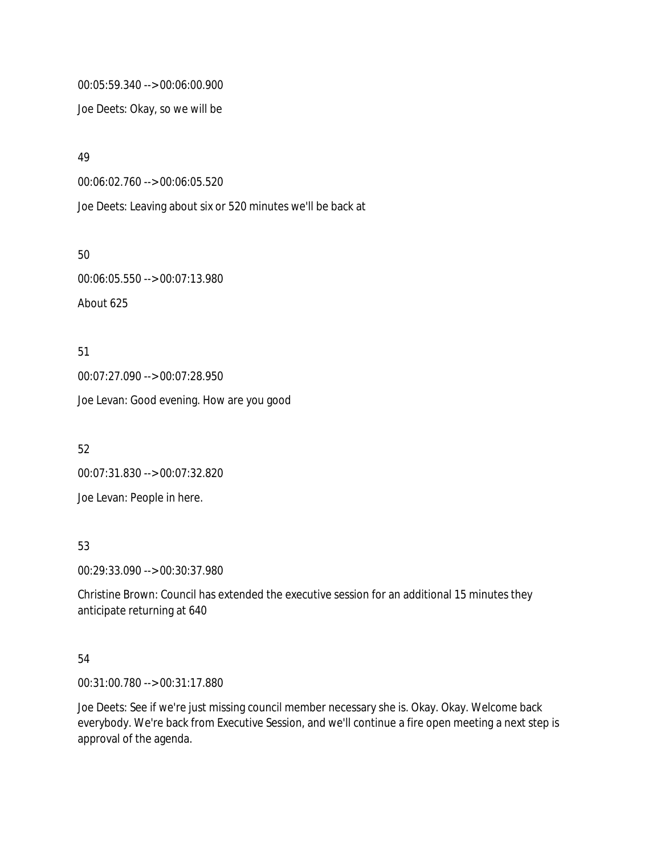00:05:59.340 --> 00:06:00.900

Joe Deets: Okay, so we will be

49

00:06:02.760 --> 00:06:05.520

Joe Deets: Leaving about six or 520 minutes we'll be back at

50 00:06:05.550 --> 00:07:13.980 About 625

51 00:07:27.090 --> 00:07:28.950 Joe Levan: Good evening. How are you good

52 00:07:31.830 --> 00:07:32.820 Joe Levan: People in here.

53

00:29:33.090 --> 00:30:37.980

Christine Brown: Council has extended the executive session for an additional 15 minutes they anticipate returning at 640

## 54

00:31:00.780 --> 00:31:17.880

Joe Deets: See if we're just missing council member necessary she is. Okay. Okay. Welcome back everybody. We're back from Executive Session, and we'll continue a fire open meeting a next step is approval of the agenda.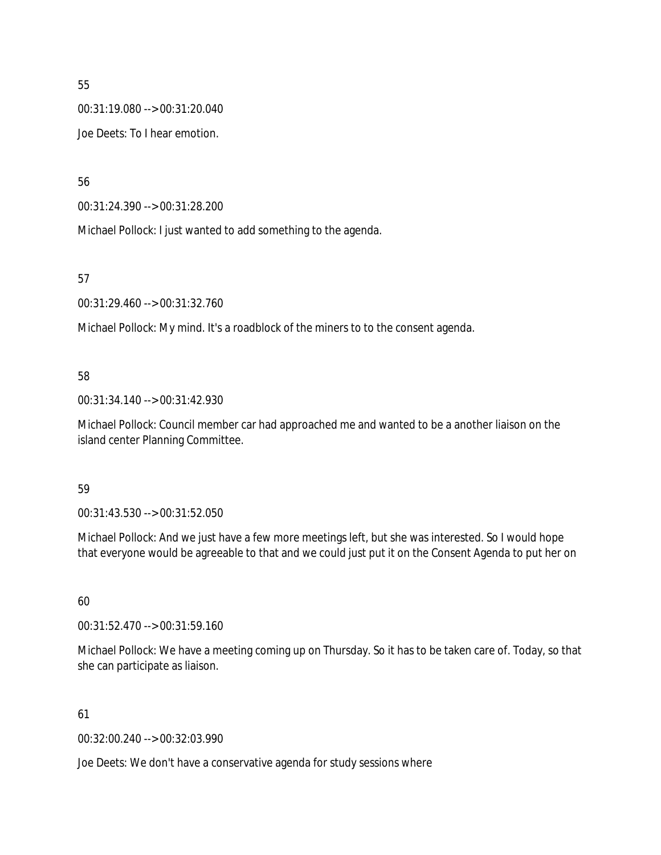00:31:19.080 --> 00:31:20.040

Joe Deets: To I hear emotion.

56

00:31:24.390 --> 00:31:28.200

Michael Pollock: I just wanted to add something to the agenda.

57

00:31:29.460 --> 00:31:32.760

Michael Pollock: My mind. It's a roadblock of the miners to to the consent agenda.

## 58

00:31:34.140 --> 00:31:42.930

Michael Pollock: Council member car had approached me and wanted to be a another liaison on the island center Planning Committee.

## 59

00:31:43.530 --> 00:31:52.050

Michael Pollock: And we just have a few more meetings left, but she was interested. So I would hope that everyone would be agreeable to that and we could just put it on the Consent Agenda to put her on

## 60

00:31:52.470 --> 00:31:59.160

Michael Pollock: We have a meeting coming up on Thursday. So it has to be taken care of. Today, so that she can participate as liaison.

## 61

00:32:00.240 --> 00:32:03.990

Joe Deets: We don't have a conservative agenda for study sessions where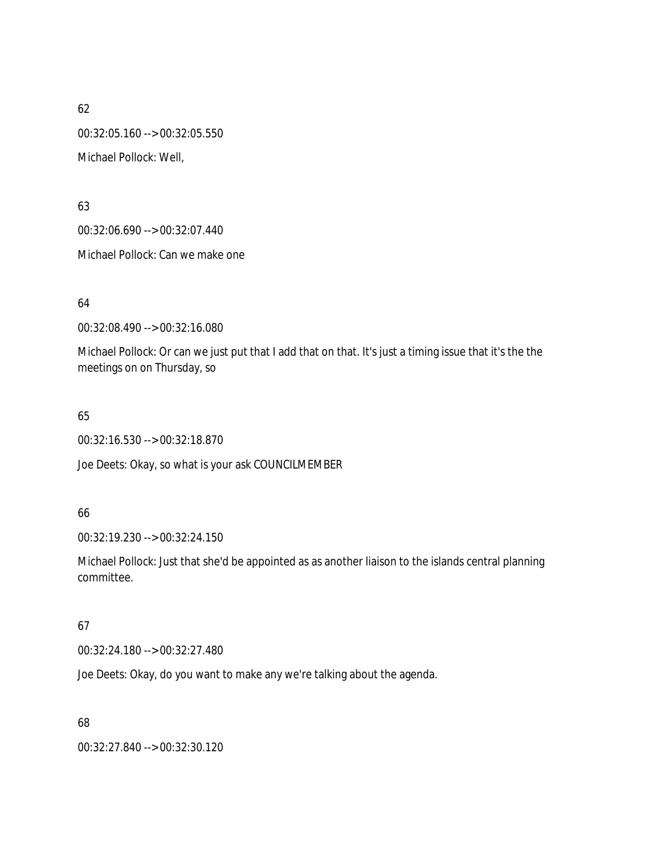62 00:32:05.160 --> 00:32:05.550 Michael Pollock: Well,

63

00:32:06.690 --> 00:32:07.440

Michael Pollock: Can we make one

64

00:32:08.490 --> 00:32:16.080

Michael Pollock: Or can we just put that I add that on that. It's just a timing issue that it's the the meetings on on Thursday, so

65

00:32:16.530 --> 00:32:18.870

Joe Deets: Okay, so what is your ask COUNCILMEMBER

### 66

00:32:19.230 --> 00:32:24.150

Michael Pollock: Just that she'd be appointed as as another liaison to the islands central planning committee.

## 67

00:32:24.180 --> 00:32:27.480

Joe Deets: Okay, do you want to make any we're talking about the agenda.

68

00:32:27.840 --> 00:32:30.120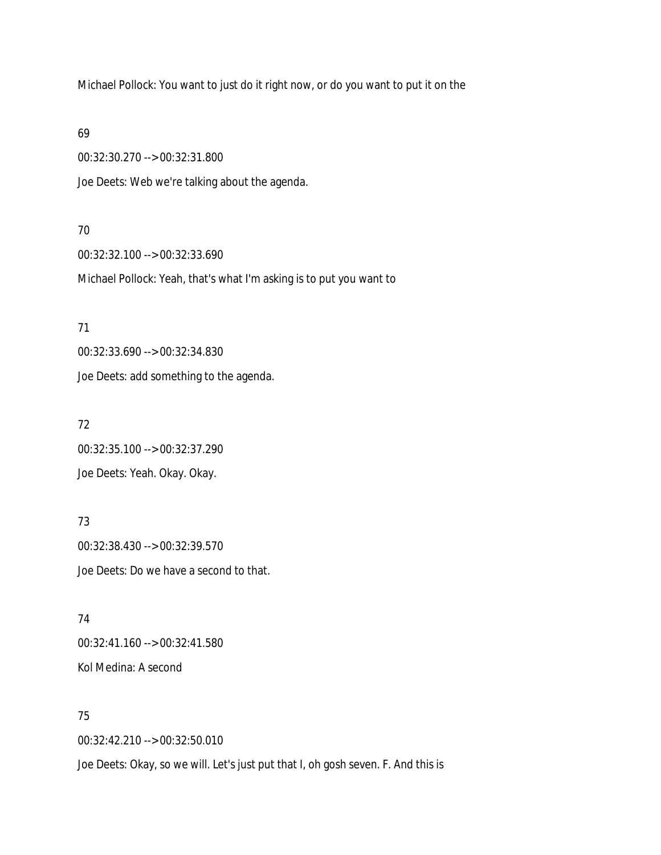Michael Pollock: You want to just do it right now, or do you want to put it on the

69

00:32:30.270 --> 00:32:31.800

Joe Deets: Web we're talking about the agenda.

### 70

00:32:32.100 --> 00:32:33.690 Michael Pollock: Yeah, that's what I'm asking is to put you want to

### 71

00:32:33.690 --> 00:32:34.830 Joe Deets: add something to the agenda.

# 72

00:32:35.100 --> 00:32:37.290 Joe Deets: Yeah. Okay. Okay.

# 73

00:32:38.430 --> 00:32:39.570 Joe Deets: Do we have a second to that.

74 00:32:41.160 --> 00:32:41.580 Kol Medina: A second

# 75

00:32:42.210 --> 00:32:50.010

Joe Deets: Okay, so we will. Let's just put that I, oh gosh seven. F. And this is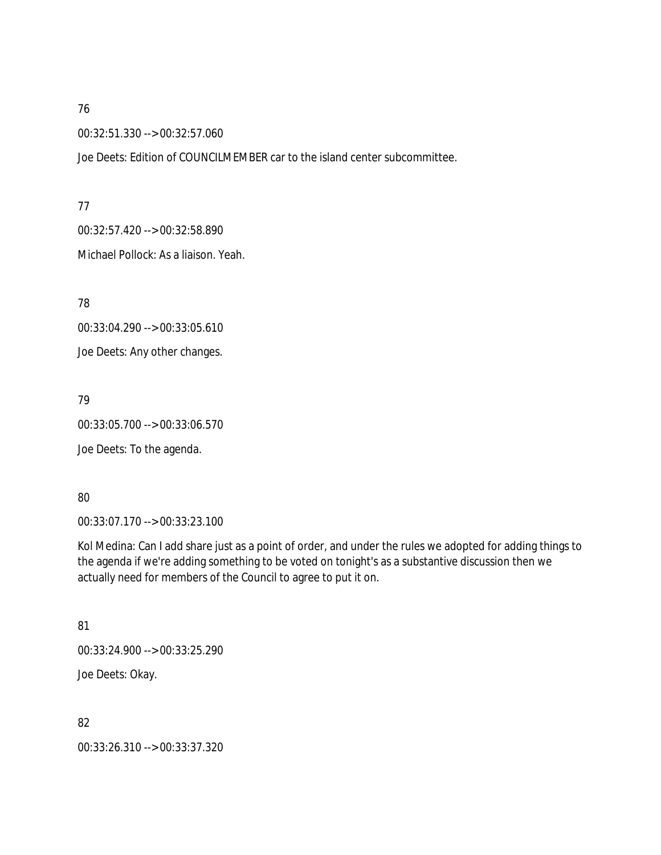00:32:51.330 --> 00:32:57.060

Joe Deets: Edition of COUNCILMEMBER car to the island center subcommittee.

### 77

00:32:57.420 --> 00:32:58.890

Michael Pollock: As a liaison. Yeah.

78

00:33:04.290 --> 00:33:05.610 Joe Deets: Any other changes.

79

00:33:05.700 --> 00:33:06.570

Joe Deets: To the agenda.

## 80

00:33:07.170 --> 00:33:23.100

Kol Medina: Can I add share just as a point of order, and under the rules we adopted for adding things to the agenda if we're adding something to be voted on tonight's as a substantive discussion then we actually need for members of the Council to agree to put it on.

## 81

00:33:24.900 --> 00:33:25.290

Joe Deets: Okay.

82

00:33:26.310 --> 00:33:37.320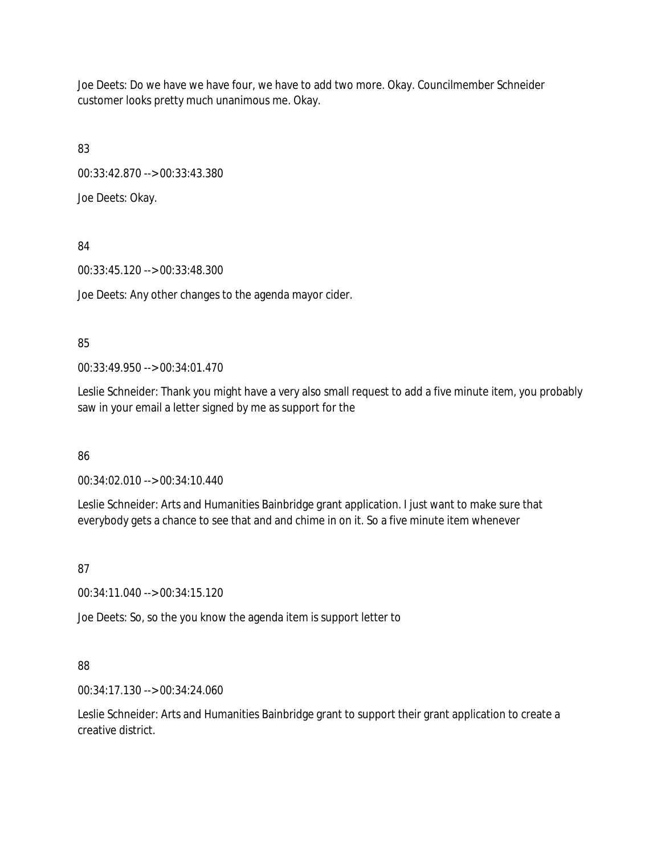Joe Deets: Do we have we have four, we have to add two more. Okay. Councilmember Schneider customer looks pretty much unanimous me. Okay.

83

00:33:42.870 --> 00:33:43.380

Joe Deets: Okay.

84

00:33:45.120 --> 00:33:48.300

Joe Deets: Any other changes to the agenda mayor cider.

### 85

00:33:49.950 --> 00:34:01.470

Leslie Schneider: Thank you might have a very also small request to add a five minute item, you probably saw in your email a letter signed by me as support for the

86

00:34:02.010 --> 00:34:10.440

Leslie Schneider: Arts and Humanities Bainbridge grant application. I just want to make sure that everybody gets a chance to see that and and chime in on it. So a five minute item whenever

87

00:34:11.040 --> 00:34:15.120

Joe Deets: So, so the you know the agenda item is support letter to

## 88

00:34:17.130 --> 00:34:24.060

Leslie Schneider: Arts and Humanities Bainbridge grant to support their grant application to create a creative district.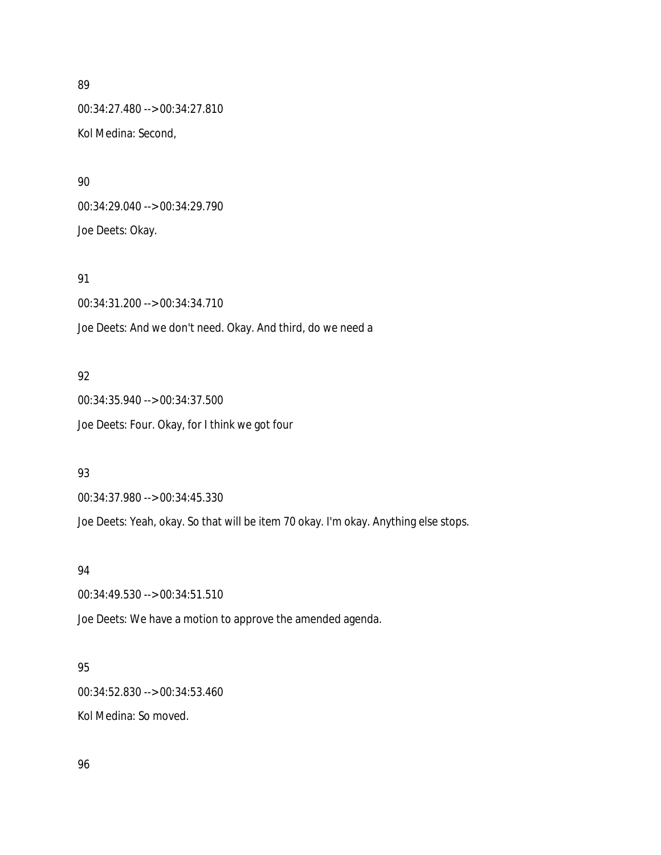00:34:27.480 --> 00:34:27.810 Kol Medina: Second,

90 00:34:29.040 --> 00:34:29.790 Joe Deets: Okay.

91

00:34:31.200 --> 00:34:34.710 Joe Deets: And we don't need. Okay. And third, do we need a

### 92

00:34:35.940 --> 00:34:37.500 Joe Deets: Four. Okay, for I think we got four

#### 93

00:34:37.980 --> 00:34:45.330

Joe Deets: Yeah, okay. So that will be item 70 okay. I'm okay. Anything else stops.

### 94

00:34:49.530 --> 00:34:51.510

Joe Deets: We have a motion to approve the amended agenda.

#### 95

00:34:52.830 --> 00:34:53.460

Kol Medina: So moved.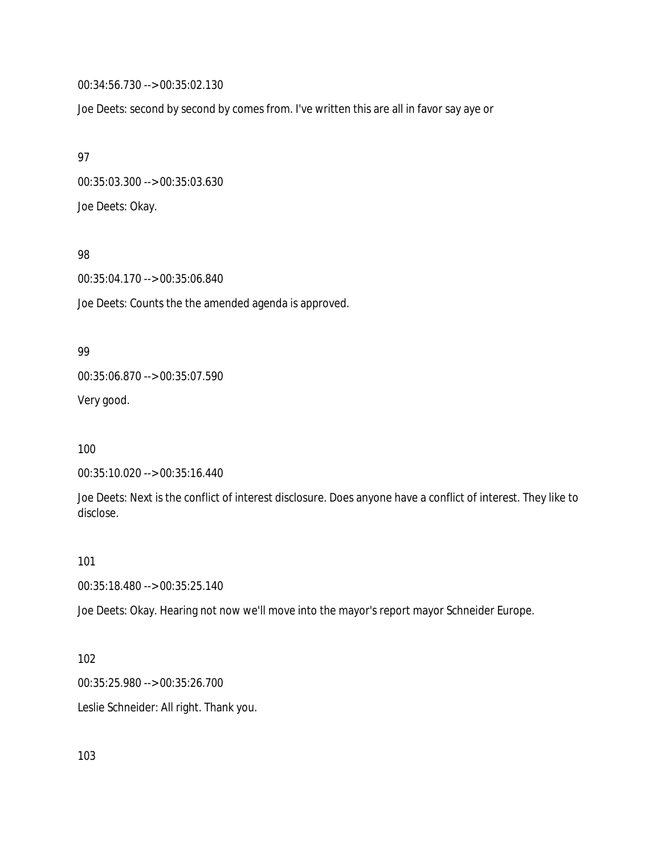00:34:56.730 --> 00:35:02.130

Joe Deets: second by second by comes from. I've written this are all in favor say aye or

97 00:35:03.300 --> 00:35:03.630 Joe Deets: Okay.

### 98

00:35:04.170 --> 00:35:06.840

Joe Deets: Counts the the amended agenda is approved.

#### 99

00:35:06.870 --> 00:35:07.590

Very good.

### 100

```
00:35:10.020 --> 00:35:16.440
```
Joe Deets: Next is the conflict of interest disclosure. Does anyone have a conflict of interest. They like to disclose.

### 101

00:35:18.480 --> 00:35:25.140

Joe Deets: Okay. Hearing not now we'll move into the mayor's report mayor Schneider Europe.

### 102

00:35:25.980 --> 00:35:26.700

Leslie Schneider: All right. Thank you.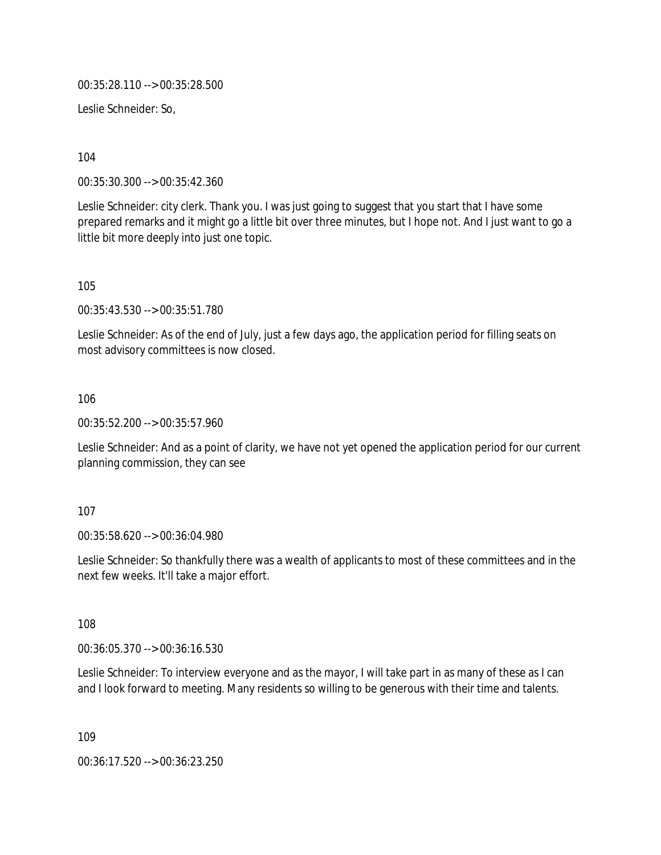00:35:28.110 --> 00:35:28.500

Leslie Schneider: So,

104

00:35:30.300 --> 00:35:42.360

Leslie Schneider: city clerk. Thank you. I was just going to suggest that you start that I have some prepared remarks and it might go a little bit over three minutes, but I hope not. And I just want to go a little bit more deeply into just one topic.

105

00:35:43.530 --> 00:35:51.780

Leslie Schneider: As of the end of July, just a few days ago, the application period for filling seats on most advisory committees is now closed.

106

00:35:52.200 --> 00:35:57.960

Leslie Schneider: And as a point of clarity, we have not yet opened the application period for our current planning commission, they can see

### 107

00:35:58.620 --> 00:36:04.980

Leslie Schneider: So thankfully there was a wealth of applicants to most of these committees and in the next few weeks. It'll take a major effort.

108

00:36:05.370 --> 00:36:16.530

Leslie Schneider: To interview everyone and as the mayor, I will take part in as many of these as I can and I look forward to meeting. Many residents so willing to be generous with their time and talents.

109

00:36:17.520 --> 00:36:23.250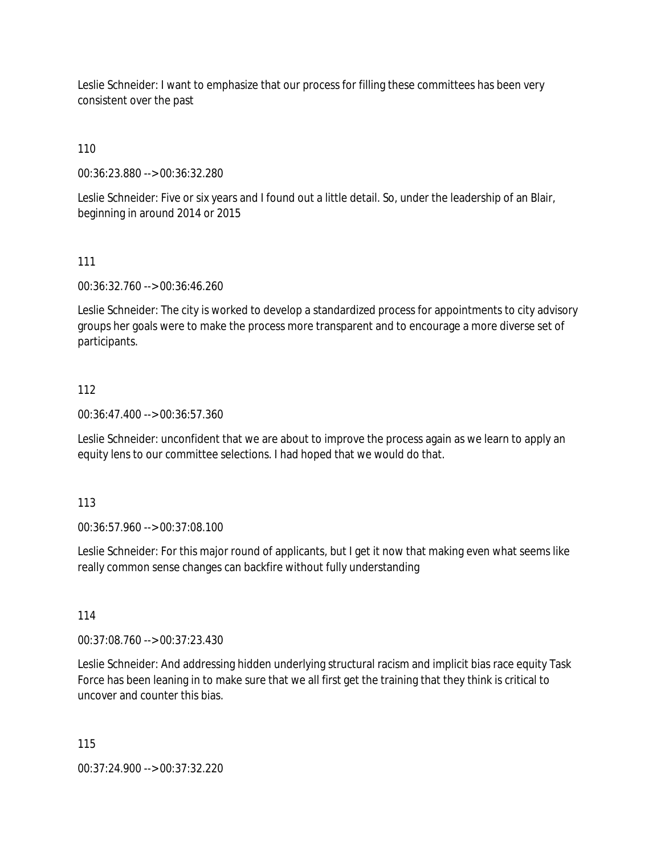Leslie Schneider: I want to emphasize that our process for filling these committees has been very consistent over the past

110

00:36:23.880 --> 00:36:32.280

Leslie Schneider: Five or six years and I found out a little detail. So, under the leadership of an Blair, beginning in around 2014 or 2015

111

00:36:32.760 --> 00:36:46.260

Leslie Schneider: The city is worked to develop a standardized process for appointments to city advisory groups her goals were to make the process more transparent and to encourage a more diverse set of participants.

### 112

00:36:47.400 --> 00:36:57.360

Leslie Schneider: unconfident that we are about to improve the process again as we learn to apply an equity lens to our committee selections. I had hoped that we would do that.

113

00:36:57.960 --> 00:37:08.100

Leslie Schneider: For this major round of applicants, but I get it now that making even what seems like really common sense changes can backfire without fully understanding

114

00:37:08.760 --> 00:37:23.430

Leslie Schneider: And addressing hidden underlying structural racism and implicit bias race equity Task Force has been leaning in to make sure that we all first get the training that they think is critical to uncover and counter this bias.

115

00:37:24.900 --> 00:37:32.220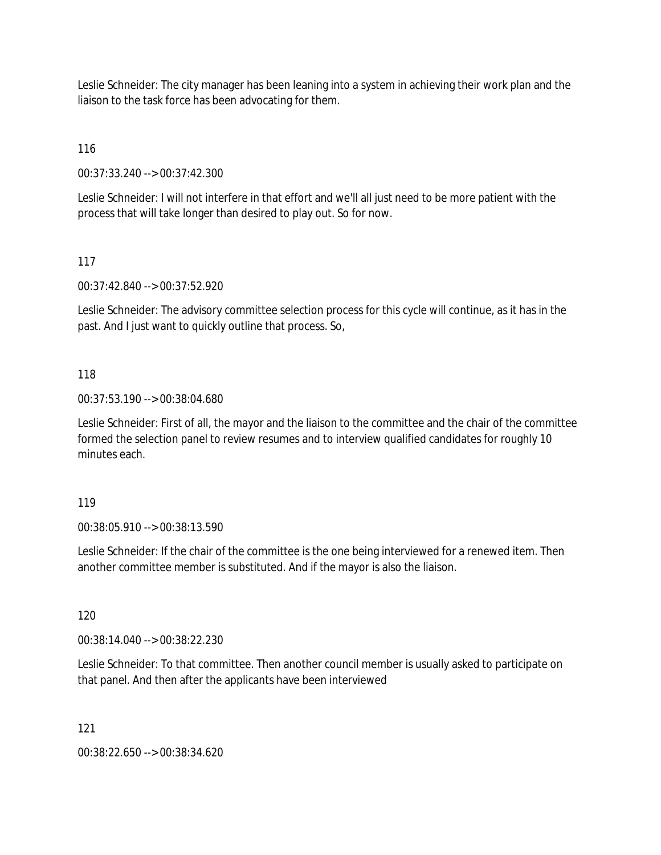Leslie Schneider: The city manager has been leaning into a system in achieving their work plan and the liaison to the task force has been advocating for them.

116

00:37:33.240 --> 00:37:42.300

Leslie Schneider: I will not interfere in that effort and we'll all just need to be more patient with the process that will take longer than desired to play out. So for now.

117

00:37:42.840 --> 00:37:52.920

Leslie Schneider: The advisory committee selection process for this cycle will continue, as it has in the past. And I just want to quickly outline that process. So,

118

00:37:53.190 --> 00:38:04.680

Leslie Schneider: First of all, the mayor and the liaison to the committee and the chair of the committee formed the selection panel to review resumes and to interview qualified candidates for roughly 10 minutes each.

119

00:38:05.910 --> 00:38:13.590

Leslie Schneider: If the chair of the committee is the one being interviewed for a renewed item. Then another committee member is substituted. And if the mayor is also the liaison.

120

00:38:14.040 --> 00:38:22.230

Leslie Schneider: To that committee. Then another council member is usually asked to participate on that panel. And then after the applicants have been interviewed

121

00:38:22.650 --> 00:38:34.620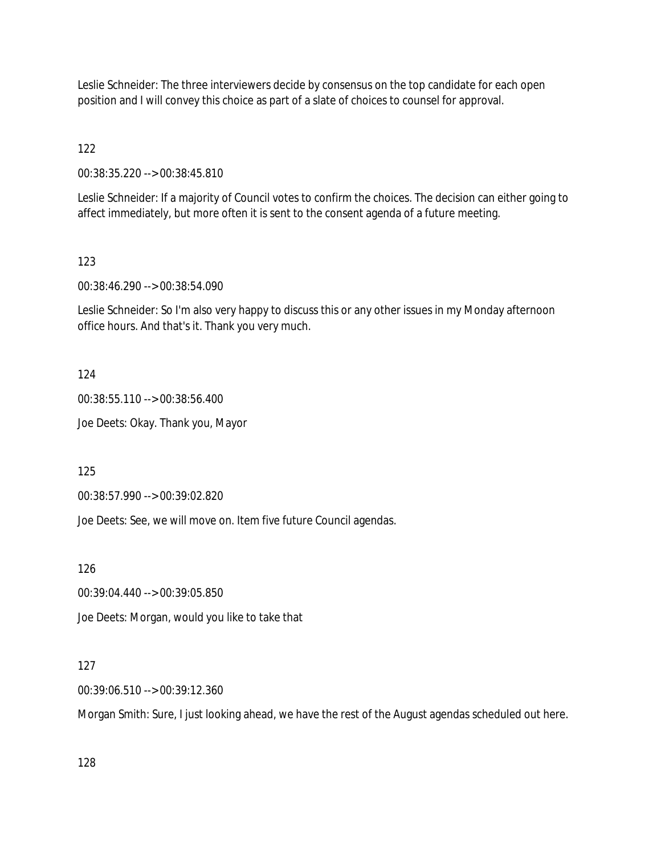Leslie Schneider: The three interviewers decide by consensus on the top candidate for each open position and I will convey this choice as part of a slate of choices to counsel for approval.

122

00:38:35.220 --> 00:38:45.810

Leslie Schneider: If a majority of Council votes to confirm the choices. The decision can either going to affect immediately, but more often it is sent to the consent agenda of a future meeting.

### 123

00:38:46.290 --> 00:38:54.090

Leslie Schneider: So I'm also very happy to discuss this or any other issues in my Monday afternoon office hours. And that's it. Thank you very much.

124

00:38:55.110 --> 00:38:56.400 Joe Deets: Okay. Thank you, Mayor

125

00:38:57.990 --> 00:39:02.820

Joe Deets: See, we will move on. Item five future Council agendas.

126

00:39:04.440 --> 00:39:05.850

Joe Deets: Morgan, would you like to take that

### 127

00:39:06.510 --> 00:39:12.360

Morgan Smith: Sure, I just looking ahead, we have the rest of the August agendas scheduled out here.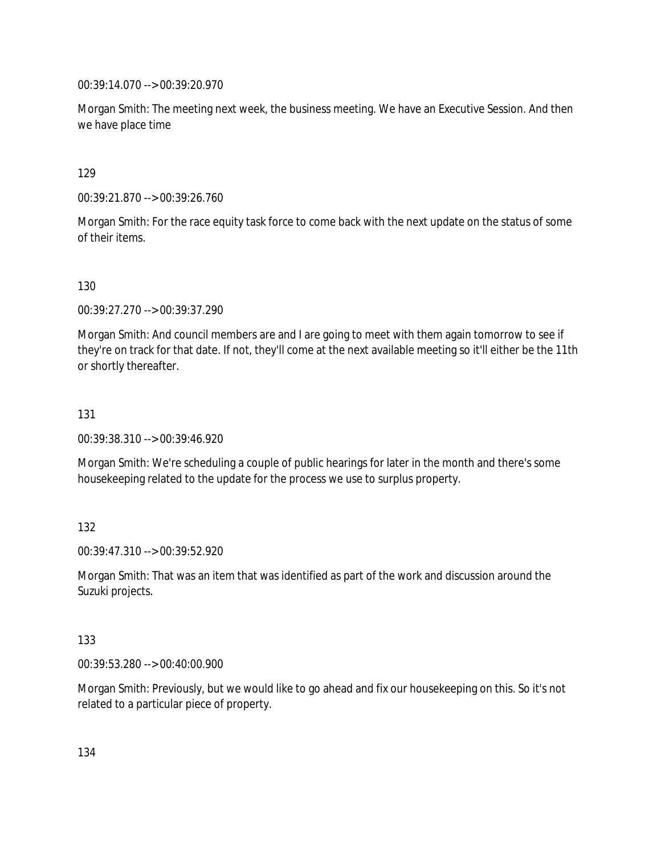00:39:14.070 --> 00:39:20.970

Morgan Smith: The meeting next week, the business meeting. We have an Executive Session. And then we have place time

129

00:39:21.870 --> 00:39:26.760

Morgan Smith: For the race equity task force to come back with the next update on the status of some of their items.

130

00:39:27.270 --> 00:39:37.290

Morgan Smith: And council members are and I are going to meet with them again tomorrow to see if they're on track for that date. If not, they'll come at the next available meeting so it'll either be the 11th or shortly thereafter.

131

00:39:38.310 --> 00:39:46.920

Morgan Smith: We're scheduling a couple of public hearings for later in the month and there's some housekeeping related to the update for the process we use to surplus property.

132

00:39:47.310 --> 00:39:52.920

Morgan Smith: That was an item that was identified as part of the work and discussion around the Suzuki projects.

133

00:39:53.280 --> 00:40:00.900

Morgan Smith: Previously, but we would like to go ahead and fix our housekeeping on this. So it's not related to a particular piece of property.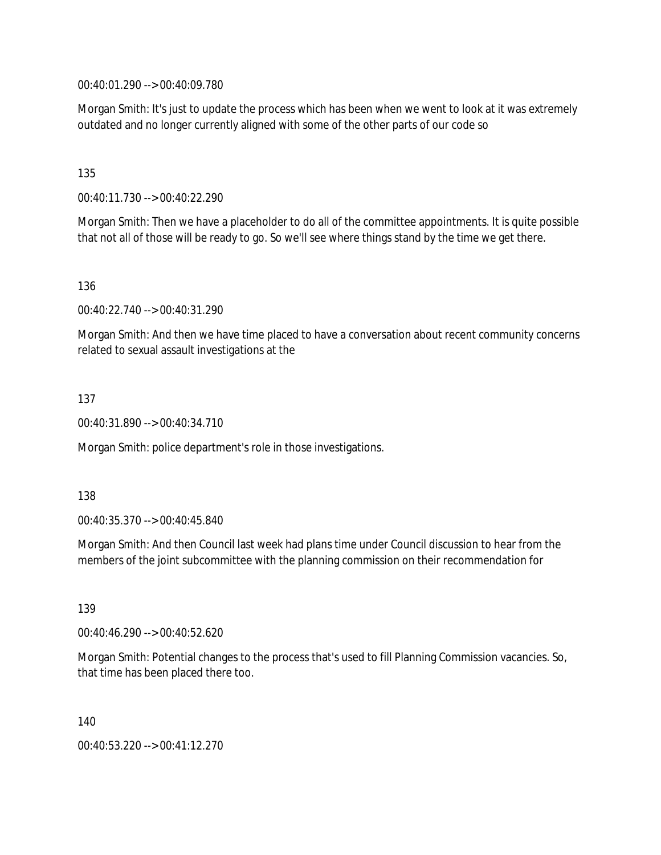00:40:01.290 --> 00:40:09.780

Morgan Smith: It's just to update the process which has been when we went to look at it was extremely outdated and no longer currently aligned with some of the other parts of our code so

### 135

00:40:11.730 --> 00:40:22.290

Morgan Smith: Then we have a placeholder to do all of the committee appointments. It is quite possible that not all of those will be ready to go. So we'll see where things stand by the time we get there.

136

00:40:22.740 --> 00:40:31.290

Morgan Smith: And then we have time placed to have a conversation about recent community concerns related to sexual assault investigations at the

### 137

00:40:31.890 --> 00:40:34.710

Morgan Smith: police department's role in those investigations.

138

00:40:35.370 --> 00:40:45.840

Morgan Smith: And then Council last week had plans time under Council discussion to hear from the members of the joint subcommittee with the planning commission on their recommendation for

139

00:40:46.290 --> 00:40:52.620

Morgan Smith: Potential changes to the process that's used to fill Planning Commission vacancies. So, that time has been placed there too.

140

00:40:53.220 --> 00:41:12.270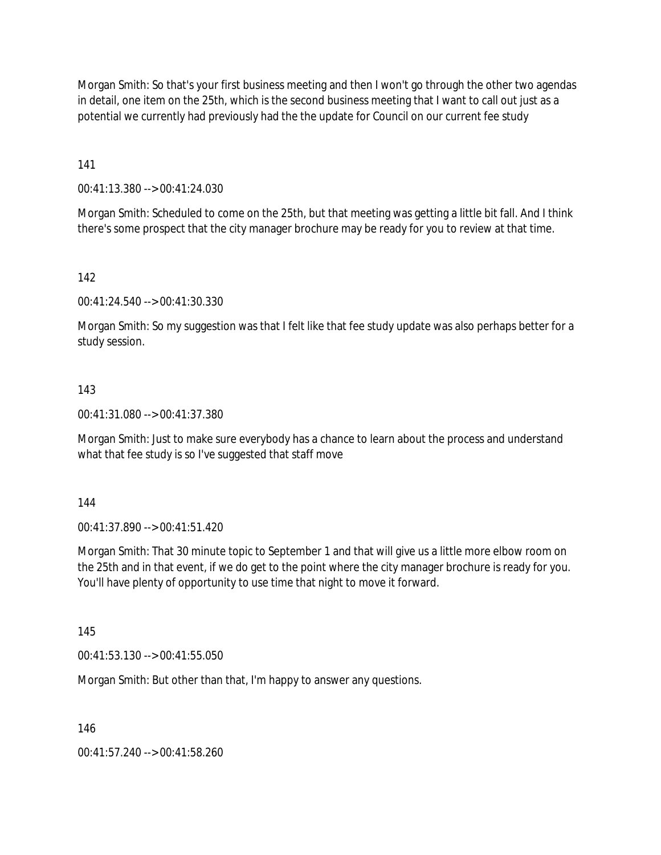Morgan Smith: So that's your first business meeting and then I won't go through the other two agendas in detail, one item on the 25th, which is the second business meeting that I want to call out just as a potential we currently had previously had the the update for Council on our current fee study

141

00:41:13.380 --> 00:41:24.030

Morgan Smith: Scheduled to come on the 25th, but that meeting was getting a little bit fall. And I think there's some prospect that the city manager brochure may be ready for you to review at that time.

142

00:41:24.540 --> 00:41:30.330

Morgan Smith: So my suggestion was that I felt like that fee study update was also perhaps better for a study session.

### 143

00:41:31.080 --> 00:41:37.380

Morgan Smith: Just to make sure everybody has a chance to learn about the process and understand what that fee study is so I've suggested that staff move

144

00:41:37.890 --> 00:41:51.420

Morgan Smith: That 30 minute topic to September 1 and that will give us a little more elbow room on the 25th and in that event, if we do get to the point where the city manager brochure is ready for you. You'll have plenty of opportunity to use time that night to move it forward.

145

00:41:53.130 --> 00:41:55.050

Morgan Smith: But other than that, I'm happy to answer any questions.

146

00:41:57.240 --> 00:41:58.260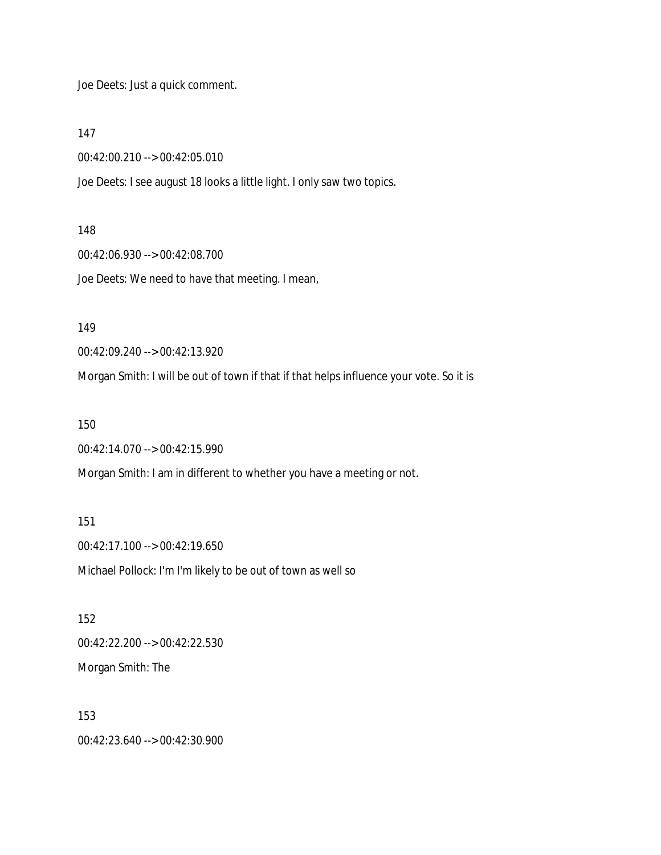Joe Deets: Just a quick comment.

147

00:42:00.210 --> 00:42:05.010

Joe Deets: I see august 18 looks a little light. I only saw two topics.

148

00:42:06.930 --> 00:42:08.700

Joe Deets: We need to have that meeting. I mean,

149

00:42:09.240 --> 00:42:13.920

Morgan Smith: I will be out of town if that if that helps influence your vote. So it is

150

00:42:14.070 --> 00:42:15.990

Morgan Smith: I am in different to whether you have a meeting or not.

151 00:42:17.100 --> 00:42:19.650 Michael Pollock: I'm I'm likely to be out of town as well so

152 00:42:22.200 --> 00:42:22.530 Morgan Smith: The

153 00:42:23.640 --> 00:42:30.900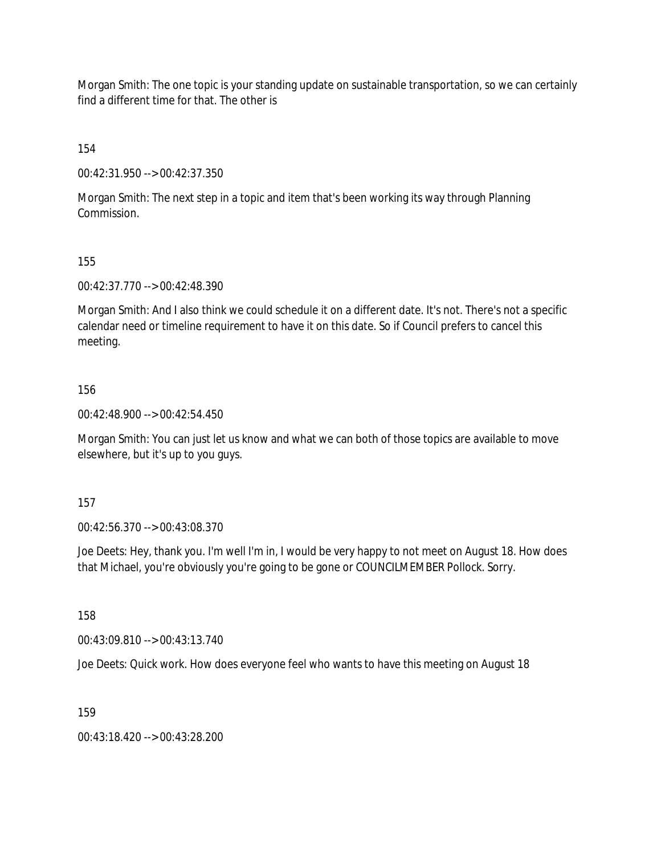Morgan Smith: The one topic is your standing update on sustainable transportation, so we can certainly find a different time for that. The other is

154

00:42:31.950 --> 00:42:37.350

Morgan Smith: The next step in a topic and item that's been working its way through Planning Commission.

155

00:42:37.770 --> 00:42:48.390

Morgan Smith: And I also think we could schedule it on a different date. It's not. There's not a specific calendar need or timeline requirement to have it on this date. So if Council prefers to cancel this meeting.

156

00:42:48.900 --> 00:42:54.450

Morgan Smith: You can just let us know and what we can both of those topics are available to move elsewhere, but it's up to you guys.

157

00:42:56.370 --> 00:43:08.370

Joe Deets: Hey, thank you. I'm well I'm in, I would be very happy to not meet on August 18. How does that Michael, you're obviously you're going to be gone or COUNCILMEMBER Pollock. Sorry.

158

00:43:09.810 --> 00:43:13.740

Joe Deets: Quick work. How does everyone feel who wants to have this meeting on August 18

159

00:43:18.420 --> 00:43:28.200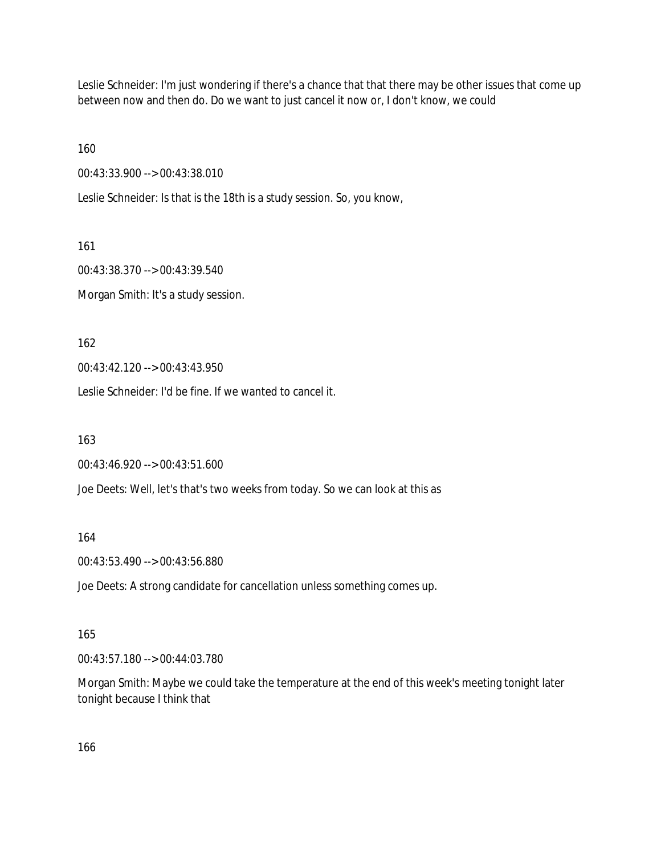Leslie Schneider: I'm just wondering if there's a chance that that there may be other issues that come up between now and then do. Do we want to just cancel it now or, I don't know, we could

160

00:43:33.900 --> 00:43:38.010

Leslie Schneider: Is that is the 18th is a study session. So, you know,

161

00:43:38.370 --> 00:43:39.540

Morgan Smith: It's a study session.

162

00:43:42.120 --> 00:43:43.950

Leslie Schneider: I'd be fine. If we wanted to cancel it.

163

00:43:46.920 --> 00:43:51.600

Joe Deets: Well, let's that's two weeks from today. So we can look at this as

164

00:43:53.490 --> 00:43:56.880

Joe Deets: A strong candidate for cancellation unless something comes up.

#### 165

00:43:57.180 --> 00:44:03.780

Morgan Smith: Maybe we could take the temperature at the end of this week's meeting tonight later tonight because I think that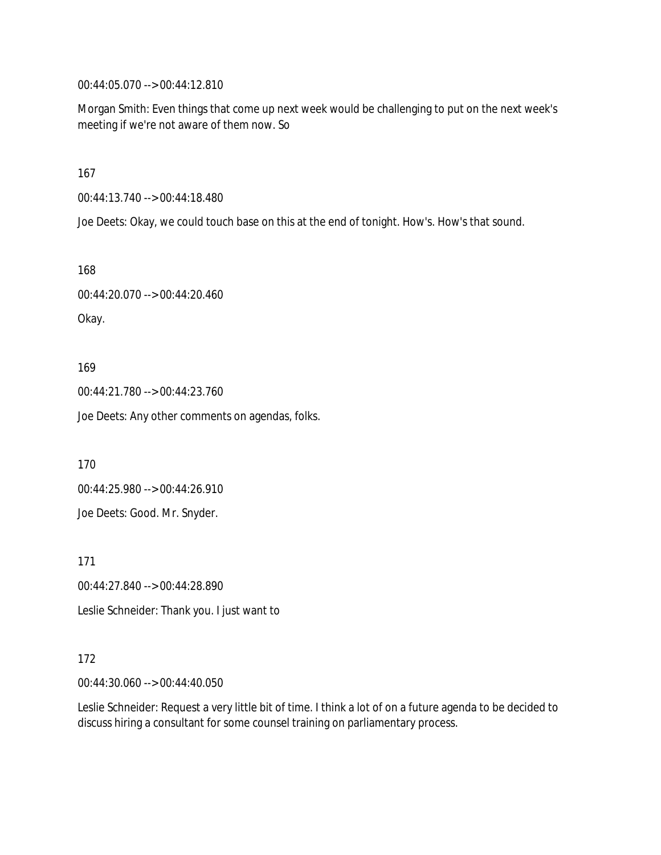00:44:05.070 --> 00:44:12.810

Morgan Smith: Even things that come up next week would be challenging to put on the next week's meeting if we're not aware of them now. So

167

00:44:13.740 --> 00:44:18.480

Joe Deets: Okay, we could touch base on this at the end of tonight. How's. How's that sound.

168

00:44:20.070 --> 00:44:20.460

Okay.

169

00:44:21.780 --> 00:44:23.760

Joe Deets: Any other comments on agendas, folks.

170

00:44:25.980 --> 00:44:26.910

Joe Deets: Good. Mr. Snyder.

171

00:44:27.840 --> 00:44:28.890

Leslie Schneider: Thank you. I just want to

#### 172

00:44:30.060 --> 00:44:40.050

Leslie Schneider: Request a very little bit of time. I think a lot of on a future agenda to be decided to discuss hiring a consultant for some counsel training on parliamentary process.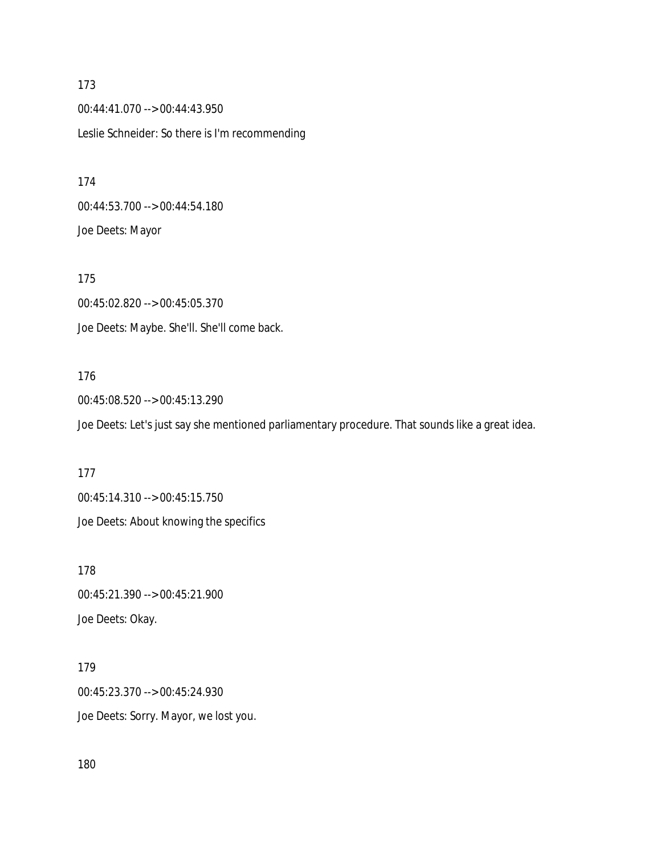173 00:44:41.070 --> 00:44:43.950 Leslie Schneider: So there is I'm recommending

174 00:44:53.700 --> 00:44:54.180 Joe Deets: Mayor

175 00:45:02.820 --> 00:45:05.370 Joe Deets: Maybe. She'll. She'll come back.

### 176

00:45:08.520 --> 00:45:13.290 Joe Deets: Let's just say she mentioned parliamentary procedure. That sounds like a great idea.

177

00:45:14.310 --> 00:45:15.750 Joe Deets: About knowing the specifics

178 00:45:21.390 --> 00:45:21.900 Joe Deets: Okay.

179 00:45:23.370 --> 00:45:24.930 Joe Deets: Sorry. Mayor, we lost you.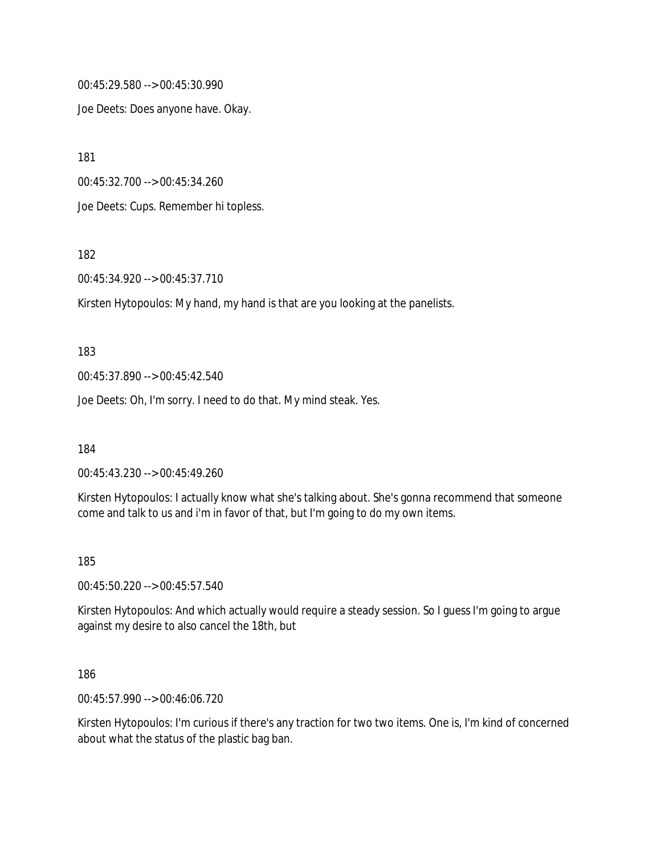00:45:29.580 --> 00:45:30.990

Joe Deets: Does anyone have. Okay.

181

00:45:32.700 --> 00:45:34.260

Joe Deets: Cups. Remember hi topless.

182

00:45:34.920 --> 00:45:37.710

Kirsten Hytopoulos: My hand, my hand is that are you looking at the panelists.

183

00:45:37.890 --> 00:45:42.540

Joe Deets: Oh, I'm sorry. I need to do that. My mind steak. Yes.

184

00:45:43.230 --> 00:45:49.260

Kirsten Hytopoulos: I actually know what she's talking about. She's gonna recommend that someone come and talk to us and i'm in favor of that, but I'm going to do my own items.

185

00:45:50.220 --> 00:45:57.540

Kirsten Hytopoulos: And which actually would require a steady session. So I guess I'm going to argue against my desire to also cancel the 18th, but

186

00:45:57.990 --> 00:46:06.720

Kirsten Hytopoulos: I'm curious if there's any traction for two two items. One is, I'm kind of concerned about what the status of the plastic bag ban.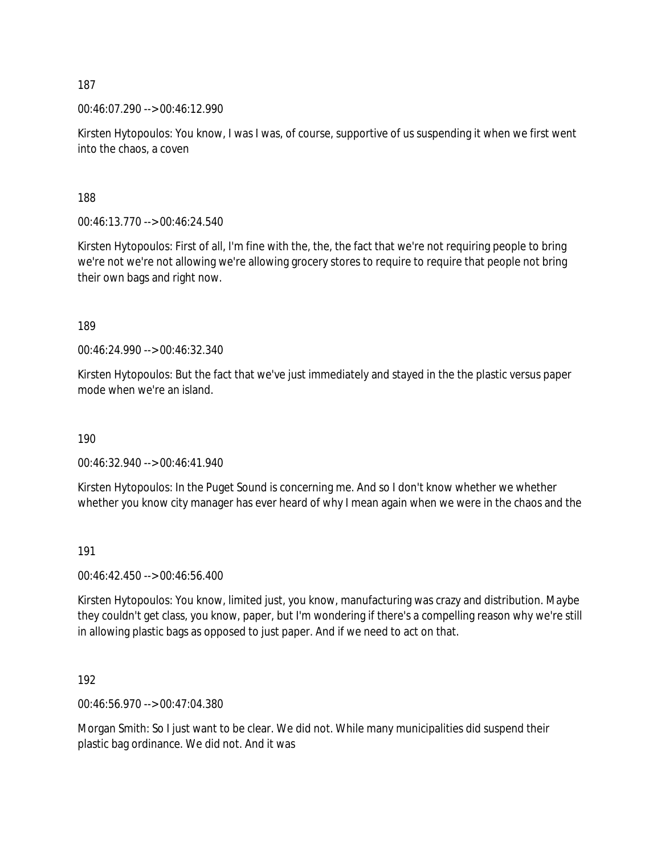00:46:07.290 --> 00:46:12.990

Kirsten Hytopoulos: You know, I was I was, of course, supportive of us suspending it when we first went into the chaos, a coven

188

00:46:13.770 --> 00:46:24.540

Kirsten Hytopoulos: First of all, I'm fine with the, the, the fact that we're not requiring people to bring we're not we're not allowing we're allowing grocery stores to require to require that people not bring their own bags and right now.

189

00:46:24.990 --> 00:46:32.340

Kirsten Hytopoulos: But the fact that we've just immediately and stayed in the the plastic versus paper mode when we're an island.

190

00:46:32.940 --> 00:46:41.940

Kirsten Hytopoulos: In the Puget Sound is concerning me. And so I don't know whether we whether whether you know city manager has ever heard of why I mean again when we were in the chaos and the

191

00:46:42.450 --> 00:46:56.400

Kirsten Hytopoulos: You know, limited just, you know, manufacturing was crazy and distribution. Maybe they couldn't get class, you know, paper, but I'm wondering if there's a compelling reason why we're still in allowing plastic bags as opposed to just paper. And if we need to act on that.

192

00:46:56.970 --> 00:47:04.380

Morgan Smith: So I just want to be clear. We did not. While many municipalities did suspend their plastic bag ordinance. We did not. And it was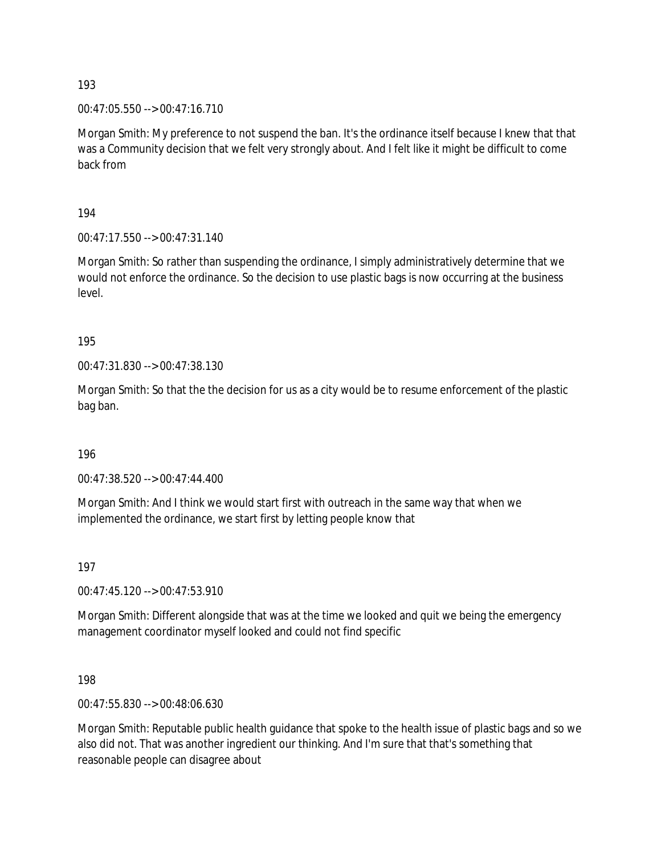00:47:05.550 --> 00:47:16.710

Morgan Smith: My preference to not suspend the ban. It's the ordinance itself because I knew that that was a Community decision that we felt very strongly about. And I felt like it might be difficult to come back from

194

00:47:17.550 --> 00:47:31.140

Morgan Smith: So rather than suspending the ordinance, I simply administratively determine that we would not enforce the ordinance. So the decision to use plastic bags is now occurring at the business level.

195

00:47:31.830 --> 00:47:38.130

Morgan Smith: So that the the decision for us as a city would be to resume enforcement of the plastic bag ban.

196

00:47:38.520 --> 00:47:44.400

Morgan Smith: And I think we would start first with outreach in the same way that when we implemented the ordinance, we start first by letting people know that

197

00:47:45.120 --> 00:47:53.910

Morgan Smith: Different alongside that was at the time we looked and quit we being the emergency management coordinator myself looked and could not find specific

198

00:47:55.830 --> 00:48:06.630

Morgan Smith: Reputable public health guidance that spoke to the health issue of plastic bags and so we also did not. That was another ingredient our thinking. And I'm sure that that's something that reasonable people can disagree about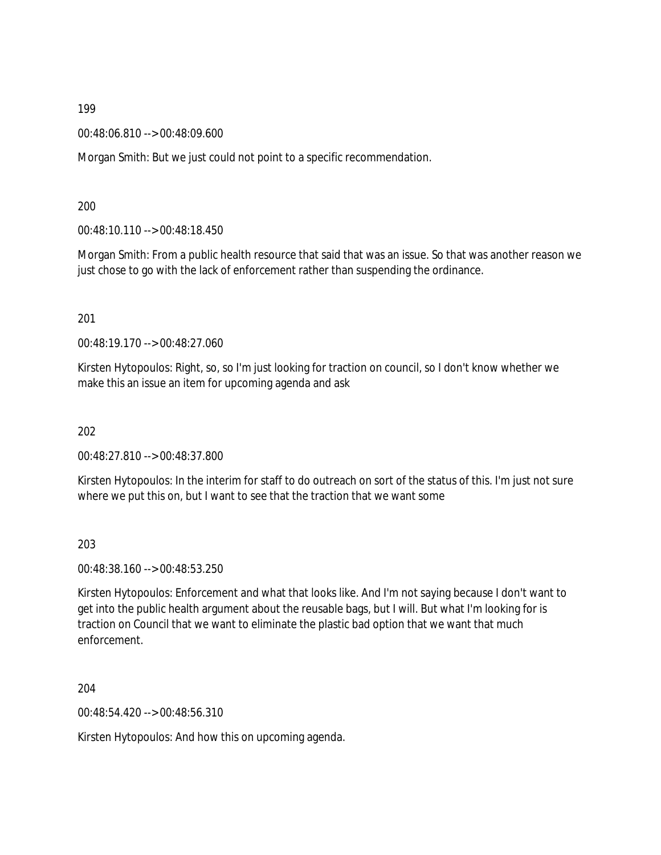00:48:06.810 --> 00:48:09.600

Morgan Smith: But we just could not point to a specific recommendation.

200

00:48:10.110 --> 00:48:18.450

Morgan Smith: From a public health resource that said that was an issue. So that was another reason we just chose to go with the lack of enforcement rather than suspending the ordinance.

201

00:48:19.170 --> 00:48:27.060

Kirsten Hytopoulos: Right, so, so I'm just looking for traction on council, so I don't know whether we make this an issue an item for upcoming agenda and ask

202

00:48:27.810 --> 00:48:37.800

Kirsten Hytopoulos: In the interim for staff to do outreach on sort of the status of this. I'm just not sure where we put this on, but I want to see that the traction that we want some

203

00:48:38.160 --> 00:48:53.250

Kirsten Hytopoulos: Enforcement and what that looks like. And I'm not saying because I don't want to get into the public health argument about the reusable bags, but I will. But what I'm looking for is traction on Council that we want to eliminate the plastic bad option that we want that much enforcement.

204

00:48:54.420 --> 00:48:56.310

Kirsten Hytopoulos: And how this on upcoming agenda.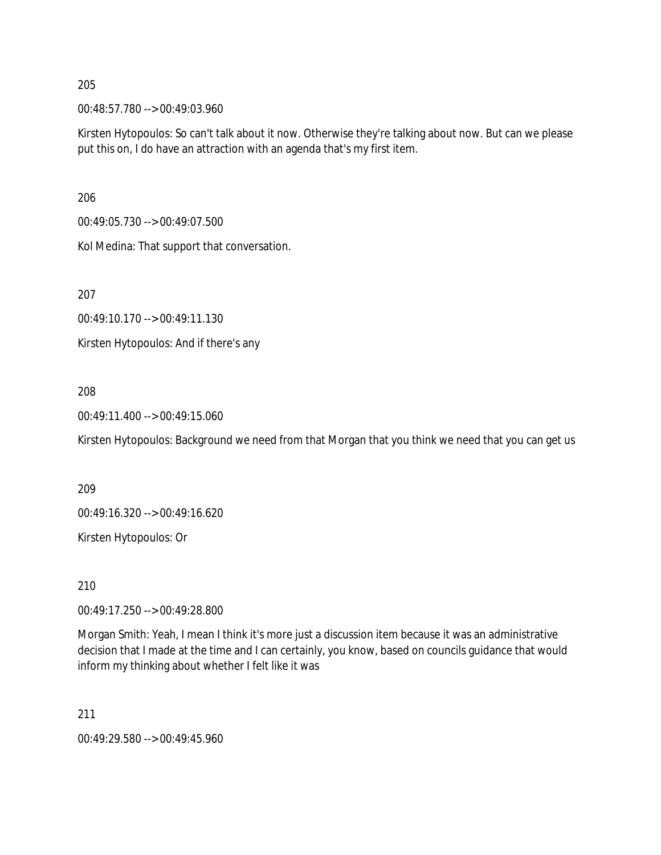00:48:57.780 --> 00:49:03.960

Kirsten Hytopoulos: So can't talk about it now. Otherwise they're talking about now. But can we please put this on, I do have an attraction with an agenda that's my first item.

206

00:49:05.730 --> 00:49:07.500

Kol Medina: That support that conversation.

207

00:49:10.170 --> 00:49:11.130

Kirsten Hytopoulos: And if there's any

### 208

00:49:11.400 --> 00:49:15.060

Kirsten Hytopoulos: Background we need from that Morgan that you think we need that you can get us

209

00:49:16.320 --> 00:49:16.620

Kirsten Hytopoulos: Or

210

00:49:17.250 --> 00:49:28.800

Morgan Smith: Yeah, I mean I think it's more just a discussion item because it was an administrative decision that I made at the time and I can certainly, you know, based on councils guidance that would inform my thinking about whether I felt like it was

211

00:49:29.580 --> 00:49:45.960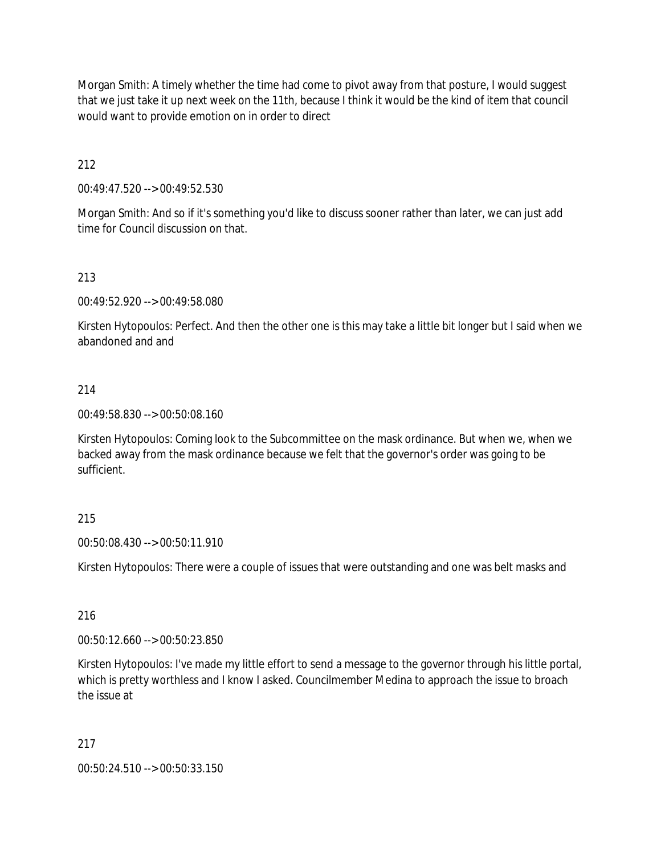Morgan Smith: A timely whether the time had come to pivot away from that posture, I would suggest that we just take it up next week on the 11th, because I think it would be the kind of item that council would want to provide emotion on in order to direct

212

00:49:47.520 --> 00:49:52.530

Morgan Smith: And so if it's something you'd like to discuss sooner rather than later, we can just add time for Council discussion on that.

### 213

00:49:52.920 --> 00:49:58.080

Kirsten Hytopoulos: Perfect. And then the other one is this may take a little bit longer but I said when we abandoned and and

### 214

00:49:58.830 --> 00:50:08.160

Kirsten Hytopoulos: Coming look to the Subcommittee on the mask ordinance. But when we, when we backed away from the mask ordinance because we felt that the governor's order was going to be sufficient.

### 215

00:50:08.430 --> 00:50:11.910

Kirsten Hytopoulos: There were a couple of issues that were outstanding and one was belt masks and

### 216

00:50:12.660 --> 00:50:23.850

Kirsten Hytopoulos: I've made my little effort to send a message to the governor through his little portal, which is pretty worthless and I know I asked. Councilmember Medina to approach the issue to broach the issue at

### 217

00:50:24.510 --> 00:50:33.150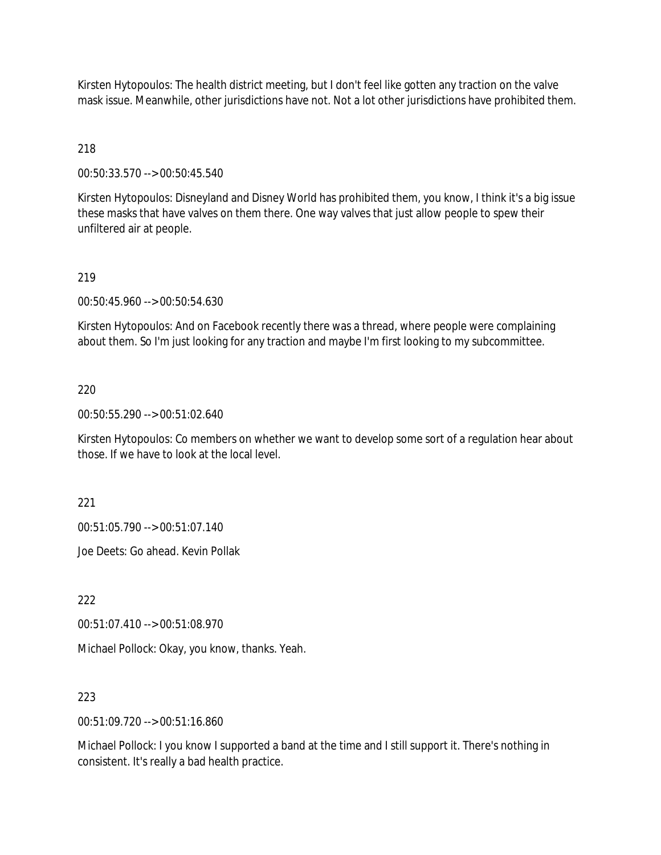Kirsten Hytopoulos: The health district meeting, but I don't feel like gotten any traction on the valve mask issue. Meanwhile, other jurisdictions have not. Not a lot other jurisdictions have prohibited them.

218

00:50:33.570 --> 00:50:45.540

Kirsten Hytopoulos: Disneyland and Disney World has prohibited them, you know, I think it's a big issue these masks that have valves on them there. One way valves that just allow people to spew their unfiltered air at people.

#### 219

00:50:45.960 --> 00:50:54.630

Kirsten Hytopoulos: And on Facebook recently there was a thread, where people were complaining about them. So I'm just looking for any traction and maybe I'm first looking to my subcommittee.

#### 220

00:50:55.290 --> 00:51:02.640

Kirsten Hytopoulos: Co members on whether we want to develop some sort of a regulation hear about those. If we have to look at the local level.

221

00:51:05.790 --> 00:51:07.140

Joe Deets: Go ahead. Kevin Pollak

222

00:51:07.410 --> 00:51:08.970

Michael Pollock: Okay, you know, thanks. Yeah.

### 223

00:51:09.720 --> 00:51:16.860

Michael Pollock: I you know I supported a band at the time and I still support it. There's nothing in consistent. It's really a bad health practice.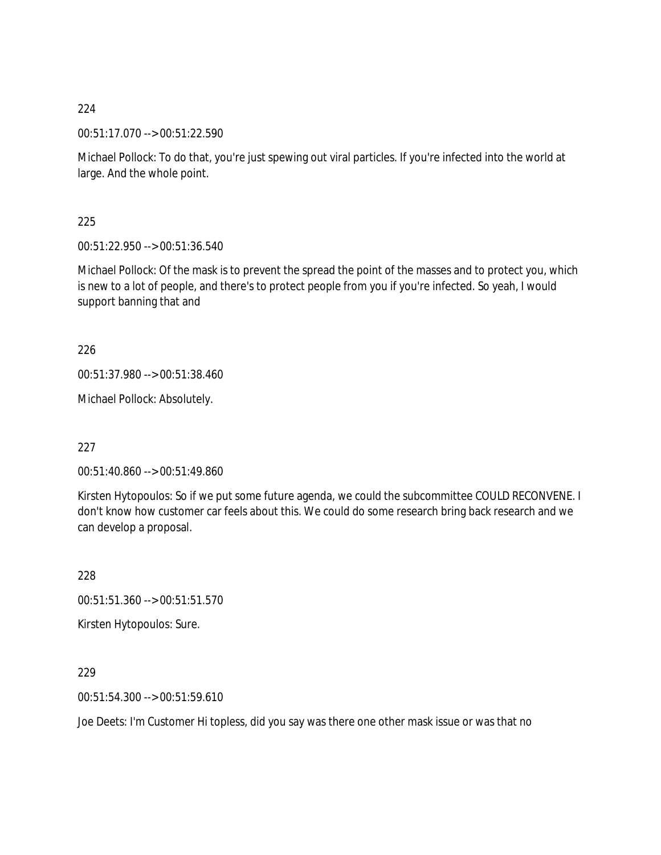00:51:17.070 --> 00:51:22.590

Michael Pollock: To do that, you're just spewing out viral particles. If you're infected into the world at large. And the whole point.

225

00:51:22.950 --> 00:51:36.540

Michael Pollock: Of the mask is to prevent the spread the point of the masses and to protect you, which is new to a lot of people, and there's to protect people from you if you're infected. So yeah, I would support banning that and

226

00:51:37.980 --> 00:51:38.460

Michael Pollock: Absolutely.

227

00:51:40.860 --> 00:51:49.860

Kirsten Hytopoulos: So if we put some future agenda, we could the subcommittee COULD RECONVENE. I don't know how customer car feels about this. We could do some research bring back research and we can develop a proposal.

228

00:51:51.360 --> 00:51:51.570

Kirsten Hytopoulos: Sure.

229

00:51:54.300 --> 00:51:59.610

Joe Deets: I'm Customer Hi topless, did you say was there one other mask issue or was that no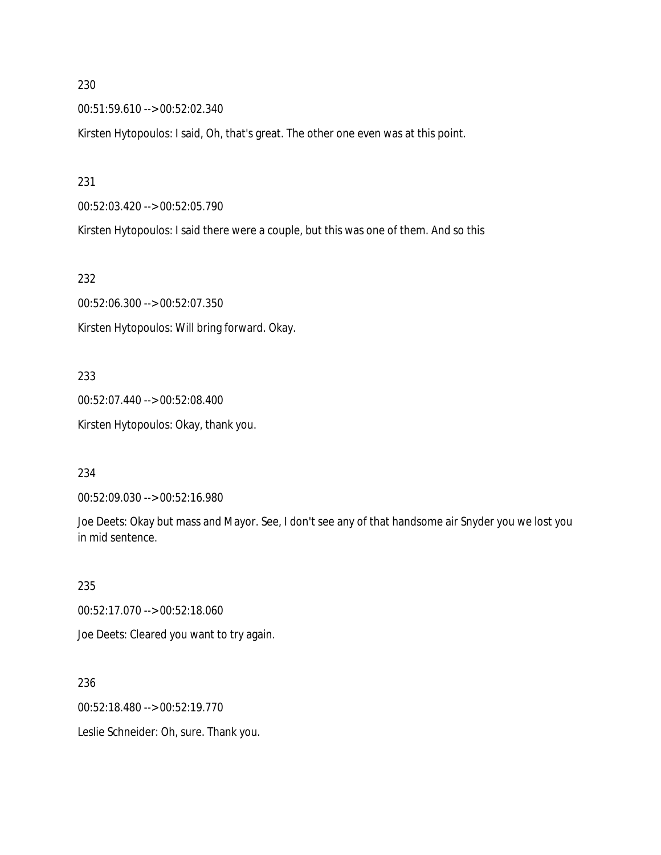00:51:59.610 --> 00:52:02.340

Kirsten Hytopoulos: I said, Oh, that's great. The other one even was at this point.

231

00:52:03.420 --> 00:52:05.790

Kirsten Hytopoulos: I said there were a couple, but this was one of them. And so this

232

00:52:06.300 --> 00:52:07.350 Kirsten Hytopoulos: Will bring forward. Okay.

233

00:52:07.440 --> 00:52:08.400 Kirsten Hytopoulos: Okay, thank you.

234

00:52:09.030 --> 00:52:16.980

Joe Deets: Okay but mass and Mayor. See, I don't see any of that handsome air Snyder you we lost you in mid sentence.

235

00:52:17.070 --> 00:52:18.060

Joe Deets: Cleared you want to try again.

236

00:52:18.480 --> 00:52:19.770

Leslie Schneider: Oh, sure. Thank you.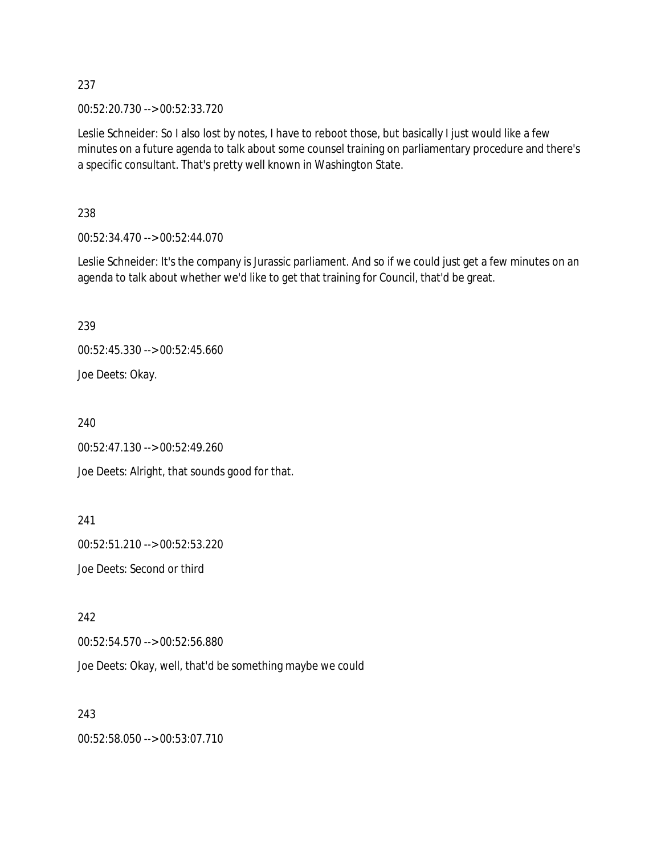00:52:20.730 --> 00:52:33.720

Leslie Schneider: So I also lost by notes, I have to reboot those, but basically I just would like a few minutes on a future agenda to talk about some counsel training on parliamentary procedure and there's a specific consultant. That's pretty well known in Washington State.

238

00:52:34.470 --> 00:52:44.070

Leslie Schneider: It's the company is Jurassic parliament. And so if we could just get a few minutes on an agenda to talk about whether we'd like to get that training for Council, that'd be great.

239

00:52:45.330 --> 00:52:45.660 Joe Deets: Okay.

240

00:52:47.130 --> 00:52:49.260 Joe Deets: Alright, that sounds good for that.

241

00:52:51.210 --> 00:52:53.220

Joe Deets: Second or third

242

00:52:54.570 --> 00:52:56.880

Joe Deets: Okay, well, that'd be something maybe we could

243

00:52:58.050 --> 00:53:07.710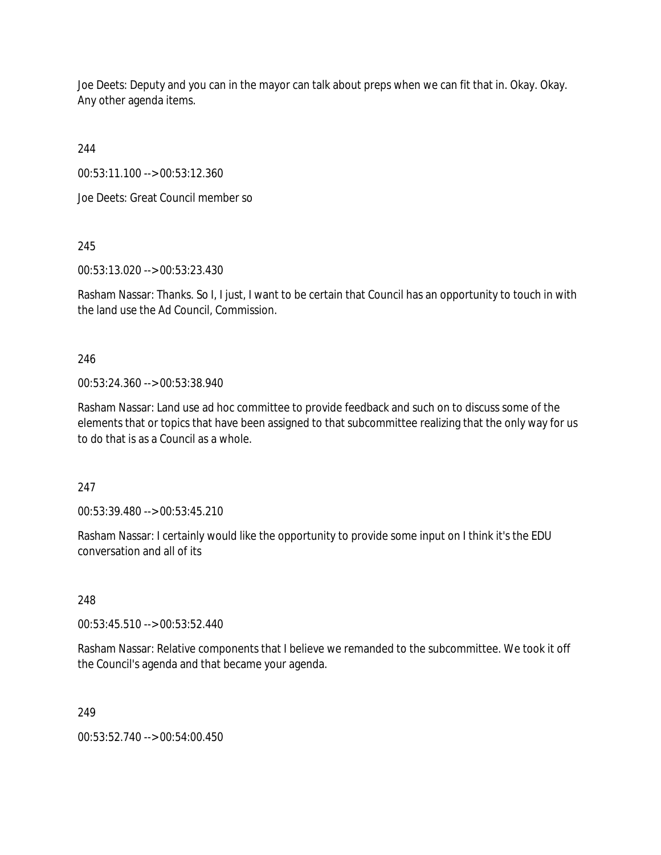Joe Deets: Deputy and you can in the mayor can talk about preps when we can fit that in. Okay. Okay. Any other agenda items.

244

00:53:11.100 --> 00:53:12.360

Joe Deets: Great Council member so

245

00:53:13.020 --> 00:53:23.430

Rasham Nassar: Thanks. So I, I just, I want to be certain that Council has an opportunity to touch in with the land use the Ad Council, Commission.

# 246

00:53:24.360 --> 00:53:38.940

Rasham Nassar: Land use ad hoc committee to provide feedback and such on to discuss some of the elements that or topics that have been assigned to that subcommittee realizing that the only way for us to do that is as a Council as a whole.

247

00:53:39.480 --> 00:53:45.210

Rasham Nassar: I certainly would like the opportunity to provide some input on I think it's the EDU conversation and all of its

248

00:53:45.510 --> 00:53:52.440

Rasham Nassar: Relative components that I believe we remanded to the subcommittee. We took it off the Council's agenda and that became your agenda.

249

00:53:52.740 --> 00:54:00.450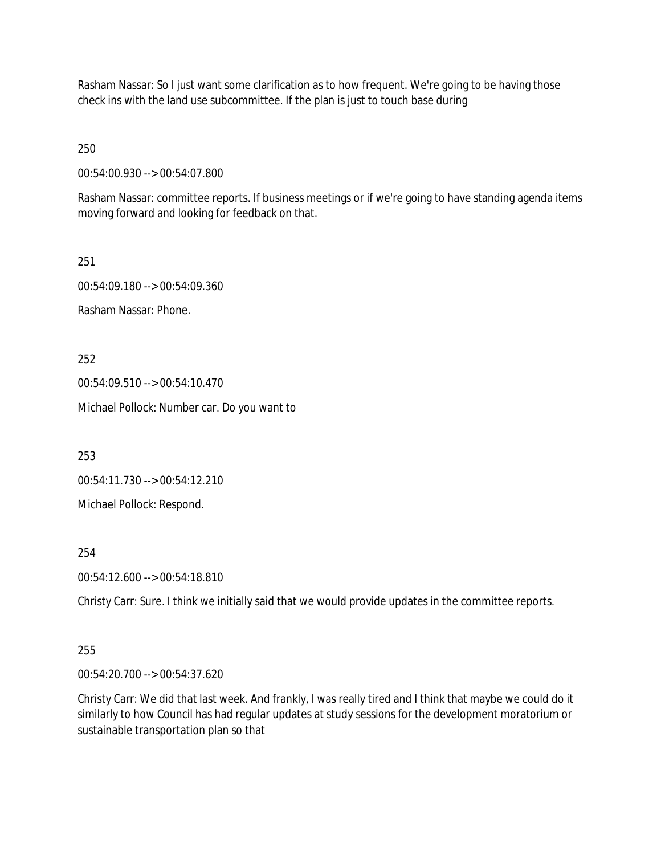Rasham Nassar: So I just want some clarification as to how frequent. We're going to be having those check ins with the land use subcommittee. If the plan is just to touch base during

250

00:54:00.930 --> 00:54:07.800

Rasham Nassar: committee reports. If business meetings or if we're going to have standing agenda items moving forward and looking for feedback on that.

251 00:54:09.180 --> 00:54:09.360 Rasham Nassar: Phone.

252

00:54:09.510 --> 00:54:10.470

Michael Pollock: Number car. Do you want to

253

00:54:11.730 --> 00:54:12.210

Michael Pollock: Respond.

254

00:54:12.600 --> 00:54:18.810

Christy Carr: Sure. I think we initially said that we would provide updates in the committee reports.

### 255

00:54:20.700 --> 00:54:37.620

Christy Carr: We did that last week. And frankly, I was really tired and I think that maybe we could do it similarly to how Council has had regular updates at study sessions for the development moratorium or sustainable transportation plan so that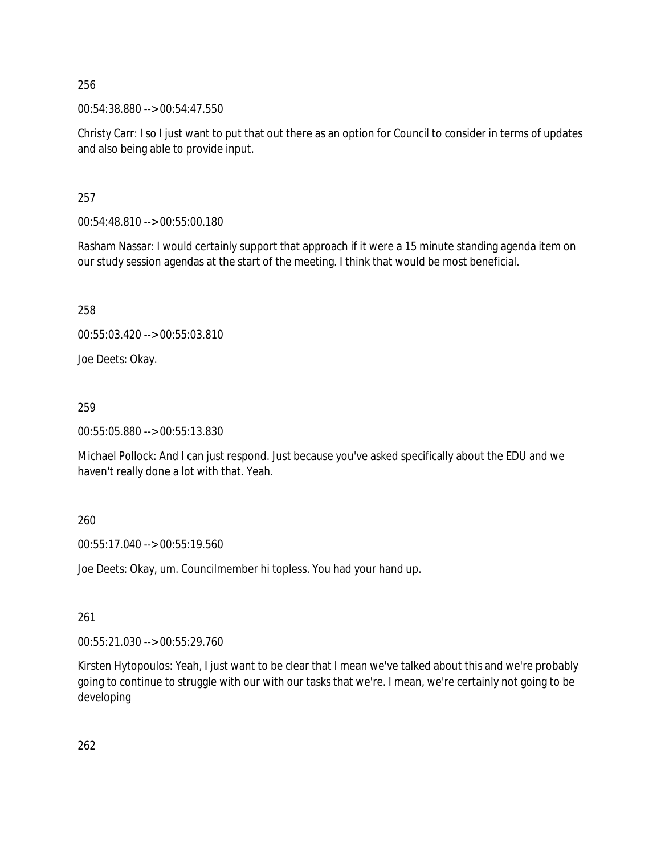00:54:38.880 --> 00:54:47.550

Christy Carr: I so I just want to put that out there as an option for Council to consider in terms of updates and also being able to provide input.

257

00:54:48.810 --> 00:55:00.180

Rasham Nassar: I would certainly support that approach if it were a 15 minute standing agenda item on our study session agendas at the start of the meeting. I think that would be most beneficial.

258

00:55:03.420 --> 00:55:03.810

Joe Deets: Okay.

259

00:55:05.880 --> 00:55:13.830

Michael Pollock: And I can just respond. Just because you've asked specifically about the EDU and we haven't really done a lot with that. Yeah.

260

00:55:17.040 --> 00:55:19.560

Joe Deets: Okay, um. Councilmember hi topless. You had your hand up.

261

00:55:21.030 --> 00:55:29.760

Kirsten Hytopoulos: Yeah, I just want to be clear that I mean we've talked about this and we're probably going to continue to struggle with our with our tasks that we're. I mean, we're certainly not going to be developing

262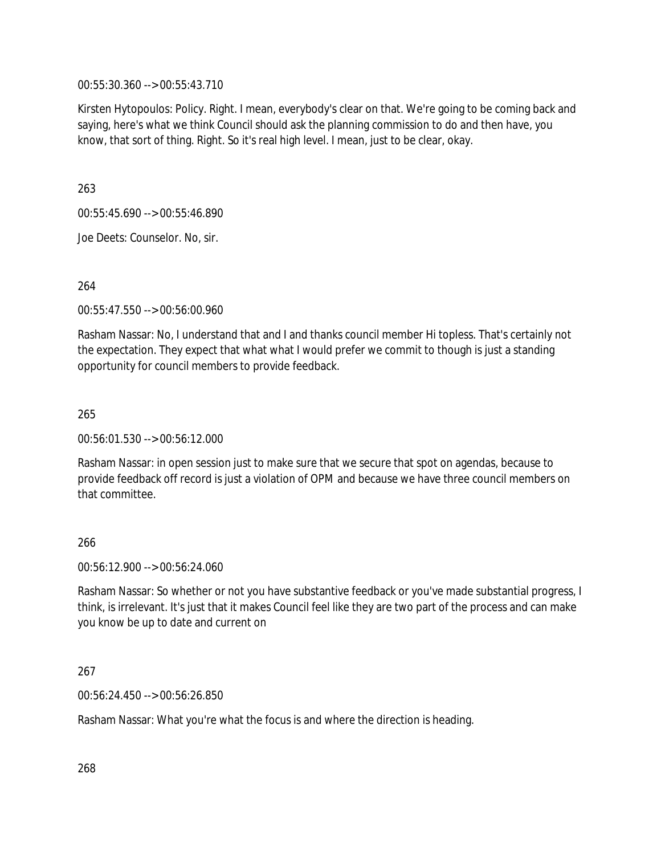00:55:30.360 --> 00:55:43.710

Kirsten Hytopoulos: Policy. Right. I mean, everybody's clear on that. We're going to be coming back and saying, here's what we think Council should ask the planning commission to do and then have, you know, that sort of thing. Right. So it's real high level. I mean, just to be clear, okay.

263

00:55:45.690 --> 00:55:46.890

Joe Deets: Counselor. No, sir.

264

00:55:47.550 --> 00:56:00.960

Rasham Nassar: No, I understand that and I and thanks council member Hi topless. That's certainly not the expectation. They expect that what what I would prefer we commit to though is just a standing opportunity for council members to provide feedback.

265

00:56:01.530 --> 00:56:12.000

Rasham Nassar: in open session just to make sure that we secure that spot on agendas, because to provide feedback off record is just a violation of OPM and because we have three council members on that committee.

### 266

00:56:12.900 --> 00:56:24.060

Rasham Nassar: So whether or not you have substantive feedback or you've made substantial progress, I think, is irrelevant. It's just that it makes Council feel like they are two part of the process and can make you know be up to date and current on

### 267

00:56:24.450 --> 00:56:26.850

Rasham Nassar: What you're what the focus is and where the direction is heading.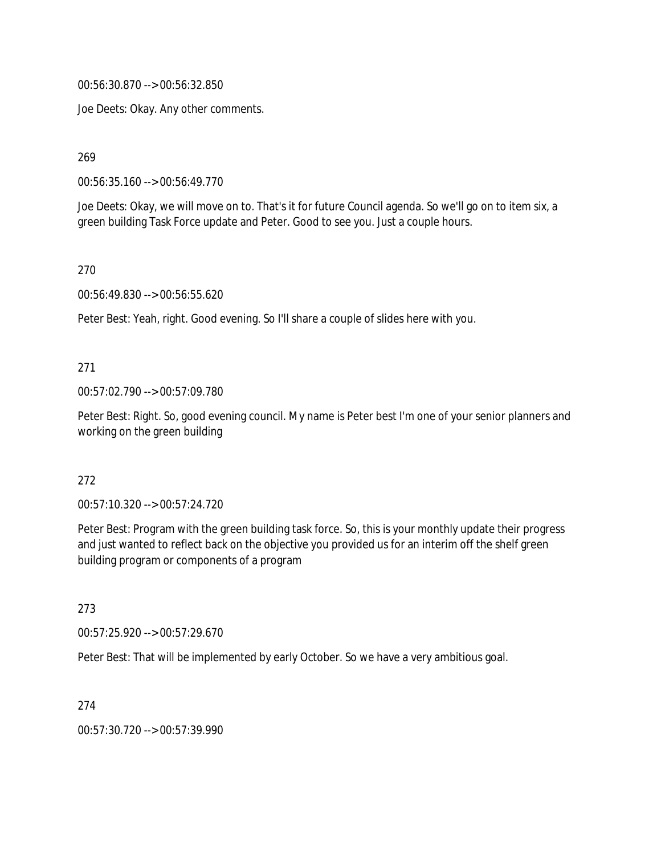00:56:30.870 --> 00:56:32.850

Joe Deets: Okay. Any other comments.

269

00:56:35.160 --> 00:56:49.770

Joe Deets: Okay, we will move on to. That's it for future Council agenda. So we'll go on to item six, a green building Task Force update and Peter. Good to see you. Just a couple hours.

270

00:56:49.830 --> 00:56:55.620

Peter Best: Yeah, right. Good evening. So I'll share a couple of slides here with you.

### 271

00:57:02.790 --> 00:57:09.780

Peter Best: Right. So, good evening council. My name is Peter best I'm one of your senior planners and working on the green building

#### 272

00:57:10.320 --> 00:57:24.720

Peter Best: Program with the green building task force. So, this is your monthly update their progress and just wanted to reflect back on the objective you provided us for an interim off the shelf green building program or components of a program

### 273

00:57:25.920 --> 00:57:29.670

Peter Best: That will be implemented by early October. So we have a very ambitious goal.

274

00:57:30.720 --> 00:57:39.990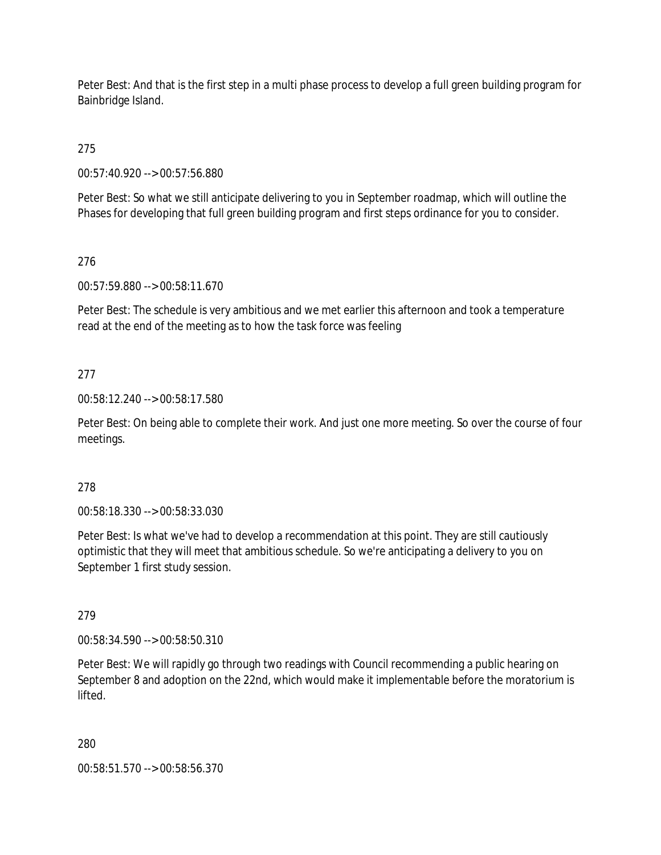Peter Best: And that is the first step in a multi phase process to develop a full green building program for Bainbridge Island.

275

00:57:40.920 --> 00:57:56.880

Peter Best: So what we still anticipate delivering to you in September roadmap, which will outline the Phases for developing that full green building program and first steps ordinance for you to consider.

### 276

00:57:59.880 --> 00:58:11.670

Peter Best: The schedule is very ambitious and we met earlier this afternoon and took a temperature read at the end of the meeting as to how the task force was feeling

### 277

00:58:12.240 --> 00:58:17.580

Peter Best: On being able to complete their work. And just one more meeting. So over the course of four meetings.

### 278

00:58:18.330 --> 00:58:33.030

Peter Best: Is what we've had to develop a recommendation at this point. They are still cautiously optimistic that they will meet that ambitious schedule. So we're anticipating a delivery to you on September 1 first study session.

### 279

00:58:34.590 --> 00:58:50.310

Peter Best: We will rapidly go through two readings with Council recommending a public hearing on September 8 and adoption on the 22nd, which would make it implementable before the moratorium is lifted.

280

00:58:51.570 --> 00:58:56.370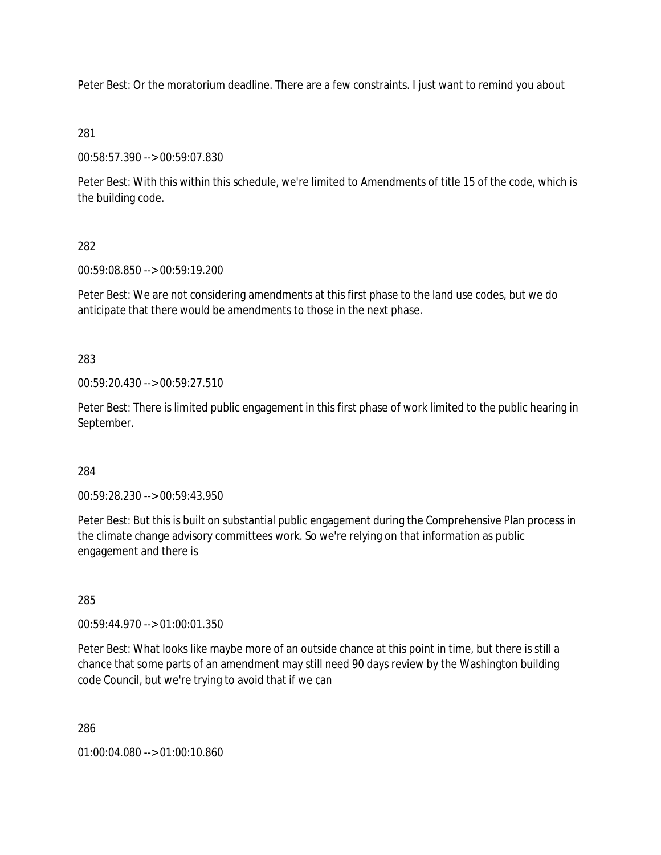Peter Best: Or the moratorium deadline. There are a few constraints. I just want to remind you about

### 281

00:58:57.390 --> 00:59:07.830

Peter Best: With this within this schedule, we're limited to Amendments of title 15 of the code, which is the building code.

### 282

00:59:08.850 --> 00:59:19.200

Peter Best: We are not considering amendments at this first phase to the land use codes, but we do anticipate that there would be amendments to those in the next phase.

### 283

00:59:20.430 --> 00:59:27.510

Peter Best: There is limited public engagement in this first phase of work limited to the public hearing in September.

### 284

00:59:28.230 --> 00:59:43.950

Peter Best: But this is built on substantial public engagement during the Comprehensive Plan process in the climate change advisory committees work. So we're relying on that information as public engagement and there is

# 285

00:59:44.970 --> 01:00:01.350

Peter Best: What looks like maybe more of an outside chance at this point in time, but there is still a chance that some parts of an amendment may still need 90 days review by the Washington building code Council, but we're trying to avoid that if we can

286

01:00:04.080 --> 01:00:10.860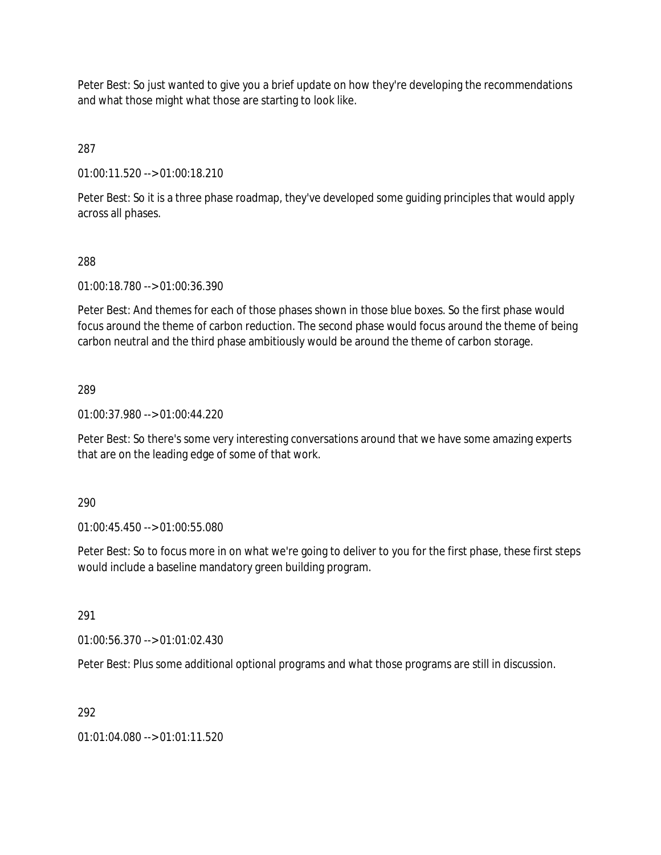Peter Best: So just wanted to give you a brief update on how they're developing the recommendations and what those might what those are starting to look like.

287

01:00:11.520 --> 01:00:18.210

Peter Best: So it is a three phase roadmap, they've developed some guiding principles that would apply across all phases.

### 288

01:00:18.780 --> 01:00:36.390

Peter Best: And themes for each of those phases shown in those blue boxes. So the first phase would focus around the theme of carbon reduction. The second phase would focus around the theme of being carbon neutral and the third phase ambitiously would be around the theme of carbon storage.

### 289

01:00:37.980 --> 01:00:44.220

Peter Best: So there's some very interesting conversations around that we have some amazing experts that are on the leading edge of some of that work.

### 290

01:00:45.450 --> 01:00:55.080

Peter Best: So to focus more in on what we're going to deliver to you for the first phase, these first steps would include a baseline mandatory green building program.

### 291

01:00:56.370 --> 01:01:02.430

Peter Best: Plus some additional optional programs and what those programs are still in discussion.

## 292

01:01:04.080 --> 01:01:11.520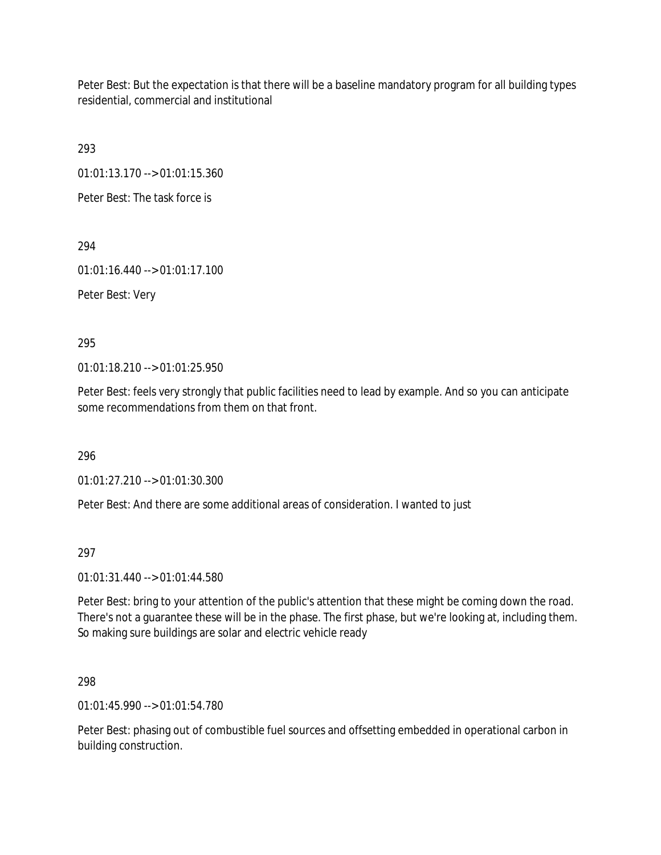Peter Best: But the expectation is that there will be a baseline mandatory program for all building types residential, commercial and institutional

293

01:01:13.170 --> 01:01:15.360

Peter Best: The task force is

294

01:01:16.440 --> 01:01:17.100

Peter Best: Very

295

01:01:18.210 --> 01:01:25.950

Peter Best: feels very strongly that public facilities need to lead by example. And so you can anticipate some recommendations from them on that front.

296

01:01:27.210 --> 01:01:30.300

Peter Best: And there are some additional areas of consideration. I wanted to just

297

01:01:31.440 --> 01:01:44.580

Peter Best: bring to your attention of the public's attention that these might be coming down the road. There's not a guarantee these will be in the phase. The first phase, but we're looking at, including them. So making sure buildings are solar and electric vehicle ready

298

01:01:45.990 --> 01:01:54.780

Peter Best: phasing out of combustible fuel sources and offsetting embedded in operational carbon in building construction.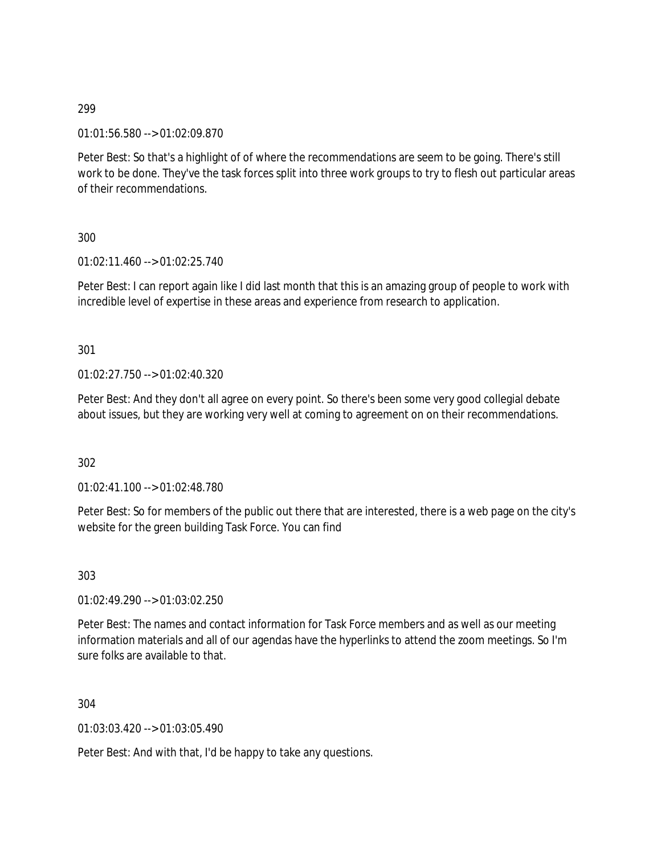01:01:56.580 --> 01:02:09.870

Peter Best: So that's a highlight of of where the recommendations are seem to be going. There's still work to be done. They've the task forces split into three work groups to try to flesh out particular areas of their recommendations.

300

01:02:11.460 --> 01:02:25.740

Peter Best: I can report again like I did last month that this is an amazing group of people to work with incredible level of expertise in these areas and experience from research to application.

301

01:02:27.750 --> 01:02:40.320

Peter Best: And they don't all agree on every point. So there's been some very good collegial debate about issues, but they are working very well at coming to agreement on on their recommendations.

302

01:02:41.100 --> 01:02:48.780

Peter Best: So for members of the public out there that are interested, there is a web page on the city's website for the green building Task Force. You can find

303

01:02:49.290 --> 01:03:02.250

Peter Best: The names and contact information for Task Force members and as well as our meeting information materials and all of our agendas have the hyperlinks to attend the zoom meetings. So I'm sure folks are available to that.

304

01:03:03.420 --> 01:03:05.490

Peter Best: And with that, I'd be happy to take any questions.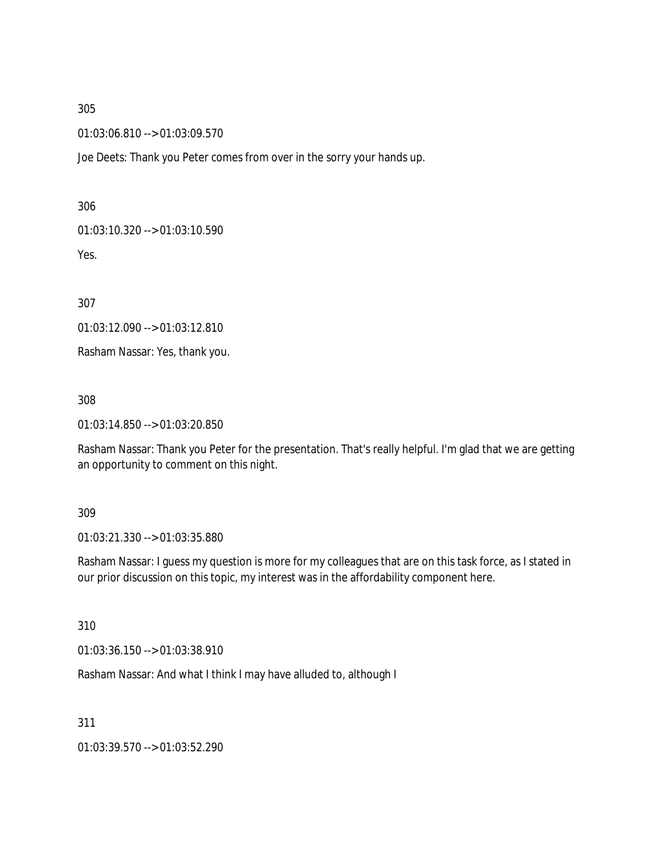01:03:06.810 --> 01:03:09.570

Joe Deets: Thank you Peter comes from over in the sorry your hands up.

306

01:03:10.320 --> 01:03:10.590

Yes.

307

01:03:12.090 --> 01:03:12.810

Rasham Nassar: Yes, thank you.

308

01:03:14.850 --> 01:03:20.850

Rasham Nassar: Thank you Peter for the presentation. That's really helpful. I'm glad that we are getting an opportunity to comment on this night.

#### 309

01:03:21.330 --> 01:03:35.880

Rasham Nassar: I guess my question is more for my colleagues that are on this task force, as I stated in our prior discussion on this topic, my interest was in the affordability component here.

310

01:03:36.150 --> 01:03:38.910

Rasham Nassar: And what I think I may have alluded to, although I

311

01:03:39.570 --> 01:03:52.290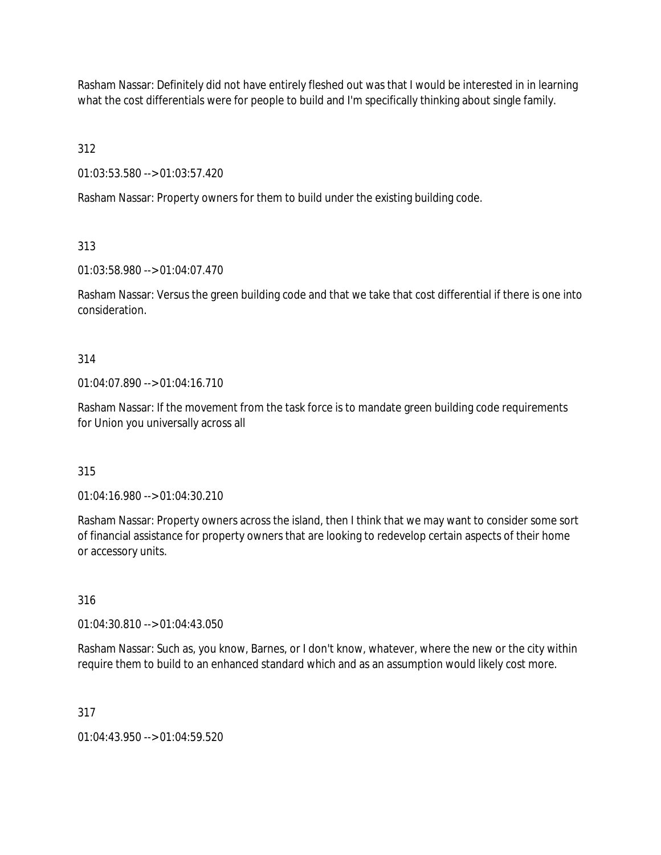Rasham Nassar: Definitely did not have entirely fleshed out was that I would be interested in in learning what the cost differentials were for people to build and I'm specifically thinking about single family.

312

01:03:53.580 --> 01:03:57.420

Rasham Nassar: Property owners for them to build under the existing building code.

313

01:03:58.980 --> 01:04:07.470

Rasham Nassar: Versus the green building code and that we take that cost differential if there is one into consideration.

314

 $01:04:07.890 \rightarrow 01:04:16.710$ 

Rasham Nassar: If the movement from the task force is to mandate green building code requirements for Union you universally across all

315

01:04:16.980 --> 01:04:30.210

Rasham Nassar: Property owners across the island, then I think that we may want to consider some sort of financial assistance for property owners that are looking to redevelop certain aspects of their home or accessory units.

316

01:04:30.810 --> 01:04:43.050

Rasham Nassar: Such as, you know, Barnes, or I don't know, whatever, where the new or the city within require them to build to an enhanced standard which and as an assumption would likely cost more.

317

01:04:43.950 --> 01:04:59.520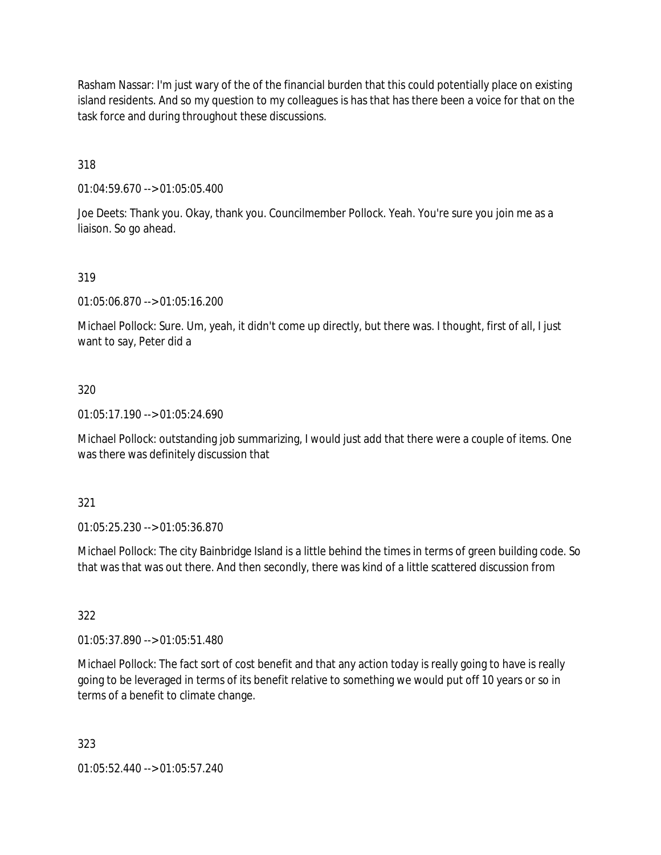Rasham Nassar: I'm just wary of the of the financial burden that this could potentially place on existing island residents. And so my question to my colleagues is has that has there been a voice for that on the task force and during throughout these discussions.

318

01:04:59.670 --> 01:05:05.400

Joe Deets: Thank you. Okay, thank you. Councilmember Pollock. Yeah. You're sure you join me as a liaison. So go ahead.

### 319

01:05:06.870 --> 01:05:16.200

Michael Pollock: Sure. Um, yeah, it didn't come up directly, but there was. I thought, first of all, I just want to say, Peter did a

### 320

01:05:17.190 --> 01:05:24.690

Michael Pollock: outstanding job summarizing, I would just add that there were a couple of items. One was there was definitely discussion that

### 321

01:05:25.230 --> 01:05:36.870

Michael Pollock: The city Bainbridge Island is a little behind the times in terms of green building code. So that was that was out there. And then secondly, there was kind of a little scattered discussion from

### 322

01:05:37.890 --> 01:05:51.480

Michael Pollock: The fact sort of cost benefit and that any action today is really going to have is really going to be leveraged in terms of its benefit relative to something we would put off 10 years or so in terms of a benefit to climate change.

323

01:05:52.440 --> 01:05:57.240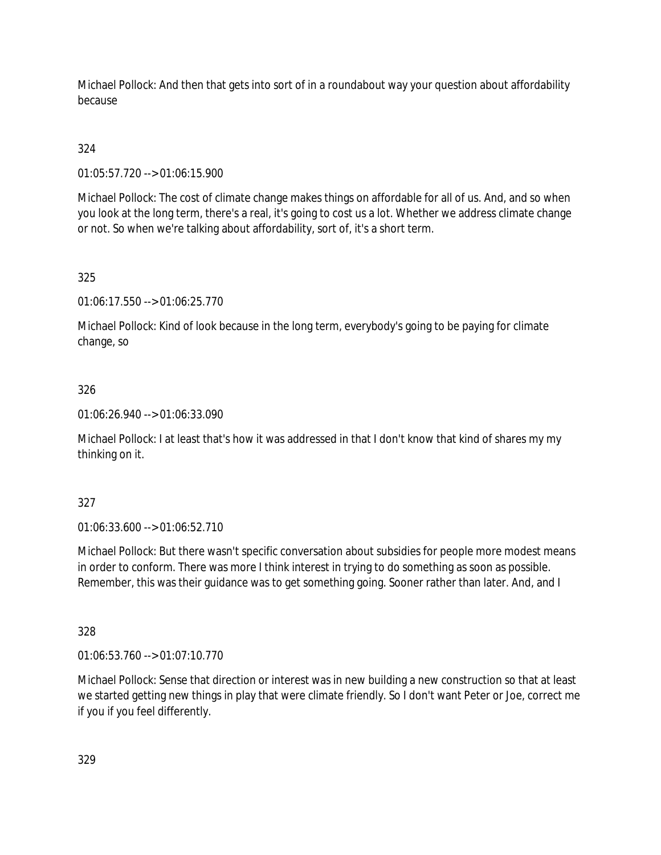Michael Pollock: And then that gets into sort of in a roundabout way your question about affordability because

# 324

01:05:57.720 --> 01:06:15.900

Michael Pollock: The cost of climate change makes things on affordable for all of us. And, and so when you look at the long term, there's a real, it's going to cost us a lot. Whether we address climate change or not. So when we're talking about affordability, sort of, it's a short term.

# 325

01:06:17.550 --> 01:06:25.770

Michael Pollock: Kind of look because in the long term, everybody's going to be paying for climate change, so

# 326

01:06:26.940 --> 01:06:33.090

Michael Pollock: I at least that's how it was addressed in that I don't know that kind of shares my my thinking on it.

## 327

01:06:33.600 --> 01:06:52.710

Michael Pollock: But there wasn't specific conversation about subsidies for people more modest means in order to conform. There was more I think interest in trying to do something as soon as possible. Remember, this was their guidance was to get something going. Sooner rather than later. And, and I

## 328

01:06:53.760 --> 01:07:10.770

Michael Pollock: Sense that direction or interest was in new building a new construction so that at least we started getting new things in play that were climate friendly. So I don't want Peter or Joe, correct me if you if you feel differently.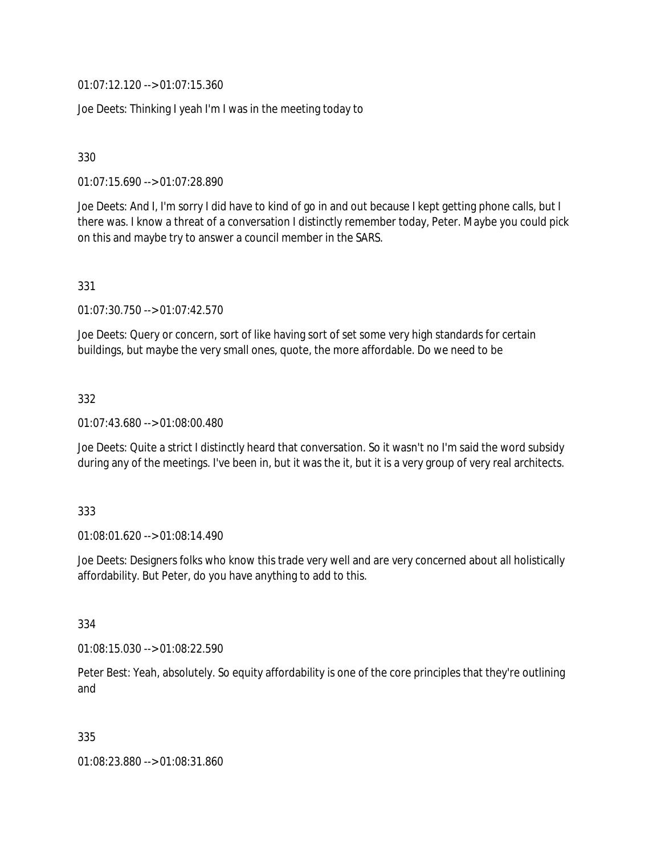01:07:12.120 --> 01:07:15.360

Joe Deets: Thinking I yeah I'm I was in the meeting today to

330

01:07:15.690 --> 01:07:28.890

Joe Deets: And I, I'm sorry I did have to kind of go in and out because I kept getting phone calls, but I there was. I know a threat of a conversation I distinctly remember today, Peter. Maybe you could pick on this and maybe try to answer a council member in the SARS.

331

01:07:30.750 --> 01:07:42.570

Joe Deets: Query or concern, sort of like having sort of set some very high standards for certain buildings, but maybe the very small ones, quote, the more affordable. Do we need to be

332

01:07:43.680 --> 01:08:00.480

Joe Deets: Quite a strict I distinctly heard that conversation. So it wasn't no I'm said the word subsidy during any of the meetings. I've been in, but it was the it, but it is a very group of very real architects.

333

01:08:01.620 --> 01:08:14.490

Joe Deets: Designers folks who know this trade very well and are very concerned about all holistically affordability. But Peter, do you have anything to add to this.

334

01:08:15.030 --> 01:08:22.590

Peter Best: Yeah, absolutely. So equity affordability is one of the core principles that they're outlining and

335

01:08:23.880 --> 01:08:31.860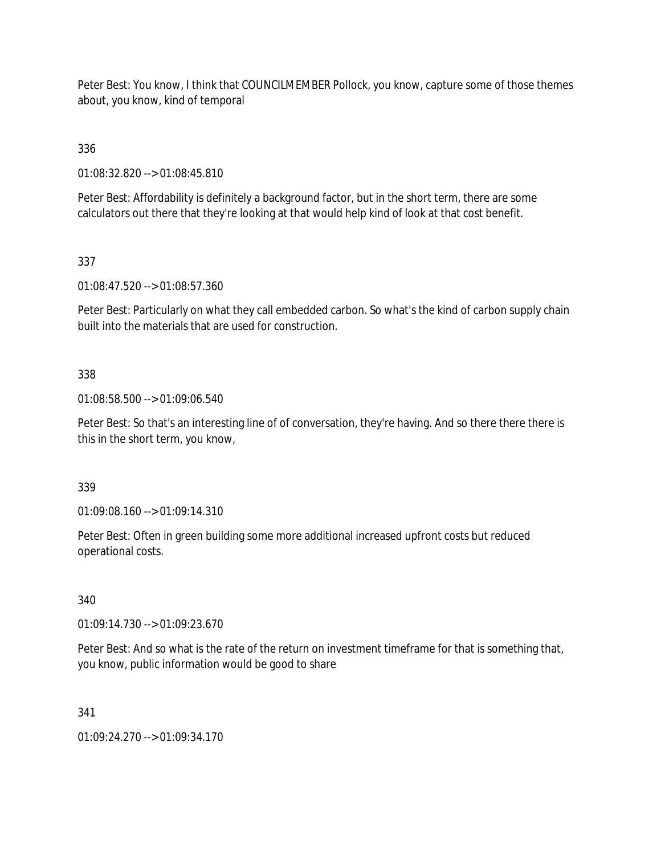Peter Best: You know, I think that COUNCILMEMBER Pollock, you know, capture some of those themes about, you know, kind of temporal

336

01:08:32.820 --> 01:08:45.810

Peter Best: Affordability is definitely a background factor, but in the short term, there are some calculators out there that they're looking at that would help kind of look at that cost benefit.

337

01:08:47.520 --> 01:08:57.360

Peter Best: Particularly on what they call embedded carbon. So what's the kind of carbon supply chain built into the materials that are used for construction.

### 338

01:08:58.500 --> 01:09:06.540

Peter Best: So that's an interesting line of of conversation, they're having. And so there there there is this in the short term, you know,

339

01:09:08.160 --> 01:09:14.310

Peter Best: Often in green building some more additional increased upfront costs but reduced operational costs.

340

01:09:14.730 --> 01:09:23.670

Peter Best: And so what is the rate of the return on investment timeframe for that is something that, you know, public information would be good to share

341

01:09:24.270 --> 01:09:34.170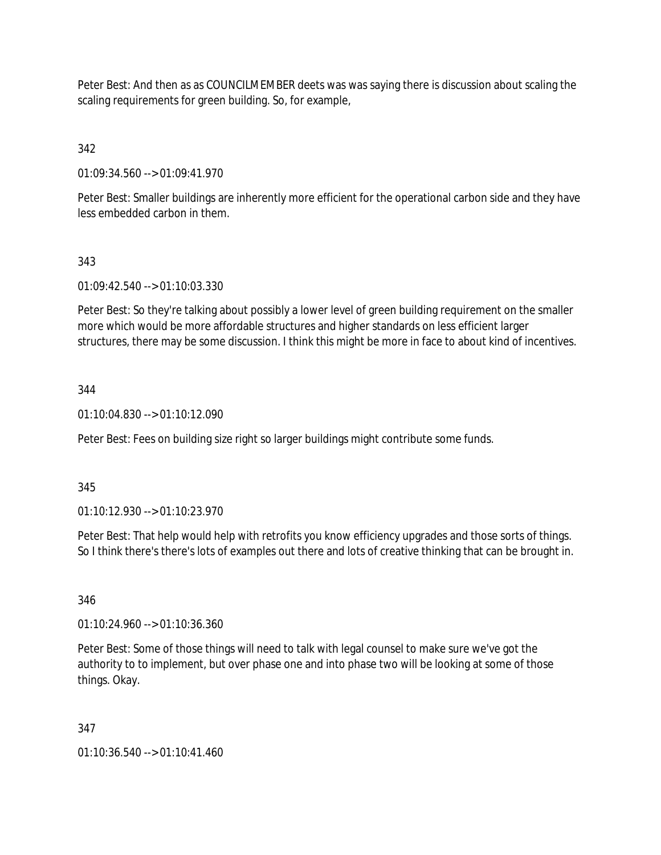Peter Best: And then as as COUNCILMEMBER deets was was saying there is discussion about scaling the scaling requirements for green building. So, for example,

342

01:09:34.560 --> 01:09:41.970

Peter Best: Smaller buildings are inherently more efficient for the operational carbon side and they have less embedded carbon in them.

# 343

01:09:42.540 --> 01:10:03.330

Peter Best: So they're talking about possibly a lower level of green building requirement on the smaller more which would be more affordable structures and higher standards on less efficient larger structures, there may be some discussion. I think this might be more in face to about kind of incentives.

# 344

01:10:04.830 --> 01:10:12.090

Peter Best: Fees on building size right so larger buildings might contribute some funds.

## 345

01:10:12.930 --> 01:10:23.970

Peter Best: That help would help with retrofits you know efficiency upgrades and those sorts of things. So I think there's there's lots of examples out there and lots of creative thinking that can be brought in.

## 346

01:10:24.960 --> 01:10:36.360

Peter Best: Some of those things will need to talk with legal counsel to make sure we've got the authority to to implement, but over phase one and into phase two will be looking at some of those things. Okay.

## 347

01:10:36.540 --> 01:10:41.460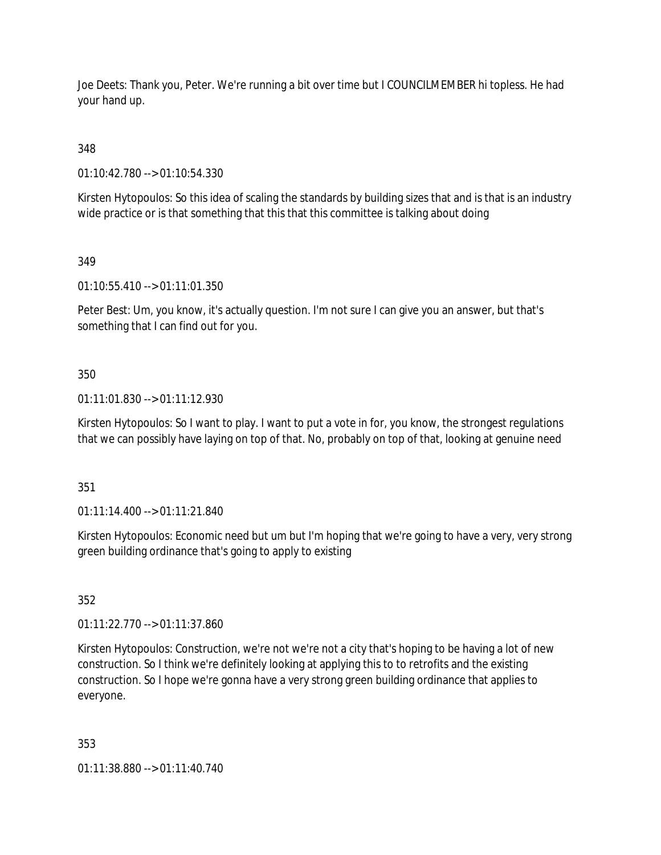Joe Deets: Thank you, Peter. We're running a bit over time but I COUNCILMEMBER hi topless. He had your hand up.

348

01:10:42.780 --> 01:10:54.330

Kirsten Hytopoulos: So this idea of scaling the standards by building sizes that and is that is an industry wide practice or is that something that this that this committee is talking about doing

349

01:10:55.410 --> 01:11:01.350

Peter Best: Um, you know, it's actually question. I'm not sure I can give you an answer, but that's something that I can find out for you.

350

01:11:01.830 --> 01:11:12.930

Kirsten Hytopoulos: So I want to play. I want to put a vote in for, you know, the strongest regulations that we can possibly have laying on top of that. No, probably on top of that, looking at genuine need

351

01:11:14.400 --> 01:11:21.840

Kirsten Hytopoulos: Economic need but um but I'm hoping that we're going to have a very, very strong green building ordinance that's going to apply to existing

352

01:11:22.770 --> 01:11:37.860

Kirsten Hytopoulos: Construction, we're not we're not a city that's hoping to be having a lot of new construction. So I think we're definitely looking at applying this to to retrofits and the existing construction. So I hope we're gonna have a very strong green building ordinance that applies to everyone.

353

01:11:38.880 --> 01:11:40.740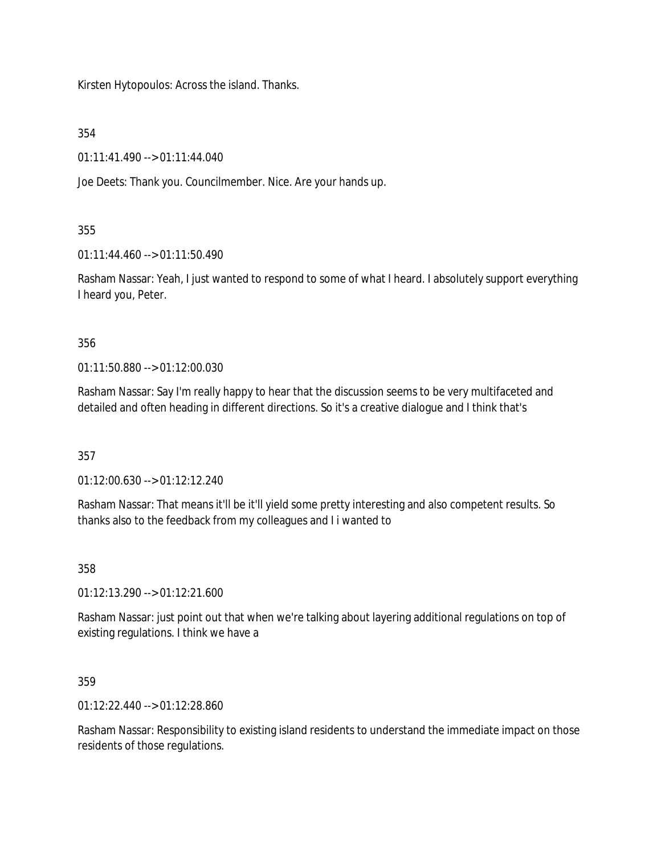Kirsten Hytopoulos: Across the island. Thanks.

354

01:11:41.490 --> 01:11:44.040

Joe Deets: Thank you. Councilmember. Nice. Are your hands up.

355

01:11:44.460 --> 01:11:50.490

Rasham Nassar: Yeah, I just wanted to respond to some of what I heard. I absolutely support everything I heard you, Peter.

356

01:11:50.880 --> 01:12:00.030

Rasham Nassar: Say I'm really happy to hear that the discussion seems to be very multifaceted and detailed and often heading in different directions. So it's a creative dialogue and I think that's

357

01:12:00.630 --> 01:12:12.240

Rasham Nassar: That means it'll be it'll yield some pretty interesting and also competent results. So thanks also to the feedback from my colleagues and I i wanted to

358

01:12:13.290 --> 01:12:21.600

Rasham Nassar: just point out that when we're talking about layering additional regulations on top of existing regulations. I think we have a

359

01:12:22.440 --> 01:12:28.860

Rasham Nassar: Responsibility to existing island residents to understand the immediate impact on those residents of those regulations.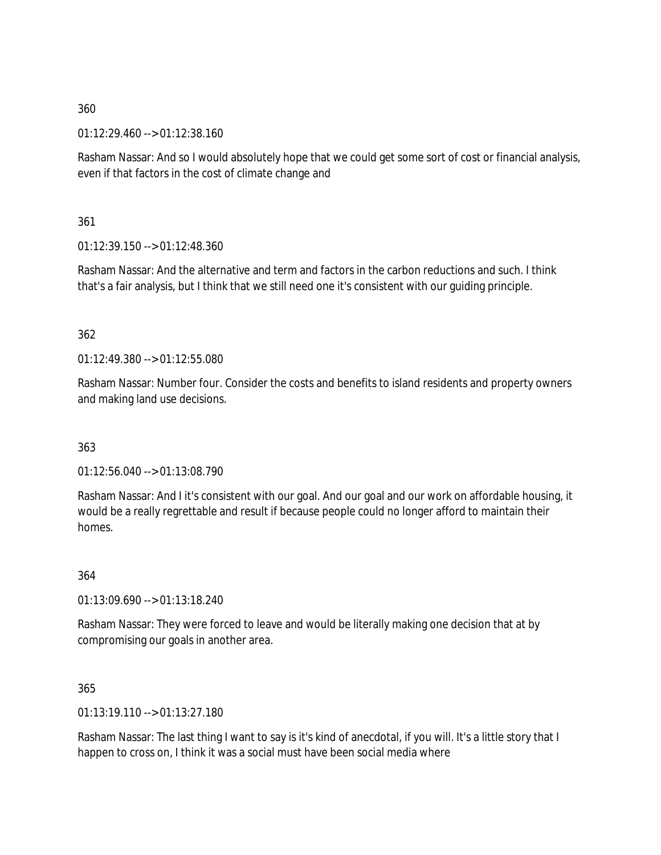01:12:29.460 --> 01:12:38.160

Rasham Nassar: And so I would absolutely hope that we could get some sort of cost or financial analysis, even if that factors in the cost of climate change and

361

01:12:39.150 --> 01:12:48.360

Rasham Nassar: And the alternative and term and factors in the carbon reductions and such. I think that's a fair analysis, but I think that we still need one it's consistent with our guiding principle.

### 362

01:12:49.380 --> 01:12:55.080

Rasham Nassar: Number four. Consider the costs and benefits to island residents and property owners and making land use decisions.

### 363

01:12:56.040 --> 01:13:08.790

Rasham Nassar: And I it's consistent with our goal. And our goal and our work on affordable housing, it would be a really regrettable and result if because people could no longer afford to maintain their homes.

364

01:13:09.690 --> 01:13:18.240

Rasham Nassar: They were forced to leave and would be literally making one decision that at by compromising our goals in another area.

365

01:13:19.110 --> 01:13:27.180

Rasham Nassar: The last thing I want to say is it's kind of anecdotal, if you will. It's a little story that I happen to cross on, I think it was a social must have been social media where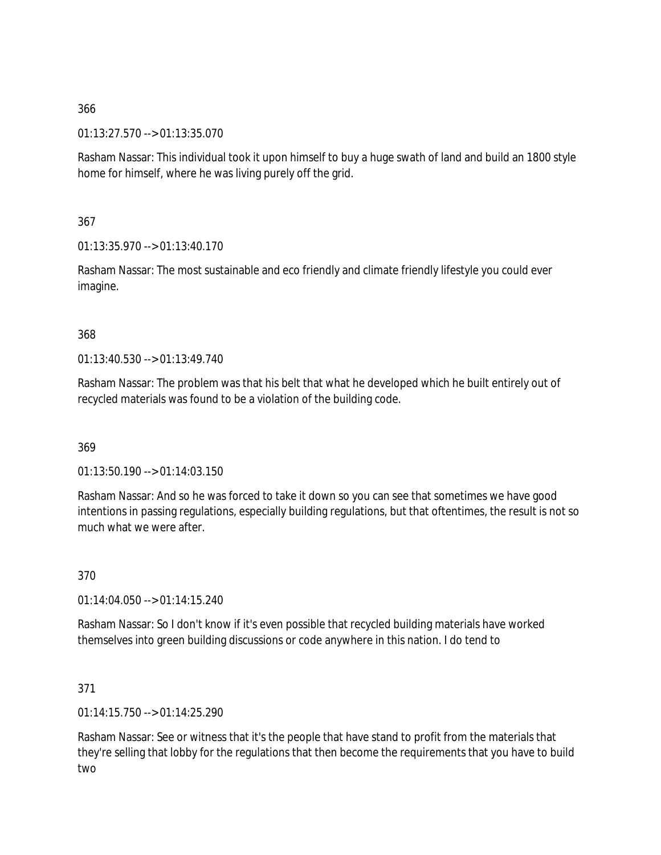01:13:27.570 --> 01:13:35.070

Rasham Nassar: This individual took it upon himself to buy a huge swath of land and build an 1800 style home for himself, where he was living purely off the grid.

367

01:13:35.970 --> 01:13:40.170

Rasham Nassar: The most sustainable and eco friendly and climate friendly lifestyle you could ever imagine.

### 368

01:13:40.530 --> 01:13:49.740

Rasham Nassar: The problem was that his belt that what he developed which he built entirely out of recycled materials was found to be a violation of the building code.

369

01:13:50.190 --> 01:14:03.150

Rasham Nassar: And so he was forced to take it down so you can see that sometimes we have good intentions in passing regulations, especially building regulations, but that oftentimes, the result is not so much what we were after.

370

01:14:04.050 --> 01:14:15.240

Rasham Nassar: So I don't know if it's even possible that recycled building materials have worked themselves into green building discussions or code anywhere in this nation. I do tend to

371

01:14:15.750 --> 01:14:25.290

Rasham Nassar: See or witness that it's the people that have stand to profit from the materials that they're selling that lobby for the regulations that then become the requirements that you have to build two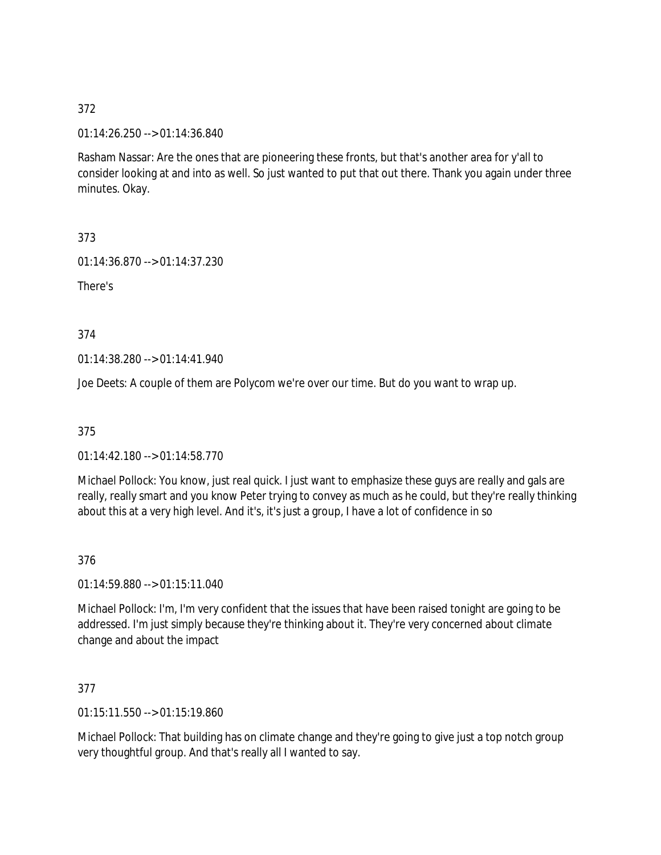01:14:26.250 --> 01:14:36.840

Rasham Nassar: Are the ones that are pioneering these fronts, but that's another area for y'all to consider looking at and into as well. So just wanted to put that out there. Thank you again under three minutes. Okay.

373

01:14:36.870 --> 01:14:37.230

There's

374

01:14:38.280 --> 01:14:41.940

Joe Deets: A couple of them are Polycom we're over our time. But do you want to wrap up.

375

01:14:42.180 --> 01:14:58.770

Michael Pollock: You know, just real quick. I just want to emphasize these guys are really and gals are really, really smart and you know Peter trying to convey as much as he could, but they're really thinking about this at a very high level. And it's, it's just a group, I have a lot of confidence in so

376

01:14:59.880 --> 01:15:11.040

Michael Pollock: I'm, I'm very confident that the issues that have been raised tonight are going to be addressed. I'm just simply because they're thinking about it. They're very concerned about climate change and about the impact

377

01:15:11.550 --> 01:15:19.860

Michael Pollock: That building has on climate change and they're going to give just a top notch group very thoughtful group. And that's really all I wanted to say.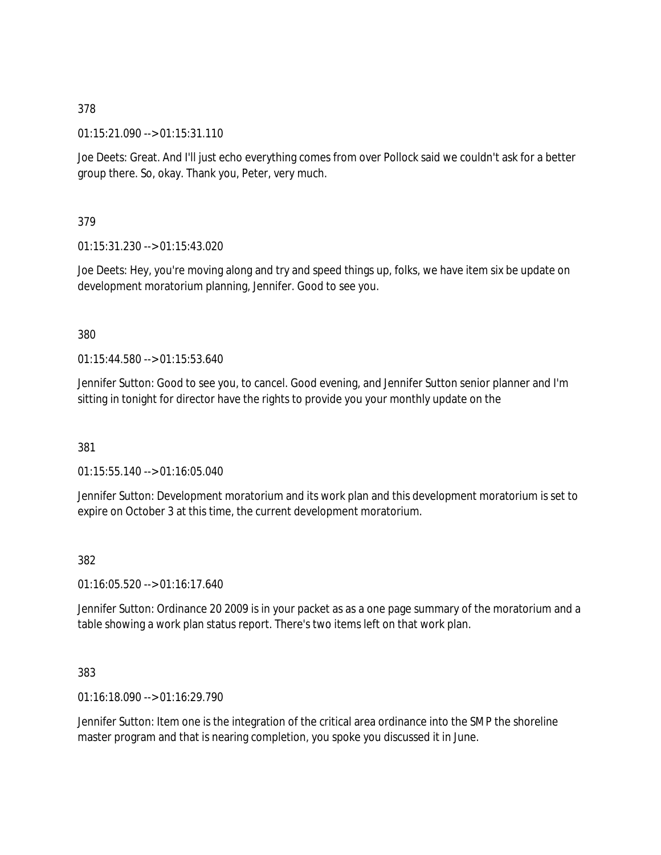01:15:21.090 --> 01:15:31.110

Joe Deets: Great. And I'll just echo everything comes from over Pollock said we couldn't ask for a better group there. So, okay. Thank you, Peter, very much.

379

01:15:31.230 --> 01:15:43.020

Joe Deets: Hey, you're moving along and try and speed things up, folks, we have item six be update on development moratorium planning, Jennifer. Good to see you.

380

 $01:15:44.580 \rightarrow 01:15:53.640$ 

Jennifer Sutton: Good to see you, to cancel. Good evening, and Jennifer Sutton senior planner and I'm sitting in tonight for director have the rights to provide you your monthly update on the

381

01:15:55.140 --> 01:16:05.040

Jennifer Sutton: Development moratorium and its work plan and this development moratorium is set to expire on October 3 at this time, the current development moratorium.

382

01:16:05.520 --> 01:16:17.640

Jennifer Sutton: Ordinance 20 2009 is in your packet as as a one page summary of the moratorium and a table showing a work plan status report. There's two items left on that work plan.

383

 $01:16:18.090 \rightarrow 01:16:29.790$ 

Jennifer Sutton: Item one is the integration of the critical area ordinance into the SMP the shoreline master program and that is nearing completion, you spoke you discussed it in June.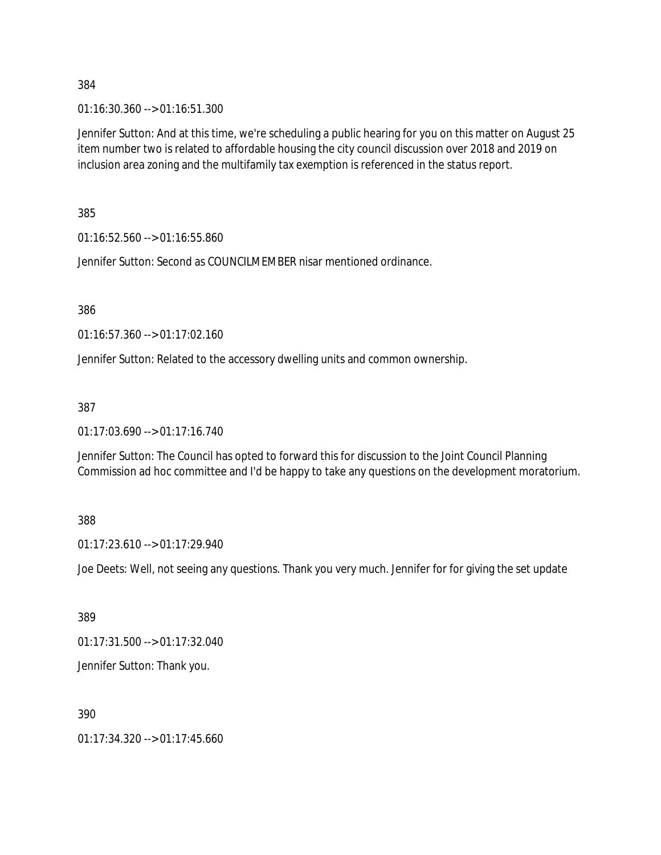01:16:30.360 --> 01:16:51.300

Jennifer Sutton: And at this time, we're scheduling a public hearing for you on this matter on August 25 item number two is related to affordable housing the city council discussion over 2018 and 2019 on inclusion area zoning and the multifamily tax exemption is referenced in the status report.

385

01:16:52.560 --> 01:16:55.860

Jennifer Sutton: Second as COUNCILMEMBER nisar mentioned ordinance.

386

01:16:57.360 --> 01:17:02.160

Jennifer Sutton: Related to the accessory dwelling units and common ownership.

387

01:17:03.690 --> 01:17:16.740

Jennifer Sutton: The Council has opted to forward this for discussion to the Joint Council Planning Commission ad hoc committee and I'd be happy to take any questions on the development moratorium.

388

01:17:23.610 --> 01:17:29.940

Joe Deets: Well, not seeing any questions. Thank you very much. Jennifer for for giving the set update

389

01:17:31.500 --> 01:17:32.040

Jennifer Sutton: Thank you.

390

 $01:17:34.320 \rightarrow 01:17:45.660$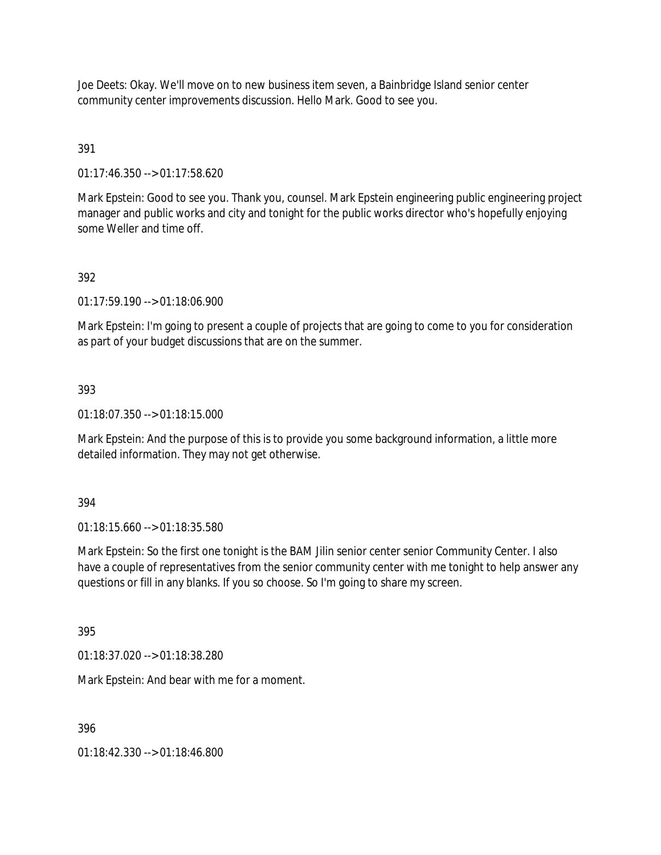Joe Deets: Okay. We'll move on to new business item seven, a Bainbridge Island senior center community center improvements discussion. Hello Mark. Good to see you.

### 391

01:17:46.350 --> 01:17:58.620

Mark Epstein: Good to see you. Thank you, counsel. Mark Epstein engineering public engineering project manager and public works and city and tonight for the public works director who's hopefully enjoying some Weller and time off.

### 392

01:17:59.190 --> 01:18:06.900

Mark Epstein: I'm going to present a couple of projects that are going to come to you for consideration as part of your budget discussions that are on the summer.

#### 393

01:18:07.350 --> 01:18:15.000

Mark Epstein: And the purpose of this is to provide you some background information, a little more detailed information. They may not get otherwise.

#### 394

01:18:15.660 --> 01:18:35.580

Mark Epstein: So the first one tonight is the BAM Jilin senior center senior Community Center. I also have a couple of representatives from the senior community center with me tonight to help answer any questions or fill in any blanks. If you so choose. So I'm going to share my screen.

395

01:18:37.020 --> 01:18:38.280

Mark Epstein: And bear with me for a moment.

396

01:18:42.330 --> 01:18:46.800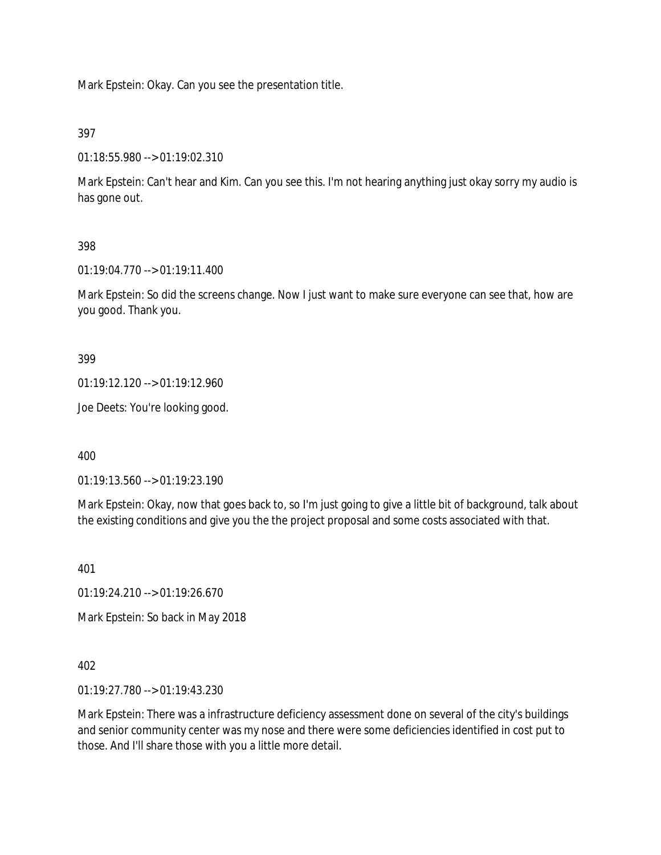Mark Epstein: Okay. Can you see the presentation title.

397

01:18:55.980 --> 01:19:02.310

Mark Epstein: Can't hear and Kim. Can you see this. I'm not hearing anything just okay sorry my audio is has gone out.

### 398

01:19:04.770 --> 01:19:11.400

Mark Epstein: So did the screens change. Now I just want to make sure everyone can see that, how are you good. Thank you.

399

01:19:12.120 --> 01:19:12.960

Joe Deets: You're looking good.

400

01:19:13.560 --> 01:19:23.190

Mark Epstein: Okay, now that goes back to, so I'm just going to give a little bit of background, talk about the existing conditions and give you the the project proposal and some costs associated with that.

401

01:19:24.210 --> 01:19:26.670

Mark Epstein: So back in May 2018

402

01:19:27.780 --> 01:19:43.230

Mark Epstein: There was a infrastructure deficiency assessment done on several of the city's buildings and senior community center was my nose and there were some deficiencies identified in cost put to those. And I'll share those with you a little more detail.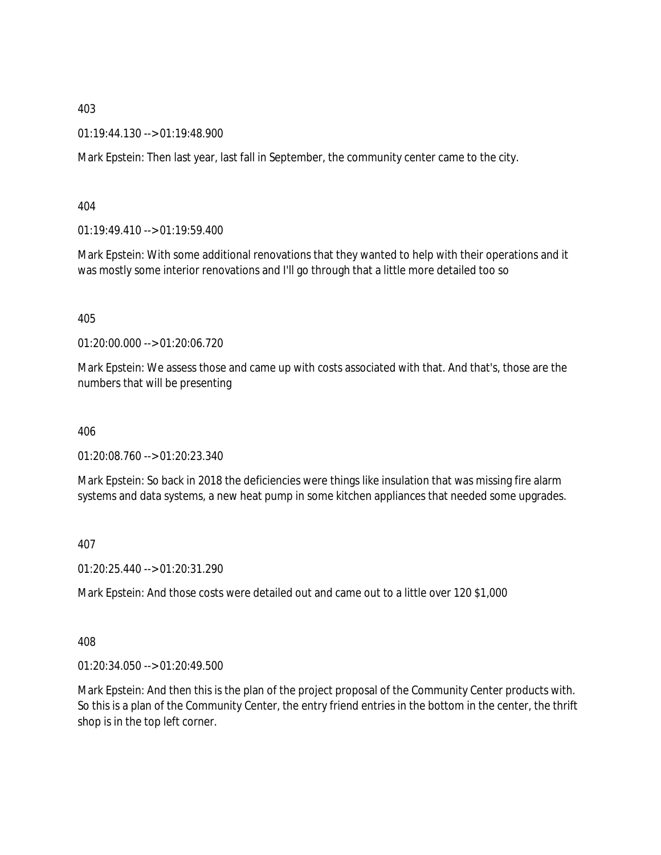01:19:44.130 --> 01:19:48.900

Mark Epstein: Then last year, last fall in September, the community center came to the city.

404

01:19:49.410 --> 01:19:59.400

Mark Epstein: With some additional renovations that they wanted to help with their operations and it was mostly some interior renovations and I'll go through that a little more detailed too so

405

01:20:00.000 --> 01:20:06.720

Mark Epstein: We assess those and came up with costs associated with that. And that's, those are the numbers that will be presenting

406

01:20:08.760 --> 01:20:23.340

Mark Epstein: So back in 2018 the deficiencies were things like insulation that was missing fire alarm systems and data systems, a new heat pump in some kitchen appliances that needed some upgrades.

407

01:20:25.440 --> 01:20:31.290

Mark Epstein: And those costs were detailed out and came out to a little over 120 \$1,000

408

01:20:34.050 --> 01:20:49.500

Mark Epstein: And then this is the plan of the project proposal of the Community Center products with. So this is a plan of the Community Center, the entry friend entries in the bottom in the center, the thrift shop is in the top left corner.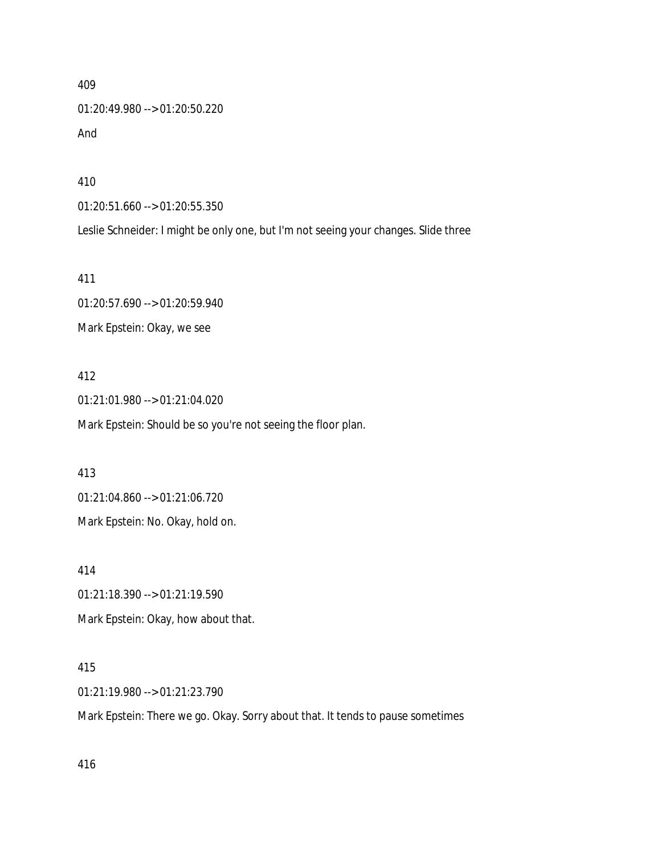409 01:20:49.980 --> 01:20:50.220 And

410

01:20:51.660 --> 01:20:55.350

Leslie Schneider: I might be only one, but I'm not seeing your changes. Slide three

411

01:20:57.690 --> 01:20:59.940 Mark Epstein: Okay, we see

412

01:21:01.980 --> 01:21:04.020 Mark Epstein: Should be so you're not seeing the floor plan.

413

01:21:04.860 --> 01:21:06.720

Mark Epstein: No. Okay, hold on.

414

01:21:18.390 --> 01:21:19.590

Mark Epstein: Okay, how about that.

415

01:21:19.980 --> 01:21:23.790

Mark Epstein: There we go. Okay. Sorry about that. It tends to pause sometimes

416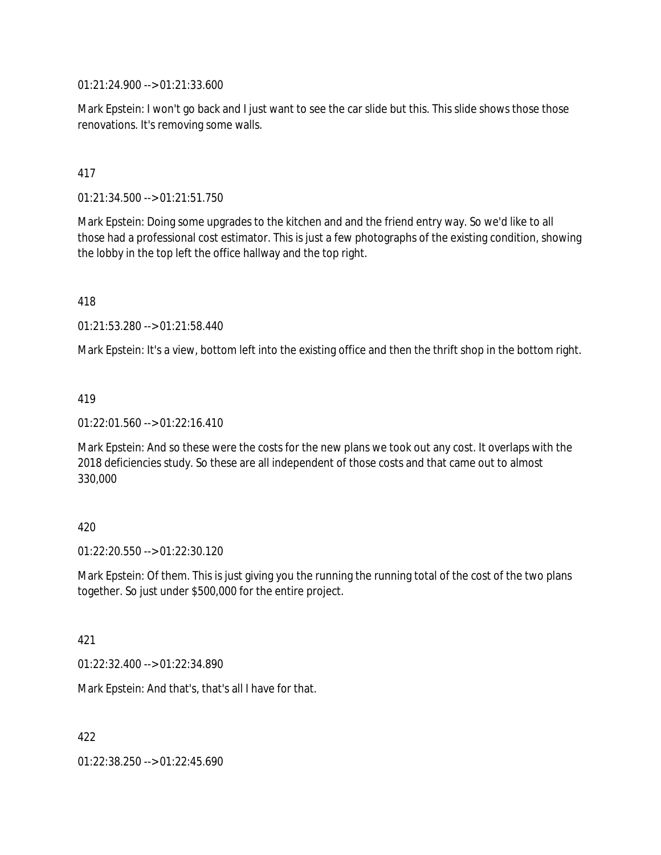01:21:24.900 --> 01:21:33.600

Mark Epstein: I won't go back and I just want to see the car slide but this. This slide shows those those renovations. It's removing some walls.

### 417

01:21:34.500 --> 01:21:51.750

Mark Epstein: Doing some upgrades to the kitchen and and the friend entry way. So we'd like to all those had a professional cost estimator. This is just a few photographs of the existing condition, showing the lobby in the top left the office hallway and the top right.

418

01:21:53.280 --> 01:21:58.440

Mark Epstein: It's a view, bottom left into the existing office and then the thrift shop in the bottom right.

#### 419

01:22:01.560 --> 01:22:16.410

Mark Epstein: And so these were the costs for the new plans we took out any cost. It overlaps with the 2018 deficiencies study. So these are all independent of those costs and that came out to almost 330,000

### 420

01:22:20.550 --> 01:22:30.120

Mark Epstein: Of them. This is just giving you the running the running total of the cost of the two plans together. So just under \$500,000 for the entire project.

### 421

01:22:32.400 --> 01:22:34.890

Mark Epstein: And that's, that's all I have for that.

422

01:22:38.250 --> 01:22:45.690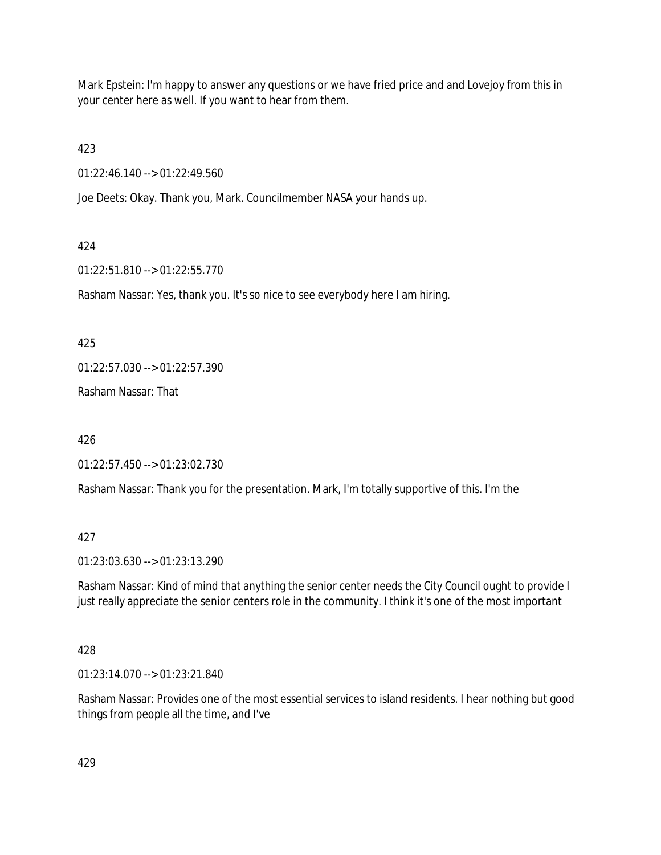Mark Epstein: I'm happy to answer any questions or we have fried price and and Lovejoy from this in your center here as well. If you want to hear from them.

423

01:22:46.140 --> 01:22:49.560

Joe Deets: Okay. Thank you, Mark. Councilmember NASA your hands up.

## 424

01:22:51.810 --> 01:22:55.770

Rasham Nassar: Yes, thank you. It's so nice to see everybody here I am hiring.

425

01:22:57.030 --> 01:22:57.390

Rasham Nassar: That

426

01:22:57.450 --> 01:23:02.730

Rasham Nassar: Thank you for the presentation. Mark, I'm totally supportive of this. I'm the

## 427

01:23:03.630 --> 01:23:13.290

Rasham Nassar: Kind of mind that anything the senior center needs the City Council ought to provide I just really appreciate the senior centers role in the community. I think it's one of the most important

## 428

01:23:14.070 --> 01:23:21.840

Rasham Nassar: Provides one of the most essential services to island residents. I hear nothing but good things from people all the time, and I've

429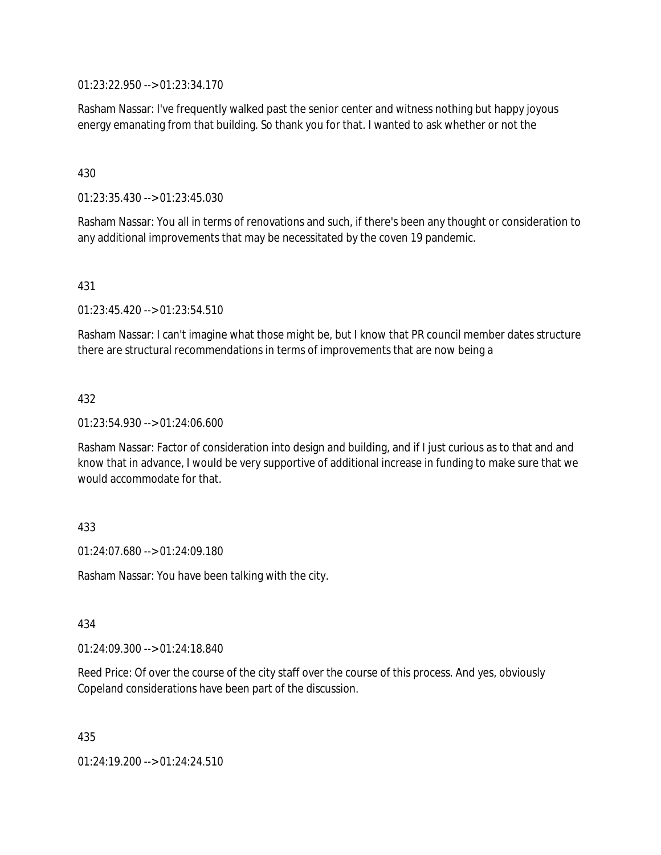01:23:22.950 --> 01:23:34.170

Rasham Nassar: I've frequently walked past the senior center and witness nothing but happy joyous energy emanating from that building. So thank you for that. I wanted to ask whether or not the

### 430

01:23:35.430 --> 01:23:45.030

Rasham Nassar: You all in terms of renovations and such, if there's been any thought or consideration to any additional improvements that may be necessitated by the coven 19 pandemic.

### 431

01:23:45.420 --> 01:23:54.510

Rasham Nassar: I can't imagine what those might be, but I know that PR council member dates structure there are structural recommendations in terms of improvements that are now being a

### 432

01:23:54.930 --> 01:24:06.600

Rasham Nassar: Factor of consideration into design and building, and if I just curious as to that and and know that in advance, I would be very supportive of additional increase in funding to make sure that we would accommodate for that.

### 433

01:24:07.680 --> 01:24:09.180

Rasham Nassar: You have been talking with the city.

#### 434

01:24:09.300 --> 01:24:18.840

Reed Price: Of over the course of the city staff over the course of this process. And yes, obviously Copeland considerations have been part of the discussion.

435

01:24:19.200 --> 01:24:24.510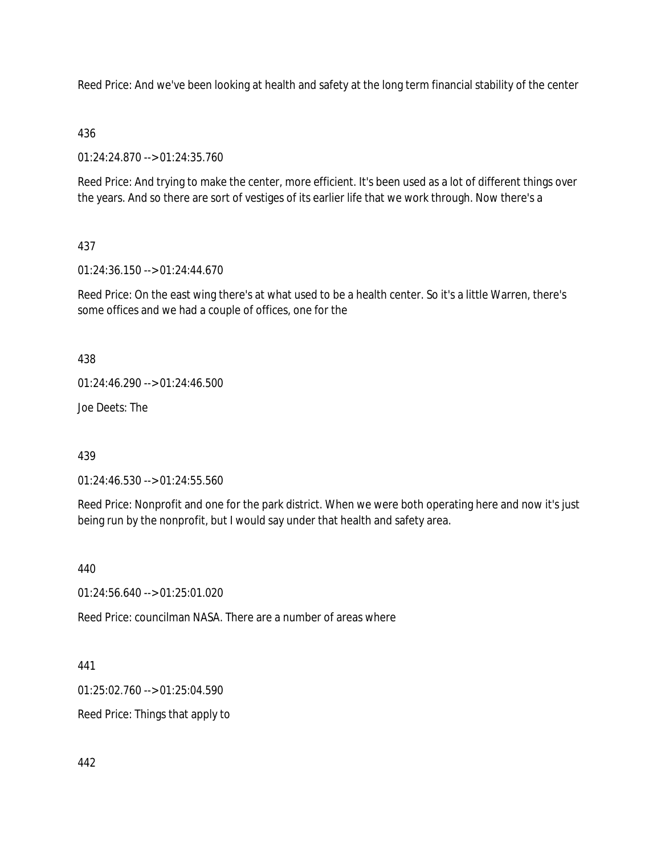Reed Price: And we've been looking at health and safety at the long term financial stability of the center

### 436

01:24:24.870 --> 01:24:35.760

Reed Price: And trying to make the center, more efficient. It's been used as a lot of different things over the years. And so there are sort of vestiges of its earlier life that we work through. Now there's a

## 437

01:24:36.150 --> 01:24:44.670

Reed Price: On the east wing there's at what used to be a health center. So it's a little Warren, there's some offices and we had a couple of offices, one for the

438

01:24:46.290 --> 01:24:46.500

Joe Deets: The

439

01:24:46.530 --> 01:24:55.560

Reed Price: Nonprofit and one for the park district. When we were both operating here and now it's just being run by the nonprofit, but I would say under that health and safety area.

440

01:24:56.640 --> 01:25:01.020

Reed Price: councilman NASA. There are a number of areas where

441

01:25:02.760 --> 01:25:04.590

Reed Price: Things that apply to

442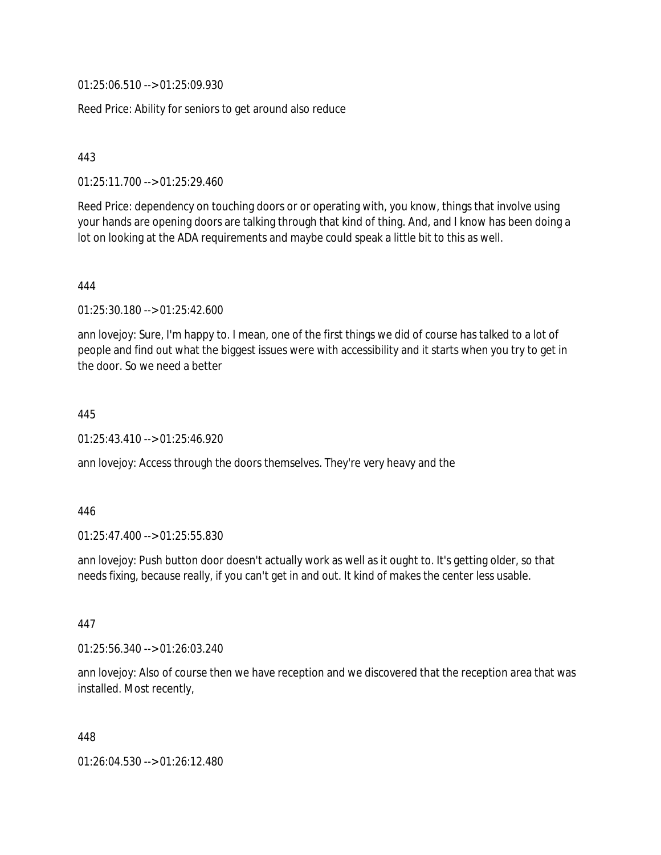01:25:06.510 --> 01:25:09.930

Reed Price: Ability for seniors to get around also reduce

443

01:25:11.700 --> 01:25:29.460

Reed Price: dependency on touching doors or or operating with, you know, things that involve using your hands are opening doors are talking through that kind of thing. And, and I know has been doing a lot on looking at the ADA requirements and maybe could speak a little bit to this as well.

444

01:25:30.180 --> 01:25:42.600

ann lovejoy: Sure, I'm happy to. I mean, one of the first things we did of course has talked to a lot of people and find out what the biggest issues were with accessibility and it starts when you try to get in the door. So we need a better

445

01:25:43.410 --> 01:25:46.920

ann lovejoy: Access through the doors themselves. They're very heavy and the

446

01:25:47.400 --> 01:25:55.830

ann lovejoy: Push button door doesn't actually work as well as it ought to. It's getting older, so that needs fixing, because really, if you can't get in and out. It kind of makes the center less usable.

447

01:25:56.340 --> 01:26:03.240

ann lovejoy: Also of course then we have reception and we discovered that the reception area that was installed. Most recently,

448

01:26:04.530 --> 01:26:12.480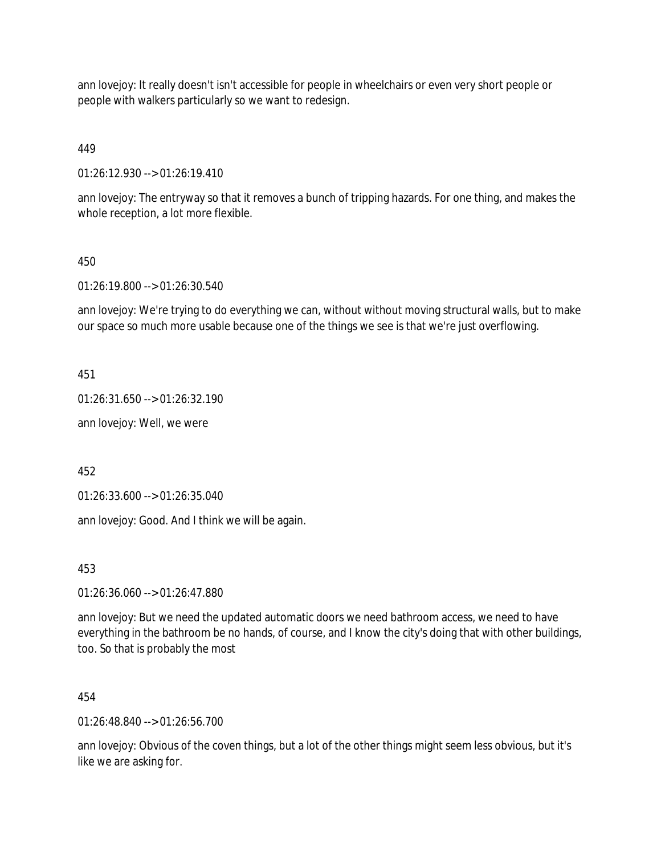ann lovejoy: It really doesn't isn't accessible for people in wheelchairs or even very short people or people with walkers particularly so we want to redesign.

449

01:26:12.930 --> 01:26:19.410

ann lovejoy: The entryway so that it removes a bunch of tripping hazards. For one thing, and makes the whole reception, a lot more flexible.

### 450

01:26:19.800 --> 01:26:30.540

ann lovejoy: We're trying to do everything we can, without without moving structural walls, but to make our space so much more usable because one of the things we see is that we're just overflowing.

451

01:26:31.650 --> 01:26:32.190

ann lovejoy: Well, we were

452

01:26:33.600 --> 01:26:35.040

ann lovejoy: Good. And I think we will be again.

453

01:26:36.060 --> 01:26:47.880

ann lovejoy: But we need the updated automatic doors we need bathroom access, we need to have everything in the bathroom be no hands, of course, and I know the city's doing that with other buildings, too. So that is probably the most

454

01:26:48.840 --> 01:26:56.700

ann lovejoy: Obvious of the coven things, but a lot of the other things might seem less obvious, but it's like we are asking for.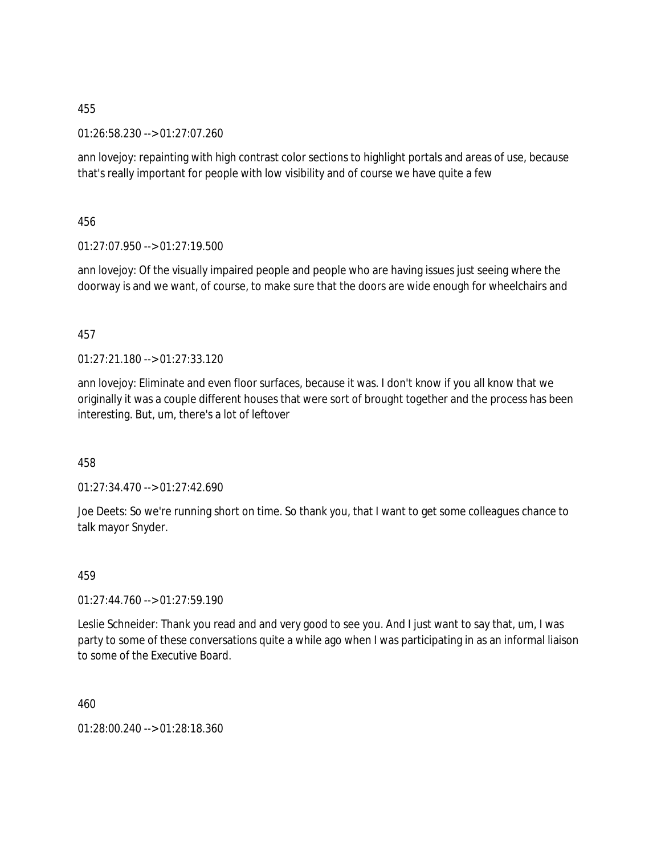01:26:58.230 --> 01:27:07.260

ann lovejoy: repainting with high contrast color sections to highlight portals and areas of use, because that's really important for people with low visibility and of course we have quite a few

456

01:27:07.950 --> 01:27:19.500

ann lovejoy: Of the visually impaired people and people who are having issues just seeing where the doorway is and we want, of course, to make sure that the doors are wide enough for wheelchairs and

### 457

 $01:27:21.180 \rightarrow 01:27:33.120$ 

ann lovejoy: Eliminate and even floor surfaces, because it was. I don't know if you all know that we originally it was a couple different houses that were sort of brought together and the process has been interesting. But, um, there's a lot of leftover

458

01:27:34.470 --> 01:27:42.690

Joe Deets: So we're running short on time. So thank you, that I want to get some colleagues chance to talk mayor Snyder.

459

01:27:44.760 --> 01:27:59.190

Leslie Schneider: Thank you read and and very good to see you. And I just want to say that, um, I was party to some of these conversations quite a while ago when I was participating in as an informal liaison to some of the Executive Board.

460

01:28:00.240 --> 01:28:18.360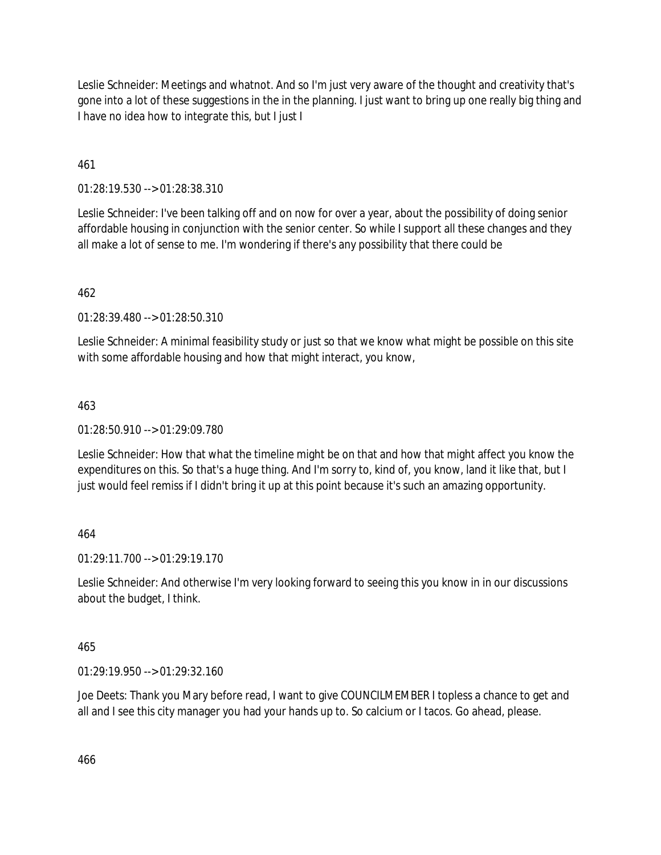Leslie Schneider: Meetings and whatnot. And so I'm just very aware of the thought and creativity that's gone into a lot of these suggestions in the in the planning. I just want to bring up one really big thing and I have no idea how to integrate this, but I just I

461

01:28:19.530 --> 01:28:38.310

Leslie Schneider: I've been talking off and on now for over a year, about the possibility of doing senior affordable housing in conjunction with the senior center. So while I support all these changes and they all make a lot of sense to me. I'm wondering if there's any possibility that there could be

462

01:28:39.480 --> 01:28:50.310

Leslie Schneider: A minimal feasibility study or just so that we know what might be possible on this site with some affordable housing and how that might interact, you know,

463

 $01:28:50.910 \rightarrow 01:29:09.780$ 

Leslie Schneider: How that what the timeline might be on that and how that might affect you know the expenditures on this. So that's a huge thing. And I'm sorry to, kind of, you know, land it like that, but I just would feel remiss if I didn't bring it up at this point because it's such an amazing opportunity.

464

01:29:11.700 --> 01:29:19.170

Leslie Schneider: And otherwise I'm very looking forward to seeing this you know in in our discussions about the budget, I think.

465

01:29:19.950 --> 01:29:32.160

Joe Deets: Thank you Mary before read, I want to give COUNCILMEMBER I topless a chance to get and all and I see this city manager you had your hands up to. So calcium or I tacos. Go ahead, please.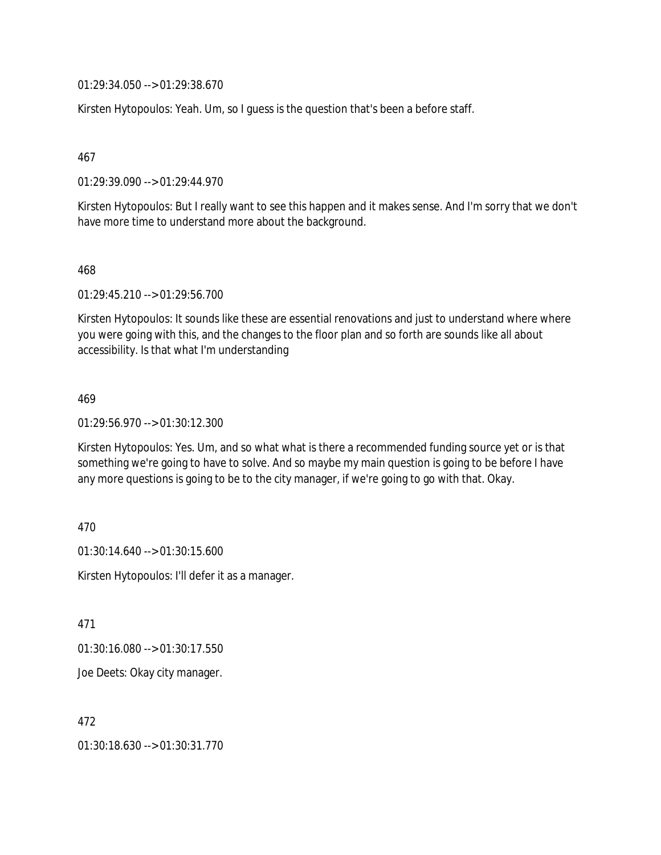01:29:34.050 --> 01:29:38.670

Kirsten Hytopoulos: Yeah. Um, so I guess is the question that's been a before staff.

467

01:29:39.090 --> 01:29:44.970

Kirsten Hytopoulos: But I really want to see this happen and it makes sense. And I'm sorry that we don't have more time to understand more about the background.

468

01:29:45.210 --> 01:29:56.700

Kirsten Hytopoulos: It sounds like these are essential renovations and just to understand where where you were going with this, and the changes to the floor plan and so forth are sounds like all about accessibility. Is that what I'm understanding

469

01:29:56.970 --> 01:30:12.300

Kirsten Hytopoulos: Yes. Um, and so what what is there a recommended funding source yet or is that something we're going to have to solve. And so maybe my main question is going to be before I have any more questions is going to be to the city manager, if we're going to go with that. Okay.

470

01:30:14.640 --> 01:30:15.600

Kirsten Hytopoulos: I'll defer it as a manager.

471

01:30:16.080 --> 01:30:17.550

Joe Deets: Okay city manager.

472

01:30:18.630 --> 01:30:31.770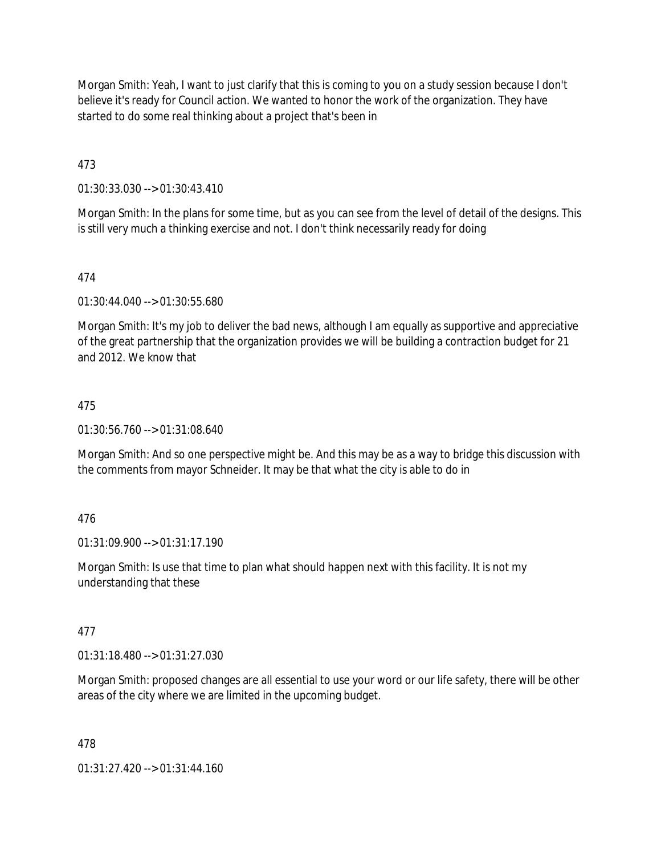Morgan Smith: Yeah, I want to just clarify that this is coming to you on a study session because I don't believe it's ready for Council action. We wanted to honor the work of the organization. They have started to do some real thinking about a project that's been in

473

01:30:33.030 --> 01:30:43.410

Morgan Smith: In the plans for some time, but as you can see from the level of detail of the designs. This is still very much a thinking exercise and not. I don't think necessarily ready for doing

474

01:30:44.040 --> 01:30:55.680

Morgan Smith: It's my job to deliver the bad news, although I am equally as supportive and appreciative of the great partnership that the organization provides we will be building a contraction budget for 21 and 2012. We know that

## 475

01:30:56.760 --> 01:31:08.640

Morgan Smith: And so one perspective might be. And this may be as a way to bridge this discussion with the comments from mayor Schneider. It may be that what the city is able to do in

## 476

01:31:09.900 --> 01:31:17.190

Morgan Smith: Is use that time to plan what should happen next with this facility. It is not my understanding that these

## 477

01:31:18.480 --> 01:31:27.030

Morgan Smith: proposed changes are all essential to use your word or our life safety, there will be other areas of the city where we are limited in the upcoming budget.

478

01:31:27.420 --> 01:31:44.160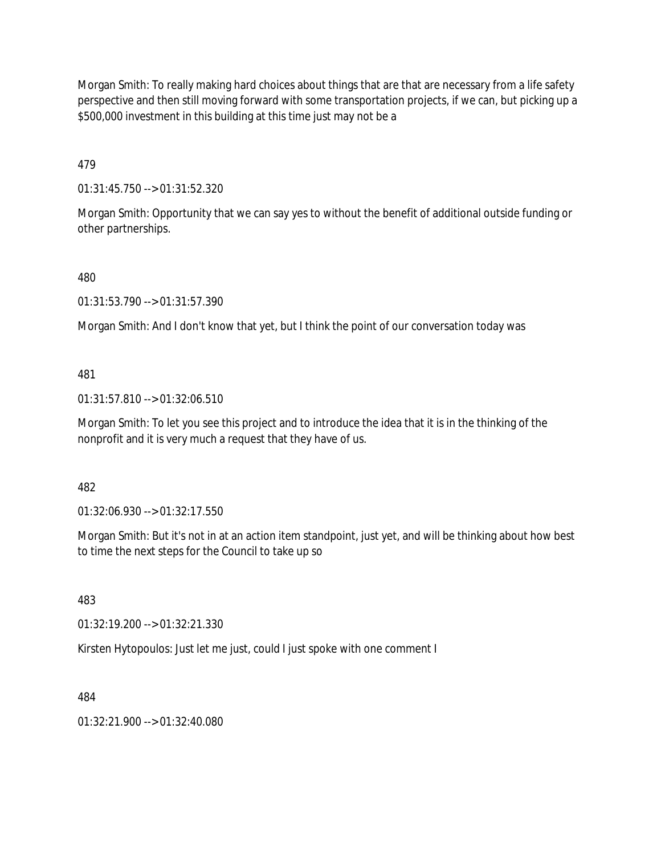Morgan Smith: To really making hard choices about things that are that are necessary from a life safety perspective and then still moving forward with some transportation projects, if we can, but picking up a \$500,000 investment in this building at this time just may not be a

479

01:31:45.750 --> 01:31:52.320

Morgan Smith: Opportunity that we can say yes to without the benefit of additional outside funding or other partnerships.

480

01:31:53.790 --> 01:31:57.390

Morgan Smith: And I don't know that yet, but I think the point of our conversation today was

481

01:31:57.810 --> 01:32:06.510

Morgan Smith: To let you see this project and to introduce the idea that it is in the thinking of the nonprofit and it is very much a request that they have of us.

482

01:32:06.930 --> 01:32:17.550

Morgan Smith: But it's not in at an action item standpoint, just yet, and will be thinking about how best to time the next steps for the Council to take up so

483

01:32:19.200 --> 01:32:21.330

Kirsten Hytopoulos: Just let me just, could I just spoke with one comment I

484

01:32:21.900 --> 01:32:40.080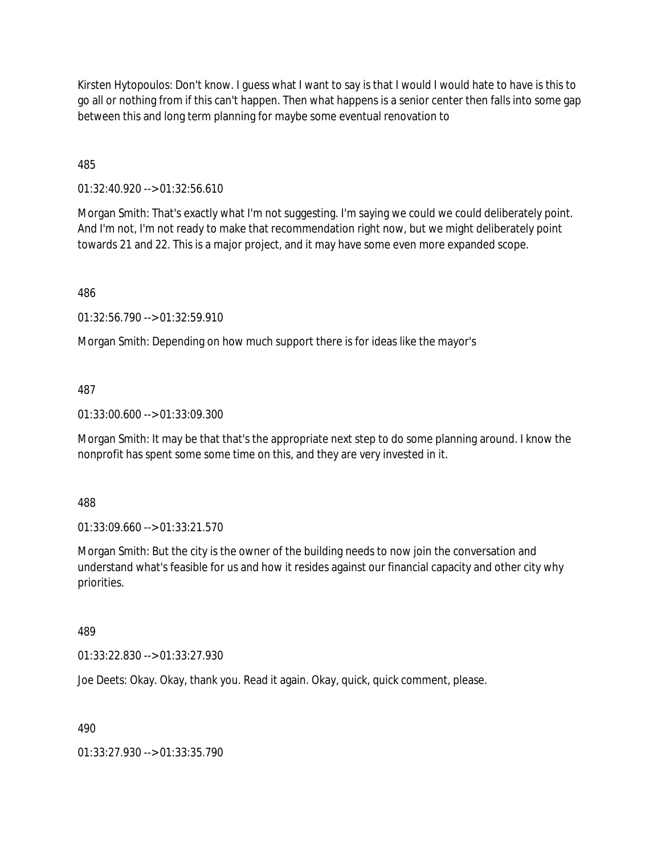Kirsten Hytopoulos: Don't know. I guess what I want to say is that I would I would hate to have is this to go all or nothing from if this can't happen. Then what happens is a senior center then falls into some gap between this and long term planning for maybe some eventual renovation to

485

01:32:40.920 --> 01:32:56.610

Morgan Smith: That's exactly what I'm not suggesting. I'm saying we could we could deliberately point. And I'm not, I'm not ready to make that recommendation right now, but we might deliberately point towards 21 and 22. This is a major project, and it may have some even more expanded scope.

486

01:32:56.790 --> 01:32:59.910

Morgan Smith: Depending on how much support there is for ideas like the mayor's

487

01:33:00.600 --> 01:33:09.300

Morgan Smith: It may be that that's the appropriate next step to do some planning around. I know the nonprofit has spent some some time on this, and they are very invested in it.

488

01:33:09.660 --> 01:33:21.570

Morgan Smith: But the city is the owner of the building needs to now join the conversation and understand what's feasible for us and how it resides against our financial capacity and other city why priorities.

489

01:33:22.830 --> 01:33:27.930

Joe Deets: Okay. Okay, thank you. Read it again. Okay, quick, quick comment, please.

490

01:33:27.930 --> 01:33:35.790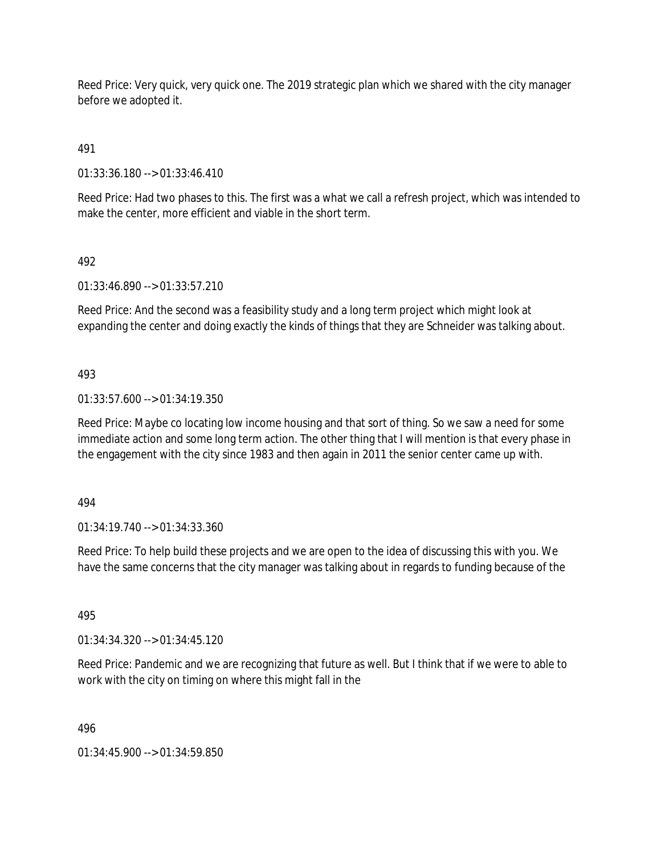Reed Price: Very quick, very quick one. The 2019 strategic plan which we shared with the city manager before we adopted it.

491

01:33:36.180 --> 01:33:46.410

Reed Price: Had two phases to this. The first was a what we call a refresh project, which was intended to make the center, more efficient and viable in the short term.

## 492

01:33:46.890 --> 01:33:57.210

Reed Price: And the second was a feasibility study and a long term project which might look at expanding the center and doing exactly the kinds of things that they are Schneider was talking about.

## 493

01:33:57.600 --> 01:34:19.350

Reed Price: Maybe co locating low income housing and that sort of thing. So we saw a need for some immediate action and some long term action. The other thing that I will mention is that every phase in the engagement with the city since 1983 and then again in 2011 the senior center came up with.

494

01:34:19.740 --> 01:34:33.360

Reed Price: To help build these projects and we are open to the idea of discussing this with you. We have the same concerns that the city manager was talking about in regards to funding because of the

495

01:34:34.320 --> 01:34:45.120

Reed Price: Pandemic and we are recognizing that future as well. But I think that if we were to able to work with the city on timing on where this might fall in the

496

01:34:45.900 --> 01:34:59.850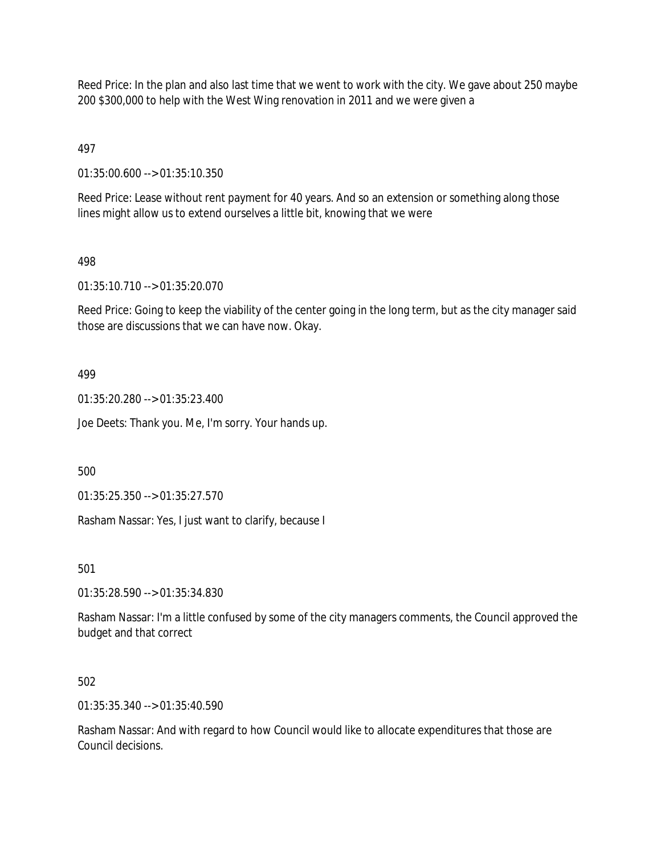Reed Price: In the plan and also last time that we went to work with the city. We gave about 250 maybe 200 \$300,000 to help with the West Wing renovation in 2011 and we were given a

497

01:35:00.600 --> 01:35:10.350

Reed Price: Lease without rent payment for 40 years. And so an extension or something along those lines might allow us to extend ourselves a little bit, knowing that we were

#### 498

01:35:10.710 --> 01:35:20.070

Reed Price: Going to keep the viability of the center going in the long term, but as the city manager said those are discussions that we can have now. Okay.

#### 499

01:35:20.280 --> 01:35:23.400

Joe Deets: Thank you. Me, I'm sorry. Your hands up.

500

01:35:25.350 --> 01:35:27.570

Rasham Nassar: Yes, I just want to clarify, because I

501

01:35:28.590 --> 01:35:34.830

Rasham Nassar: I'm a little confused by some of the city managers comments, the Council approved the budget and that correct

#### 502

01:35:35.340 --> 01:35:40.590

Rasham Nassar: And with regard to how Council would like to allocate expenditures that those are Council decisions.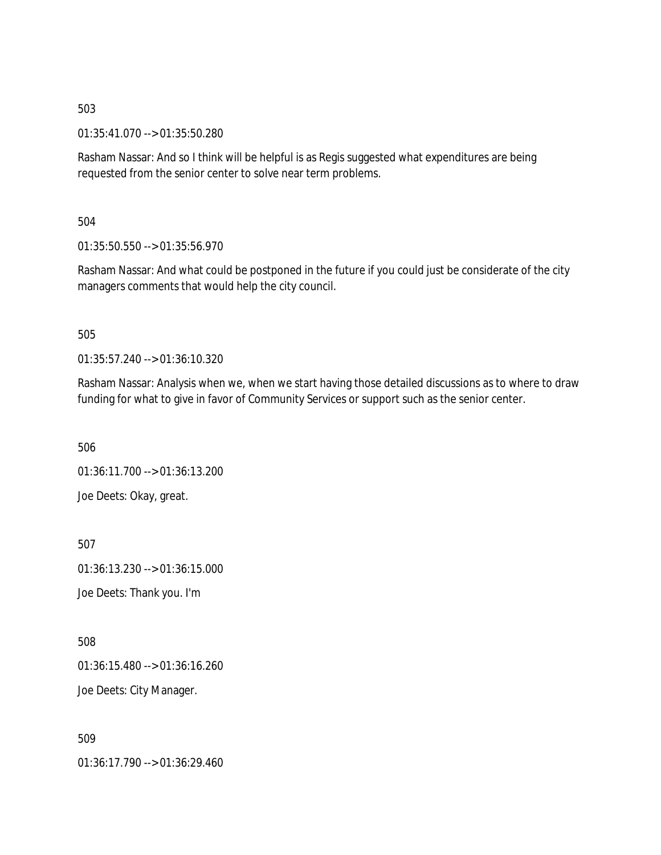01:35:41.070 --> 01:35:50.280

Rasham Nassar: And so I think will be helpful is as Regis suggested what expenditures are being requested from the senior center to solve near term problems.

504

01:35:50.550 --> 01:35:56.970

Rasham Nassar: And what could be postponed in the future if you could just be considerate of the city managers comments that would help the city council.

505

01:35:57.240 --> 01:36:10.320

Rasham Nassar: Analysis when we, when we start having those detailed discussions as to where to draw funding for what to give in favor of Community Services or support such as the senior center.

506

01:36:11.700 --> 01:36:13.200 Joe Deets: Okay, great.

507

01:36:13.230 --> 01:36:15.000

Joe Deets: Thank you. I'm

508

01:36:15.480 --> 01:36:16.260 Joe Deets: City Manager.

509

01:36:17.790 --> 01:36:29.460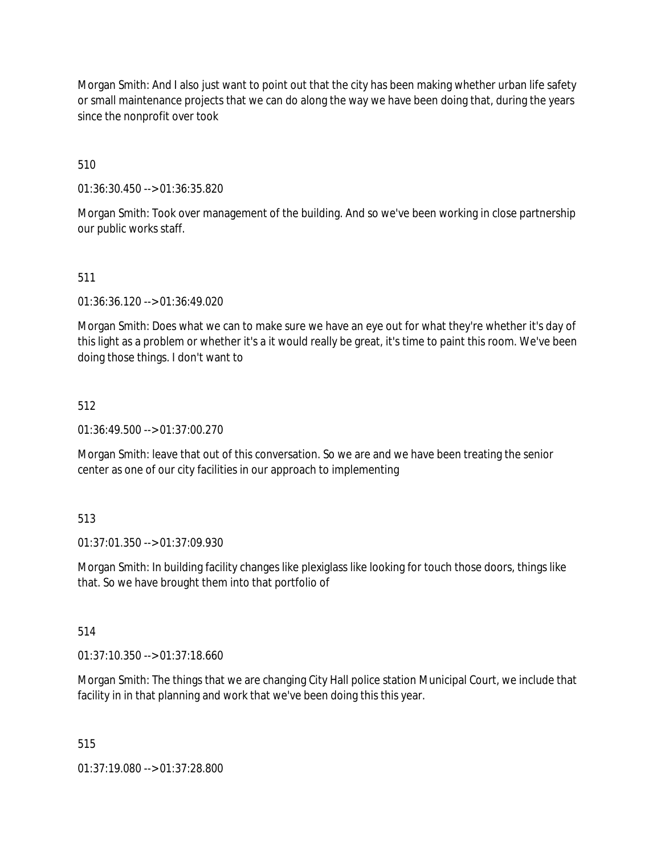Morgan Smith: And I also just want to point out that the city has been making whether urban life safety or small maintenance projects that we can do along the way we have been doing that, during the years since the nonprofit over took

510

01:36:30.450 --> 01:36:35.820

Morgan Smith: Took over management of the building. And so we've been working in close partnership our public works staff.

## 511

01:36:36.120 --> 01:36:49.020

Morgan Smith: Does what we can to make sure we have an eye out for what they're whether it's day of this light as a problem or whether it's a it would really be great, it's time to paint this room. We've been doing those things. I don't want to

## 512

01:36:49.500 --> 01:37:00.270

Morgan Smith: leave that out of this conversation. So we are and we have been treating the senior center as one of our city facilities in our approach to implementing

## 513

01:37:01.350 --> 01:37:09.930

Morgan Smith: In building facility changes like plexiglass like looking for touch those doors, things like that. So we have brought them into that portfolio of

## 514

01:37:10.350 --> 01:37:18.660

Morgan Smith: The things that we are changing City Hall police station Municipal Court, we include that facility in in that planning and work that we've been doing this this year.

## 515

01:37:19.080 --> 01:37:28.800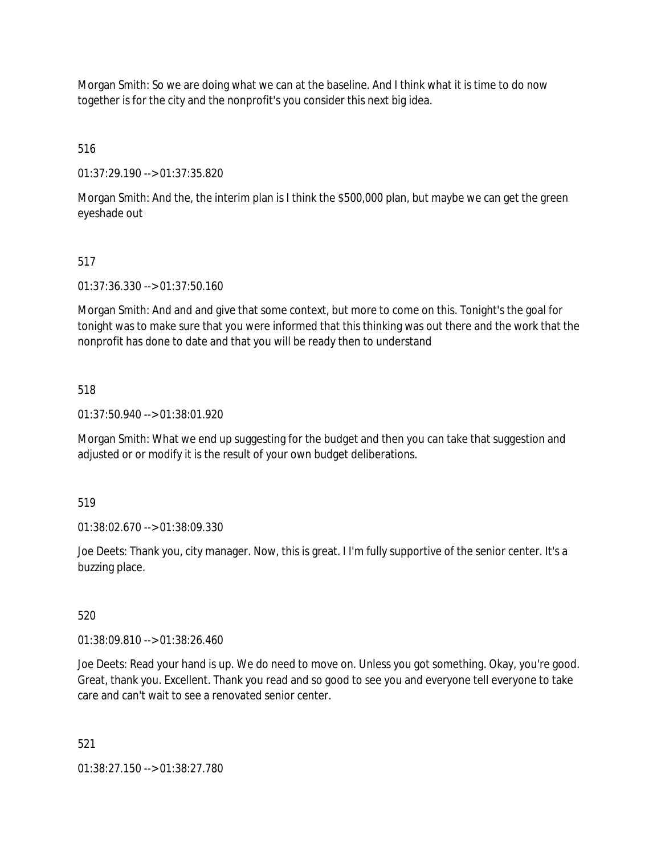Morgan Smith: So we are doing what we can at the baseline. And I think what it is time to do now together is for the city and the nonprofit's you consider this next big idea.

516

01:37:29.190 --> 01:37:35.820

Morgan Smith: And the, the interim plan is I think the \$500,000 plan, but maybe we can get the green eyeshade out

## 517

01:37:36.330 --> 01:37:50.160

Morgan Smith: And and and give that some context, but more to come on this. Tonight's the goal for tonight was to make sure that you were informed that this thinking was out there and the work that the nonprofit has done to date and that you will be ready then to understand

## 518

01:37:50.940 --> 01:38:01.920

Morgan Smith: What we end up suggesting for the budget and then you can take that suggestion and adjusted or or modify it is the result of your own budget deliberations.

519

01:38:02.670 --> 01:38:09.330

Joe Deets: Thank you, city manager. Now, this is great. I I'm fully supportive of the senior center. It's a buzzing place.

520

01:38:09.810 --> 01:38:26.460

Joe Deets: Read your hand is up. We do need to move on. Unless you got something. Okay, you're good. Great, thank you. Excellent. Thank you read and so good to see you and everyone tell everyone to take care and can't wait to see a renovated senior center.

521

01:38:27.150 --> 01:38:27.780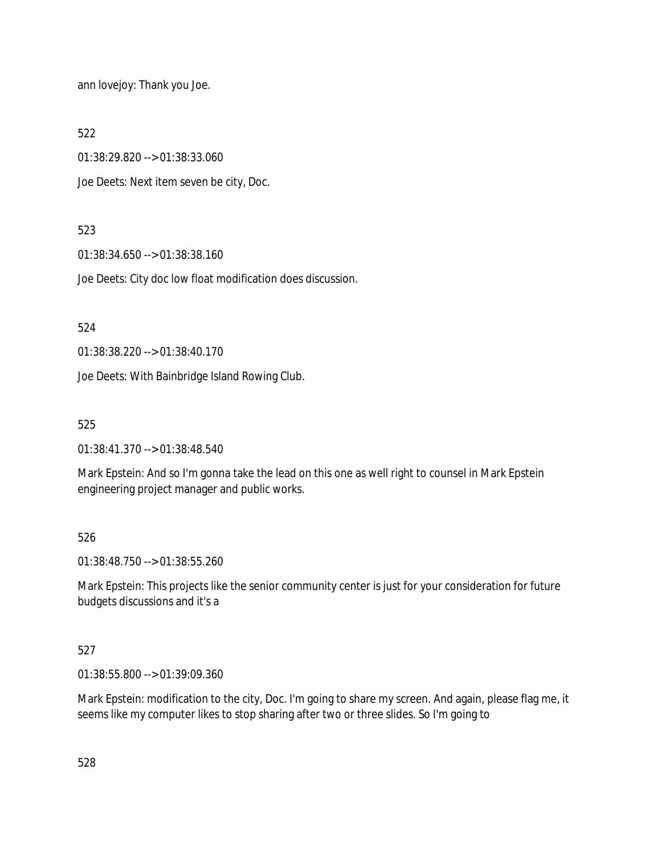ann lovejoy: Thank you Joe.

522

01:38:29.820 --> 01:38:33.060

Joe Deets: Next item seven be city, Doc.

## 523

01:38:34.650 --> 01:38:38.160

Joe Deets: City doc low float modification does discussion.

524

01:38:38.220 --> 01:38:40.170

Joe Deets: With Bainbridge Island Rowing Club.

525

01:38:41.370 --> 01:38:48.540

Mark Epstein: And so I'm gonna take the lead on this one as well right to counsel in Mark Epstein engineering project manager and public works.

## 526

01:38:48.750 --> 01:38:55.260

Mark Epstein: This projects like the senior community center is just for your consideration for future budgets discussions and it's a

# 527

01:38:55.800 --> 01:39:09.360

Mark Epstein: modification to the city, Doc. I'm going to share my screen. And again, please flag me, it seems like my computer likes to stop sharing after two or three slides. So I'm going to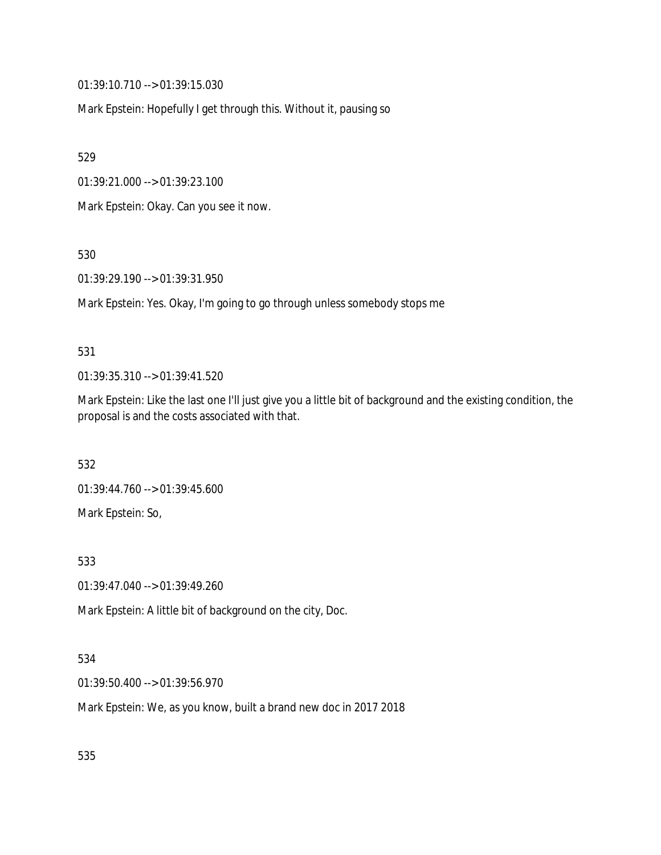01:39:10.710 --> 01:39:15.030

Mark Epstein: Hopefully I get through this. Without it, pausing so

529

01:39:21.000 --> 01:39:23.100

Mark Epstein: Okay. Can you see it now.

530

01:39:29.190 --> 01:39:31.950

Mark Epstein: Yes. Okay, I'm going to go through unless somebody stops me

#### 531

01:39:35.310 --> 01:39:41.520

Mark Epstein: Like the last one I'll just give you a little bit of background and the existing condition, the proposal is and the costs associated with that.

532

01:39:44.760 --> 01:39:45.600

Mark Epstein: So,

533

01:39:47.040 --> 01:39:49.260

Mark Epstein: A little bit of background on the city, Doc.

## 534

01:39:50.400 --> 01:39:56.970

Mark Epstein: We, as you know, built a brand new doc in 2017 2018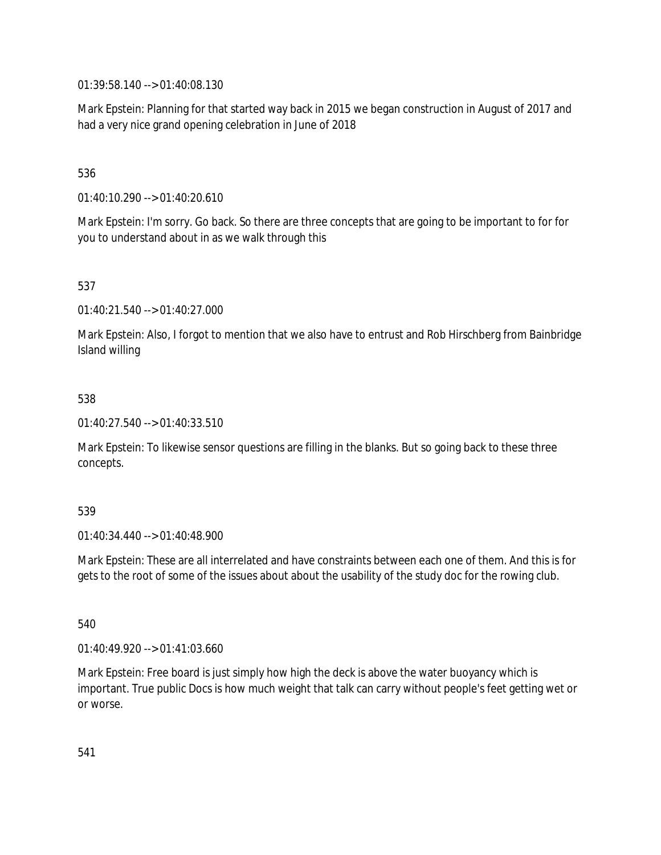01:39:58.140 --> 01:40:08.130

Mark Epstein: Planning for that started way back in 2015 we began construction in August of 2017 and had a very nice grand opening celebration in June of 2018

# 536

01:40:10.290 --> 01:40:20.610

Mark Epstein: I'm sorry. Go back. So there are three concepts that are going to be important to for for you to understand about in as we walk through this

# 537

01:40:21.540 --> 01:40:27.000

Mark Epstein: Also, I forgot to mention that we also have to entrust and Rob Hirschberg from Bainbridge Island willing

## 538

01:40:27.540 --> 01:40:33.510

Mark Epstein: To likewise sensor questions are filling in the blanks. But so going back to these three concepts.

## 539

01:40:34.440 --> 01:40:48.900

Mark Epstein: These are all interrelated and have constraints between each one of them. And this is for gets to the root of some of the issues about about the usability of the study doc for the rowing club.

## 540

01:40:49.920 --> 01:41:03.660

Mark Epstein: Free board is just simply how high the deck is above the water buoyancy which is important. True public Docs is how much weight that talk can carry without people's feet getting wet or or worse.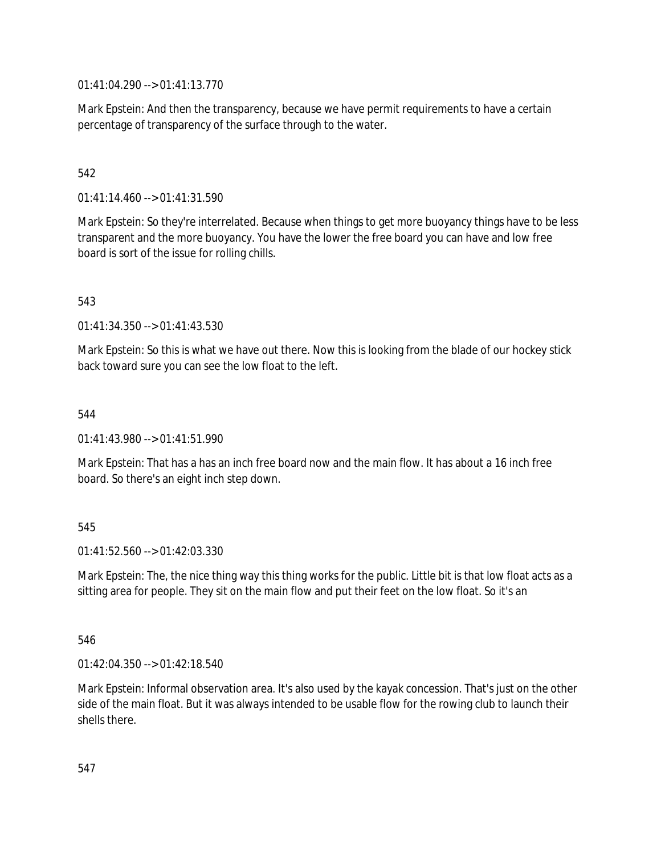01:41:04.290 --> 01:41:13.770

Mark Epstein: And then the transparency, because we have permit requirements to have a certain percentage of transparency of the surface through to the water.

## 542

01:41:14.460 --> 01:41:31.590

Mark Epstein: So they're interrelated. Because when things to get more buoyancy things have to be less transparent and the more buoyancy. You have the lower the free board you can have and low free board is sort of the issue for rolling chills.

#### 543

01:41:34.350 --> 01:41:43.530

Mark Epstein: So this is what we have out there. Now this is looking from the blade of our hockey stick back toward sure you can see the low float to the left.

#### 544

01:41:43.980 --> 01:41:51.990

Mark Epstein: That has a has an inch free board now and the main flow. It has about a 16 inch free board. So there's an eight inch step down.

## 545

 $01:41:52.560 \rightarrow 01:42:03.330$ 

Mark Epstein: The, the nice thing way this thing works for the public. Little bit is that low float acts as a sitting area for people. They sit on the main flow and put their feet on the low float. So it's an

#### 546

01:42:04.350 --> 01:42:18.540

Mark Epstein: Informal observation area. It's also used by the kayak concession. That's just on the other side of the main float. But it was always intended to be usable flow for the rowing club to launch their shells there.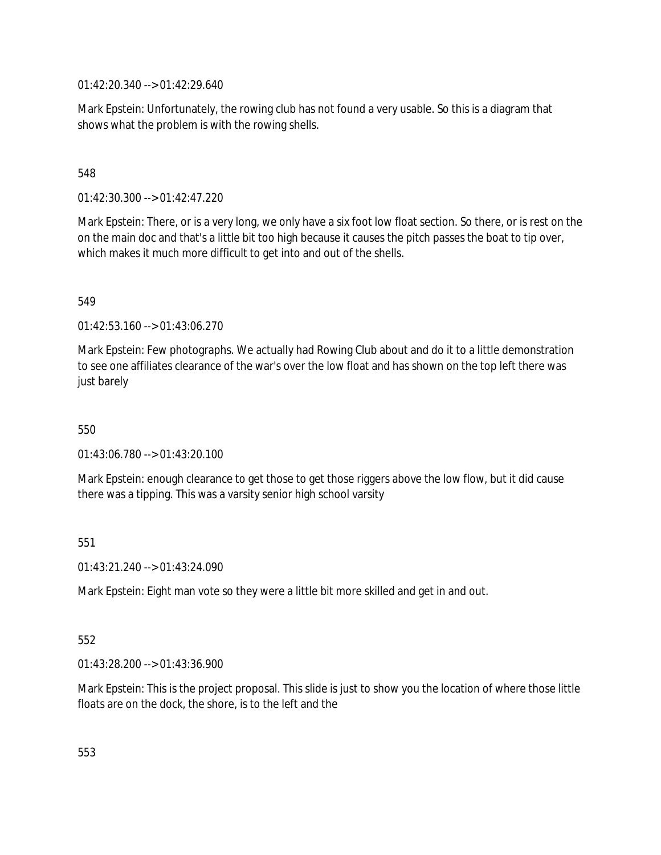01:42:20.340 --> 01:42:29.640

Mark Epstein: Unfortunately, the rowing club has not found a very usable. So this is a diagram that shows what the problem is with the rowing shells.

## 548

01:42:30.300 --> 01:42:47.220

Mark Epstein: There, or is a very long, we only have a six foot low float section. So there, or is rest on the on the main doc and that's a little bit too high because it causes the pitch passes the boat to tip over, which makes it much more difficult to get into and out of the shells.

549

01:42:53.160 --> 01:43:06.270

Mark Epstein: Few photographs. We actually had Rowing Club about and do it to a little demonstration to see one affiliates clearance of the war's over the low float and has shown on the top left there was just barely

550

01:43:06.780 --> 01:43:20.100

Mark Epstein: enough clearance to get those to get those riggers above the low flow, but it did cause there was a tipping. This was a varsity senior high school varsity

## 551

01:43:21.240 --> 01:43:24.090

Mark Epstein: Eight man vote so they were a little bit more skilled and get in and out.

## 552

01:43:28.200 --> 01:43:36.900

Mark Epstein: This is the project proposal. This slide is just to show you the location of where those little floats are on the dock, the shore, is to the left and the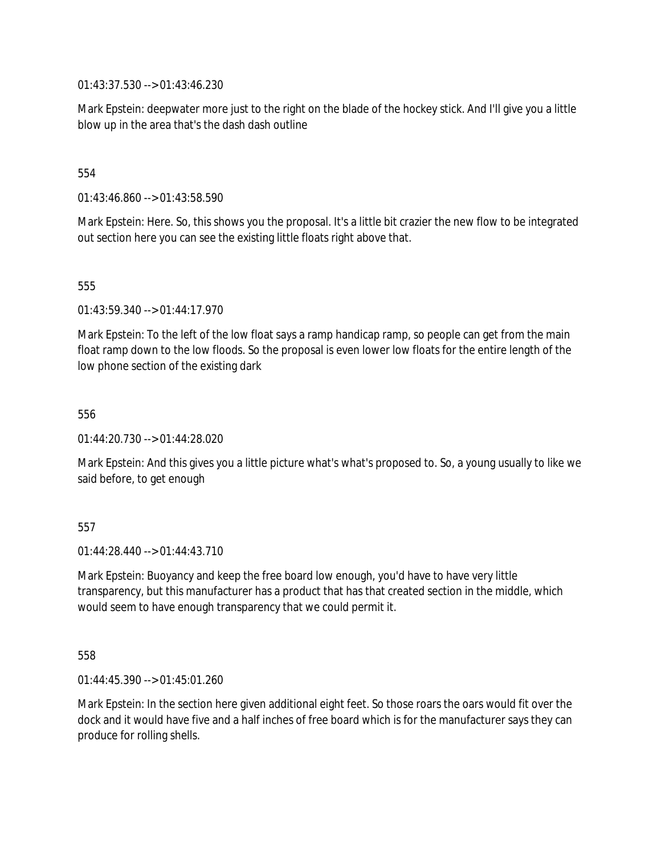01:43:37.530 --> 01:43:46.230

Mark Epstein: deepwater more just to the right on the blade of the hockey stick. And I'll give you a little blow up in the area that's the dash dash outline

## 554

01:43:46.860 --> 01:43:58.590

Mark Epstein: Here. So, this shows you the proposal. It's a little bit crazier the new flow to be integrated out section here you can see the existing little floats right above that.

555

01:43:59.340 --> 01:44:17.970

Mark Epstein: To the left of the low float says a ramp handicap ramp, so people can get from the main float ramp down to the low floods. So the proposal is even lower low floats for the entire length of the low phone section of the existing dark

556

01:44:20.730 --> 01:44:28.020

Mark Epstein: And this gives you a little picture what's what's proposed to. So, a young usually to like we said before, to get enough

557

 $01:44:28.440 \rightarrow 01:44:43.710$ 

Mark Epstein: Buoyancy and keep the free board low enough, you'd have to have very little transparency, but this manufacturer has a product that has that created section in the middle, which would seem to have enough transparency that we could permit it.

558

01:44:45.390 --> 01:45:01.260

Mark Epstein: In the section here given additional eight feet. So those roars the oars would fit over the dock and it would have five and a half inches of free board which is for the manufacturer says they can produce for rolling shells.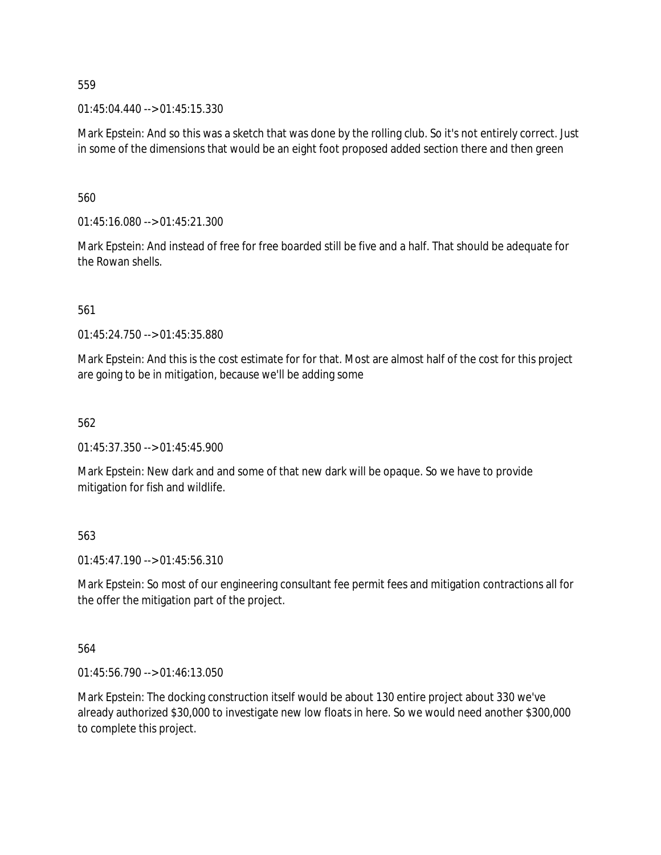01:45:04.440 --> 01:45:15.330

Mark Epstein: And so this was a sketch that was done by the rolling club. So it's not entirely correct. Just in some of the dimensions that would be an eight foot proposed added section there and then green

560

01:45:16.080 --> 01:45:21.300

Mark Epstein: And instead of free for free boarded still be five and a half. That should be adequate for the Rowan shells.

561

 $01:45:24.750 \rightarrow 01:45:35.880$ 

Mark Epstein: And this is the cost estimate for for that. Most are almost half of the cost for this project are going to be in mitigation, because we'll be adding some

562

01:45:37.350 --> 01:45:45.900

Mark Epstein: New dark and and some of that new dark will be opaque. So we have to provide mitigation for fish and wildlife.

563

01:45:47.190 --> 01:45:56.310

Mark Epstein: So most of our engineering consultant fee permit fees and mitigation contractions all for the offer the mitigation part of the project.

564

01:45:56.790 --> 01:46:13.050

Mark Epstein: The docking construction itself would be about 130 entire project about 330 we've already authorized \$30,000 to investigate new low floats in here. So we would need another \$300,000 to complete this project.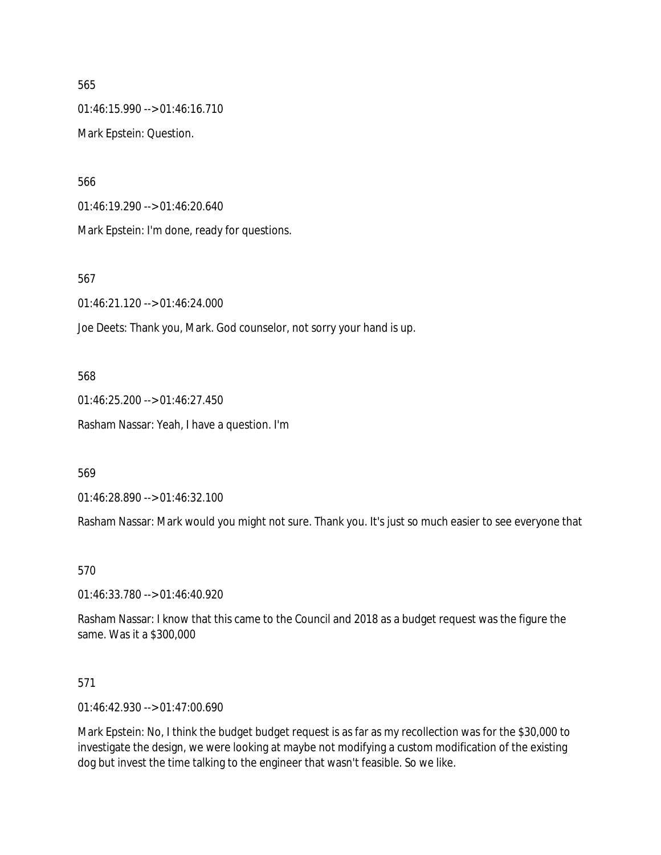01:46:15.990 --> 01:46:16.710 Mark Epstein: Question.

566

01:46:19.290 --> 01:46:20.640

Mark Epstein: I'm done, ready for questions.

567

01:46:21.120 --> 01:46:24.000

Joe Deets: Thank you, Mark. God counselor, not sorry your hand is up.

568

01:46:25.200 --> 01:46:27.450 Rasham Nassar: Yeah, I have a question. I'm

569

01:46:28.890 --> 01:46:32.100

Rasham Nassar: Mark would you might not sure. Thank you. It's just so much easier to see everyone that

570

01:46:33.780 --> 01:46:40.920

Rasham Nassar: I know that this came to the Council and 2018 as a budget request was the figure the same. Was it a \$300,000

571

01:46:42.930 --> 01:47:00.690

Mark Epstein: No, I think the budget budget request is as far as my recollection was for the \$30,000 to investigate the design, we were looking at maybe not modifying a custom modification of the existing dog but invest the time talking to the engineer that wasn't feasible. So we like.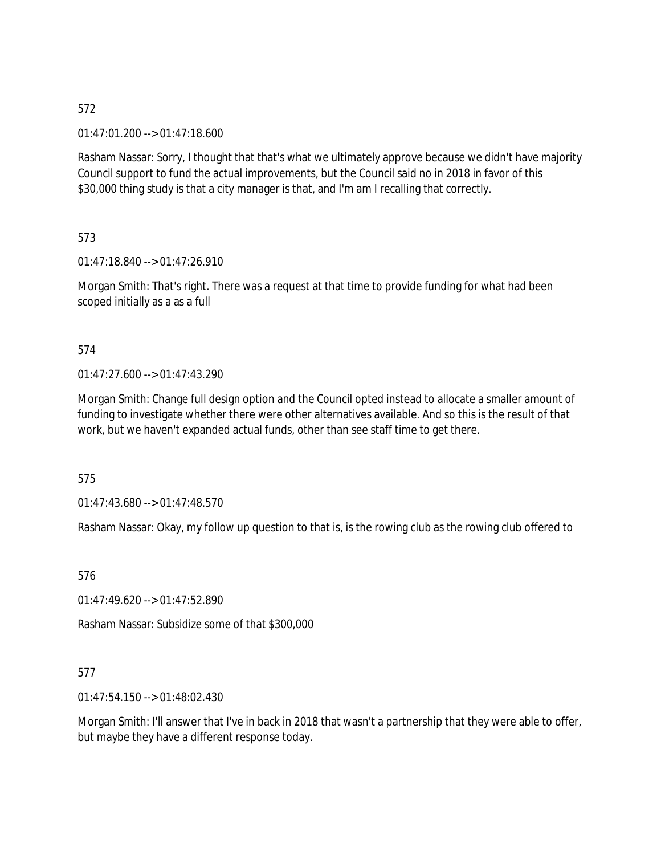01:47:01.200 --> 01:47:18.600

Rasham Nassar: Sorry, I thought that that's what we ultimately approve because we didn't have majority Council support to fund the actual improvements, but the Council said no in 2018 in favor of this \$30,000 thing study is that a city manager is that, and I'm am I recalling that correctly.

573

01:47:18.840 --> 01:47:26.910

Morgan Smith: That's right. There was a request at that time to provide funding for what had been scoped initially as a as a full

## 574

01:47:27.600 --> 01:47:43.290

Morgan Smith: Change full design option and the Council opted instead to allocate a smaller amount of funding to investigate whether there were other alternatives available. And so this is the result of that work, but we haven't expanded actual funds, other than see staff time to get there.

575

01:47:43.680 --> 01:47:48.570

Rasham Nassar: Okay, my follow up question to that is, is the rowing club as the rowing club offered to

576

01:47:49.620 --> 01:47:52.890

Rasham Nassar: Subsidize some of that \$300,000

# 577

01:47:54.150 --> 01:48:02.430

Morgan Smith: I'll answer that I've in back in 2018 that wasn't a partnership that they were able to offer, but maybe they have a different response today.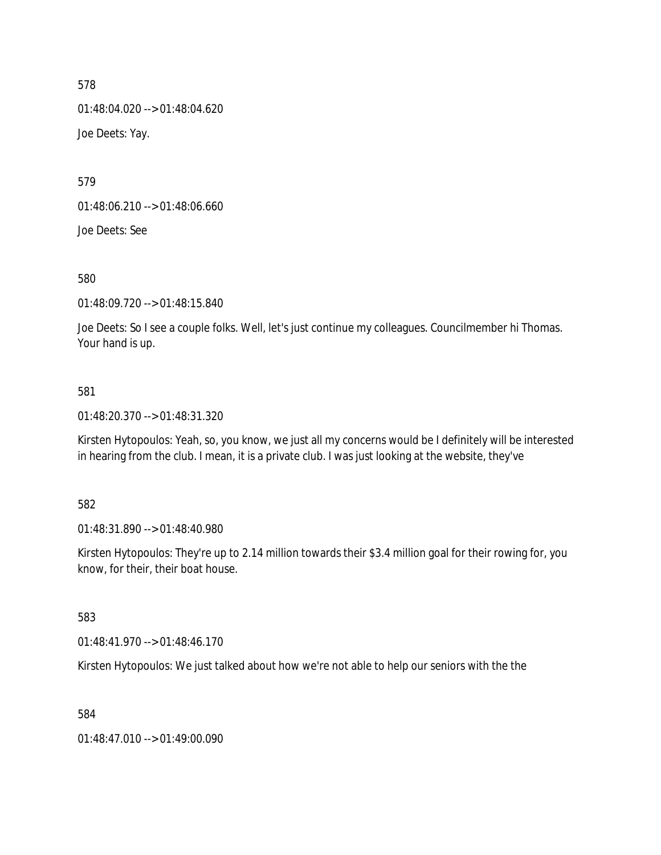01:48:04.020 --> 01:48:04.620 Joe Deets: Yay.

579

01:48:06.210 --> 01:48:06.660

Joe Deets: See

580

01:48:09.720 --> 01:48:15.840

Joe Deets: So I see a couple folks. Well, let's just continue my colleagues. Councilmember hi Thomas. Your hand is up.

## 581

01:48:20.370 --> 01:48:31.320

Kirsten Hytopoulos: Yeah, so, you know, we just all my concerns would be I definitely will be interested in hearing from the club. I mean, it is a private club. I was just looking at the website, they've

582

01:48:31.890 --> 01:48:40.980

Kirsten Hytopoulos: They're up to 2.14 million towards their \$3.4 million goal for their rowing for, you know, for their, their boat house.

583

01:48:41.970 --> 01:48:46.170

Kirsten Hytopoulos: We just talked about how we're not able to help our seniors with the the

584

01:48:47.010 --> 01:49:00.090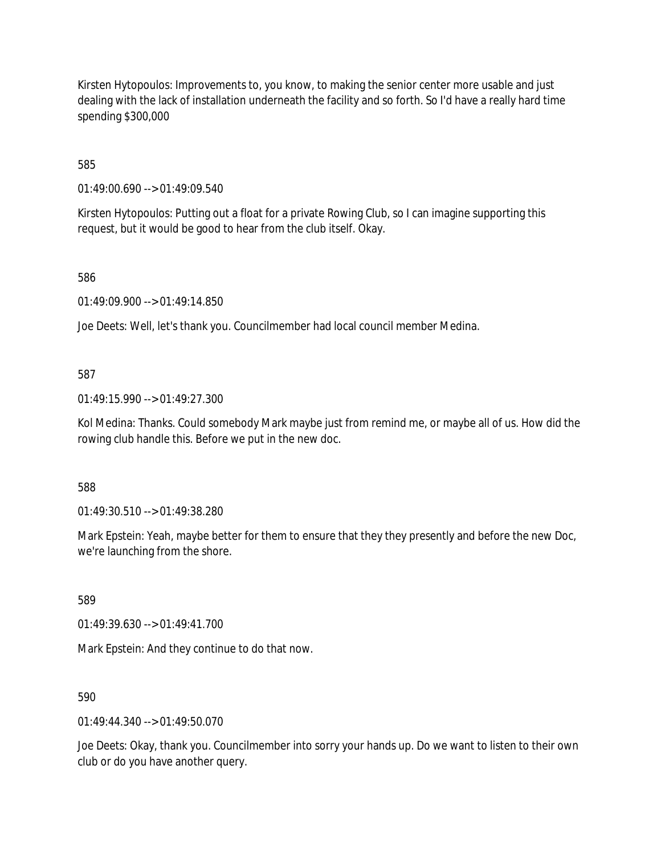Kirsten Hytopoulos: Improvements to, you know, to making the senior center more usable and just dealing with the lack of installation underneath the facility and so forth. So I'd have a really hard time spending \$300,000

585

01:49:00.690 --> 01:49:09.540

Kirsten Hytopoulos: Putting out a float for a private Rowing Club, so I can imagine supporting this request, but it would be good to hear from the club itself. Okay.

586

01:49:09.900 --> 01:49:14.850

Joe Deets: Well, let's thank you. Councilmember had local council member Medina.

#### 587

01:49:15.990 --> 01:49:27.300

Kol Medina: Thanks. Could somebody Mark maybe just from remind me, or maybe all of us. How did the rowing club handle this. Before we put in the new doc.

588

01:49:30.510 --> 01:49:38.280

Mark Epstein: Yeah, maybe better for them to ensure that they they presently and before the new Doc, we're launching from the shore.

589

01:49:39.630 --> 01:49:41.700

Mark Epstein: And they continue to do that now.

590

 $01.49.44.340 - 01.49.50.070$ 

Joe Deets: Okay, thank you. Councilmember into sorry your hands up. Do we want to listen to their own club or do you have another query.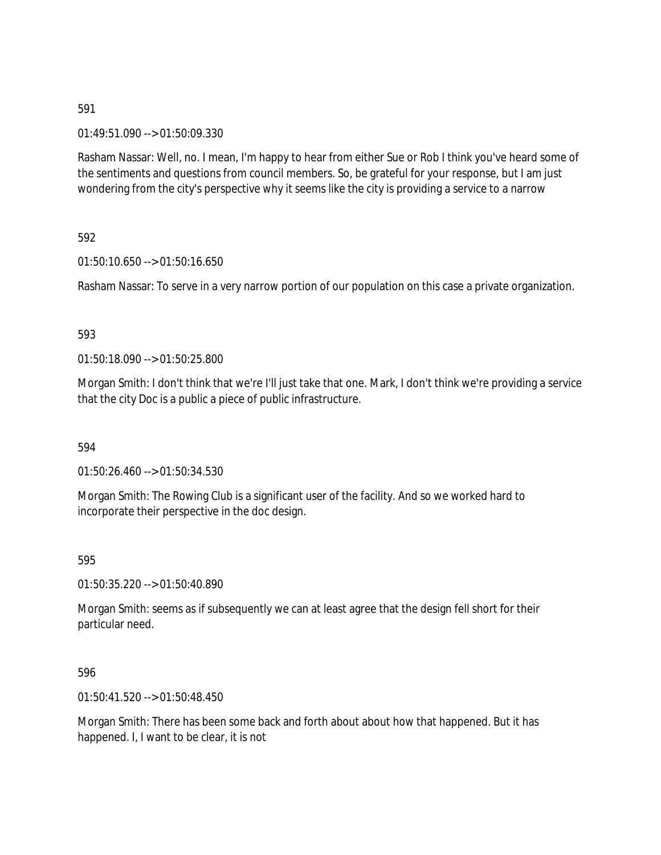01:49:51.090 --> 01:50:09.330

Rasham Nassar: Well, no. I mean, I'm happy to hear from either Sue or Rob I think you've heard some of the sentiments and questions from council members. So, be grateful for your response, but I am just wondering from the city's perspective why it seems like the city is providing a service to a narrow

592

01:50:10.650 --> 01:50:16.650

Rasham Nassar: To serve in a very narrow portion of our population on this case a private organization.

#### 593

01:50:18.090 --> 01:50:25.800

Morgan Smith: I don't think that we're I'll just take that one. Mark, I don't think we're providing a service that the city Doc is a public a piece of public infrastructure.

594

01:50:26.460 --> 01:50:34.530

Morgan Smith: The Rowing Club is a significant user of the facility. And so we worked hard to incorporate their perspective in the doc design.

595

01:50:35.220 --> 01:50:40.890

Morgan Smith: seems as if subsequently we can at least agree that the design fell short for their particular need.

596

01:50:41.520 --> 01:50:48.450

Morgan Smith: There has been some back and forth about about how that happened. But it has happened. I, I want to be clear, it is not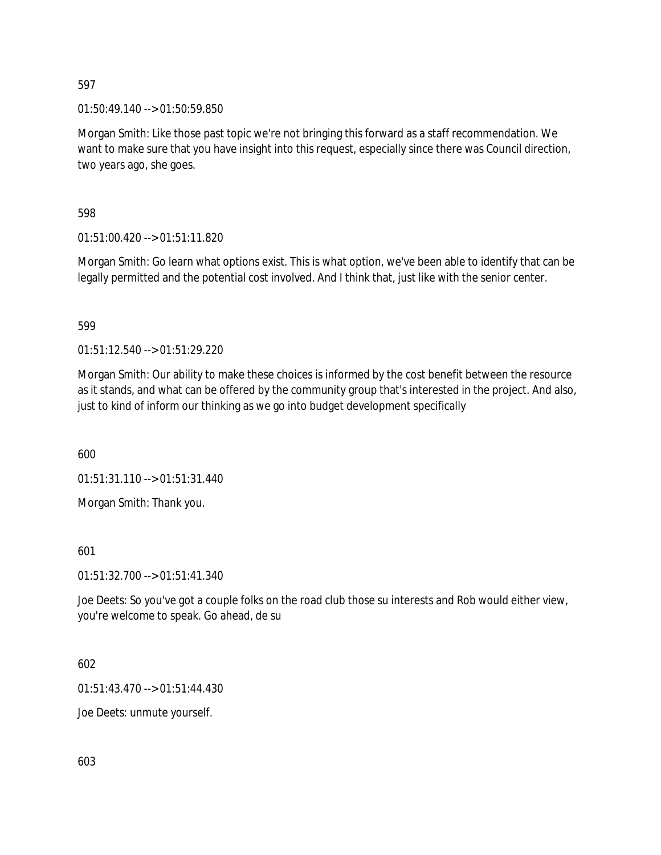01:50:49.140 --> 01:50:59.850

Morgan Smith: Like those past topic we're not bringing this forward as a staff recommendation. We want to make sure that you have insight into this request, especially since there was Council direction, two years ago, she goes.

598

01:51:00.420 --> 01:51:11.820

Morgan Smith: Go learn what options exist. This is what option, we've been able to identify that can be legally permitted and the potential cost involved. And I think that, just like with the senior center.

599

01:51:12.540 --> 01:51:29.220

Morgan Smith: Our ability to make these choices is informed by the cost benefit between the resource as it stands, and what can be offered by the community group that's interested in the project. And also, just to kind of inform our thinking as we go into budget development specifically

600

01:51:31.110 --> 01:51:31.440

Morgan Smith: Thank you.

601

01:51:32.700 --> 01:51:41.340

Joe Deets: So you've got a couple folks on the road club those su interests and Rob would either view, you're welcome to speak. Go ahead, de su

602

01:51:43.470 --> 01:51:44.430

Joe Deets: unmute yourself.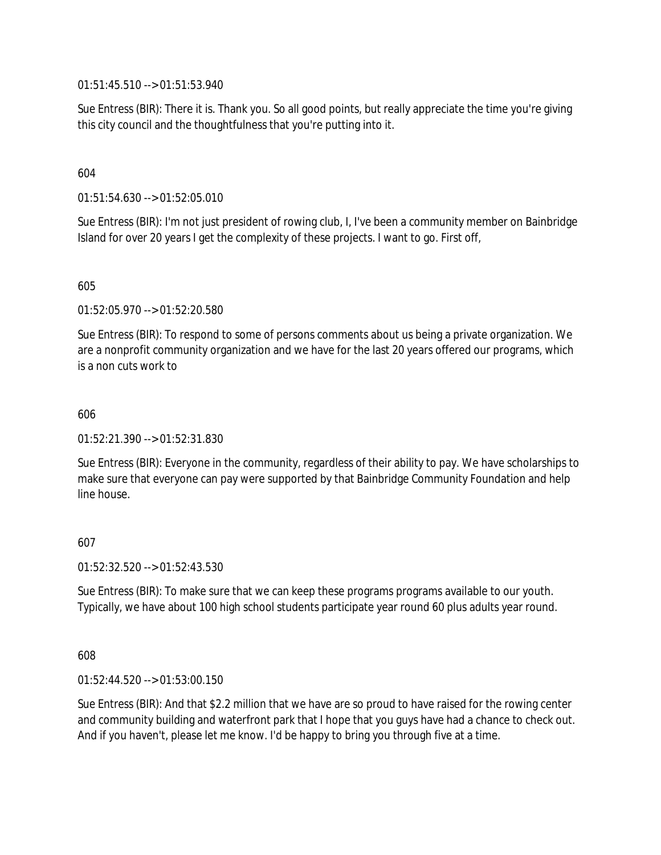01:51:45.510 --> 01:51:53.940

Sue Entress (BIR): There it is. Thank you. So all good points, but really appreciate the time you're giving this city council and the thoughtfulness that you're putting into it.

## 604

01:51:54.630 --> 01:52:05.010

Sue Entress (BIR): I'm not just president of rowing club, I, I've been a community member on Bainbridge Island for over 20 years I get the complexity of these projects. I want to go. First off,

605

01:52:05.970 --> 01:52:20.580

Sue Entress (BIR): To respond to some of persons comments about us being a private organization. We are a nonprofit community organization and we have for the last 20 years offered our programs, which is a non cuts work to

606

01:52:21.390 --> 01:52:31.830

Sue Entress (BIR): Everyone in the community, regardless of their ability to pay. We have scholarships to make sure that everyone can pay were supported by that Bainbridge Community Foundation and help line house.

## 607

01:52:32.520 --> 01:52:43.530

Sue Entress (BIR): To make sure that we can keep these programs programs available to our youth. Typically, we have about 100 high school students participate year round 60 plus adults year round.

608

01:52:44.520 --> 01:53:00.150

Sue Entress (BIR): And that \$2.2 million that we have are so proud to have raised for the rowing center and community building and waterfront park that I hope that you guys have had a chance to check out. And if you haven't, please let me know. I'd be happy to bring you through five at a time.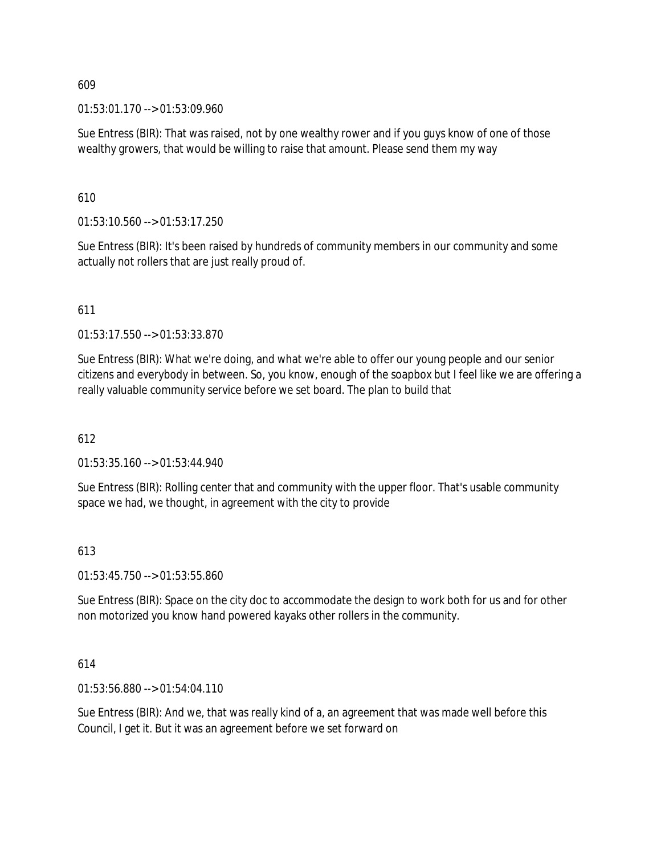01:53:01.170 --> 01:53:09.960

Sue Entress (BIR): That was raised, not by one wealthy rower and if you guys know of one of those wealthy growers, that would be willing to raise that amount. Please send them my way

610

01:53:10.560 --> 01:53:17.250

Sue Entress (BIR): It's been raised by hundreds of community members in our community and some actually not rollers that are just really proud of.

611

01:53:17.550 --> 01:53:33.870

Sue Entress (BIR): What we're doing, and what we're able to offer our young people and our senior citizens and everybody in between. So, you know, enough of the soapbox but I feel like we are offering a really valuable community service before we set board. The plan to build that

612

01:53:35.160 --> 01:53:44.940

Sue Entress (BIR): Rolling center that and community with the upper floor. That's usable community space we had, we thought, in agreement with the city to provide

## 613

01:53:45.750 --> 01:53:55.860

Sue Entress (BIR): Space on the city doc to accommodate the design to work both for us and for other non motorized you know hand powered kayaks other rollers in the community.

#### 614

01:53:56.880 --> 01:54:04.110

Sue Entress (BIR): And we, that was really kind of a, an agreement that was made well before this Council, I get it. But it was an agreement before we set forward on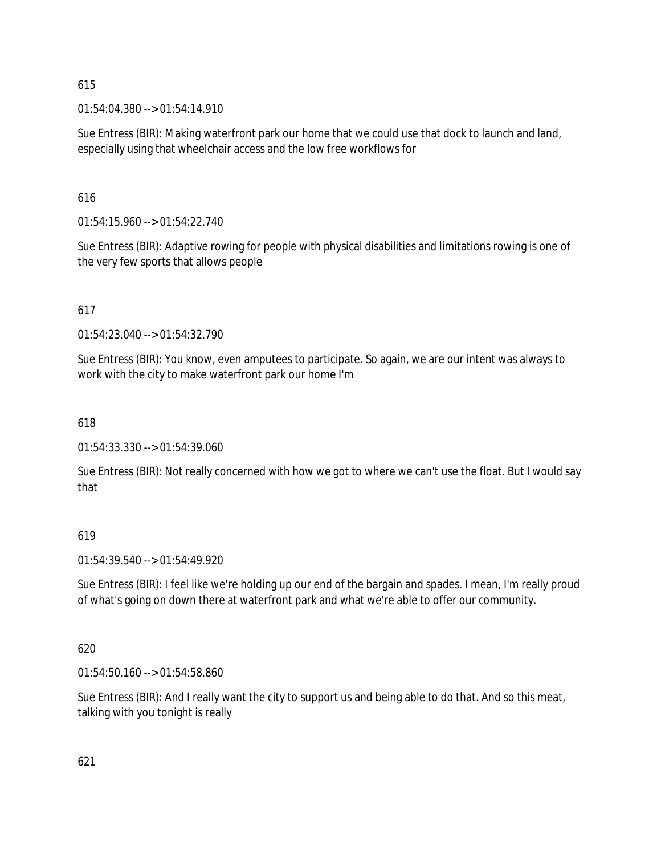01:54:04.380 --> 01:54:14.910

Sue Entress (BIR): Making waterfront park our home that we could use that dock to launch and land, especially using that wheelchair access and the low free workflows for

616

01:54:15.960 --> 01:54:22.740

Sue Entress (BIR): Adaptive rowing for people with physical disabilities and limitations rowing is one of the very few sports that allows people

617

01:54:23.040 --> 01:54:32.790

Sue Entress (BIR): You know, even amputees to participate. So again, we are our intent was always to work with the city to make waterfront park our home I'm

618

01:54:33.330 --> 01:54:39.060

Sue Entress (BIR): Not really concerned with how we got to where we can't use the float. But I would say that

619

01:54:39.540 --> 01:54:49.920

Sue Entress (BIR): I feel like we're holding up our end of the bargain and spades. I mean, I'm really proud of what's going on down there at waterfront park and what we're able to offer our community.

620

01:54:50.160 --> 01:54:58.860

Sue Entress (BIR): And I really want the city to support us and being able to do that. And so this meat, talking with you tonight is really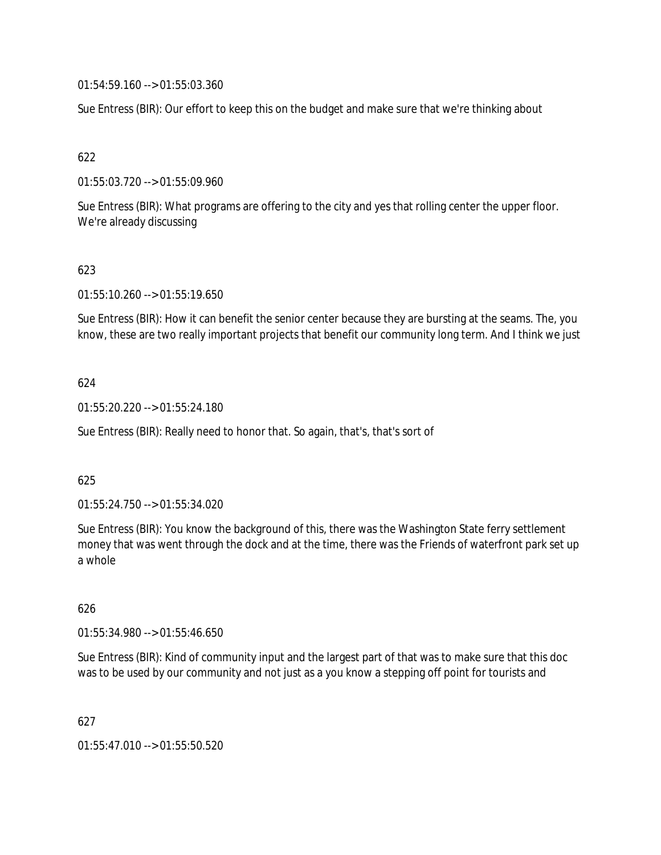01:54:59.160 --> 01:55:03.360

Sue Entress (BIR): Our effort to keep this on the budget and make sure that we're thinking about

# 622

01:55:03.720 --> 01:55:09.960

Sue Entress (BIR): What programs are offering to the city and yes that rolling center the upper floor. We're already discussing

## 623

01:55:10.260 --> 01:55:19.650

Sue Entress (BIR): How it can benefit the senior center because they are bursting at the seams. The, you know, these are two really important projects that benefit our community long term. And I think we just

## 624

01:55:20.220 --> 01:55:24.180

Sue Entress (BIR): Really need to honor that. So again, that's, that's sort of

## 625

01:55:24.750 --> 01:55:34.020

Sue Entress (BIR): You know the background of this, there was the Washington State ferry settlement money that was went through the dock and at the time, there was the Friends of waterfront park set up a whole

## 626

01:55:34.980 --> 01:55:46.650

Sue Entress (BIR): Kind of community input and the largest part of that was to make sure that this doc was to be used by our community and not just as a you know a stepping off point for tourists and

627

01:55:47.010 --> 01:55:50.520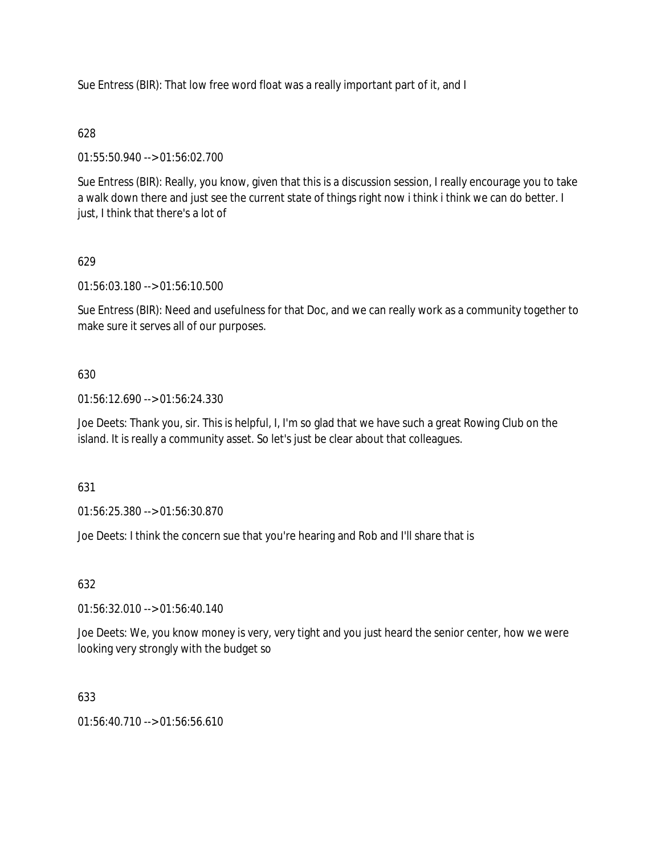Sue Entress (BIR): That low free word float was a really important part of it, and I

# 628

01:55:50.940 --> 01:56:02.700

Sue Entress (BIR): Really, you know, given that this is a discussion session, I really encourage you to take a walk down there and just see the current state of things right now i think i think we can do better. I just, I think that there's a lot of

# 629

01:56:03.180 --> 01:56:10.500

Sue Entress (BIR): Need and usefulness for that Doc, and we can really work as a community together to make sure it serves all of our purposes.

# 630

01:56:12.690 --> 01:56:24.330

Joe Deets: Thank you, sir. This is helpful, I, I'm so glad that we have such a great Rowing Club on the island. It is really a community asset. So let's just be clear about that colleagues.

# 631

01:56:25.380 --> 01:56:30.870

Joe Deets: I think the concern sue that you're hearing and Rob and I'll share that is

# 632

01:56:32.010 --> 01:56:40.140

Joe Deets: We, you know money is very, very tight and you just heard the senior center, how we were looking very strongly with the budget so

# 633

 $01:56:40.710 \rightarrow 01:56:56.610$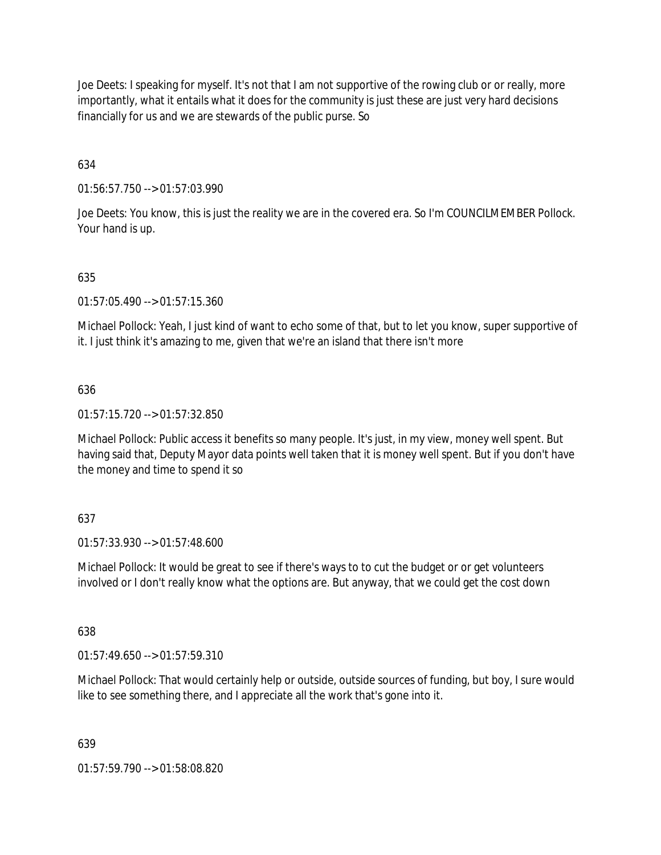Joe Deets: I speaking for myself. It's not that I am not supportive of the rowing club or or really, more importantly, what it entails what it does for the community is just these are just very hard decisions financially for us and we are stewards of the public purse. So

634

01:56:57.750 --> 01:57:03.990

Joe Deets: You know, this is just the reality we are in the covered era. So I'm COUNCILMEMBER Pollock. Your hand is up.

## 635

01:57:05.490 --> 01:57:15.360

Michael Pollock: Yeah, I just kind of want to echo some of that, but to let you know, super supportive of it. I just think it's amazing to me, given that we're an island that there isn't more

## 636

01:57:15.720 --> 01:57:32.850

Michael Pollock: Public access it benefits so many people. It's just, in my view, money well spent. But having said that, Deputy Mayor data points well taken that it is money well spent. But if you don't have the money and time to spend it so

## 637

01:57:33.930 --> 01:57:48.600

Michael Pollock: It would be great to see if there's ways to to cut the budget or or get volunteers involved or I don't really know what the options are. But anyway, that we could get the cost down

## 638

 $01:57:49.650 \rightarrow 01:57:59.310$ 

Michael Pollock: That would certainly help or outside, outside sources of funding, but boy, I sure would like to see something there, and I appreciate all the work that's gone into it.

## 639

01:57:59.790 --> 01:58:08.820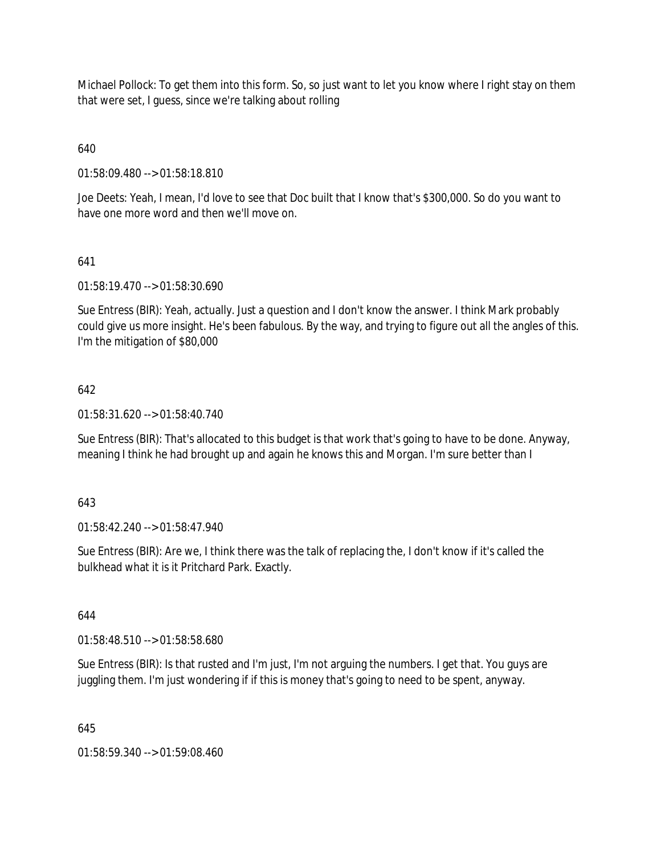Michael Pollock: To get them into this form. So, so just want to let you know where I right stay on them that were set, I guess, since we're talking about rolling

640

01:58:09.480 --> 01:58:18.810

Joe Deets: Yeah, I mean, I'd love to see that Doc built that I know that's \$300,000. So do you want to have one more word and then we'll move on.

# 641

01:58:19.470 --> 01:58:30.690

Sue Entress (BIR): Yeah, actually. Just a question and I don't know the answer. I think Mark probably could give us more insight. He's been fabulous. By the way, and trying to figure out all the angles of this. I'm the mitigation of \$80,000

## 642

01:58:31.620 --> 01:58:40.740

Sue Entress (BIR): That's allocated to this budget is that work that's going to have to be done. Anyway, meaning I think he had brought up and again he knows this and Morgan. I'm sure better than I

## 643

01:58:42.240 --> 01:58:47.940

Sue Entress (BIR): Are we, I think there was the talk of replacing the, I don't know if it's called the bulkhead what it is it Pritchard Park. Exactly.

644

01:58:48.510 --> 01:58:58.680

Sue Entress (BIR): Is that rusted and I'm just, I'm not arguing the numbers. I get that. You guys are juggling them. I'm just wondering if if this is money that's going to need to be spent, anyway.

645

01:58:59.340 --> 01:59:08.460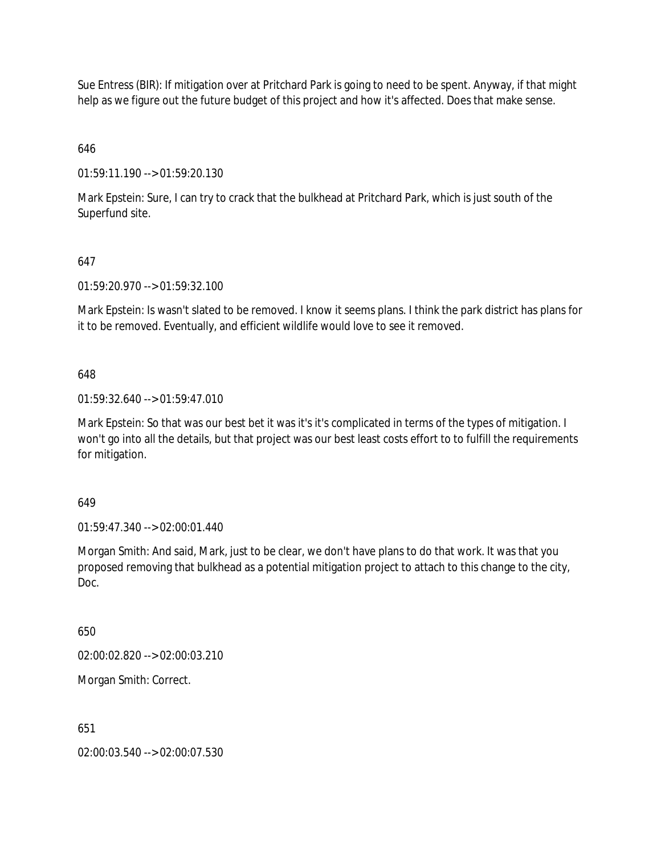Sue Entress (BIR): If mitigation over at Pritchard Park is going to need to be spent. Anyway, if that might help as we figure out the future budget of this project and how it's affected. Does that make sense.

# 646

01:59:11.190 --> 01:59:20.130

Mark Epstein: Sure, I can try to crack that the bulkhead at Pritchard Park, which is just south of the Superfund site.

# 647

01:59:20.970 --> 01:59:32.100

Mark Epstein: Is wasn't slated to be removed. I know it seems plans. I think the park district has plans for it to be removed. Eventually, and efficient wildlife would love to see it removed.

## 648

01:59:32.640 --> 01:59:47.010

Mark Epstein: So that was our best bet it was it's it's complicated in terms of the types of mitigation. I won't go into all the details, but that project was our best least costs effort to to fulfill the requirements for mitigation.

## 649

01:59:47.340 --> 02:00:01.440

Morgan Smith: And said, Mark, just to be clear, we don't have plans to do that work. It was that you proposed removing that bulkhead as a potential mitigation project to attach to this change to the city, Doc.

## 650

02:00:02.820 --> 02:00:03.210

Morgan Smith: Correct.

## 651

02:00:03.540 --> 02:00:07.530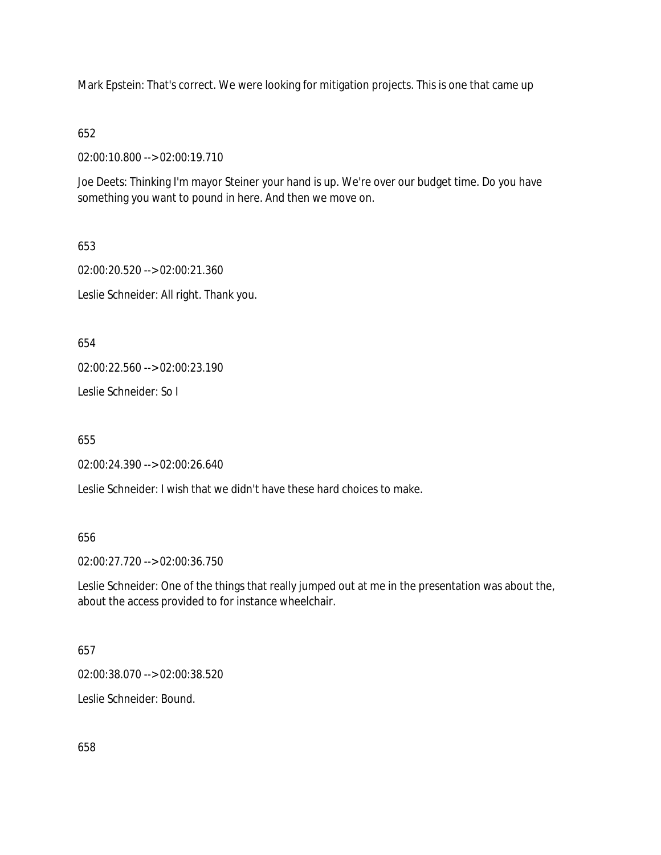Mark Epstein: That's correct. We were looking for mitigation projects. This is one that came up

652

02:00:10.800 --> 02:00:19.710

Joe Deets: Thinking I'm mayor Steiner your hand is up. We're over our budget time. Do you have something you want to pound in here. And then we move on.

653 02:00:20.520 --> 02:00:21.360 Leslie Schneider: All right. Thank you.

654

02:00:22.560 --> 02:00:23.190

Leslie Schneider: So I

655

02:00:24.390 --> 02:00:26.640

Leslie Schneider: I wish that we didn't have these hard choices to make.

656

02:00:27.720 --> 02:00:36.750

Leslie Schneider: One of the things that really jumped out at me in the presentation was about the, about the access provided to for instance wheelchair.

657

02:00:38.070 --> 02:00:38.520

Leslie Schneider: Bound.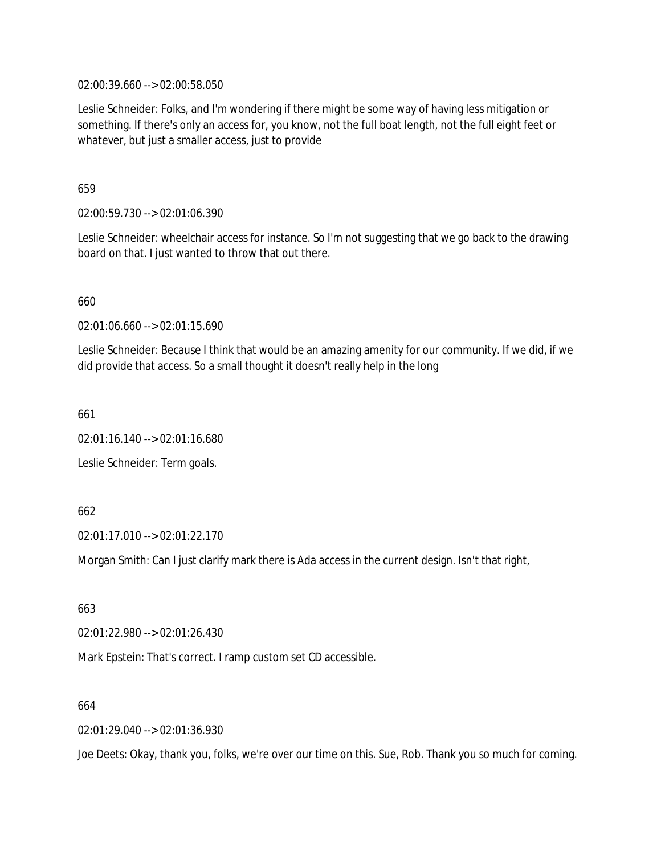02:00:39.660 --> 02:00:58.050

Leslie Schneider: Folks, and I'm wondering if there might be some way of having less mitigation or something. If there's only an access for, you know, not the full boat length, not the full eight feet or whatever, but just a smaller access, just to provide

659

02:00:59.730 --> 02:01:06.390

Leslie Schneider: wheelchair access for instance. So I'm not suggesting that we go back to the drawing board on that. I just wanted to throw that out there.

660

02:01:06.660 --> 02:01:15.690

Leslie Schneider: Because I think that would be an amazing amenity for our community. If we did, if we did provide that access. So a small thought it doesn't really help in the long

661

02:01:16.140 --> 02:01:16.680

Leslie Schneider: Term goals.

662

02:01:17.010 --> 02:01:22.170

Morgan Smith: Can I just clarify mark there is Ada access in the current design. Isn't that right,

663

02:01:22.980 --> 02:01:26.430

Mark Epstein: That's correct. I ramp custom set CD accessible.

664

02:01:29.040 --> 02:01:36.930

Joe Deets: Okay, thank you, folks, we're over our time on this. Sue, Rob. Thank you so much for coming.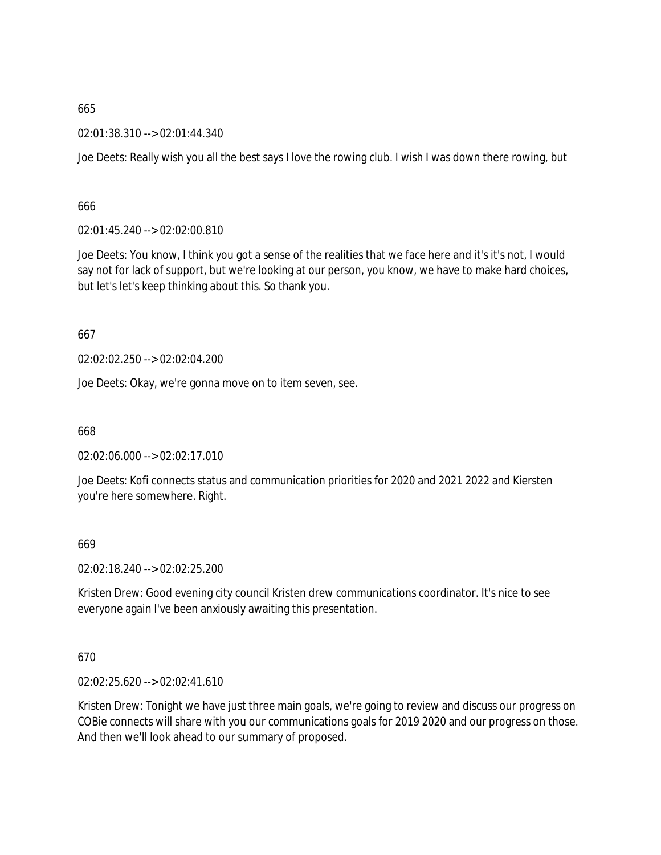02:01:38.310 --> 02:01:44.340

Joe Deets: Really wish you all the best says I love the rowing club. I wish I was down there rowing, but

666

02:01:45.240 --> 02:02:00.810

Joe Deets: You know, I think you got a sense of the realities that we face here and it's it's not, I would say not for lack of support, but we're looking at our person, you know, we have to make hard choices, but let's let's keep thinking about this. So thank you.

667

02:02:02.250 --> 02:02:04.200

Joe Deets: Okay, we're gonna move on to item seven, see.

668

02:02:06.000 --> 02:02:17.010

Joe Deets: Kofi connects status and communication priorities for 2020 and 2021 2022 and Kiersten you're here somewhere. Right.

669

02:02:18.240 --> 02:02:25.200

Kristen Drew: Good evening city council Kristen drew communications coordinator. It's nice to see everyone again I've been anxiously awaiting this presentation.

670

02:02:25.620 --> 02:02:41.610

Kristen Drew: Tonight we have just three main goals, we're going to review and discuss our progress on COBie connects will share with you our communications goals for 2019 2020 and our progress on those. And then we'll look ahead to our summary of proposed.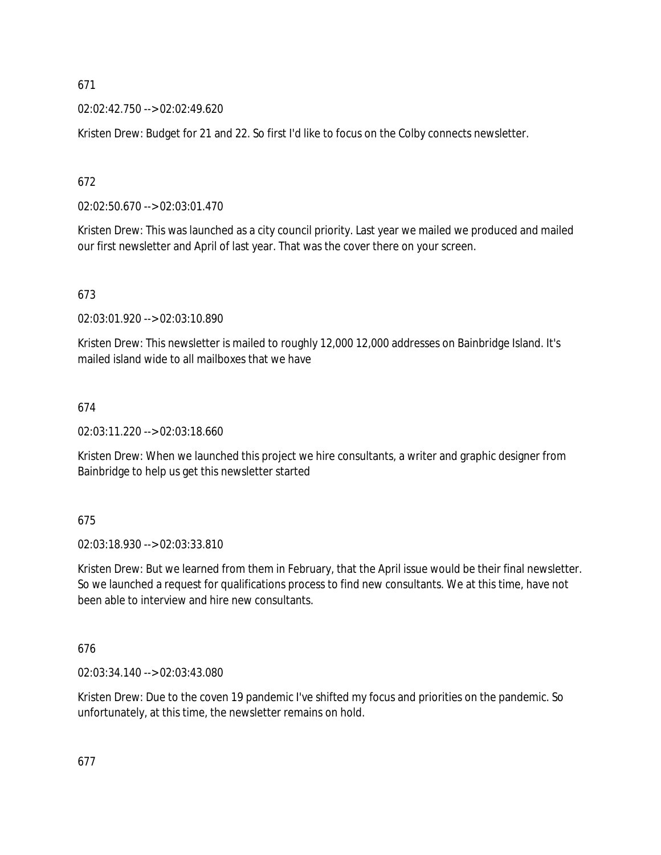02:02:42.750 --> 02:02:49.620

Kristen Drew: Budget for 21 and 22. So first I'd like to focus on the Colby connects newsletter.

672

02:02:50.670 --> 02:03:01.470

Kristen Drew: This was launched as a city council priority. Last year we mailed we produced and mailed our first newsletter and April of last year. That was the cover there on your screen.

673

02:03:01.920 --> 02:03:10.890

Kristen Drew: This newsletter is mailed to roughly 12,000 12,000 addresses on Bainbridge Island. It's mailed island wide to all mailboxes that we have

674

02:03:11.220 --> 02:03:18.660

Kristen Drew: When we launched this project we hire consultants, a writer and graphic designer from Bainbridge to help us get this newsletter started

675

02:03:18.930 --> 02:03:33.810

Kristen Drew: But we learned from them in February, that the April issue would be their final newsletter. So we launched a request for qualifications process to find new consultants. We at this time, have not been able to interview and hire new consultants.

676

02:03:34.140 --> 02:03:43.080

Kristen Drew: Due to the coven 19 pandemic I've shifted my focus and priorities on the pandemic. So unfortunately, at this time, the newsletter remains on hold.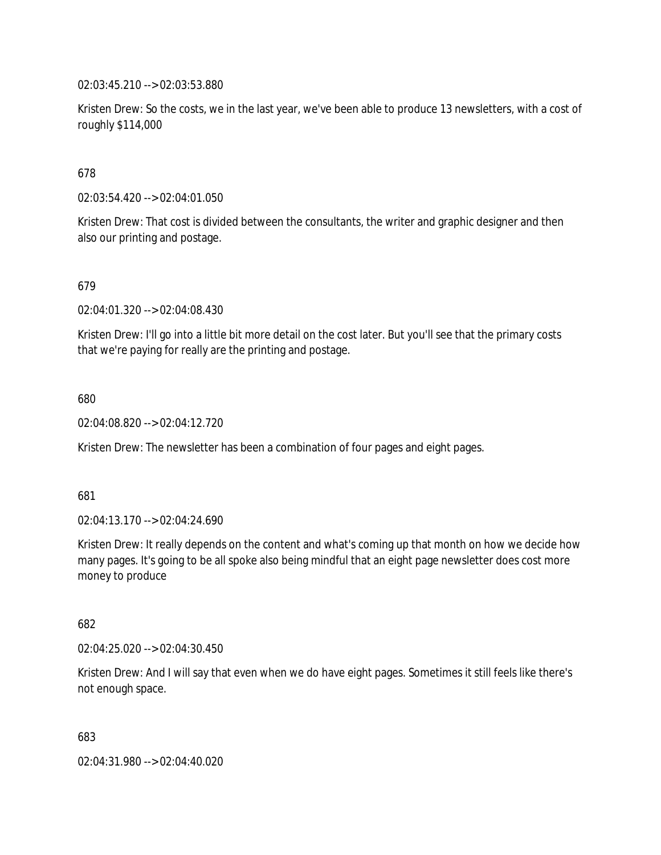02:03:45.210 --> 02:03:53.880

Kristen Drew: So the costs, we in the last year, we've been able to produce 13 newsletters, with a cost of roughly \$114,000

678

02:03:54.420 --> 02:04:01.050

Kristen Drew: That cost is divided between the consultants, the writer and graphic designer and then also our printing and postage.

679

02:04:01.320 --> 02:04:08.430

Kristen Drew: I'll go into a little bit more detail on the cost later. But you'll see that the primary costs that we're paying for really are the printing and postage.

680

02:04:08.820 --> 02:04:12.720

Kristen Drew: The newsletter has been a combination of four pages and eight pages.

681

02:04:13.170 --> 02:04:24.690

Kristen Drew: It really depends on the content and what's coming up that month on how we decide how many pages. It's going to be all spoke also being mindful that an eight page newsletter does cost more money to produce

682

02:04:25.020 --> 02:04:30.450

Kristen Drew: And I will say that even when we do have eight pages. Sometimes it still feels like there's not enough space.

683

02:04:31.980 --> 02:04:40.020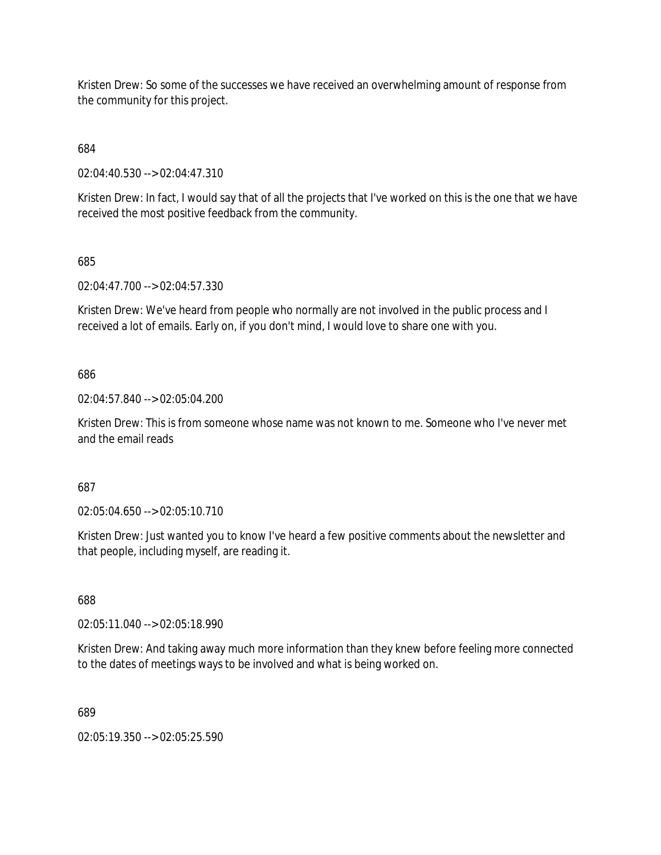Kristen Drew: So some of the successes we have received an overwhelming amount of response from the community for this project.

684

02:04:40.530 --> 02:04:47.310

Kristen Drew: In fact, I would say that of all the projects that I've worked on this is the one that we have received the most positive feedback from the community.

685

02:04:47.700 --> 02:04:57.330

Kristen Drew: We've heard from people who normally are not involved in the public process and I received a lot of emails. Early on, if you don't mind, I would love to share one with you.

686

02:04:57.840 --> 02:05:04.200

Kristen Drew: This is from someone whose name was not known to me. Someone who I've never met and the email reads

687

02:05:04.650 --> 02:05:10.710

Kristen Drew: Just wanted you to know I've heard a few positive comments about the newsletter and that people, including myself, are reading it.

688

02:05:11.040 --> 02:05:18.990

Kristen Drew: And taking away much more information than they knew before feeling more connected to the dates of meetings ways to be involved and what is being worked on.

689

02:05:19.350 --> 02:05:25.590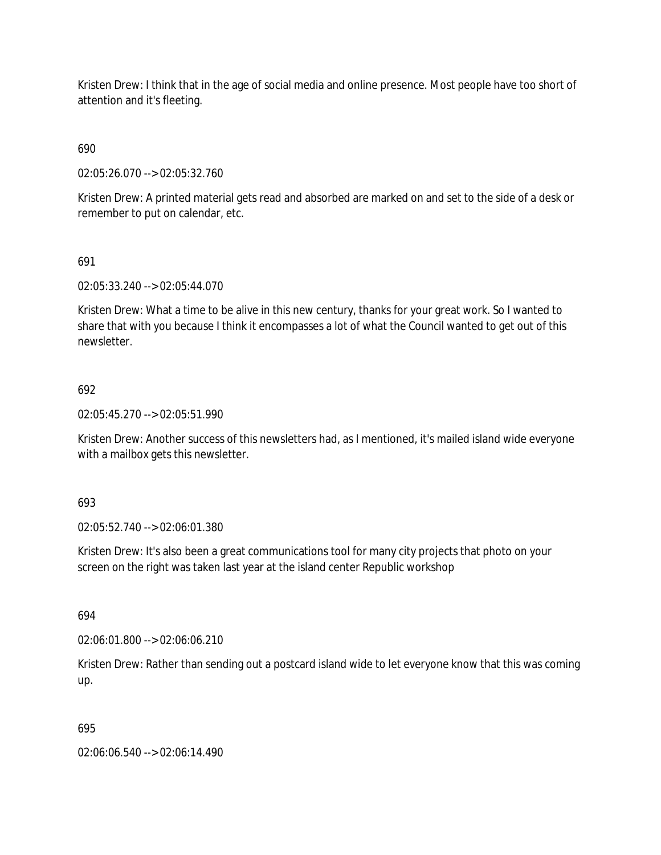Kristen Drew: I think that in the age of social media and online presence. Most people have too short of attention and it's fleeting.

690

02:05:26.070 --> 02:05:32.760

Kristen Drew: A printed material gets read and absorbed are marked on and set to the side of a desk or remember to put on calendar, etc.

# 691

02:05:33.240 --> 02:05:44.070

Kristen Drew: What a time to be alive in this new century, thanks for your great work. So I wanted to share that with you because I think it encompasses a lot of what the Council wanted to get out of this newsletter.

# 692

02:05:45.270 --> 02:05:51.990

Kristen Drew: Another success of this newsletters had, as I mentioned, it's mailed island wide everyone with a mailbox gets this newsletter.

693

02:05:52.740 --> 02:06:01.380

Kristen Drew: It's also been a great communications tool for many city projects that photo on your screen on the right was taken last year at the island center Republic workshop

694

02:06:01.800 --> 02:06:06.210

Kristen Drew: Rather than sending out a postcard island wide to let everyone know that this was coming up.

# 695

02:06:06.540 --> 02:06:14.490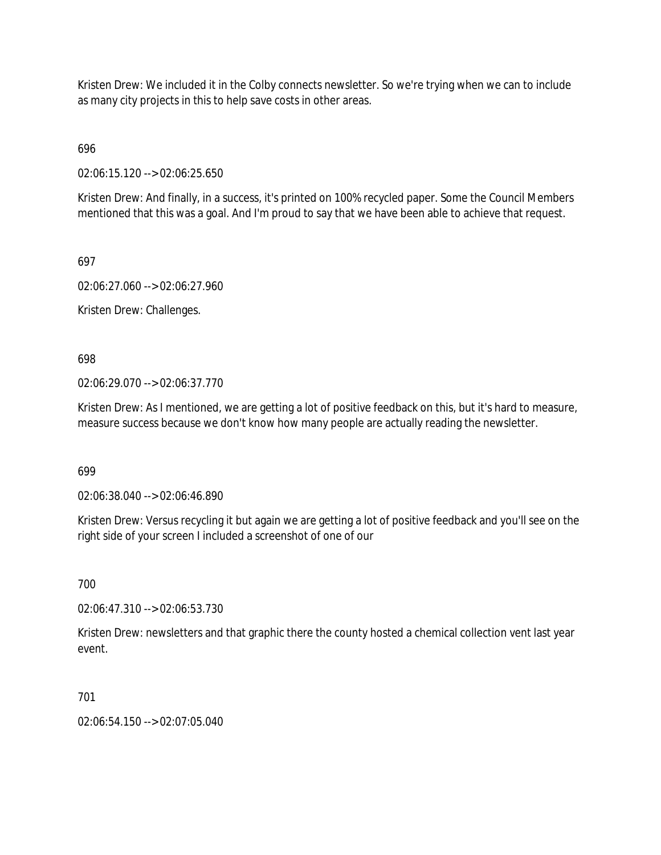Kristen Drew: We included it in the Colby connects newsletter. So we're trying when we can to include as many city projects in this to help save costs in other areas.

696

02:06:15.120 --> 02:06:25.650

Kristen Drew: And finally, in a success, it's printed on 100% recycled paper. Some the Council Members mentioned that this was a goal. And I'm proud to say that we have been able to achieve that request.

697

02:06:27.060 --> 02:06:27.960

Kristen Drew: Challenges.

698

02:06:29.070 --> 02:06:37.770

Kristen Drew: As I mentioned, we are getting a lot of positive feedback on this, but it's hard to measure, measure success because we don't know how many people are actually reading the newsletter.

699

02:06:38.040 --> 02:06:46.890

Kristen Drew: Versus recycling it but again we are getting a lot of positive feedback and you'll see on the right side of your screen I included a screenshot of one of our

700

02:06:47.310 --> 02:06:53.730

Kristen Drew: newsletters and that graphic there the county hosted a chemical collection vent last year event.

701

02:06:54.150 --> 02:07:05.040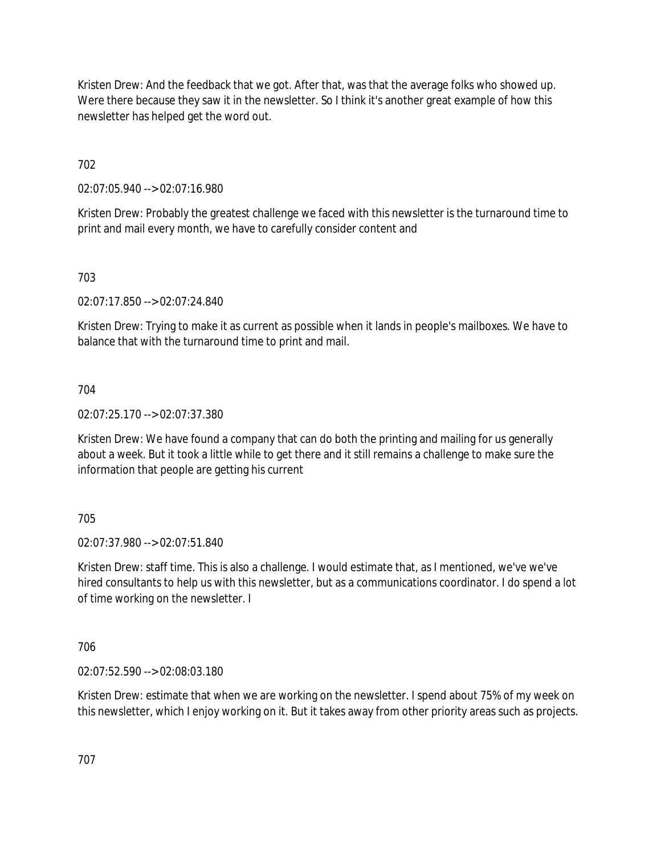Kristen Drew: And the feedback that we got. After that, was that the average folks who showed up. Were there because they saw it in the newsletter. So I think it's another great example of how this newsletter has helped get the word out.

702

02:07:05.940 --> 02:07:16.980

Kristen Drew: Probably the greatest challenge we faced with this newsletter is the turnaround time to print and mail every month, we have to carefully consider content and

703

02:07:17.850 --> 02:07:24.840

Kristen Drew: Trying to make it as current as possible when it lands in people's mailboxes. We have to balance that with the turnaround time to print and mail.

704

02:07:25.170 --> 02:07:37.380

Kristen Drew: We have found a company that can do both the printing and mailing for us generally about a week. But it took a little while to get there and it still remains a challenge to make sure the information that people are getting his current

705

02:07:37.980 --> 02:07:51.840

Kristen Drew: staff time. This is also a challenge. I would estimate that, as I mentioned, we've we've hired consultants to help us with this newsletter, but as a communications coordinator. I do spend a lot of time working on the newsletter. I

706

02:07:52.590 --> 02:08:03.180

Kristen Drew: estimate that when we are working on the newsletter. I spend about 75% of my week on this newsletter, which I enjoy working on it. But it takes away from other priority areas such as projects.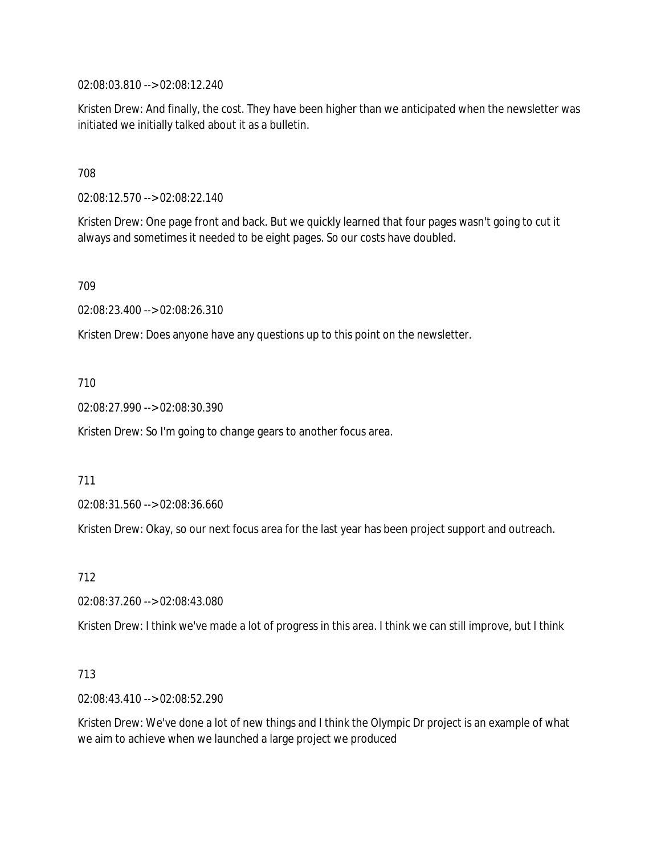02:08:03.810 --> 02:08:12.240

Kristen Drew: And finally, the cost. They have been higher than we anticipated when the newsletter was initiated we initially talked about it as a bulletin.

708

02:08:12.570 --> 02:08:22.140

Kristen Drew: One page front and back. But we quickly learned that four pages wasn't going to cut it always and sometimes it needed to be eight pages. So our costs have doubled.

709

02:08:23.400 --> 02:08:26.310

Kristen Drew: Does anyone have any questions up to this point on the newsletter.

710

02:08:27.990 --> 02:08:30.390

Kristen Drew: So I'm going to change gears to another focus area.

711

02:08:31.560 --> 02:08:36.660

Kristen Drew: Okay, so our next focus area for the last year has been project support and outreach.

712

02:08:37.260 --> 02:08:43.080

Kristen Drew: I think we've made a lot of progress in this area. I think we can still improve, but I think

713

02:08:43.410 --> 02:08:52.290

Kristen Drew: We've done a lot of new things and I think the Olympic Dr project is an example of what we aim to achieve when we launched a large project we produced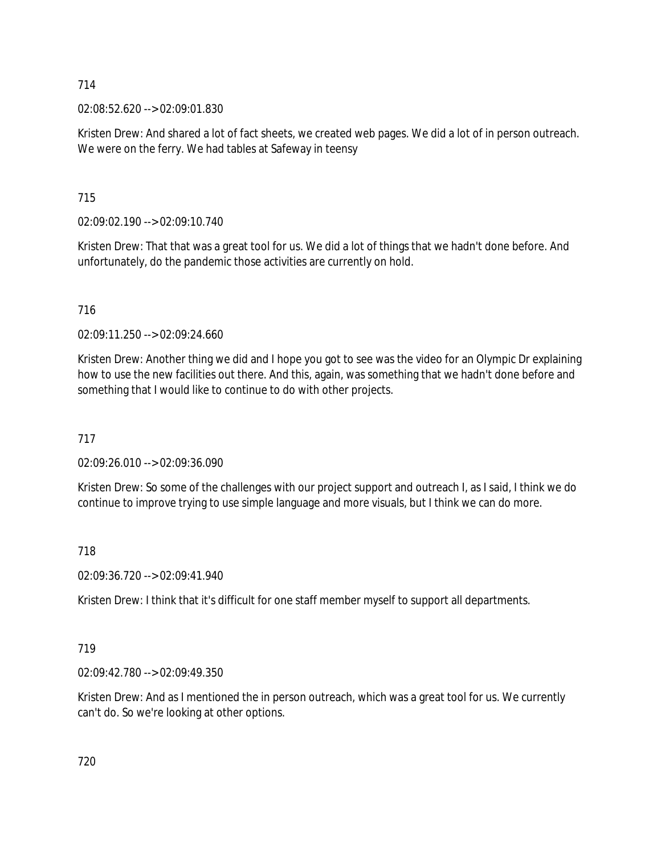02:08:52.620 --> 02:09:01.830

Kristen Drew: And shared a lot of fact sheets, we created web pages. We did a lot of in person outreach. We were on the ferry. We had tables at Safeway in teensy

715

02:09:02.190 --> 02:09:10.740

Kristen Drew: That that was a great tool for us. We did a lot of things that we hadn't done before. And unfortunately, do the pandemic those activities are currently on hold.

716

02:09:11.250 --> 02:09:24.660

Kristen Drew: Another thing we did and I hope you got to see was the video for an Olympic Dr explaining how to use the new facilities out there. And this, again, was something that we hadn't done before and something that I would like to continue to do with other projects.

717

02:09:26.010 --> 02:09:36.090

Kristen Drew: So some of the challenges with our project support and outreach I, as I said, I think we do continue to improve trying to use simple language and more visuals, but I think we can do more.

718

02:09:36.720 --> 02:09:41.940

Kristen Drew: I think that it's difficult for one staff member myself to support all departments.

719

02:09:42.780 --> 02:09:49.350

Kristen Drew: And as I mentioned the in person outreach, which was a great tool for us. We currently can't do. So we're looking at other options.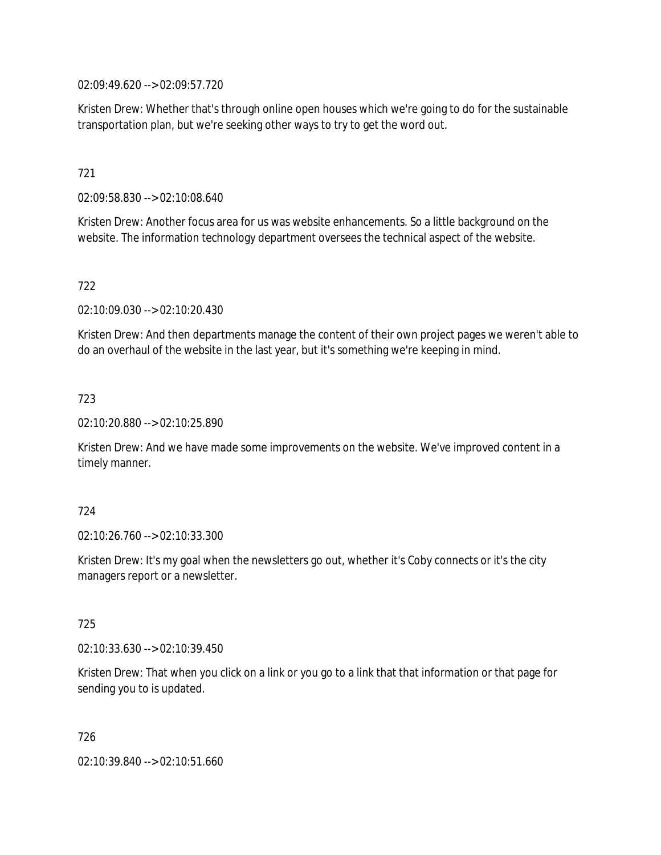02:09:49.620 --> 02:09:57.720

Kristen Drew: Whether that's through online open houses which we're going to do for the sustainable transportation plan, but we're seeking other ways to try to get the word out.

# 721

02:09:58.830 --> 02:10:08.640

Kristen Drew: Another focus area for us was website enhancements. So a little background on the website. The information technology department oversees the technical aspect of the website.

# 722

02:10:09.030 --> 02:10:20.430

Kristen Drew: And then departments manage the content of their own project pages we weren't able to do an overhaul of the website in the last year, but it's something we're keeping in mind.

# 723

02:10:20.880 --> 02:10:25.890

Kristen Drew: And we have made some improvements on the website. We've improved content in a timely manner.

# 724

02:10:26.760 --> 02:10:33.300

Kristen Drew: It's my goal when the newsletters go out, whether it's Coby connects or it's the city managers report or a newsletter.

# 725

02:10:33.630 --> 02:10:39.450

Kristen Drew: That when you click on a link or you go to a link that that information or that page for sending you to is updated.

726

02:10:39.840 --> 02:10:51.660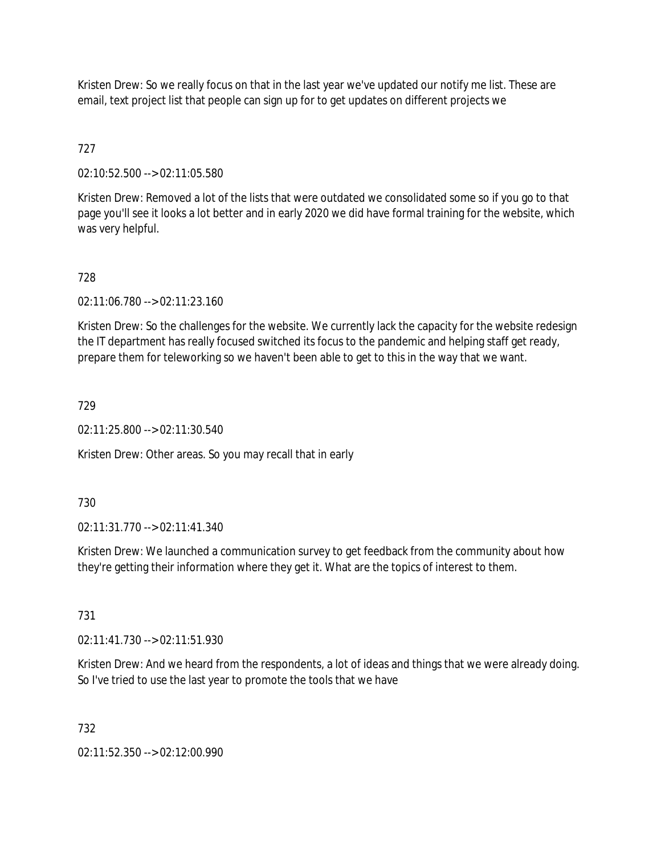Kristen Drew: So we really focus on that in the last year we've updated our notify me list. These are email, text project list that people can sign up for to get updates on different projects we

# 727

02:10:52.500 --> 02:11:05.580

Kristen Drew: Removed a lot of the lists that were outdated we consolidated some so if you go to that page you'll see it looks a lot better and in early 2020 we did have formal training for the website, which was very helpful.

# 728

02:11:06.780 --> 02:11:23.160

Kristen Drew: So the challenges for the website. We currently lack the capacity for the website redesign the IT department has really focused switched its focus to the pandemic and helping staff get ready, prepare them for teleworking so we haven't been able to get to this in the way that we want.

# 729

02:11:25.800 --> 02:11:30.540

Kristen Drew: Other areas. So you may recall that in early

# 730

02:11:31.770 --> 02:11:41.340

Kristen Drew: We launched a communication survey to get feedback from the community about how they're getting their information where they get it. What are the topics of interest to them.

# 731

02:11:41.730 --> 02:11:51.930

Kristen Drew: And we heard from the respondents, a lot of ideas and things that we were already doing. So I've tried to use the last year to promote the tools that we have

# 732

02:11:52.350 --> 02:12:00.990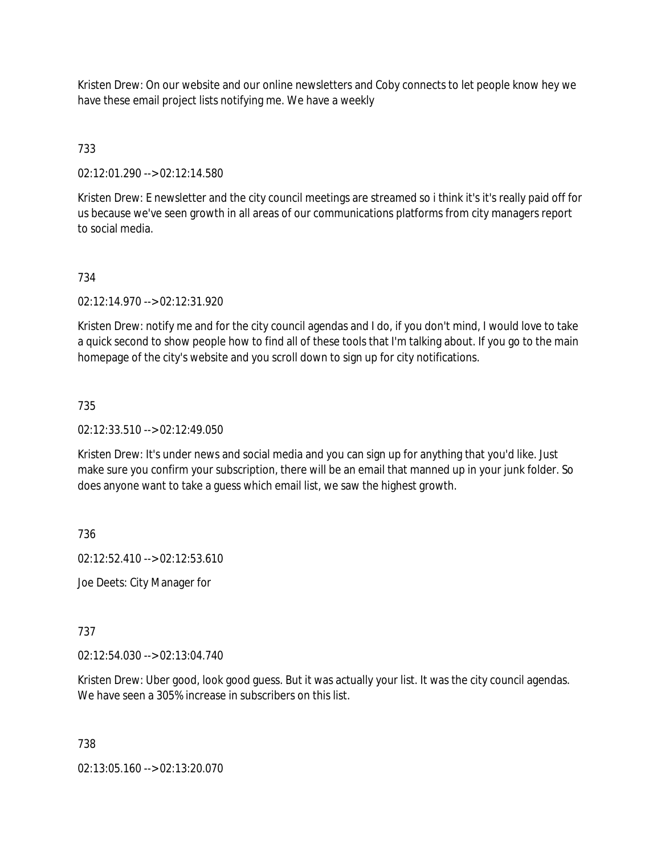Kristen Drew: On our website and our online newsletters and Coby connects to let people know hey we have these email project lists notifying me. We have a weekly

# 733

02:12:01.290 --> 02:12:14.580

Kristen Drew: E newsletter and the city council meetings are streamed so i think it's it's really paid off for us because we've seen growth in all areas of our communications platforms from city managers report to social media.

# 734

02:12:14.970 --> 02:12:31.920

Kristen Drew: notify me and for the city council agendas and I do, if you don't mind, I would love to take a quick second to show people how to find all of these tools that I'm talking about. If you go to the main homepage of the city's website and you scroll down to sign up for city notifications.

# 735

# 02:12:33.510 --> 02:12:49.050

Kristen Drew: It's under news and social media and you can sign up for anything that you'd like. Just make sure you confirm your subscription, there will be an email that manned up in your junk folder. So does anyone want to take a guess which email list, we saw the highest growth.

736

02:12:52.410 --> 02:12:53.610

Joe Deets: City Manager for

# 737

02:12:54.030 --> 02:13:04.740

Kristen Drew: Uber good, look good guess. But it was actually your list. It was the city council agendas. We have seen a 305% increase in subscribers on this list.

# 738

02:13:05.160 --> 02:13:20.070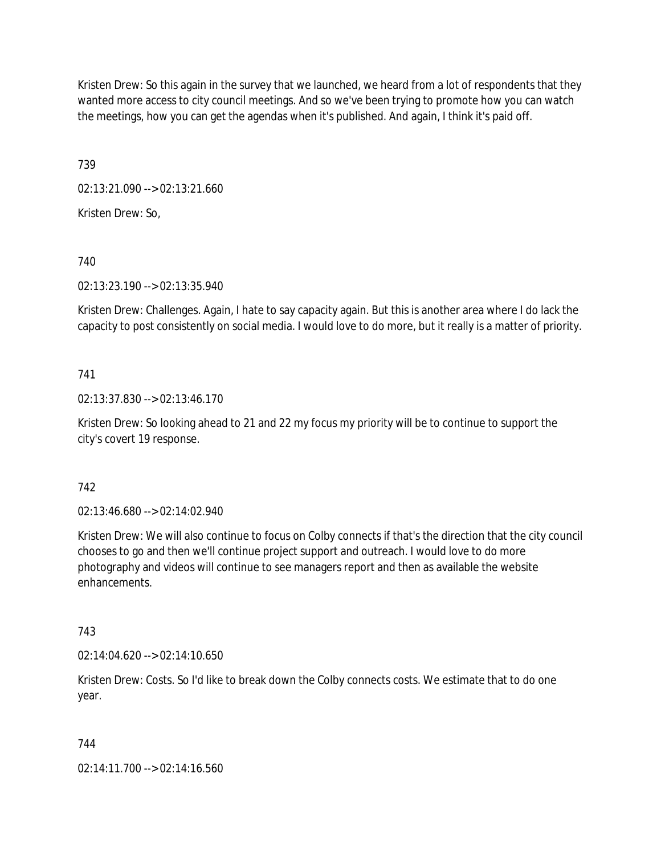Kristen Drew: So this again in the survey that we launched, we heard from a lot of respondents that they wanted more access to city council meetings. And so we've been trying to promote how you can watch the meetings, how you can get the agendas when it's published. And again, I think it's paid off.

739

02:13:21.090 --> 02:13:21.660

Kristen Drew: So,

740

02:13:23.190 --> 02:13:35.940

Kristen Drew: Challenges. Again, I hate to say capacity again. But this is another area where I do lack the capacity to post consistently on social media. I would love to do more, but it really is a matter of priority.

# 741

02:13:37.830 --> 02:13:46.170

Kristen Drew: So looking ahead to 21 and 22 my focus my priority will be to continue to support the city's covert 19 response.

# 742

02:13:46.680 --> 02:14:02.940

Kristen Drew: We will also continue to focus on Colby connects if that's the direction that the city council chooses to go and then we'll continue project support and outreach. I would love to do more photography and videos will continue to see managers report and then as available the website enhancements.

# 743

 $02:14:04.620 \rightarrow 02:14:10.650$ 

Kristen Drew: Costs. So I'd like to break down the Colby connects costs. We estimate that to do one year.

# 744

02:14:11.700 --> 02:14:16.560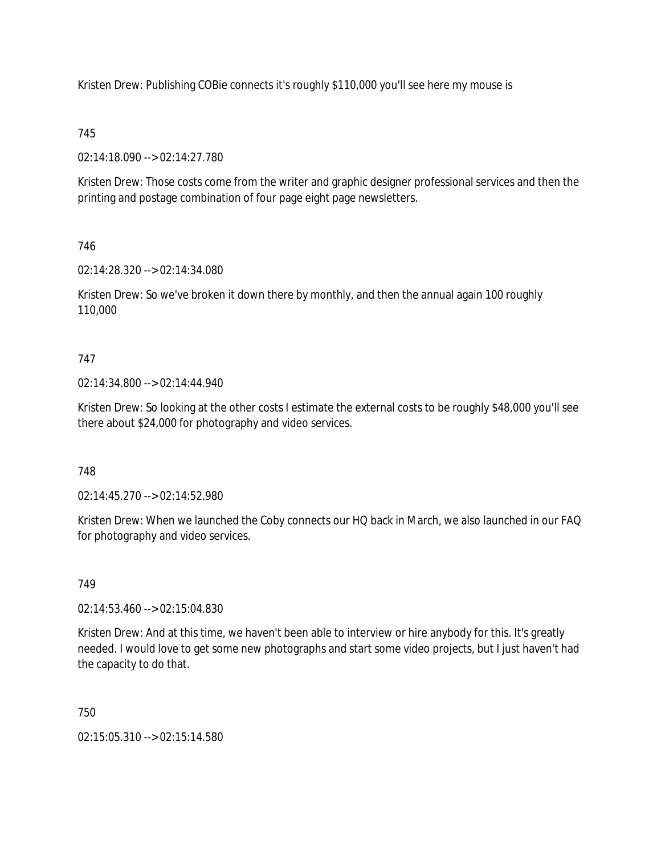Kristen Drew: Publishing COBie connects it's roughly \$110,000 you'll see here my mouse is

# 745

02:14:18.090 --> 02:14:27.780

Kristen Drew: Those costs come from the writer and graphic designer professional services and then the printing and postage combination of four page eight page newsletters.

# 746

02:14:28.320 --> 02:14:34.080

Kristen Drew: So we've broken it down there by monthly, and then the annual again 100 roughly 110,000

# 747

02:14:34.800 --> 02:14:44.940

Kristen Drew: So looking at the other costs I estimate the external costs to be roughly \$48,000 you'll see there about \$24,000 for photography and video services.

# 748

02:14:45.270 --> 02:14:52.980

Kristen Drew: When we launched the Coby connects our HQ back in March, we also launched in our FAQ for photography and video services.

# 749

02:14:53.460 --> 02:15:04.830

Kristen Drew: And at this time, we haven't been able to interview or hire anybody for this. It's greatly needed. I would love to get some new photographs and start some video projects, but I just haven't had the capacity to do that.

# 750

02:15:05.310 --> 02:15:14.580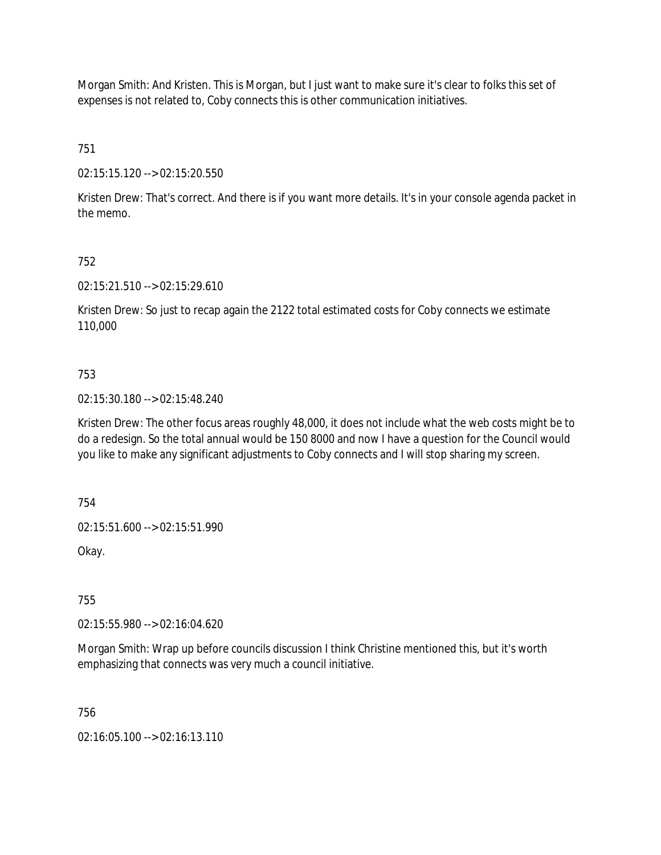Morgan Smith: And Kristen. This is Morgan, but I just want to make sure it's clear to folks this set of expenses is not related to, Coby connects this is other communication initiatives.

751

02:15:15.120 --> 02:15:20.550

Kristen Drew: That's correct. And there is if you want more details. It's in your console agenda packet in the memo.

752

02:15:21.510 --> 02:15:29.610

Kristen Drew: So just to recap again the 2122 total estimated costs for Coby connects we estimate 110,000

# 753

02:15:30.180 --> 02:15:48.240

Kristen Drew: The other focus areas roughly 48,000, it does not include what the web costs might be to do a redesign. So the total annual would be 150 8000 and now I have a question for the Council would you like to make any significant adjustments to Coby connects and I will stop sharing my screen.

754

02:15:51.600 --> 02:15:51.990

Okay.

755

02:15:55.980 --> 02:16:04.620

Morgan Smith: Wrap up before councils discussion I think Christine mentioned this, but it's worth emphasizing that connects was very much a council initiative.

756

02:16:05.100 --> 02:16:13.110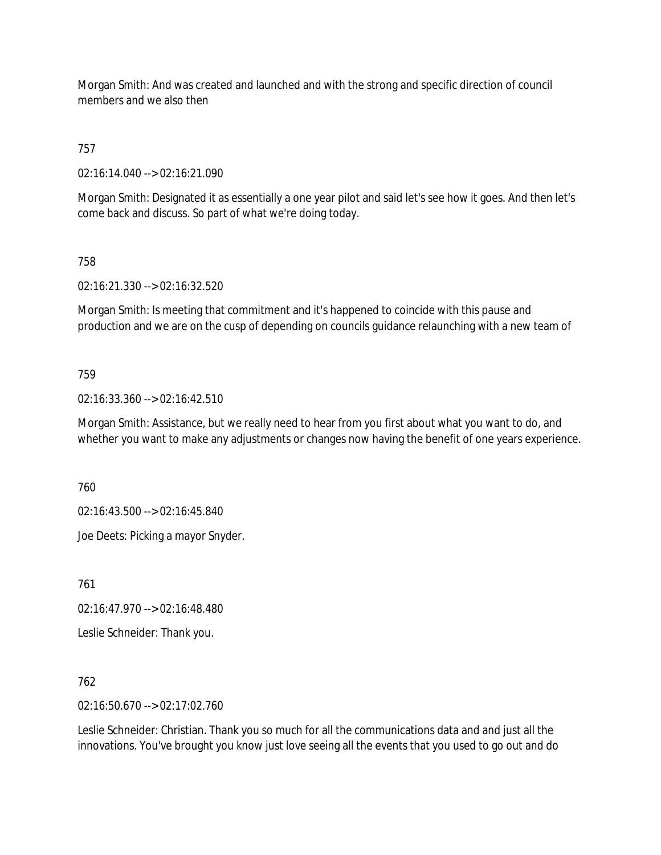Morgan Smith: And was created and launched and with the strong and specific direction of council members and we also then

# 757

02:16:14.040 --> 02:16:21.090

Morgan Smith: Designated it as essentially a one year pilot and said let's see how it goes. And then let's come back and discuss. So part of what we're doing today.

# 758

02:16:21.330 --> 02:16:32.520

Morgan Smith: Is meeting that commitment and it's happened to coincide with this pause and production and we are on the cusp of depending on councils guidance relaunching with a new team of

# 759

02:16:33.360 --> 02:16:42.510

Morgan Smith: Assistance, but we really need to hear from you first about what you want to do, and whether you want to make any adjustments or changes now having the benefit of one years experience.

760

02:16:43.500 --> 02:16:45.840

Joe Deets: Picking a mayor Snyder.

761

02:16:47.970 --> 02:16:48.480

Leslie Schneider: Thank you.

# 762

02:16:50.670 --> 02:17:02.760

Leslie Schneider: Christian. Thank you so much for all the communications data and and just all the innovations. You've brought you know just love seeing all the events that you used to go out and do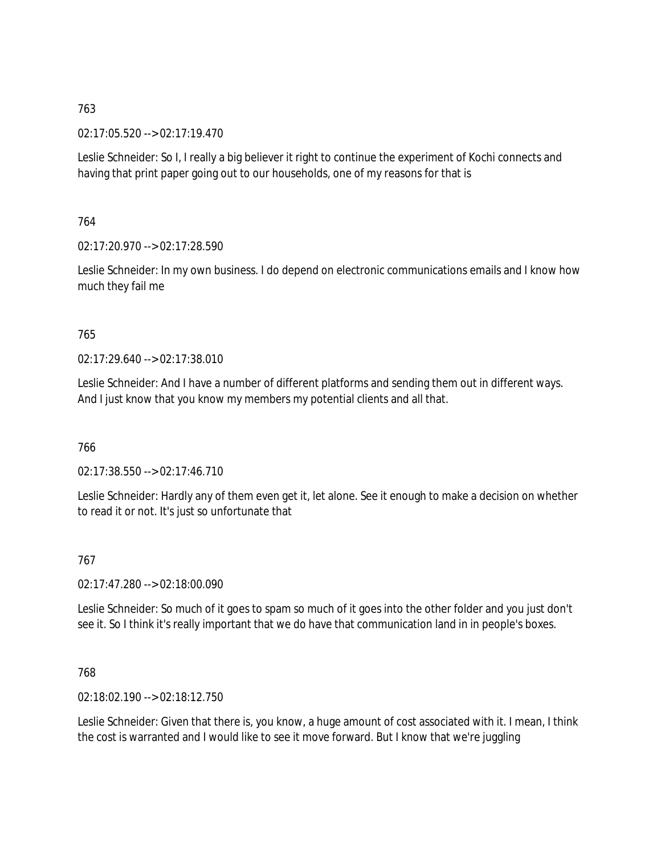02:17:05.520 --> 02:17:19.470

Leslie Schneider: So I, I really a big believer it right to continue the experiment of Kochi connects and having that print paper going out to our households, one of my reasons for that is

764

02:17:20.970 --> 02:17:28.590

Leslie Schneider: In my own business. I do depend on electronic communications emails and I know how much they fail me

765

02:17:29.640 --> 02:17:38.010

Leslie Schneider: And I have a number of different platforms and sending them out in different ways. And I just know that you know my members my potential clients and all that.

766

02:17:38.550 --> 02:17:46.710

Leslie Schneider: Hardly any of them even get it, let alone. See it enough to make a decision on whether to read it or not. It's just so unfortunate that

767

02:17:47.280 --> 02:18:00.090

Leslie Schneider: So much of it goes to spam so much of it goes into the other folder and you just don't see it. So I think it's really important that we do have that communication land in in people's boxes.

768

02:18:02.190 --> 02:18:12.750

Leslie Schneider: Given that there is, you know, a huge amount of cost associated with it. I mean, I think the cost is warranted and I would like to see it move forward. But I know that we're juggling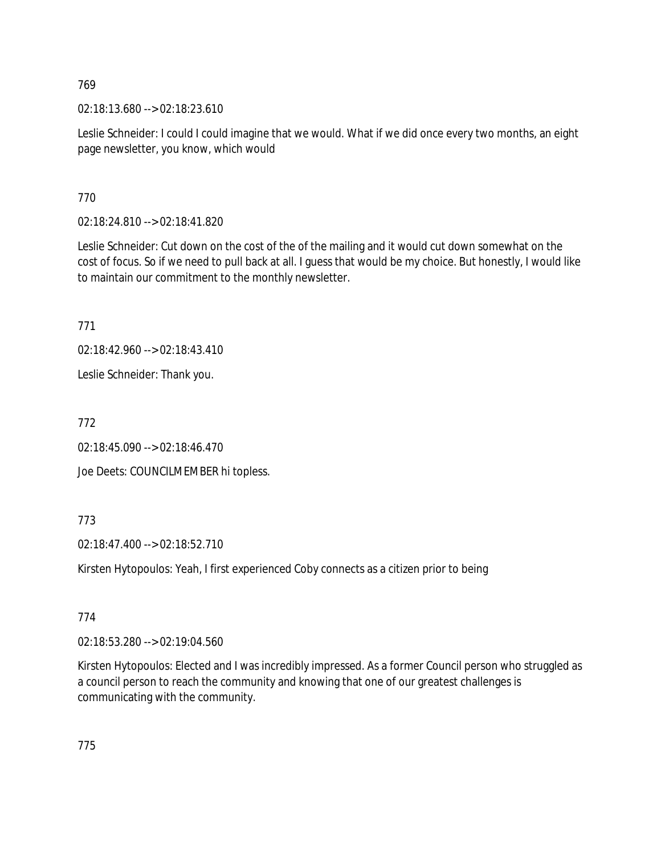02:18:13.680 --> 02:18:23.610

Leslie Schneider: I could I could imagine that we would. What if we did once every two months, an eight page newsletter, you know, which would

770

02:18:24.810 --> 02:18:41.820

Leslie Schneider: Cut down on the cost of the of the mailing and it would cut down somewhat on the cost of focus. So if we need to pull back at all. I guess that would be my choice. But honestly, I would like to maintain our commitment to the monthly newsletter.

771

02:18:42.960 --> 02:18:43.410

Leslie Schneider: Thank you.

772

02:18:45.090 --> 02:18:46.470 Joe Deets: COUNCILMEMBER hi topless.

773

02:18:47.400 --> 02:18:52.710

Kirsten Hytopoulos: Yeah, I first experienced Coby connects as a citizen prior to being

774

02:18:53.280 --> 02:19:04.560

Kirsten Hytopoulos: Elected and I was incredibly impressed. As a former Council person who struggled as a council person to reach the community and knowing that one of our greatest challenges is communicating with the community.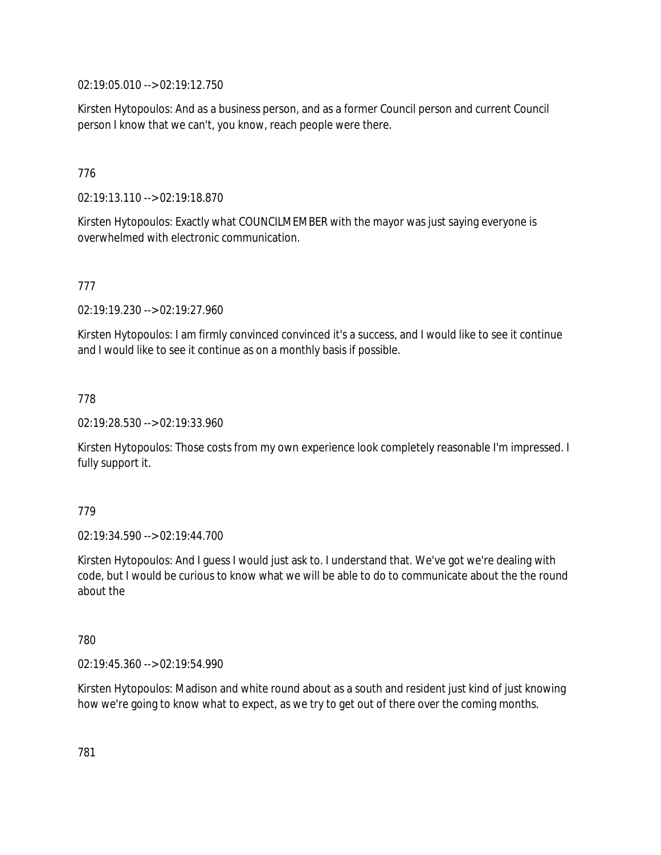02:19:05.010 --> 02:19:12.750

Kirsten Hytopoulos: And as a business person, and as a former Council person and current Council person I know that we can't, you know, reach people were there.

# 776

02:19:13.110 --> 02:19:18.870

Kirsten Hytopoulos: Exactly what COUNCILMEMBER with the mayor was just saying everyone is overwhelmed with electronic communication.

# 777

02:19:19.230 --> 02:19:27.960

Kirsten Hytopoulos: I am firmly convinced convinced it's a success, and I would like to see it continue and I would like to see it continue as on a monthly basis if possible.

# 778

02:19:28.530 --> 02:19:33.960

Kirsten Hytopoulos: Those costs from my own experience look completely reasonable I'm impressed. I fully support it.

# 779

02:19:34.590 --> 02:19:44.700

Kirsten Hytopoulos: And I guess I would just ask to. I understand that. We've got we're dealing with code, but I would be curious to know what we will be able to do to communicate about the the round about the

# 780

02:19:45.360 --> 02:19:54.990

Kirsten Hytopoulos: Madison and white round about as a south and resident just kind of just knowing how we're going to know what to expect, as we try to get out of there over the coming months.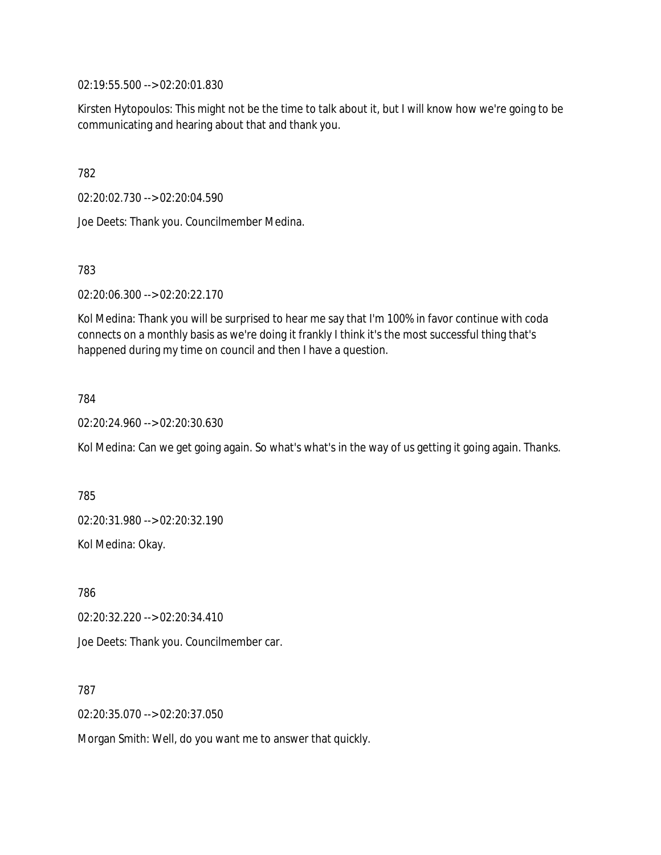02:19:55.500 --> 02:20:01.830

Kirsten Hytopoulos: This might not be the time to talk about it, but I will know how we're going to be communicating and hearing about that and thank you.

782

02:20:02.730 --> 02:20:04.590

Joe Deets: Thank you. Councilmember Medina.

783

02:20:06.300 --> 02:20:22.170

Kol Medina: Thank you will be surprised to hear me say that I'm 100% in favor continue with coda connects on a monthly basis as we're doing it frankly I think it's the most successful thing that's happened during my time on council and then I have a question.

784

02:20:24.960 --> 02:20:30.630

Kol Medina: Can we get going again. So what's what's in the way of us getting it going again. Thanks.

785 02:20:31.980 --> 02:20:32.190 Kol Medina: Okay.

786 02:20:32.220 --> 02:20:34.410 Joe Deets: Thank you. Councilmember car.

787

02:20:35.070 --> 02:20:37.050

Morgan Smith: Well, do you want me to answer that quickly.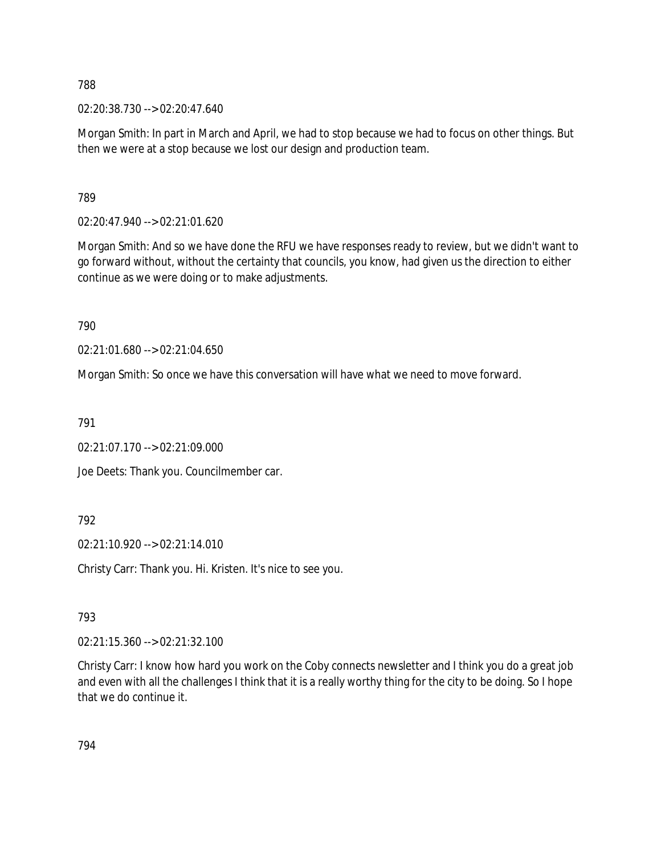02:20:38.730 --> 02:20:47.640

Morgan Smith: In part in March and April, we had to stop because we had to focus on other things. But then we were at a stop because we lost our design and production team.

789

02:20:47.940 --> 02:21:01.620

Morgan Smith: And so we have done the RFU we have responses ready to review, but we didn't want to go forward without, without the certainty that councils, you know, had given us the direction to either continue as we were doing or to make adjustments.

790

02:21:01.680 --> 02:21:04.650

Morgan Smith: So once we have this conversation will have what we need to move forward.

791

02:21:07.170 --> 02:21:09.000

Joe Deets: Thank you. Councilmember car.

792

02:21:10.920 --> 02:21:14.010

Christy Carr: Thank you. Hi. Kristen. It's nice to see you.

793

02:21:15.360 --> 02:21:32.100

Christy Carr: I know how hard you work on the Coby connects newsletter and I think you do a great job and even with all the challenges I think that it is a really worthy thing for the city to be doing. So I hope that we do continue it.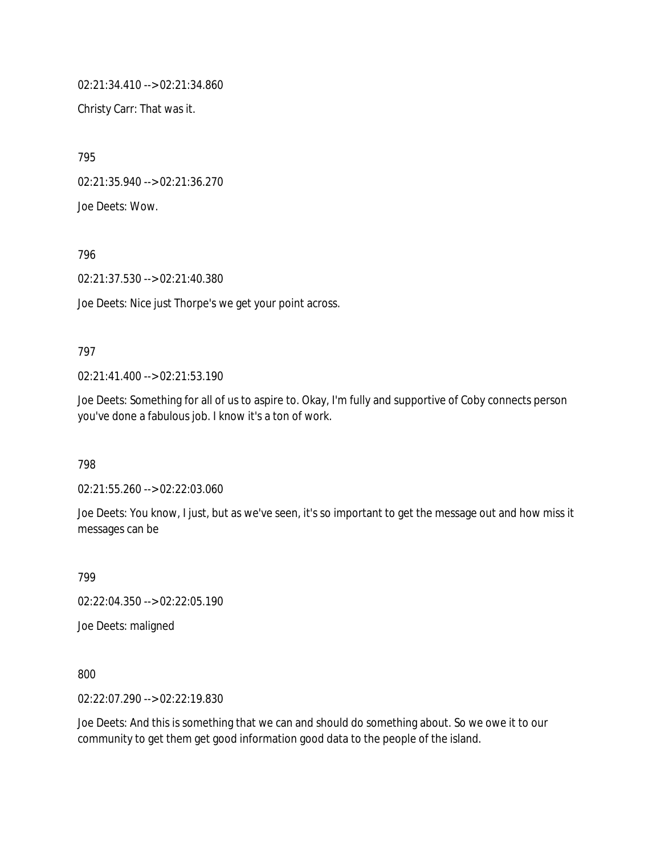02:21:34.410 --> 02:21:34.860

Christy Carr: That was it.

795

02:21:35.940 --> 02:21:36.270

Joe Deets: Wow.

796

02:21:37.530 --> 02:21:40.380

Joe Deets: Nice just Thorpe's we get your point across.

# 797

02:21:41.400 --> 02:21:53.190

Joe Deets: Something for all of us to aspire to. Okay, I'm fully and supportive of Coby connects person you've done a fabulous job. I know it's a ton of work.

798

02:21:55.260 --> 02:22:03.060

Joe Deets: You know, I just, but as we've seen, it's so important to get the message out and how miss it messages can be

799

02:22:04.350 --> 02:22:05.190

Joe Deets: maligned

800

02:22:07.290 --> 02:22:19.830

Joe Deets: And this is something that we can and should do something about. So we owe it to our community to get them get good information good data to the people of the island.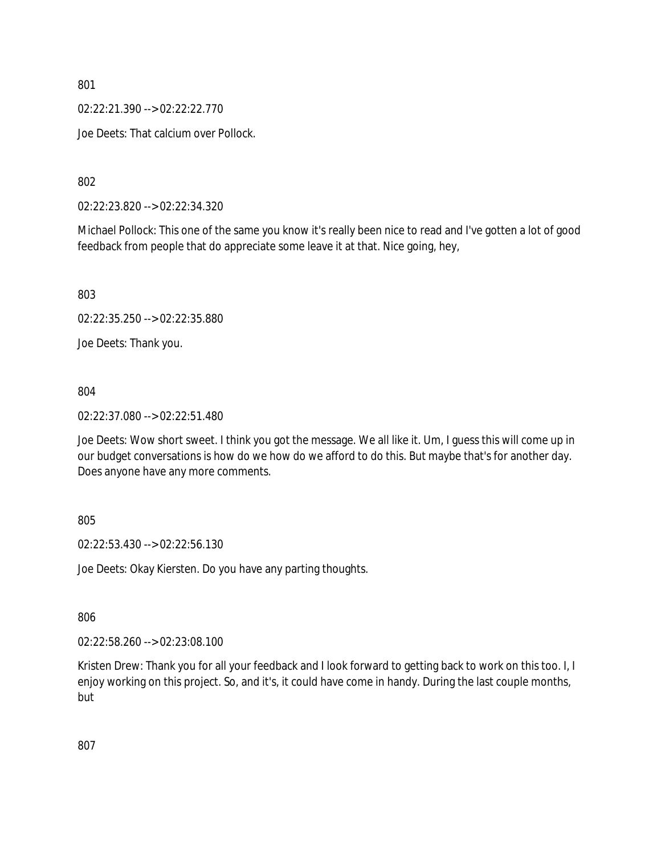02:22:21.390 --> 02:22:22.770

Joe Deets: That calcium over Pollock.

802

02:22:23.820 --> 02:22:34.320

Michael Pollock: This one of the same you know it's really been nice to read and I've gotten a lot of good feedback from people that do appreciate some leave it at that. Nice going, hey,

803

02:22:35.250 --> 02:22:35.880

Joe Deets: Thank you.

#### 804

02:22:37.080 --> 02:22:51.480

Joe Deets: Wow short sweet. I think you got the message. We all like it. Um, I guess this will come up in our budget conversations is how do we how do we afford to do this. But maybe that's for another day. Does anyone have any more comments.

#### 805

02:22:53.430 --> 02:22:56.130

Joe Deets: Okay Kiersten. Do you have any parting thoughts.

806

02:22:58.260 --> 02:23:08.100

Kristen Drew: Thank you for all your feedback and I look forward to getting back to work on this too. I, I enjoy working on this project. So, and it's, it could have come in handy. During the last couple months, but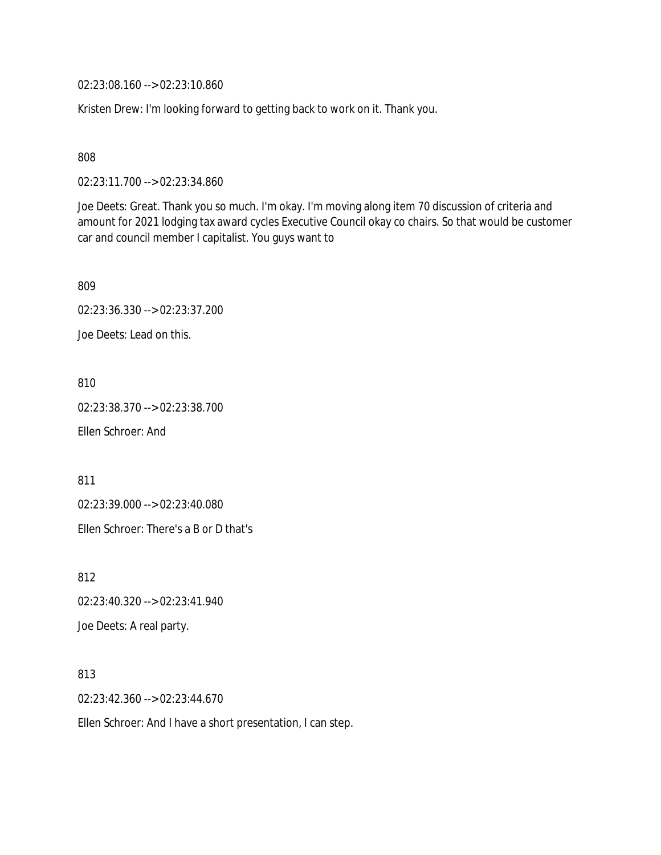02:23:08.160 --> 02:23:10.860

Kristen Drew: I'm looking forward to getting back to work on it. Thank you.

808

02:23:11.700 --> 02:23:34.860

Joe Deets: Great. Thank you so much. I'm okay. I'm moving along item 70 discussion of criteria and amount for 2021 lodging tax award cycles Executive Council okay co chairs. So that would be customer car and council member I capitalist. You guys want to

809 02:23:36.330 --> 02:23:37.200

Joe Deets: Lead on this.

810

02:23:38.370 --> 02:23:38.700

Ellen Schroer: And

811

02:23:39.000 --> 02:23:40.080

Ellen Schroer: There's a B or D that's

812

02:23:40.320 --> 02:23:41.940

Joe Deets: A real party.

813

02:23:42.360 --> 02:23:44.670

Ellen Schroer: And I have a short presentation, I can step.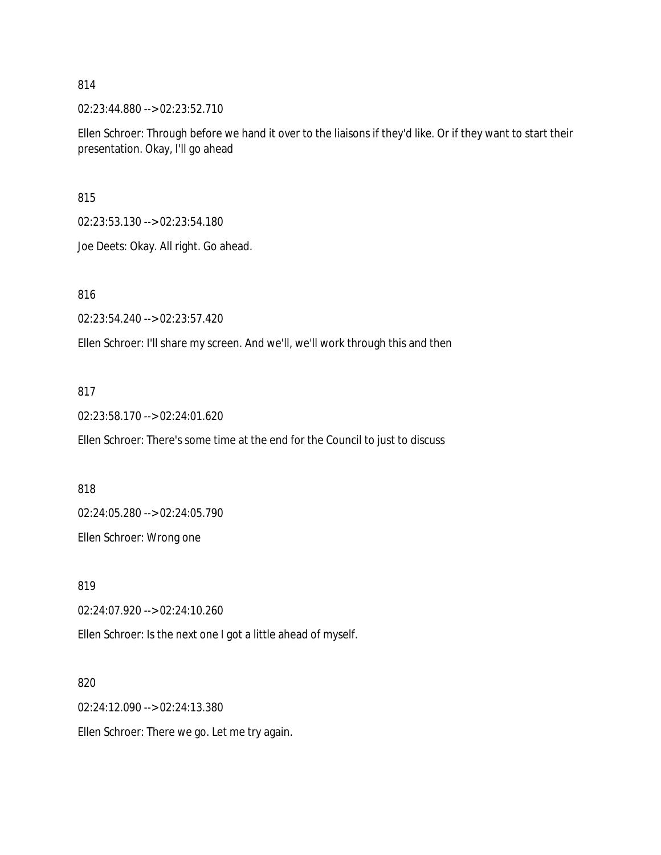02:23:44.880 --> 02:23:52.710

Ellen Schroer: Through before we hand it over to the liaisons if they'd like. Or if they want to start their presentation. Okay, I'll go ahead

815

02:23:53.130 --> 02:23:54.180

Joe Deets: Okay. All right. Go ahead.

816

02:23:54.240 --> 02:23:57.420

Ellen Schroer: I'll share my screen. And we'll, we'll work through this and then

#### 817

02:23:58.170 --> 02:24:01.620

Ellen Schroer: There's some time at the end for the Council to just to discuss

818

02:24:05.280 --> 02:24:05.790

Ellen Schroer: Wrong one

819

02:24:07.920 --> 02:24:10.260

Ellen Schroer: Is the next one I got a little ahead of myself.

820

02:24:12.090 --> 02:24:13.380

Ellen Schroer: There we go. Let me try again.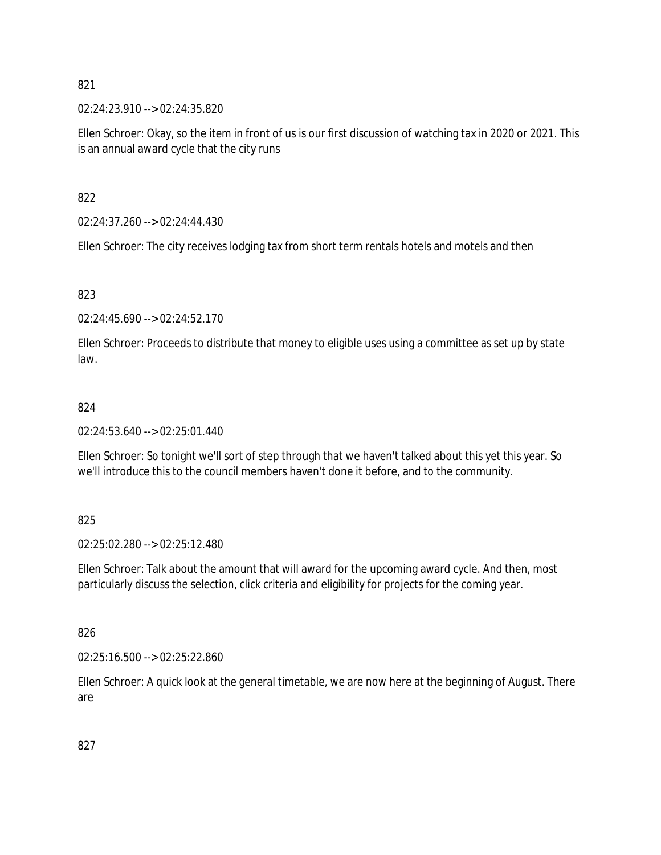02:24:23.910 --> 02:24:35.820

Ellen Schroer: Okay, so the item in front of us is our first discussion of watching tax in 2020 or 2021. This is an annual award cycle that the city runs

822

02:24:37.260 --> 02:24:44.430

Ellen Schroer: The city receives lodging tax from short term rentals hotels and motels and then

823

02:24:45.690 --> 02:24:52.170

Ellen Schroer: Proceeds to distribute that money to eligible uses using a committee as set up by state law.

#### 824

02:24:53.640 --> 02:25:01.440

Ellen Schroer: So tonight we'll sort of step through that we haven't talked about this yet this year. So we'll introduce this to the council members haven't done it before, and to the community.

825

02:25:02.280 --> 02:25:12.480

Ellen Schroer: Talk about the amount that will award for the upcoming award cycle. And then, most particularly discuss the selection, click criteria and eligibility for projects for the coming year.

826

02:25:16.500 --> 02:25:22.860

Ellen Schroer: A quick look at the general timetable, we are now here at the beginning of August. There are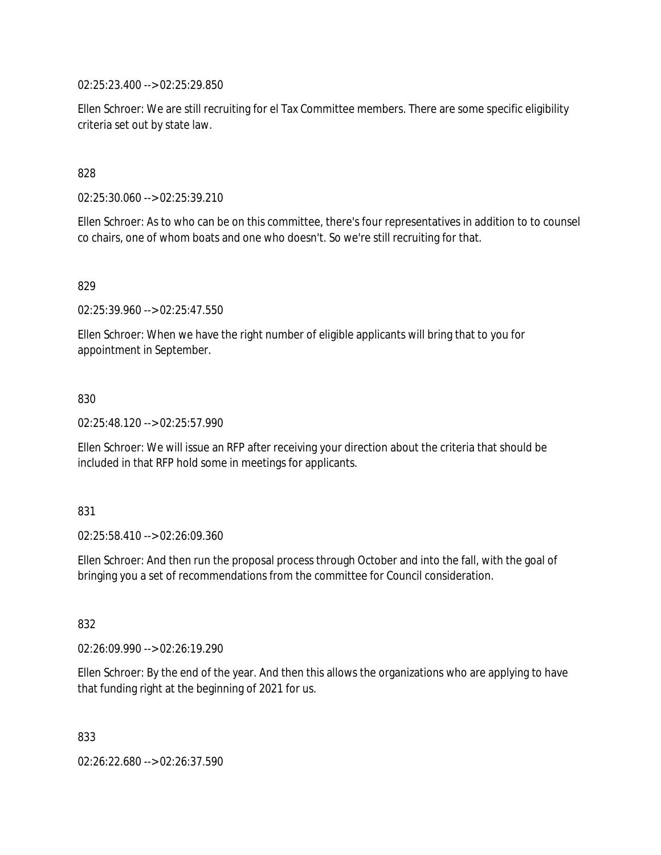02:25:23.400 --> 02:25:29.850

Ellen Schroer: We are still recruiting for el Tax Committee members. There are some specific eligibility criteria set out by state law.

828

02:25:30.060 --> 02:25:39.210

Ellen Schroer: As to who can be on this committee, there's four representatives in addition to to counsel co chairs, one of whom boats and one who doesn't. So we're still recruiting for that.

829

02:25:39.960 --> 02:25:47.550

Ellen Schroer: When we have the right number of eligible applicants will bring that to you for appointment in September.

830

02:25:48.120 --> 02:25:57.990

Ellen Schroer: We will issue an RFP after receiving your direction about the criteria that should be included in that RFP hold some in meetings for applicants.

831

02:25:58.410 --> 02:26:09.360

Ellen Schroer: And then run the proposal process through October and into the fall, with the goal of bringing you a set of recommendations from the committee for Council consideration.

832

02:26:09.990 --> 02:26:19.290

Ellen Schroer: By the end of the year. And then this allows the organizations who are applying to have that funding right at the beginning of 2021 for us.

833

02:26:22.680 --> 02:26:37.590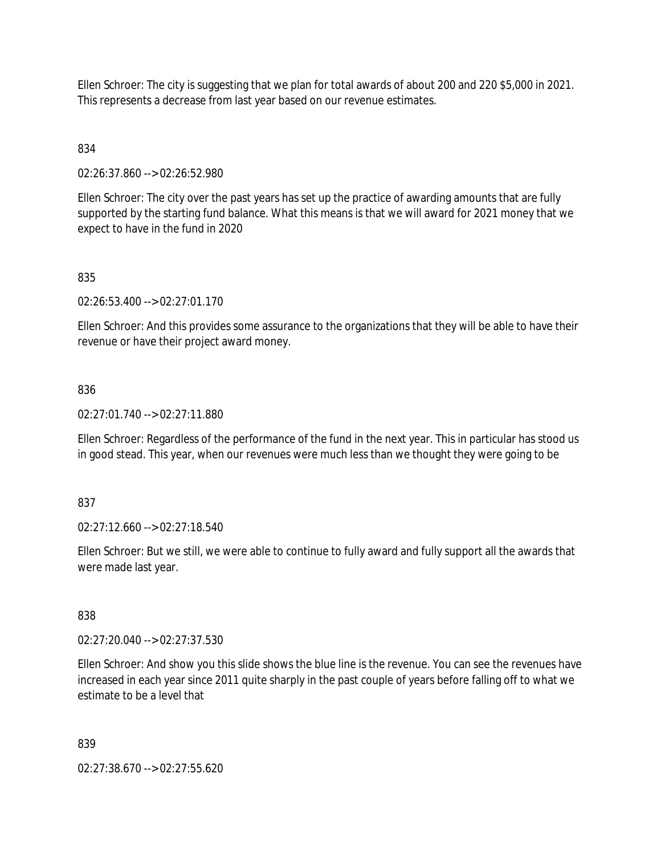Ellen Schroer: The city is suggesting that we plan for total awards of about 200 and 220 \$5,000 in 2021. This represents a decrease from last year based on our revenue estimates.

# 834

02:26:37.860 --> 02:26:52.980

Ellen Schroer: The city over the past years has set up the practice of awarding amounts that are fully supported by the starting fund balance. What this means is that we will award for 2021 money that we expect to have in the fund in 2020

# 835

02:26:53.400 --> 02:27:01.170

Ellen Schroer: And this provides some assurance to the organizations that they will be able to have their revenue or have their project award money.

# 836

02:27:01.740 --> 02:27:11.880

Ellen Schroer: Regardless of the performance of the fund in the next year. This in particular has stood us in good stead. This year, when our revenues were much less than we thought they were going to be

# 837

02:27:12.660 --> 02:27:18.540

Ellen Schroer: But we still, we were able to continue to fully award and fully support all the awards that were made last year.

# 838

02:27:20.040 --> 02:27:37.530

Ellen Schroer: And show you this slide shows the blue line is the revenue. You can see the revenues have increased in each year since 2011 quite sharply in the past couple of years before falling off to what we estimate to be a level that

839

02:27:38.670 --> 02:27:55.620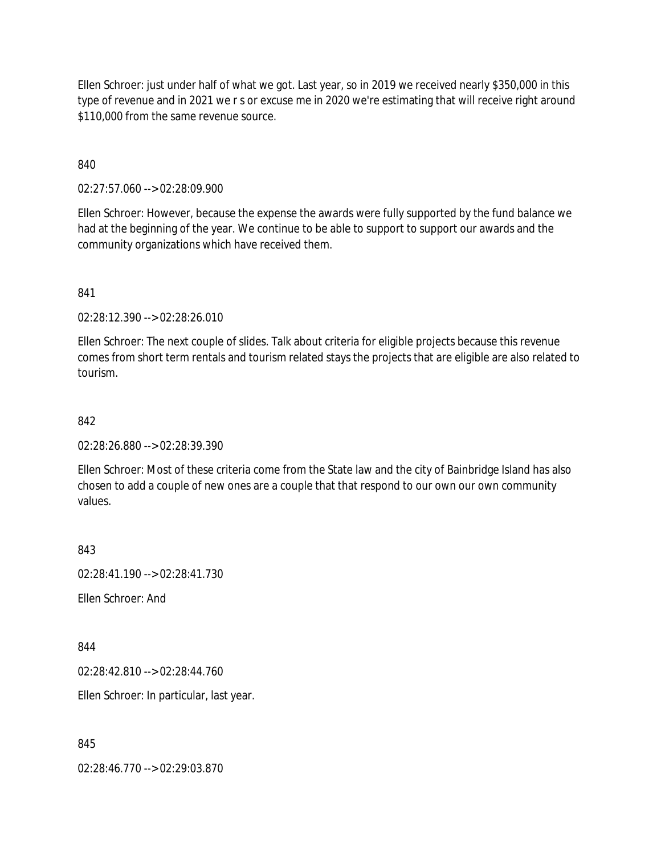Ellen Schroer: just under half of what we got. Last year, so in 2019 we received nearly \$350,000 in this type of revenue and in 2021 we r s or excuse me in 2020 we're estimating that will receive right around \$110,000 from the same revenue source.

840

02:27:57.060 --> 02:28:09.900

Ellen Schroer: However, because the expense the awards were fully supported by the fund balance we had at the beginning of the year. We continue to be able to support to support our awards and the community organizations which have received them.

841

02:28:12.390 --> 02:28:26.010

Ellen Schroer: The next couple of slides. Talk about criteria for eligible projects because this revenue comes from short term rentals and tourism related stays the projects that are eligible are also related to tourism.

842

02:28:26.880 --> 02:28:39.390

Ellen Schroer: Most of these criteria come from the State law and the city of Bainbridge Island has also chosen to add a couple of new ones are a couple that that respond to our own our own community values.

843

 $02.28:41.190 \rightarrow 02.28:41.730$ 

Ellen Schroer: And

844

02:28:42.810 --> 02:28:44.760

Ellen Schroer: In particular, last year.

845

02:28:46.770 --> 02:29:03.870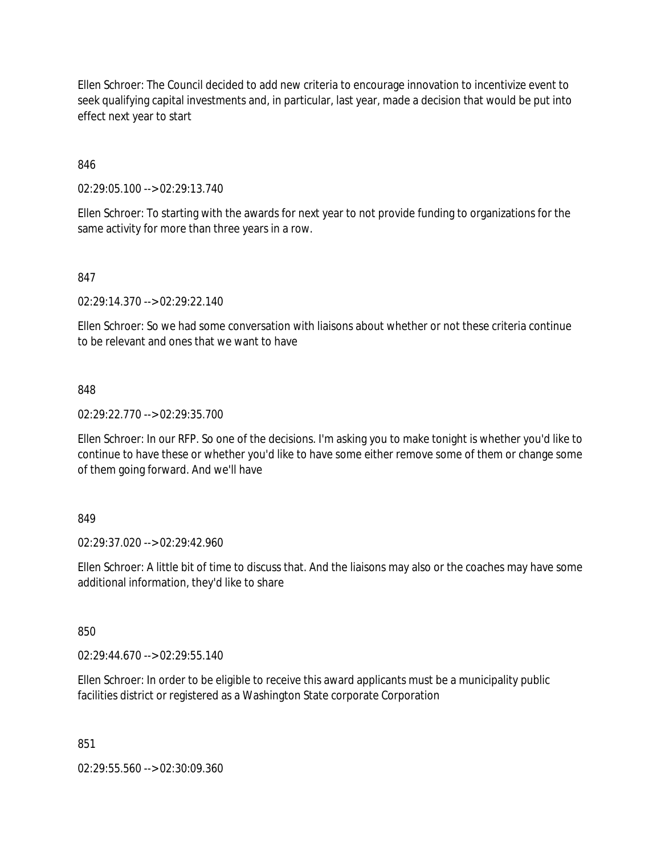Ellen Schroer: The Council decided to add new criteria to encourage innovation to incentivize event to seek qualifying capital investments and, in particular, last year, made a decision that would be put into effect next year to start

# 846

02:29:05.100 --> 02:29:13.740

Ellen Schroer: To starting with the awards for next year to not provide funding to organizations for the same activity for more than three years in a row.

# 847

02:29:14.370 --> 02:29:22.140

Ellen Schroer: So we had some conversation with liaisons about whether or not these criteria continue to be relevant and ones that we want to have

#### 848

02:29:22.770 --> 02:29:35.700

Ellen Schroer: In our RFP. So one of the decisions. I'm asking you to make tonight is whether you'd like to continue to have these or whether you'd like to have some either remove some of them or change some of them going forward. And we'll have

# 849

02:29:37.020 --> 02:29:42.960

Ellen Schroer: A little bit of time to discuss that. And the liaisons may also or the coaches may have some additional information, they'd like to share

#### 850

02:29:44.670 --> 02:29:55.140

Ellen Schroer: In order to be eligible to receive this award applicants must be a municipality public facilities district or registered as a Washington State corporate Corporation

#### 851

02:29:55.560 --> 02:30:09.360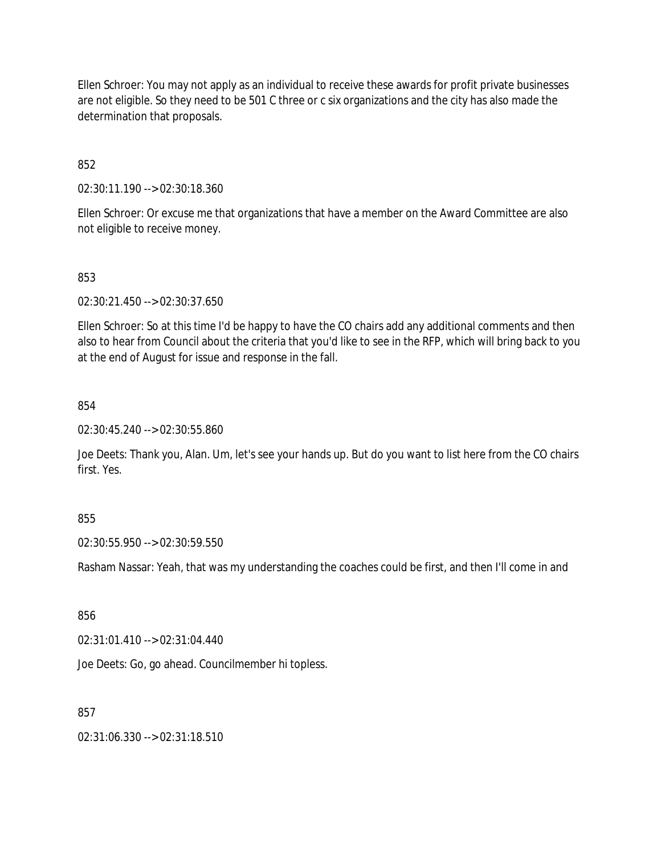Ellen Schroer: You may not apply as an individual to receive these awards for profit private businesses are not eligible. So they need to be 501 C three or c six organizations and the city has also made the determination that proposals.

852

02:30:11.190 --> 02:30:18.360

Ellen Schroer: Or excuse me that organizations that have a member on the Award Committee are also not eligible to receive money.

853

02:30:21.450 --> 02:30:37.650

Ellen Schroer: So at this time I'd be happy to have the CO chairs add any additional comments and then also to hear from Council about the criteria that you'd like to see in the RFP, which will bring back to you at the end of August for issue and response in the fall.

854

02:30:45.240 --> 02:30:55.860

Joe Deets: Thank you, Alan. Um, let's see your hands up. But do you want to list here from the CO chairs first. Yes.

855

02:30:55.950 --> 02:30:59.550

Rasham Nassar: Yeah, that was my understanding the coaches could be first, and then I'll come in and

856

02:31:01.410 --> 02:31:04.440

Joe Deets: Go, go ahead. Councilmember hi topless.

857

02:31:06.330 --> 02:31:18.510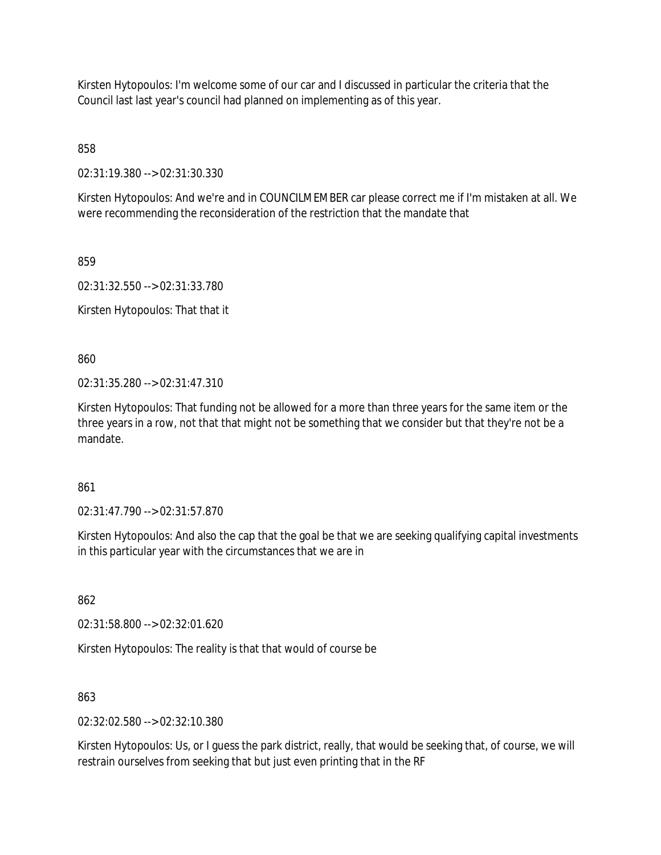Kirsten Hytopoulos: I'm welcome some of our car and I discussed in particular the criteria that the Council last last year's council had planned on implementing as of this year.

858

02:31:19.380 --> 02:31:30.330

Kirsten Hytopoulos: And we're and in COUNCILMEMBER car please correct me if I'm mistaken at all. We were recommending the reconsideration of the restriction that the mandate that

859

02:31:32.550 --> 02:31:33.780

Kirsten Hytopoulos: That that it

860

02:31:35.280 --> 02:31:47.310

Kirsten Hytopoulos: That funding not be allowed for a more than three years for the same item or the three years in a row, not that that might not be something that we consider but that they're not be a mandate.

861

02:31:47.790 --> 02:31:57.870

Kirsten Hytopoulos: And also the cap that the goal be that we are seeking qualifying capital investments in this particular year with the circumstances that we are in

862

02:31:58.800 --> 02:32:01.620

Kirsten Hytopoulos: The reality is that that would of course be

863

02:32:02.580 --> 02:32:10.380

Kirsten Hytopoulos: Us, or I guess the park district, really, that would be seeking that, of course, we will restrain ourselves from seeking that but just even printing that in the RF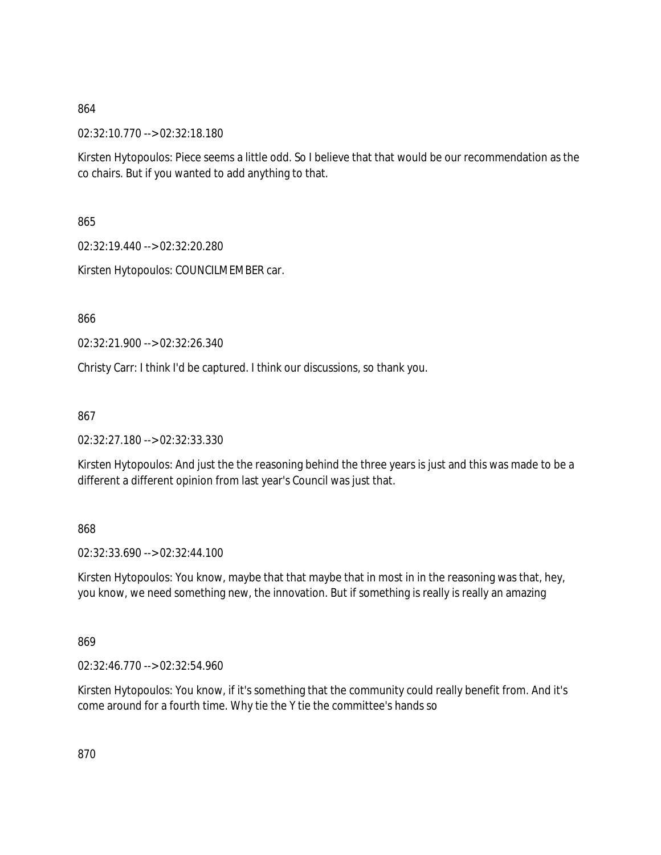02:32:10.770 --> 02:32:18.180

Kirsten Hytopoulos: Piece seems a little odd. So I believe that that would be our recommendation as the co chairs. But if you wanted to add anything to that.

865

02:32:19.440 --> 02:32:20.280

Kirsten Hytopoulos: COUNCILMEMBER car.

866

02:32:21.900 --> 02:32:26.340

Christy Carr: I think I'd be captured. I think our discussions, so thank you.

867

02:32:27.180 --> 02:32:33.330

Kirsten Hytopoulos: And just the the reasoning behind the three years is just and this was made to be a different a different opinion from last year's Council was just that.

868

02:32:33.690 --> 02:32:44.100

Kirsten Hytopoulos: You know, maybe that that maybe that in most in in the reasoning was that, hey, you know, we need something new, the innovation. But if something is really is really an amazing

869

02:32:46.770 --> 02:32:54.960

Kirsten Hytopoulos: You know, if it's something that the community could really benefit from. And it's come around for a fourth time. Why tie the Y tie the committee's hands so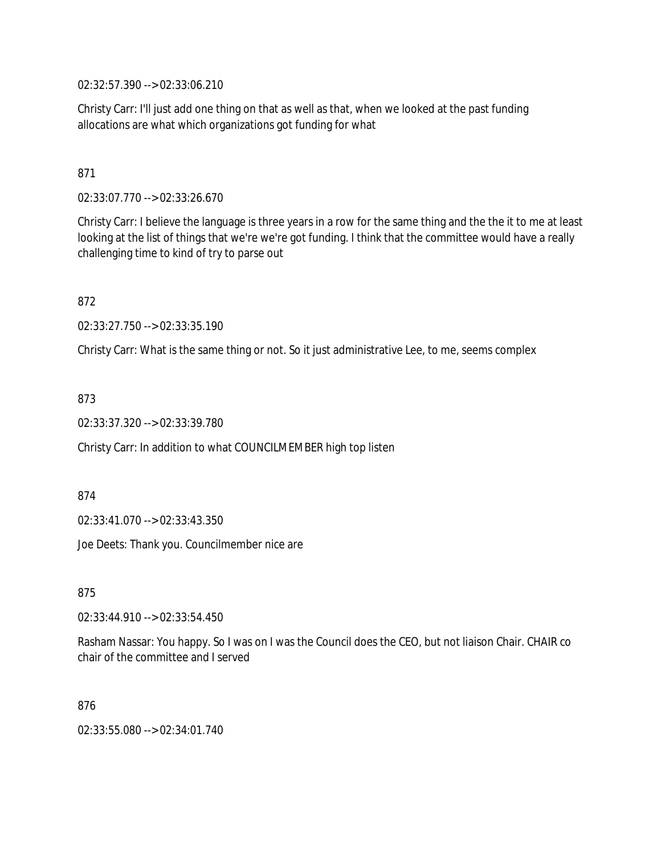02:32:57.390 --> 02:33:06.210

Christy Carr: I'll just add one thing on that as well as that, when we looked at the past funding allocations are what which organizations got funding for what

# 871

02:33:07.770 --> 02:33:26.670

Christy Carr: I believe the language is three years in a row for the same thing and the the it to me at least looking at the list of things that we're we're got funding. I think that the committee would have a really challenging time to kind of try to parse out

872

02:33:27.750 --> 02:33:35.190

Christy Carr: What is the same thing or not. So it just administrative Lee, to me, seems complex

873

02:33:37.320 --> 02:33:39.780

Christy Carr: In addition to what COUNCILMEMBER high top listen

874

02:33:41.070 --> 02:33:43.350

Joe Deets: Thank you. Councilmember nice are

875

02:33:44.910 --> 02:33:54.450

Rasham Nassar: You happy. So I was on I was the Council does the CEO, but not liaison Chair. CHAIR co chair of the committee and I served

#### 876

02:33:55.080 --> 02:34:01.740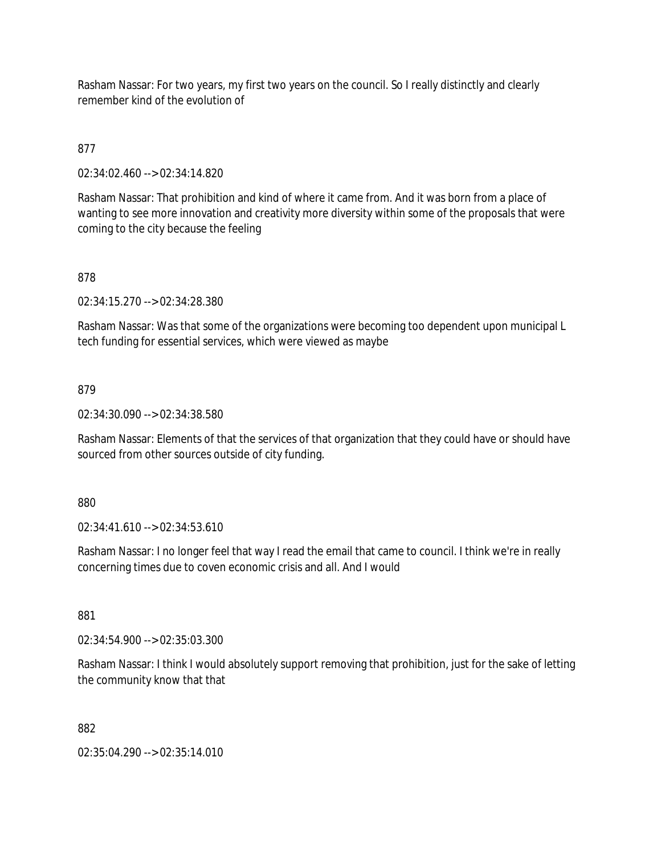Rasham Nassar: For two years, my first two years on the council. So I really distinctly and clearly remember kind of the evolution of

# 877

02:34:02.460 --> 02:34:14.820

Rasham Nassar: That prohibition and kind of where it came from. And it was born from a place of wanting to see more innovation and creativity more diversity within some of the proposals that were coming to the city because the feeling

# 878

02:34:15.270 --> 02:34:28.380

Rasham Nassar: Was that some of the organizations were becoming too dependent upon municipal L tech funding for essential services, which were viewed as maybe

#### 879

02:34:30.090 --> 02:34:38.580

Rasham Nassar: Elements of that the services of that organization that they could have or should have sourced from other sources outside of city funding.

880

02:34:41.610 --> 02:34:53.610

Rasham Nassar: I no longer feel that way I read the email that came to council. I think we're in really concerning times due to coven economic crisis and all. And I would

881

02:34:54.900 --> 02:35:03.300

Rasham Nassar: I think I would absolutely support removing that prohibition, just for the sake of letting the community know that that

882

02:35:04.290 --> 02:35:14.010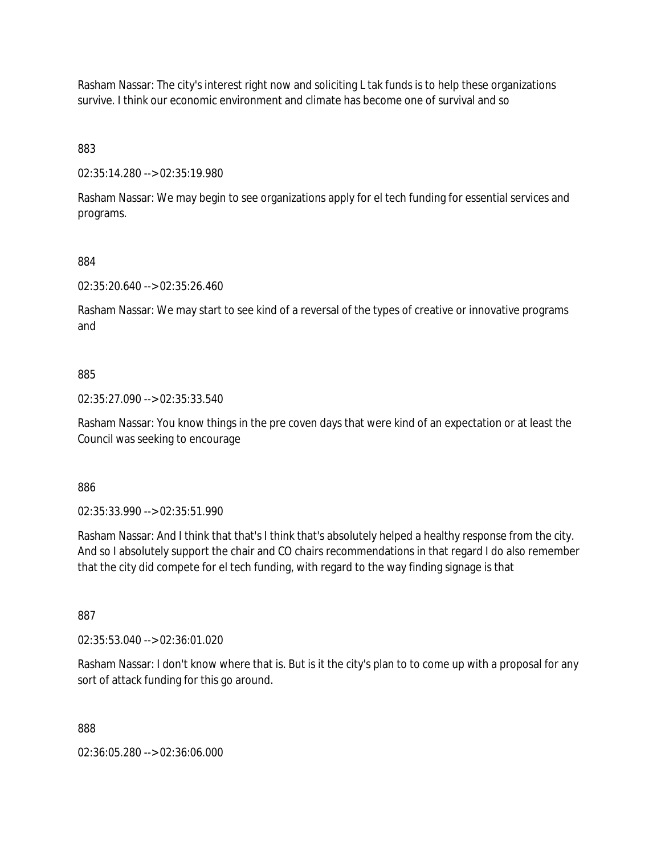Rasham Nassar: The city's interest right now and soliciting L tak funds is to help these organizations survive. I think our economic environment and climate has become one of survival and so

883

02:35:14.280 --> 02:35:19.980

Rasham Nassar: We may begin to see organizations apply for el tech funding for essential services and programs.

884

02:35:20.640 --> 02:35:26.460

Rasham Nassar: We may start to see kind of a reversal of the types of creative or innovative programs and

#### 885

02:35:27.090 --> 02:35:33.540

Rasham Nassar: You know things in the pre coven days that were kind of an expectation or at least the Council was seeking to encourage

886

02:35:33.990 --> 02:35:51.990

Rasham Nassar: And I think that that's I think that's absolutely helped a healthy response from the city. And so I absolutely support the chair and CO chairs recommendations in that regard I do also remember that the city did compete for el tech funding, with regard to the way finding signage is that

887

02:35:53.040 --> 02:36:01.020

Rasham Nassar: I don't know where that is. But is it the city's plan to to come up with a proposal for any sort of attack funding for this go around.

888

02:36:05.280 --> 02:36:06.000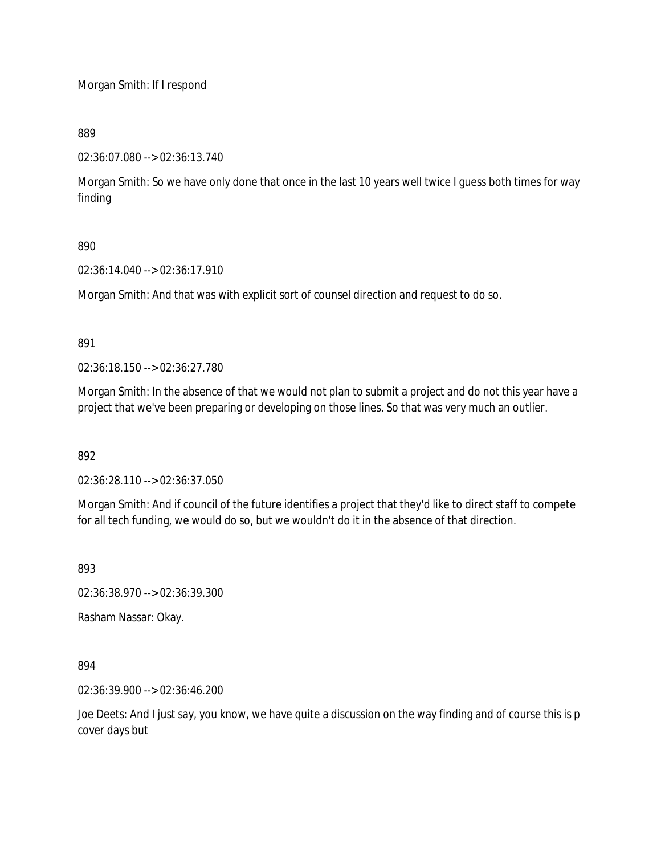Morgan Smith: If I respond

889

02:36:07.080 --> 02:36:13.740

Morgan Smith: So we have only done that once in the last 10 years well twice I guess both times for way finding

890

02:36:14.040 --> 02:36:17.910

Morgan Smith: And that was with explicit sort of counsel direction and request to do so.

891

02:36:18.150 --> 02:36:27.780

Morgan Smith: In the absence of that we would not plan to submit a project and do not this year have a project that we've been preparing or developing on those lines. So that was very much an outlier.

892

02:36:28.110 --> 02:36:37.050

Morgan Smith: And if council of the future identifies a project that they'd like to direct staff to compete for all tech funding, we would do so, but we wouldn't do it in the absence of that direction.

893

02:36:38.970 --> 02:36:39.300

Rasham Nassar: Okay.

894

02:36:39.900 --> 02:36:46.200

Joe Deets: And I just say, you know, we have quite a discussion on the way finding and of course this is p cover days but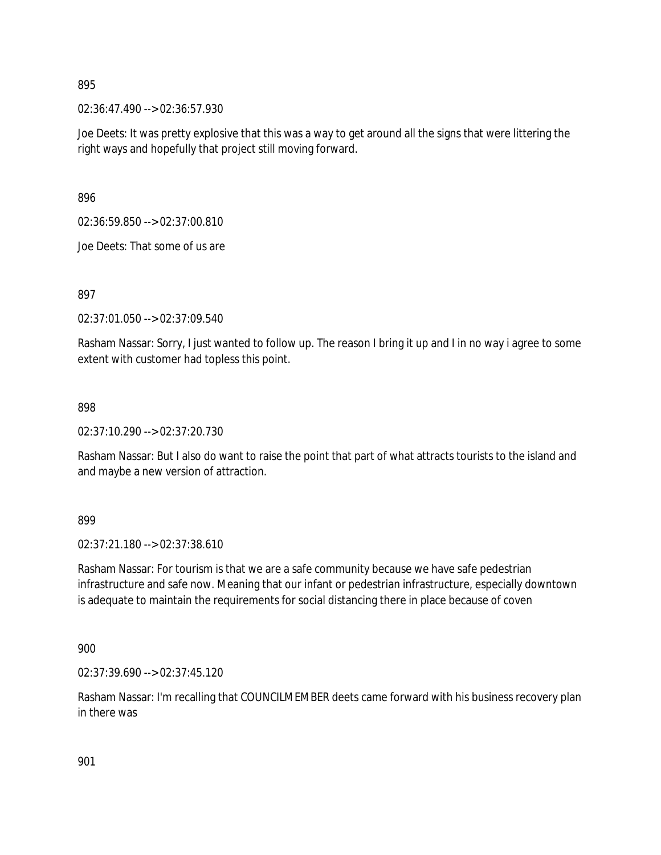02:36:47.490 --> 02:36:57.930

Joe Deets: It was pretty explosive that this was a way to get around all the signs that were littering the right ways and hopefully that project still moving forward.

896

02:36:59.850 --> 02:37:00.810

Joe Deets: That some of us are

897

02:37:01.050 --> 02:37:09.540

Rasham Nassar: Sorry, I just wanted to follow up. The reason I bring it up and I in no way i agree to some extent with customer had topless this point.

898

02:37:10.290 --> 02:37:20.730

Rasham Nassar: But I also do want to raise the point that part of what attracts tourists to the island and and maybe a new version of attraction.

899

02:37:21.180 --> 02:37:38.610

Rasham Nassar: For tourism is that we are a safe community because we have safe pedestrian infrastructure and safe now. Meaning that our infant or pedestrian infrastructure, especially downtown is adequate to maintain the requirements for social distancing there in place because of coven

900

02:37:39.690 --> 02:37:45.120

Rasham Nassar: I'm recalling that COUNCILMEMBER deets came forward with his business recovery plan in there was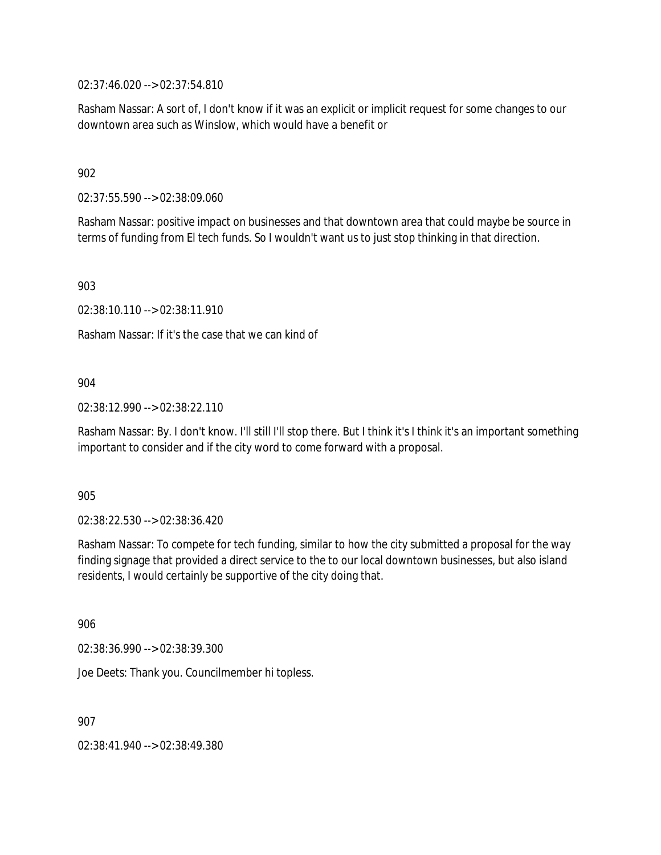02:37:46.020 --> 02:37:54.810

Rasham Nassar: A sort of, I don't know if it was an explicit or implicit request for some changes to our downtown area such as Winslow, which would have a benefit or

902

02:37:55.590 --> 02:38:09.060

Rasham Nassar: positive impact on businesses and that downtown area that could maybe be source in terms of funding from El tech funds. So I wouldn't want us to just stop thinking in that direction.

903

02:38:10.110 --> 02:38:11.910

Rasham Nassar: If it's the case that we can kind of

904

02:38:12.990 --> 02:38:22.110

Rasham Nassar: By. I don't know. I'll still I'll stop there. But I think it's I think it's an important something important to consider and if the city word to come forward with a proposal.

905

02:38:22.530 --> 02:38:36.420

Rasham Nassar: To compete for tech funding, similar to how the city submitted a proposal for the way finding signage that provided a direct service to the to our local downtown businesses, but also island residents, I would certainly be supportive of the city doing that.

906

02:38:36.990 --> 02:38:39.300

Joe Deets: Thank you. Councilmember hi topless.

907

02:38:41.940 --> 02:38:49.380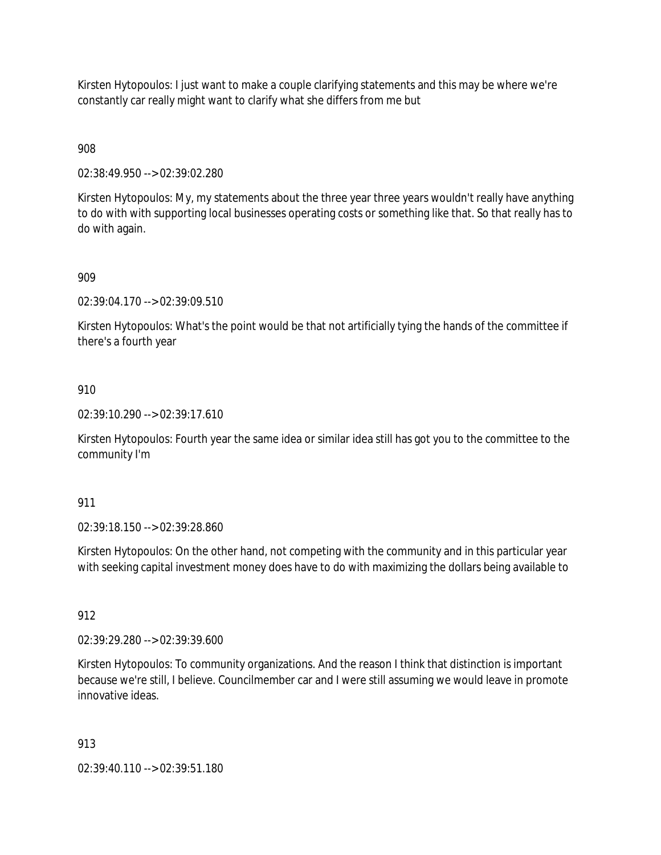Kirsten Hytopoulos: I just want to make a couple clarifying statements and this may be where we're constantly car really might want to clarify what she differs from me but

908

02:38:49.950 --> 02:39:02.280

Kirsten Hytopoulos: My, my statements about the three year three years wouldn't really have anything to do with with supporting local businesses operating costs or something like that. So that really has to do with again.

909

02:39:04.170 --> 02:39:09.510

Kirsten Hytopoulos: What's the point would be that not artificially tying the hands of the committee if there's a fourth year

910

02:39:10.290 --> 02:39:17.610

Kirsten Hytopoulos: Fourth year the same idea or similar idea still has got you to the committee to the community I'm

911

02:39:18.150 --> 02:39:28.860

Kirsten Hytopoulos: On the other hand, not competing with the community and in this particular year with seeking capital investment money does have to do with maximizing the dollars being available to

912

02:39:29.280 --> 02:39:39.600

Kirsten Hytopoulos: To community organizations. And the reason I think that distinction is important because we're still, I believe. Councilmember car and I were still assuming we would leave in promote innovative ideas.

913

02:39:40.110 --> 02:39:51.180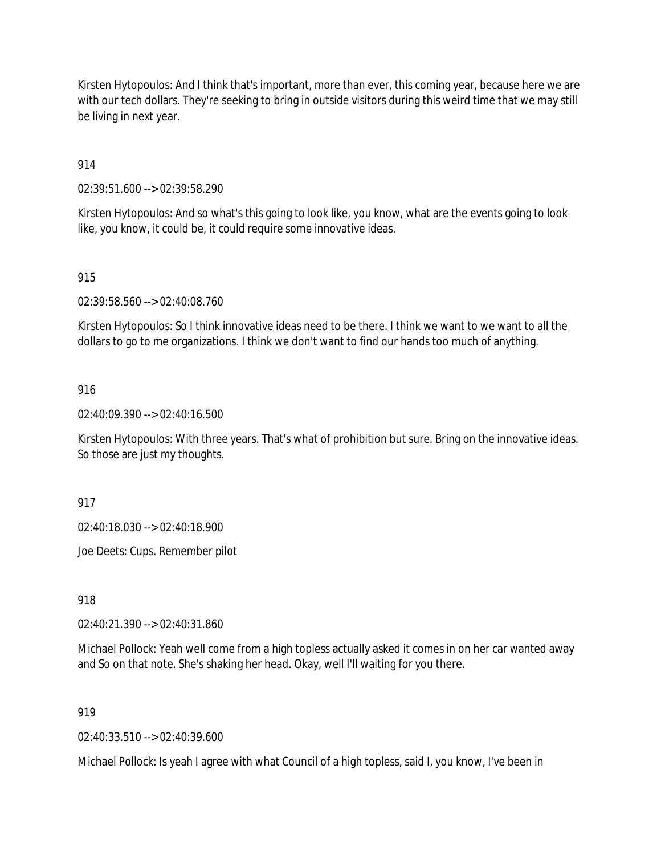Kirsten Hytopoulos: And I think that's important, more than ever, this coming year, because here we are with our tech dollars. They're seeking to bring in outside visitors during this weird time that we may still be living in next year.

914

02:39:51.600 --> 02:39:58.290

Kirsten Hytopoulos: And so what's this going to look like, you know, what are the events going to look like, you know, it could be, it could require some innovative ideas.

### 915

02:39:58.560 --> 02:40:08.760

Kirsten Hytopoulos: So I think innovative ideas need to be there. I think we want to we want to all the dollars to go to me organizations. I think we don't want to find our hands too much of anything.

### 916

02:40:09.390 --> 02:40:16.500

Kirsten Hytopoulos: With three years. That's what of prohibition but sure. Bring on the innovative ideas. So those are just my thoughts.

917

02:40:18.030 --> 02:40:18.900

Joe Deets: Cups. Remember pilot

918

02:40:21.390 --> 02:40:31.860

Michael Pollock: Yeah well come from a high topless actually asked it comes in on her car wanted away and So on that note. She's shaking her head. Okay, well I'll waiting for you there.

919

02:40:33.510 --> 02:40:39.600

Michael Pollock: Is yeah I agree with what Council of a high topless, said I, you know, I've been in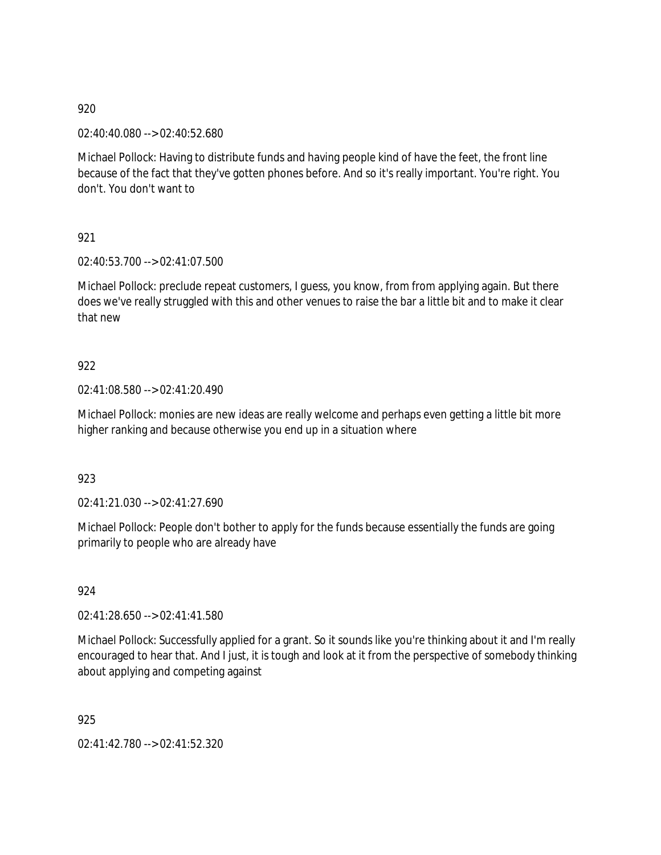02:40:40.080 --> 02:40:52.680

Michael Pollock: Having to distribute funds and having people kind of have the feet, the front line because of the fact that they've gotten phones before. And so it's really important. You're right. You don't. You don't want to

921

02:40:53.700 --> 02:41:07.500

Michael Pollock: preclude repeat customers, I guess, you know, from from applying again. But there does we've really struggled with this and other venues to raise the bar a little bit and to make it clear that new

922

02:41:08.580 --> 02:41:20.490

Michael Pollock: monies are new ideas are really welcome and perhaps even getting a little bit more higher ranking and because otherwise you end up in a situation where

923

02:41:21.030 --> 02:41:27.690

Michael Pollock: People don't bother to apply for the funds because essentially the funds are going primarily to people who are already have

924

02:41:28.650 --> 02:41:41.580

Michael Pollock: Successfully applied for a grant. So it sounds like you're thinking about it and I'm really encouraged to hear that. And I just, it is tough and look at it from the perspective of somebody thinking about applying and competing against

925

02:41:42.780 --> 02:41:52.320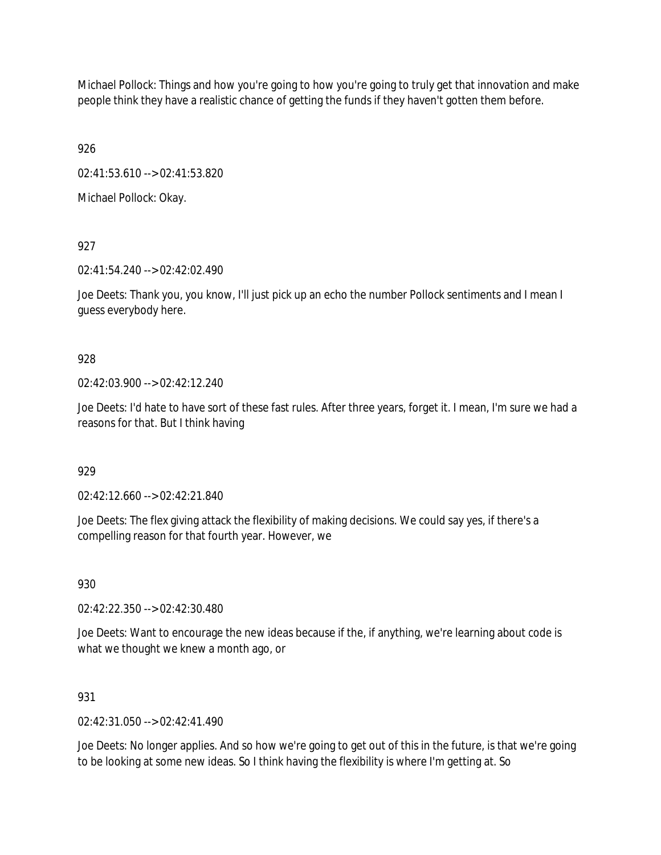Michael Pollock: Things and how you're going to how you're going to truly get that innovation and make people think they have a realistic chance of getting the funds if they haven't gotten them before.

926

02:41:53.610 --> 02:41:53.820

Michael Pollock: Okay.

927

02:41:54.240 --> 02:42:02.490

Joe Deets: Thank you, you know, I'll just pick up an echo the number Pollock sentiments and I mean I guess everybody here.

# 928

 $02.42.03.900 -5.02.42.12.240$ 

Joe Deets: I'd hate to have sort of these fast rules. After three years, forget it. I mean, I'm sure we had a reasons for that. But I think having

# 929

02:42:12.660 --> 02:42:21.840

Joe Deets: The flex giving attack the flexibility of making decisions. We could say yes, if there's a compelling reason for that fourth year. However, we

930

02:42:22.350 --> 02:42:30.480

Joe Deets: Want to encourage the new ideas because if the, if anything, we're learning about code is what we thought we knew a month ago, or

# 931

 $02.42.31.050 -502.42.41.490$ 

Joe Deets: No longer applies. And so how we're going to get out of this in the future, is that we're going to be looking at some new ideas. So I think having the flexibility is where I'm getting at. So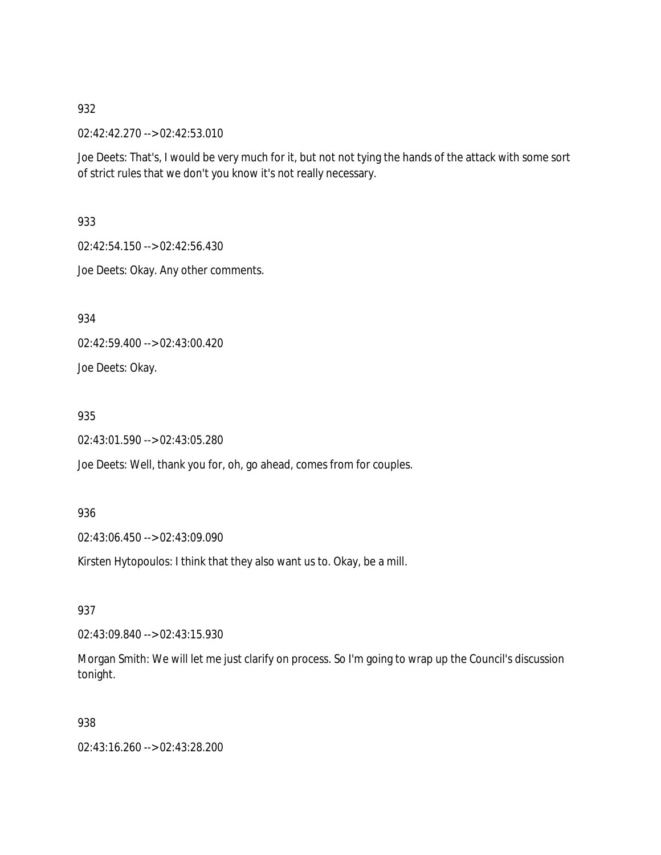02:42:42.270 --> 02:42:53.010

Joe Deets: That's, I would be very much for it, but not not tying the hands of the attack with some sort of strict rules that we don't you know it's not really necessary.

933

02:42:54.150 --> 02:42:56.430

Joe Deets: Okay. Any other comments.

934

02:42:59.400 --> 02:43:00.420

Joe Deets: Okay.

935

02:43:01.590 --> 02:43:05.280

Joe Deets: Well, thank you for, oh, go ahead, comes from for couples.

936

02:43:06.450 --> 02:43:09.090

Kirsten Hytopoulos: I think that they also want us to. Okay, be a mill.

937

02:43:09.840 --> 02:43:15.930

Morgan Smith: We will let me just clarify on process. So I'm going to wrap up the Council's discussion tonight.

938

02:43:16.260 --> 02:43:28.200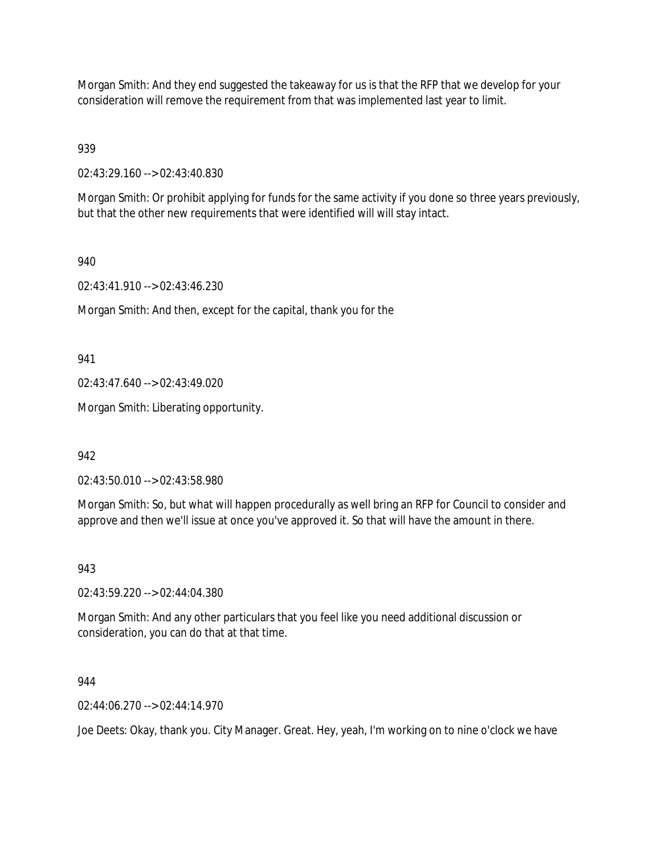Morgan Smith: And they end suggested the takeaway for us is that the RFP that we develop for your consideration will remove the requirement from that was implemented last year to limit.

939

02:43:29.160 --> 02:43:40.830

Morgan Smith: Or prohibit applying for funds for the same activity if you done so three years previously, but that the other new requirements that were identified will will stay intact.

940

02:43:41.910 --> 02:43:46.230

Morgan Smith: And then, except for the capital, thank you for the

941

02:43:47.640 --> 02:43:49.020

Morgan Smith: Liberating opportunity.

942

02:43:50.010 --> 02:43:58.980

Morgan Smith: So, but what will happen procedurally as well bring an RFP for Council to consider and approve and then we'll issue at once you've approved it. So that will have the amount in there.

943

02:43:59.220 --> 02:44:04.380

Morgan Smith: And any other particulars that you feel like you need additional discussion or consideration, you can do that at that time.

944

02:44:06.270 --> 02:44:14.970

Joe Deets: Okay, thank you. City Manager. Great. Hey, yeah, I'm working on to nine o'clock we have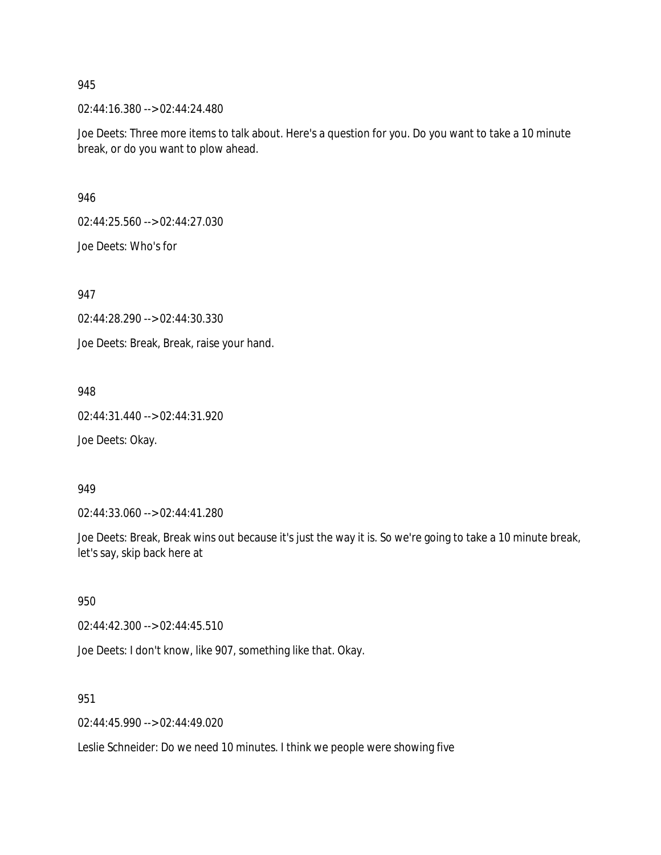02:44:16.380 --> 02:44:24.480

Joe Deets: Three more items to talk about. Here's a question for you. Do you want to take a 10 minute break, or do you want to plow ahead.

946

02:44:25.560 --> 02:44:27.030

Joe Deets: Who's for

947

02:44:28.290 --> 02:44:30.330

Joe Deets: Break, Break, raise your hand.

948

02:44:31.440 --> 02:44:31.920

Joe Deets: Okay.

#### 949

02:44:33.060 --> 02:44:41.280

Joe Deets: Break, Break wins out because it's just the way it is. So we're going to take a 10 minute break, let's say, skip back here at

950

02:44:42.300 --> 02:44:45.510

Joe Deets: I don't know, like 907, something like that. Okay.

951

02:44:45.990 --> 02:44:49.020

Leslie Schneider: Do we need 10 minutes. I think we people were showing five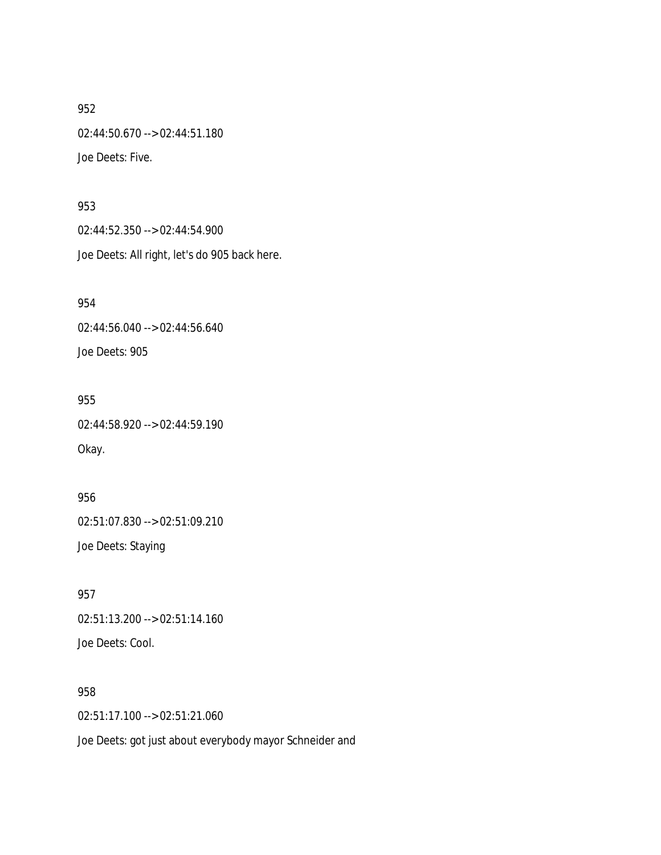02:44:50.670 --> 02:44:51.180

Joe Deets: Five.

## 953

02:44:52.350 --> 02:44:54.900 Joe Deets: All right, let's do 905 back here.

954 02:44:56.040 --> 02:44:56.640

Joe Deets: 905

955

02:44:58.920 --> 02:44:59.190 Okay.

956 02:51:07.830 --> 02:51:09.210 Joe Deets: Staying

957 02:51:13.200 --> 02:51:14.160 Joe Deets: Cool.

958 02:51:17.100 --> 02:51:21.060 Joe Deets: got just about everybody mayor Schneider and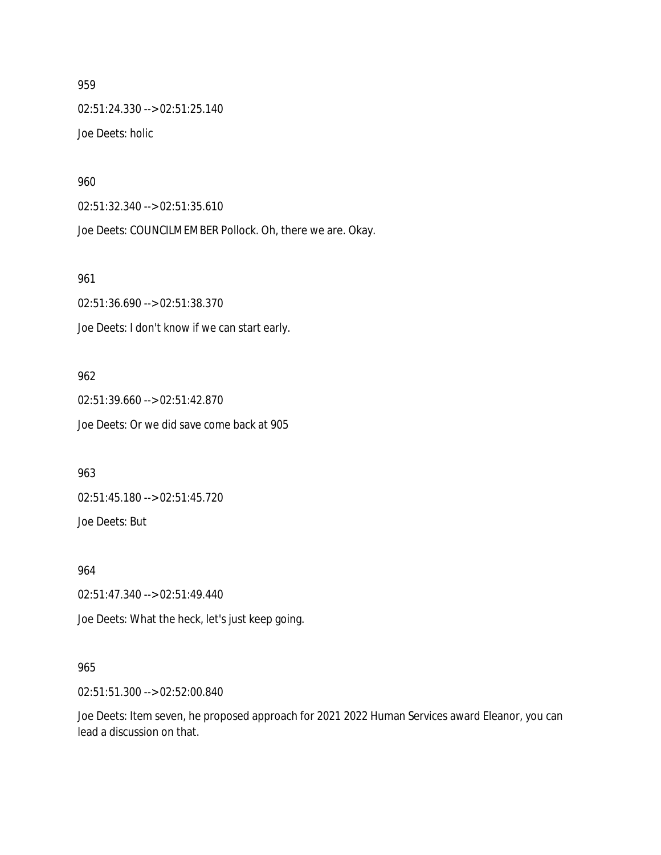02:51:24.330 --> 02:51:25.140 Joe Deets: holic

960

02:51:32.340 --> 02:51:35.610

Joe Deets: COUNCILMEMBER Pollock. Oh, there we are. Okay.

961

02:51:36.690 --> 02:51:38.370 Joe Deets: I don't know if we can start early.

962

02:51:39.660 --> 02:51:42.870 Joe Deets: Or we did save come back at 905

963

02:51:45.180 --> 02:51:45.720

Joe Deets: But

964

02:51:47.340 --> 02:51:49.440

Joe Deets: What the heck, let's just keep going.

#### 965

02:51:51.300 --> 02:52:00.840

Joe Deets: Item seven, he proposed approach for 2021 2022 Human Services award Eleanor, you can lead a discussion on that.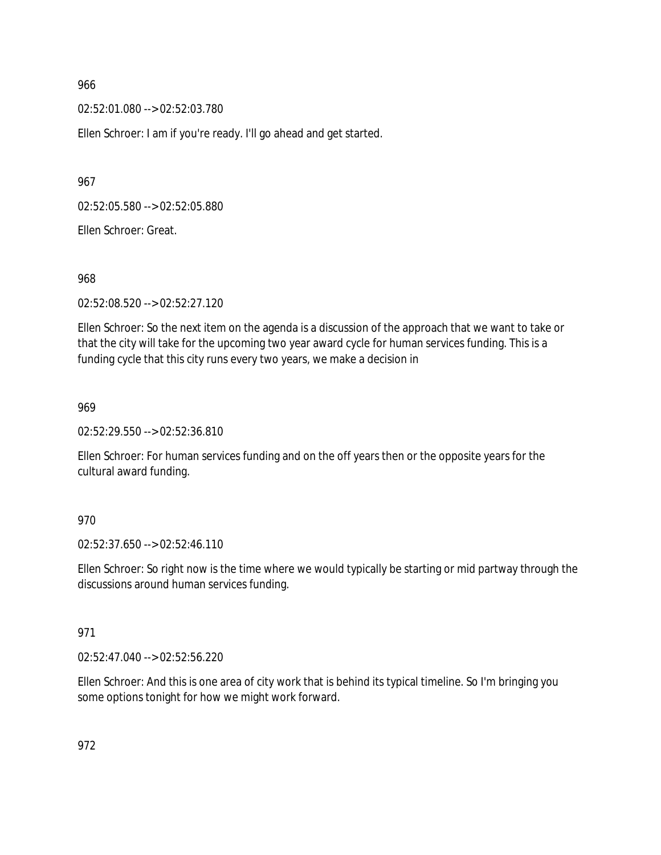02:52:01.080 --> 02:52:03.780

Ellen Schroer: I am if you're ready. I'll go ahead and get started.

967

02:52:05.580 --> 02:52:05.880

Ellen Schroer: Great.

968

02:52:08.520 --> 02:52:27.120

Ellen Schroer: So the next item on the agenda is a discussion of the approach that we want to take or that the city will take for the upcoming two year award cycle for human services funding. This is a funding cycle that this city runs every two years, we make a decision in

969

02:52:29.550 --> 02:52:36.810

Ellen Schroer: For human services funding and on the off years then or the opposite years for the cultural award funding.

970

02:52:37.650 --> 02:52:46.110

Ellen Schroer: So right now is the time where we would typically be starting or mid partway through the discussions around human services funding.

#### 971

02:52:47.040 --> 02:52:56.220

Ellen Schroer: And this is one area of city work that is behind its typical timeline. So I'm bringing you some options tonight for how we might work forward.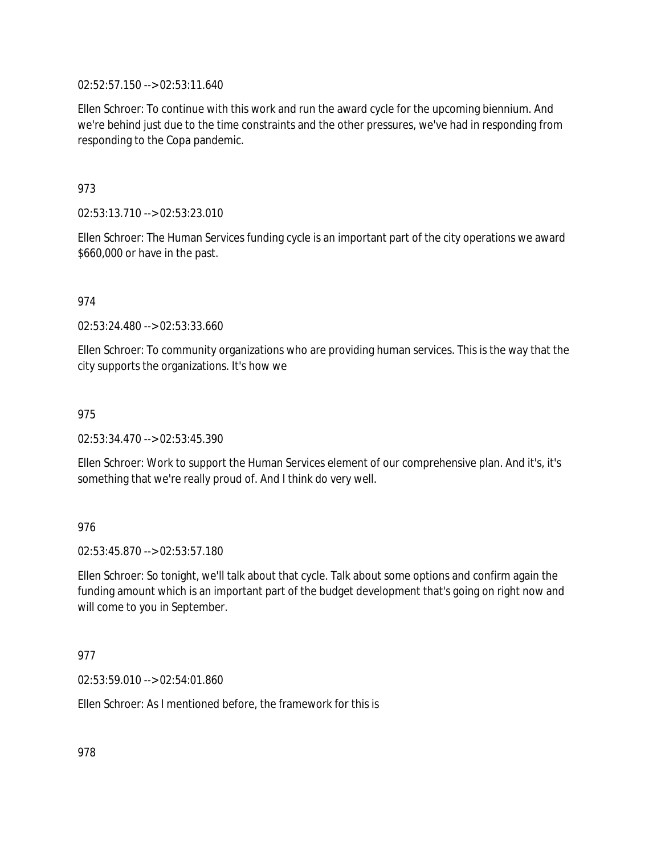02:52:57.150 --> 02:53:11.640

Ellen Schroer: To continue with this work and run the award cycle for the upcoming biennium. And we're behind just due to the time constraints and the other pressures, we've had in responding from responding to the Copa pandemic.

# 973

02:53:13.710 --> 02:53:23.010

Ellen Schroer: The Human Services funding cycle is an important part of the city operations we award \$660,000 or have in the past.

## 974

02:53:24.480 --> 02:53:33.660

Ellen Schroer: To community organizations who are providing human services. This is the way that the city supports the organizations. It's how we

### 975

02:53:34.470 --> 02:53:45.390

Ellen Schroer: Work to support the Human Services element of our comprehensive plan. And it's, it's something that we're really proud of. And I think do very well.

### 976

02:53:45.870 --> 02:53:57.180

Ellen Schroer: So tonight, we'll talk about that cycle. Talk about some options and confirm again the funding amount which is an important part of the budget development that's going on right now and will come to you in September.

### 977

02:53:59.010 --> 02:54:01.860

Ellen Schroer: As I mentioned before, the framework for this is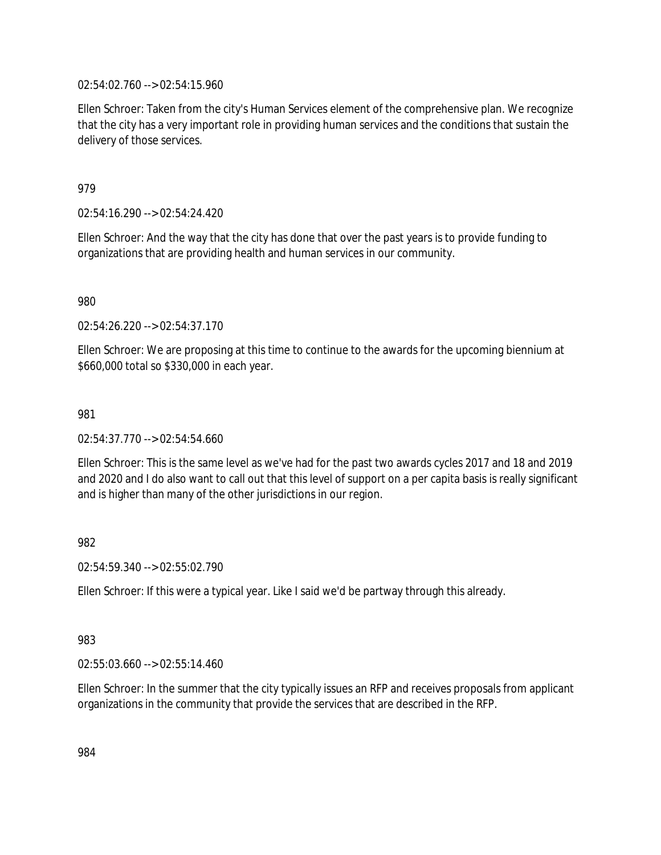02:54:02.760 --> 02:54:15.960

Ellen Schroer: Taken from the city's Human Services element of the comprehensive plan. We recognize that the city has a very important role in providing human services and the conditions that sustain the delivery of those services.

## 979

02:54:16.290 --> 02:54:24.420

Ellen Schroer: And the way that the city has done that over the past years is to provide funding to organizations that are providing health and human services in our community.

980

02:54:26.220 --> 02:54:37.170

Ellen Schroer: We are proposing at this time to continue to the awards for the upcoming biennium at \$660,000 total so \$330,000 in each year.

### 981

02:54:37.770 --> 02:54:54.660

Ellen Schroer: This is the same level as we've had for the past two awards cycles 2017 and 18 and 2019 and 2020 and I do also want to call out that this level of support on a per capita basis is really significant and is higher than many of the other jurisdictions in our region.

982

02:54:59.340 --> 02:55:02.790

Ellen Schroer: If this were a typical year. Like I said we'd be partway through this already.

### 983

02:55:03.660 --> 02:55:14.460

Ellen Schroer: In the summer that the city typically issues an RFP and receives proposals from applicant organizations in the community that provide the services that are described in the RFP.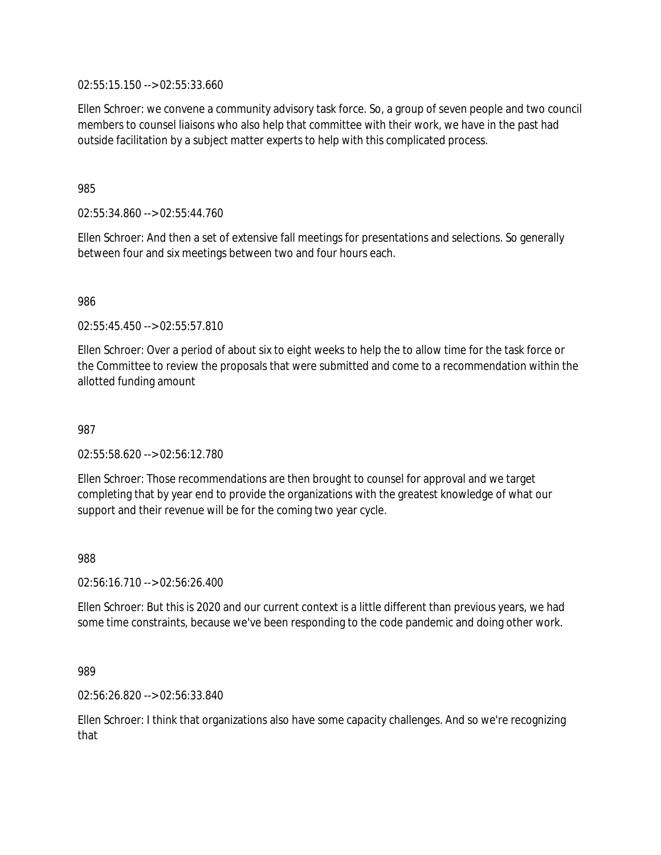02:55:15.150 --> 02:55:33.660

Ellen Schroer: we convene a community advisory task force. So, a group of seven people and two council members to counsel liaisons who also help that committee with their work, we have in the past had outside facilitation by a subject matter experts to help with this complicated process.

985

02:55:34.860 --> 02:55:44.760

Ellen Schroer: And then a set of extensive fall meetings for presentations and selections. So generally between four and six meetings between two and four hours each.

986

02:55:45.450 --> 02:55:57.810

Ellen Schroer: Over a period of about six to eight weeks to help the to allow time for the task force or the Committee to review the proposals that were submitted and come to a recommendation within the allotted funding amount

987

02:55:58.620 --> 02:56:12.780

Ellen Schroer: Those recommendations are then brought to counsel for approval and we target completing that by year end to provide the organizations with the greatest knowledge of what our support and their revenue will be for the coming two year cycle.

988

02:56:16.710 --> 02:56:26.400

Ellen Schroer: But this is 2020 and our current context is a little different than previous years, we had some time constraints, because we've been responding to the code pandemic and doing other work.

989

02:56:26.820 --> 02:56:33.840

Ellen Schroer: I think that organizations also have some capacity challenges. And so we're recognizing that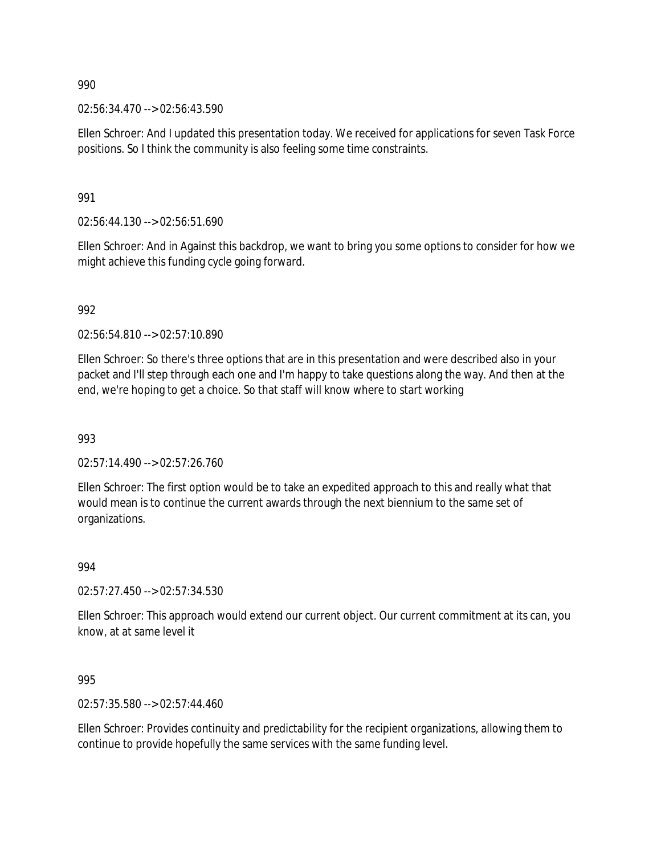02:56:34.470 --> 02:56:43.590

Ellen Schroer: And I updated this presentation today. We received for applications for seven Task Force positions. So I think the community is also feeling some time constraints.

991

02:56:44.130 --> 02:56:51.690

Ellen Schroer: And in Against this backdrop, we want to bring you some options to consider for how we might achieve this funding cycle going forward.

992

02:56:54.810 --> 02:57:10.890

Ellen Schroer: So there's three options that are in this presentation and were described also in your packet and I'll step through each one and I'm happy to take questions along the way. And then at the end, we're hoping to get a choice. So that staff will know where to start working

993

02:57:14.490 --> 02:57:26.760

Ellen Schroer: The first option would be to take an expedited approach to this and really what that would mean is to continue the current awards through the next biennium to the same set of organizations.

994

02:57:27.450 --> 02:57:34.530

Ellen Schroer: This approach would extend our current object. Our current commitment at its can, you know, at at same level it

995

02:57:35.580 --> 02:57:44.460

Ellen Schroer: Provides continuity and predictability for the recipient organizations, allowing them to continue to provide hopefully the same services with the same funding level.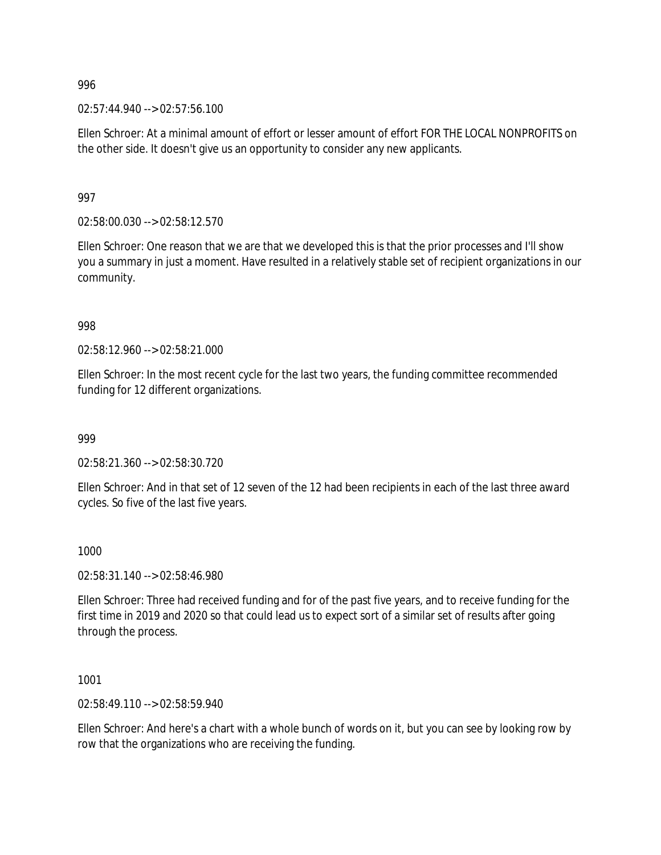$02:57:44.940 \rightarrow 02:57:56.100$ 

Ellen Schroer: At a minimal amount of effort or lesser amount of effort FOR THE LOCAL NONPROFITS on the other side. It doesn't give us an opportunity to consider any new applicants.

997

02:58:00.030 --> 02:58:12.570

Ellen Schroer: One reason that we are that we developed this is that the prior processes and I'll show you a summary in just a moment. Have resulted in a relatively stable set of recipient organizations in our community.

998

02:58:12.960 --> 02:58:21.000

Ellen Schroer: In the most recent cycle for the last two years, the funding committee recommended funding for 12 different organizations.

999

02:58:21.360 --> 02:58:30.720

Ellen Schroer: And in that set of 12 seven of the 12 had been recipients in each of the last three award cycles. So five of the last five years.

1000

02:58:31.140 --> 02:58:46.980

Ellen Schroer: Three had received funding and for of the past five years, and to receive funding for the first time in 2019 and 2020 so that could lead us to expect sort of a similar set of results after going through the process.

1001

02:58:49.110 --> 02:58:59.940

Ellen Schroer: And here's a chart with a whole bunch of words on it, but you can see by looking row by row that the organizations who are receiving the funding.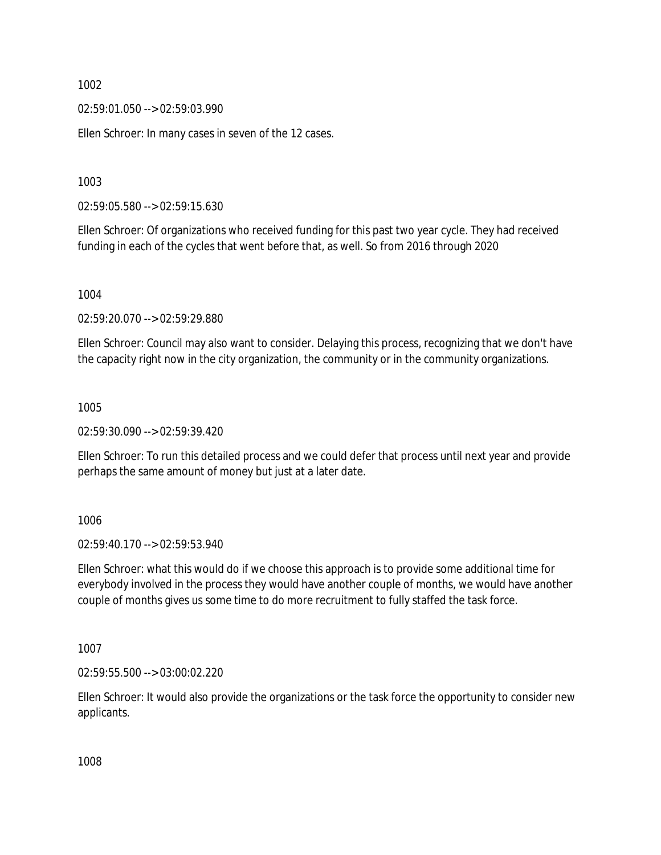02:59:01.050 --> 02:59:03.990

Ellen Schroer: In many cases in seven of the 12 cases.

1003

02:59:05.580 --> 02:59:15.630

Ellen Schroer: Of organizations who received funding for this past two year cycle. They had received funding in each of the cycles that went before that, as well. So from 2016 through 2020

1004

02:59:20.070 --> 02:59:29.880

Ellen Schroer: Council may also want to consider. Delaying this process, recognizing that we don't have the capacity right now in the city organization, the community or in the community organizations.

1005

02:59:30.090 --> 02:59:39.420

Ellen Schroer: To run this detailed process and we could defer that process until next year and provide perhaps the same amount of money but just at a later date.

1006

02:59:40.170 --> 02:59:53.940

Ellen Schroer: what this would do if we choose this approach is to provide some additional time for everybody involved in the process they would have another couple of months, we would have another couple of months gives us some time to do more recruitment to fully staffed the task force.

1007

02:59:55.500 --> 03:00:02.220

Ellen Schroer: It would also provide the organizations or the task force the opportunity to consider new applicants.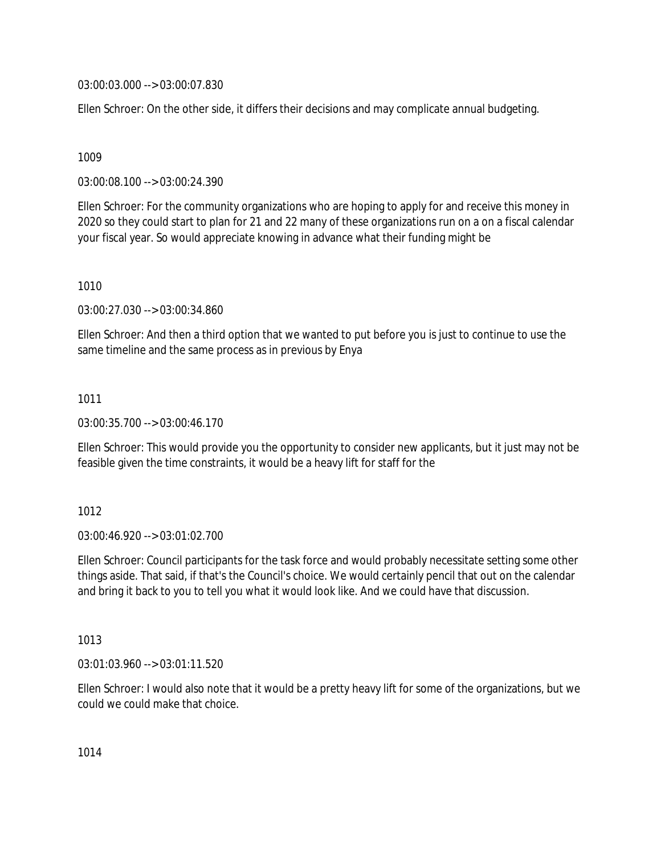03:00:03.000 --> 03:00:07.830

Ellen Schroer: On the other side, it differs their decisions and may complicate annual budgeting.

1009

03:00:08.100 --> 03:00:24.390

Ellen Schroer: For the community organizations who are hoping to apply for and receive this money in 2020 so they could start to plan for 21 and 22 many of these organizations run on a on a fiscal calendar your fiscal year. So would appreciate knowing in advance what their funding might be

1010

03:00:27.030 --> 03:00:34.860

Ellen Schroer: And then a third option that we wanted to put before you is just to continue to use the same timeline and the same process as in previous by Enya

1011

03:00:35.700 --> 03:00:46.170

Ellen Schroer: This would provide you the opportunity to consider new applicants, but it just may not be feasible given the time constraints, it would be a heavy lift for staff for the

1012

03:00:46.920 --> 03:01:02.700

Ellen Schroer: Council participants for the task force and would probably necessitate setting some other things aside. That said, if that's the Council's choice. We would certainly pencil that out on the calendar and bring it back to you to tell you what it would look like. And we could have that discussion.

1013

03:01:03.960 --> 03:01:11.520

Ellen Schroer: I would also note that it would be a pretty heavy lift for some of the organizations, but we could we could make that choice.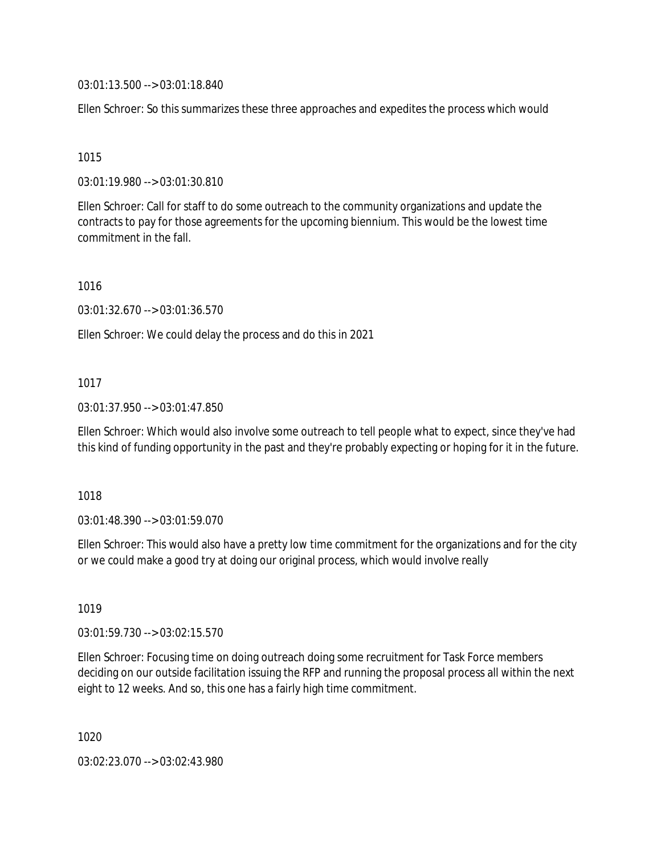03:01:13.500 --> 03:01:18.840

Ellen Schroer: So this summarizes these three approaches and expedites the process which would

1015

03:01:19.980 --> 03:01:30.810

Ellen Schroer: Call for staff to do some outreach to the community organizations and update the contracts to pay for those agreements for the upcoming biennium. This would be the lowest time commitment in the fall.

1016

03:01:32.670 --> 03:01:36.570

Ellen Schroer: We could delay the process and do this in 2021

### 1017

03:01:37.950 --> 03:01:47.850

Ellen Schroer: Which would also involve some outreach to tell people what to expect, since they've had this kind of funding opportunity in the past and they're probably expecting or hoping for it in the future.

1018

03:01:48.390 --> 03:01:59.070

Ellen Schroer: This would also have a pretty low time commitment for the organizations and for the city or we could make a good try at doing our original process, which would involve really

1019

03:01:59.730 --> 03:02:15.570

Ellen Schroer: Focusing time on doing outreach doing some recruitment for Task Force members deciding on our outside facilitation issuing the RFP and running the proposal process all within the next eight to 12 weeks. And so, this one has a fairly high time commitment.

1020

03:02:23.070 --> 03:02:43.980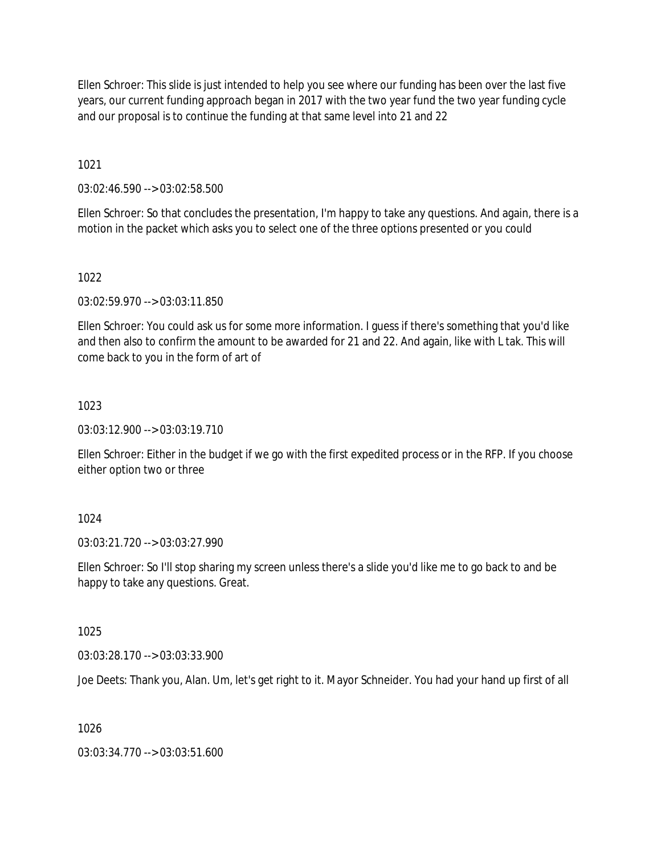Ellen Schroer: This slide is just intended to help you see where our funding has been over the last five years, our current funding approach began in 2017 with the two year fund the two year funding cycle and our proposal is to continue the funding at that same level into 21 and 22

1021

03:02:46.590 --> 03:02:58.500

Ellen Schroer: So that concludes the presentation, I'm happy to take any questions. And again, there is a motion in the packet which asks you to select one of the three options presented or you could

### 1022

03:02:59.970 --> 03:03:11.850

Ellen Schroer: You could ask us for some more information. I guess if there's something that you'd like and then also to confirm the amount to be awarded for 21 and 22. And again, like with L tak. This will come back to you in the form of art of

## 1023

03:03:12.900 --> 03:03:19.710

Ellen Schroer: Either in the budget if we go with the first expedited process or in the RFP. If you choose either option two or three

# 1024

03:03:21.720 --> 03:03:27.990

Ellen Schroer: So I'll stop sharing my screen unless there's a slide you'd like me to go back to and be happy to take any questions. Great.

### 1025

03:03:28.170 --> 03:03:33.900

Joe Deets: Thank you, Alan. Um, let's get right to it. Mayor Schneider. You had your hand up first of all

### 1026

03:03:34.770 --> 03:03:51.600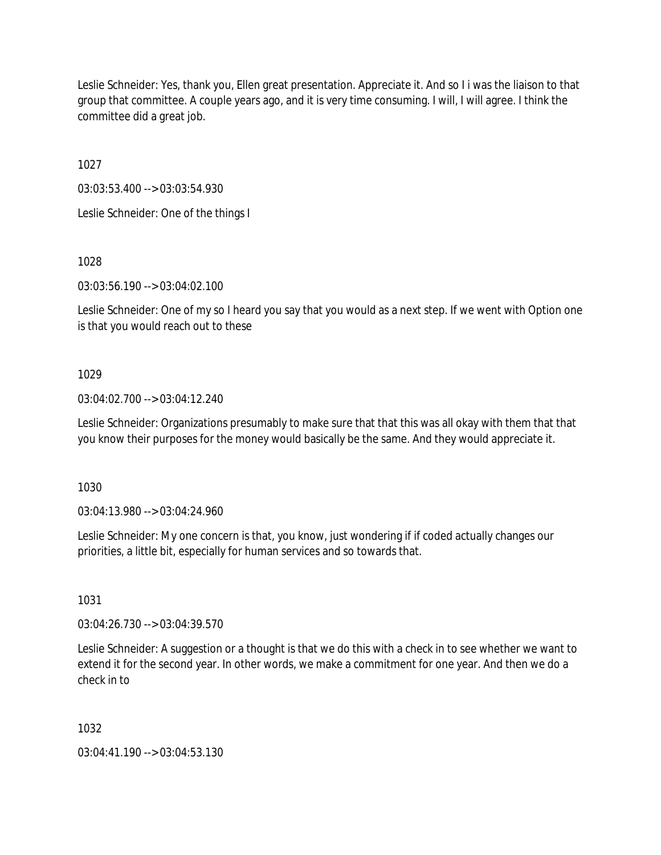Leslie Schneider: Yes, thank you, Ellen great presentation. Appreciate it. And so I i was the liaison to that group that committee. A couple years ago, and it is very time consuming. I will, I will agree. I think the committee did a great job.

1027

03:03:53.400 --> 03:03:54.930

Leslie Schneider: One of the things I

1028

03:03:56.190 --> 03:04:02.100

Leslie Schneider: One of my so I heard you say that you would as a next step. If we went with Option one is that you would reach out to these

## 1029

03:04:02.700 --> 03:04:12.240

Leslie Schneider: Organizations presumably to make sure that that this was all okay with them that that you know their purposes for the money would basically be the same. And they would appreciate it.

1030

03:04:13.980 --> 03:04:24.960

Leslie Schneider: My one concern is that, you know, just wondering if if coded actually changes our priorities, a little bit, especially for human services and so towards that.

1031

03:04:26.730 --> 03:04:39.570

Leslie Schneider: A suggestion or a thought is that we do this with a check in to see whether we want to extend it for the second year. In other words, we make a commitment for one year. And then we do a check in to

1032

03:04:41.190 --> 03:04:53.130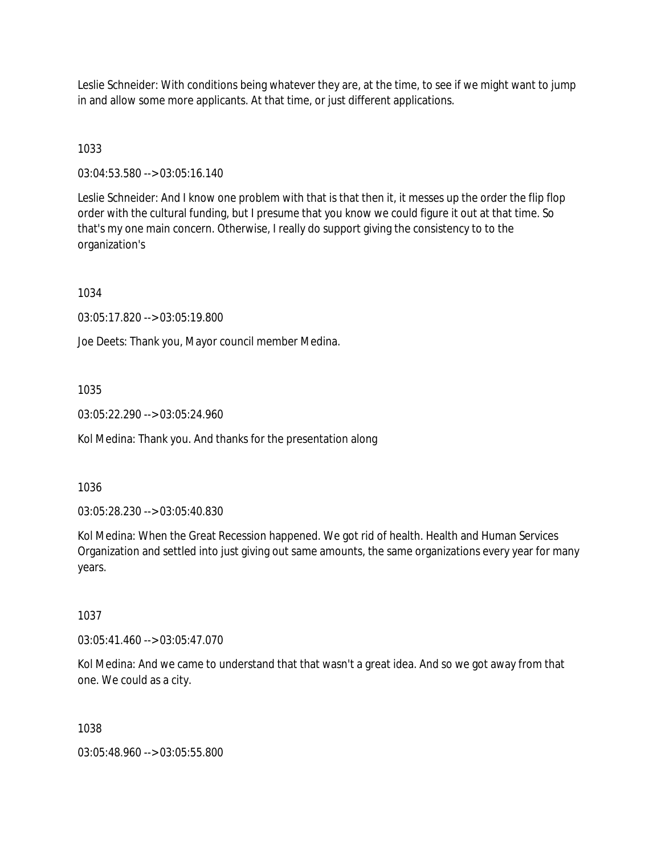Leslie Schneider: With conditions being whatever they are, at the time, to see if we might want to jump in and allow some more applicants. At that time, or just different applications.

# 1033

03:04:53.580 --> 03:05:16.140

Leslie Schneider: And I know one problem with that is that then it, it messes up the order the flip flop order with the cultural funding, but I presume that you know we could figure it out at that time. So that's my one main concern. Otherwise, I really do support giving the consistency to to the organization's

1034

03:05:17.820 --> 03:05:19.800

Joe Deets: Thank you, Mayor council member Medina.

### 1035

03:05:22.290 --> 03:05:24.960

Kol Medina: Thank you. And thanks for the presentation along

#### 1036

03:05:28.230 --> 03:05:40.830

Kol Medina: When the Great Recession happened. We got rid of health. Health and Human Services Organization and settled into just giving out same amounts, the same organizations every year for many years.

### 1037

03:05:41.460 --> 03:05:47.070

Kol Medina: And we came to understand that that wasn't a great idea. And so we got away from that one. We could as a city.

### 1038

03:05:48.960 --> 03:05:55.800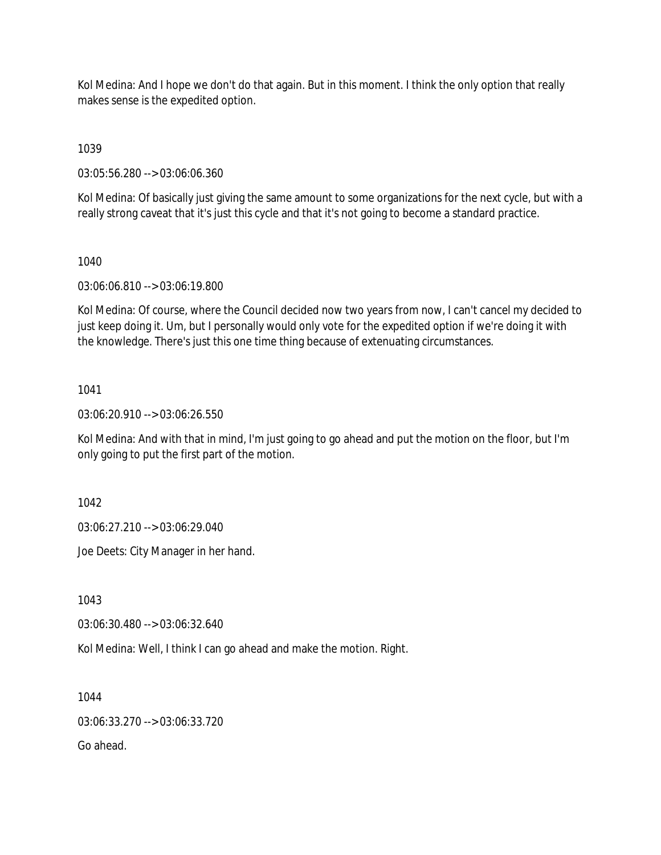Kol Medina: And I hope we don't do that again. But in this moment. I think the only option that really makes sense is the expedited option.

1039

03:05:56.280 --> 03:06:06.360

Kol Medina: Of basically just giving the same amount to some organizations for the next cycle, but with a really strong caveat that it's just this cycle and that it's not going to become a standard practice.

## 1040

03:06:06.810 --> 03:06:19.800

Kol Medina: Of course, where the Council decided now two years from now, I can't cancel my decided to just keep doing it. Um, but I personally would only vote for the expedited option if we're doing it with the knowledge. There's just this one time thing because of extenuating circumstances.

## 1041

03:06:20.910 --> 03:06:26.550

Kol Medina: And with that in mind, I'm just going to go ahead and put the motion on the floor, but I'm only going to put the first part of the motion.

1042

03:06:27.210 --> 03:06:29.040

Joe Deets: City Manager in her hand.

1043

03:06:30.480 --> 03:06:32.640

Kol Medina: Well, I think I can go ahead and make the motion. Right.

1044

03:06:33.270 --> 03:06:33.720

Go ahead.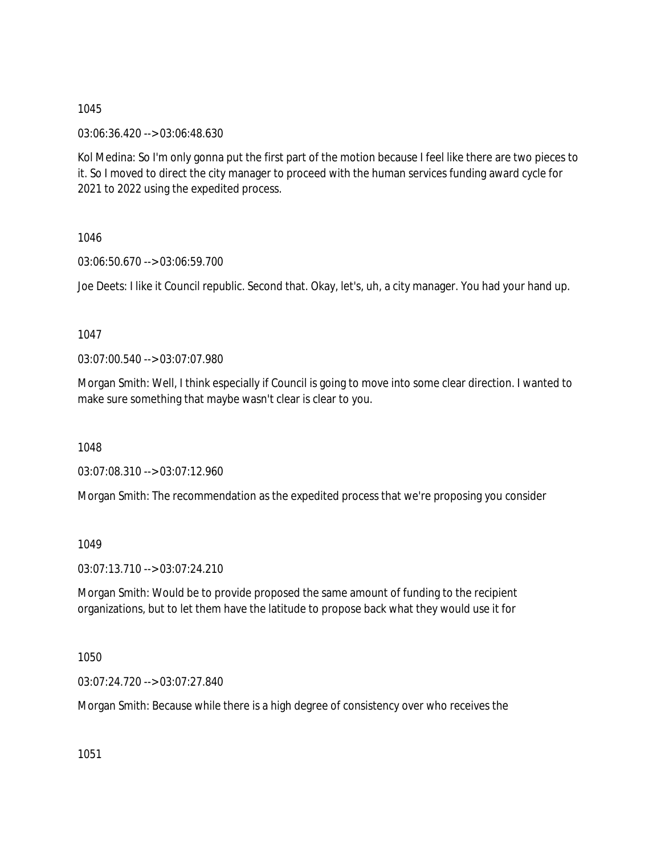03:06:36.420 --> 03:06:48.630

Kol Medina: So I'm only gonna put the first part of the motion because I feel like there are two pieces to it. So I moved to direct the city manager to proceed with the human services funding award cycle for 2021 to 2022 using the expedited process.

1046

03:06:50.670 --> 03:06:59.700

Joe Deets: I like it Council republic. Second that. Okay, let's, uh, a city manager. You had your hand up.

1047

03:07:00.540 --> 03:07:07.980

Morgan Smith: Well, I think especially if Council is going to move into some clear direction. I wanted to make sure something that maybe wasn't clear is clear to you.

1048

03:07:08.310 --> 03:07:12.960

Morgan Smith: The recommendation as the expedited process that we're proposing you consider

1049

03:07:13.710 --> 03:07:24.210

Morgan Smith: Would be to provide proposed the same amount of funding to the recipient organizations, but to let them have the latitude to propose back what they would use it for

1050

03:07:24.720 --> 03:07:27.840

Morgan Smith: Because while there is a high degree of consistency over who receives the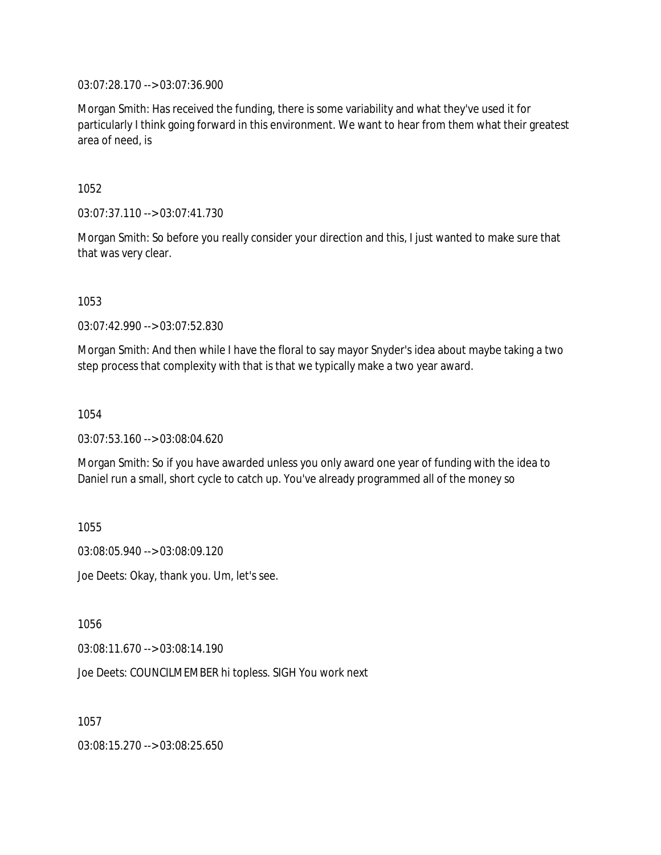03:07:28.170 --> 03:07:36.900

Morgan Smith: Has received the funding, there is some variability and what they've used it for particularly I think going forward in this environment. We want to hear from them what their greatest area of need, is

1052

03:07:37.110 --> 03:07:41.730

Morgan Smith: So before you really consider your direction and this, I just wanted to make sure that that was very clear.

1053

03:07:42.990 --> 03:07:52.830

Morgan Smith: And then while I have the floral to say mayor Snyder's idea about maybe taking a two step process that complexity with that is that we typically make a two year award.

1054

03:07:53.160 --> 03:08:04.620

Morgan Smith: So if you have awarded unless you only award one year of funding with the idea to Daniel run a small, short cycle to catch up. You've already programmed all of the money so

1055

03:08:05.940 --> 03:08:09.120

Joe Deets: Okay, thank you. Um, let's see.

1056

03:08:11.670 --> 03:08:14.190

Joe Deets: COUNCILMEMBER hi topless. SIGH You work next

1057

03:08:15.270 --> 03:08:25.650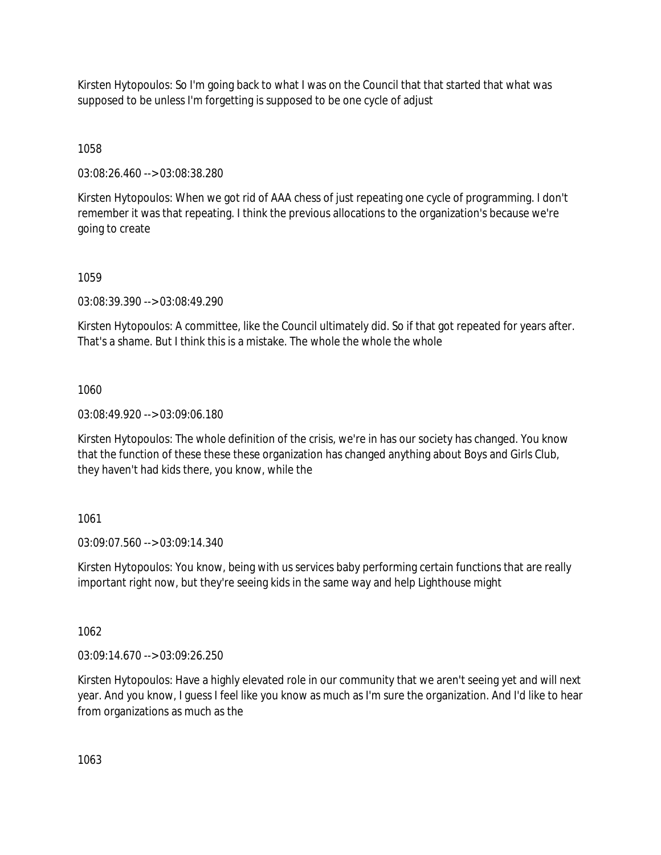Kirsten Hytopoulos: So I'm going back to what I was on the Council that that started that what was supposed to be unless I'm forgetting is supposed to be one cycle of adjust

1058

03:08:26.460 --> 03:08:38.280

Kirsten Hytopoulos: When we got rid of AAA chess of just repeating one cycle of programming. I don't remember it was that repeating. I think the previous allocations to the organization's because we're going to create

1059

03:08:39.390 --> 03:08:49.290

Kirsten Hytopoulos: A committee, like the Council ultimately did. So if that got repeated for years after. That's a shame. But I think this is a mistake. The whole the whole the whole

1060

03:08:49.920 --> 03:09:06.180

Kirsten Hytopoulos: The whole definition of the crisis, we're in has our society has changed. You know that the function of these these these organization has changed anything about Boys and Girls Club, they haven't had kids there, you know, while the

### 1061

03:09:07.560 --> 03:09:14.340

Kirsten Hytopoulos: You know, being with us services baby performing certain functions that are really important right now, but they're seeing kids in the same way and help Lighthouse might

1062

03:09:14.670 --> 03:09:26.250

Kirsten Hytopoulos: Have a highly elevated role in our community that we aren't seeing yet and will next year. And you know, I guess I feel like you know as much as I'm sure the organization. And I'd like to hear from organizations as much as the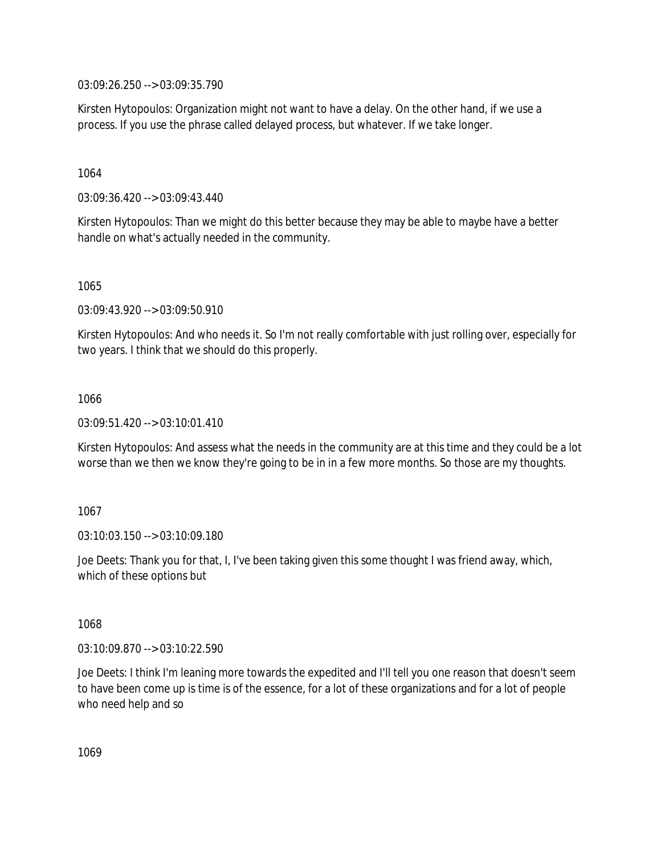03:09:26.250 --> 03:09:35.790

Kirsten Hytopoulos: Organization might not want to have a delay. On the other hand, if we use a process. If you use the phrase called delayed process, but whatever. If we take longer.

1064

03:09:36.420 --> 03:09:43.440

Kirsten Hytopoulos: Than we might do this better because they may be able to maybe have a better handle on what's actually needed in the community.

1065

03:09:43.920 --> 03:09:50.910

Kirsten Hytopoulos: And who needs it. So I'm not really comfortable with just rolling over, especially for two years. I think that we should do this properly.

1066

03:09:51.420 --> 03:10:01.410

Kirsten Hytopoulos: And assess what the needs in the community are at this time and they could be a lot worse than we then we know they're going to be in in a few more months. So those are my thoughts.

1067

03:10:03.150 --> 03:10:09.180

Joe Deets: Thank you for that, I, I've been taking given this some thought I was friend away, which, which of these options but

1068

03:10:09.870 --> 03:10:22.590

Joe Deets: I think I'm leaning more towards the expedited and I'll tell you one reason that doesn't seem to have been come up is time is of the essence, for a lot of these organizations and for a lot of people who need help and so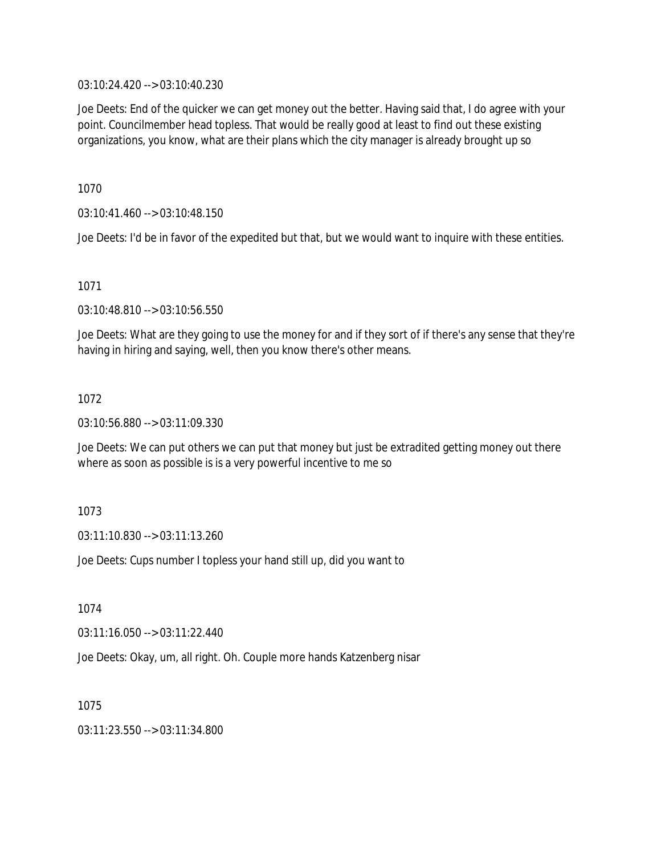03:10:24.420 --> 03:10:40.230

Joe Deets: End of the quicker we can get money out the better. Having said that, I do agree with your point. Councilmember head topless. That would be really good at least to find out these existing organizations, you know, what are their plans which the city manager is already brought up so

1070

03:10:41.460 --> 03:10:48.150

Joe Deets: I'd be in favor of the expedited but that, but we would want to inquire with these entities.

1071

03:10:48.810 --> 03:10:56.550

Joe Deets: What are they going to use the money for and if they sort of if there's any sense that they're having in hiring and saying, well, then you know there's other means.

1072

03:10:56.880 --> 03:11:09.330

Joe Deets: We can put others we can put that money but just be extradited getting money out there where as soon as possible is is a very powerful incentive to me so

1073

03:11:10.830 --> 03:11:13.260

Joe Deets: Cups number I topless your hand still up, did you want to

1074

03:11:16.050 --> 03:11:22.440

Joe Deets: Okay, um, all right. Oh. Couple more hands Katzenberg nisar

1075

03:11:23.550 --> 03:11:34.800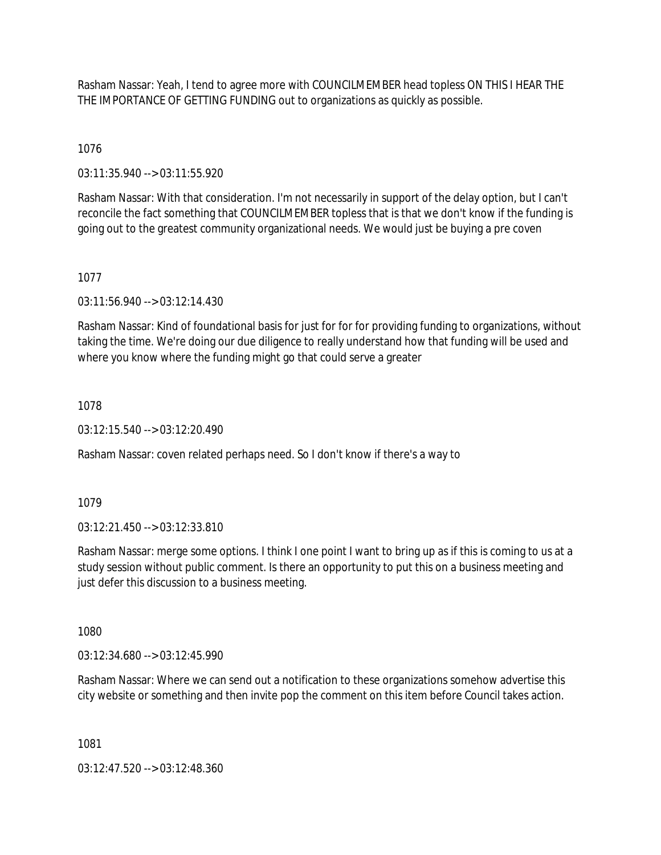Rasham Nassar: Yeah, I tend to agree more with COUNCILMEMBER head topless ON THIS I HEAR THE THE IMPORTANCE OF GETTING FUNDING out to organizations as quickly as possible.

1076

03:11:35.940 --> 03:11:55.920

Rasham Nassar: With that consideration. I'm not necessarily in support of the delay option, but I can't reconcile the fact something that COUNCILMEMBER topless that is that we don't know if the funding is going out to the greatest community organizational needs. We would just be buying a pre coven

1077

03:11:56.940 --> 03:12:14.430

Rasham Nassar: Kind of foundational basis for just for for for providing funding to organizations, without taking the time. We're doing our due diligence to really understand how that funding will be used and where you know where the funding might go that could serve a greater

1078

 $03:12:15.540 \rightarrow 03:12:20.490$ 

Rasham Nassar: coven related perhaps need. So I don't know if there's a way to

1079

03:12:21.450 --> 03:12:33.810

Rasham Nassar: merge some options. I think I one point I want to bring up as if this is coming to us at a study session without public comment. Is there an opportunity to put this on a business meeting and just defer this discussion to a business meeting.

1080

03:12:34.680 --> 03:12:45.990

Rasham Nassar: Where we can send out a notification to these organizations somehow advertise this city website or something and then invite pop the comment on this item before Council takes action.

1081

03:12:47.520 --> 03:12:48.360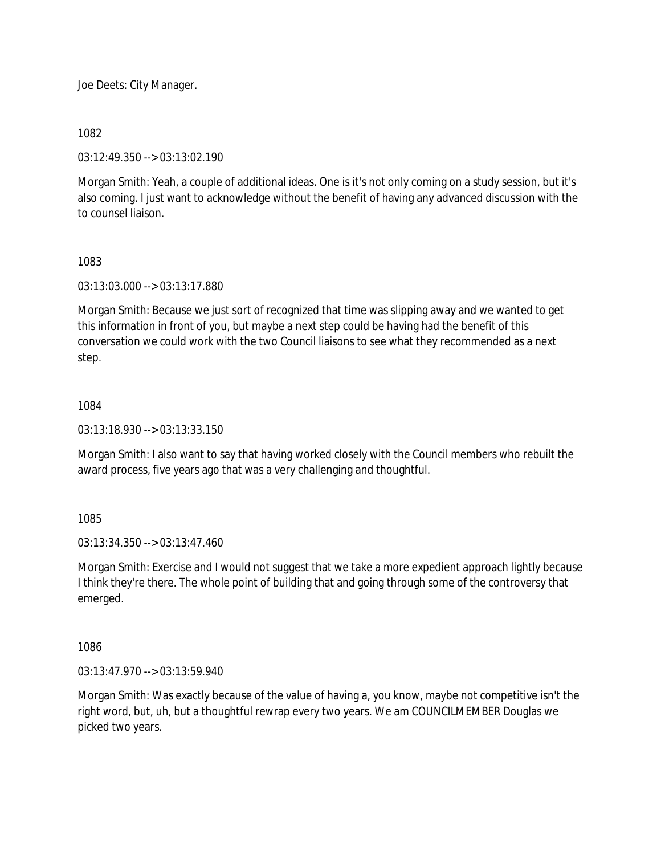Joe Deets: City Manager.

1082

03:12:49.350 --> 03:13:02.190

Morgan Smith: Yeah, a couple of additional ideas. One is it's not only coming on a study session, but it's also coming. I just want to acknowledge without the benefit of having any advanced discussion with the to counsel liaison.

1083

03:13:03.000 --> 03:13:17.880

Morgan Smith: Because we just sort of recognized that time was slipping away and we wanted to get this information in front of you, but maybe a next step could be having had the benefit of this conversation we could work with the two Council liaisons to see what they recommended as a next step.

1084

03:13:18.930 --> 03:13:33.150

Morgan Smith: I also want to say that having worked closely with the Council members who rebuilt the award process, five years ago that was a very challenging and thoughtful.

1085

03:13:34.350 --> 03:13:47.460

Morgan Smith: Exercise and I would not suggest that we take a more expedient approach lightly because I think they're there. The whole point of building that and going through some of the controversy that emerged.

1086

03:13:47.970 --> 03:13:59.940

Morgan Smith: Was exactly because of the value of having a, you know, maybe not competitive isn't the right word, but, uh, but a thoughtful rewrap every two years. We am COUNCILMEMBER Douglas we picked two years.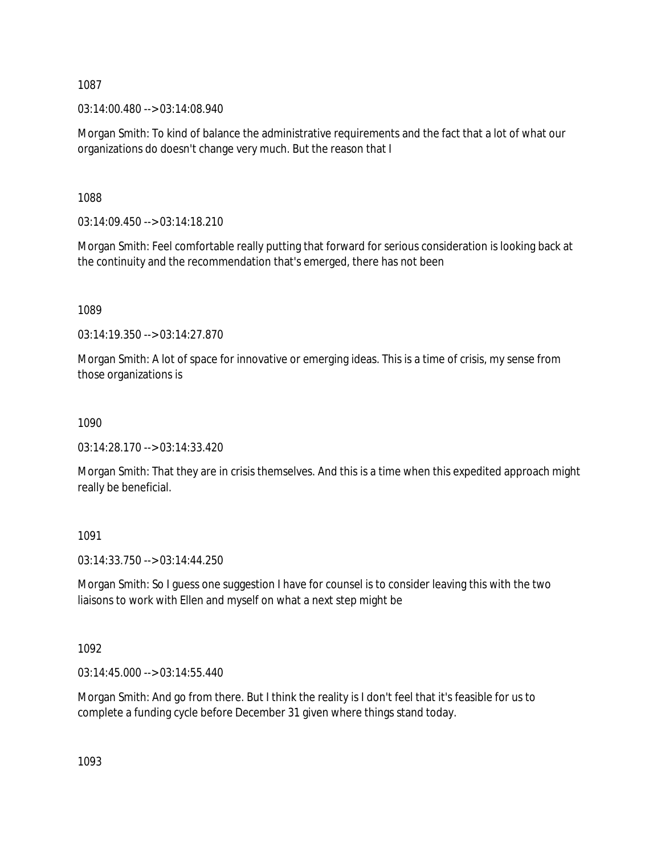03:14:00.480 --> 03:14:08.940

Morgan Smith: To kind of balance the administrative requirements and the fact that a lot of what our organizations do doesn't change very much. But the reason that I

1088

 $03:14:09.450 \rightarrow 03:14:18.210$ 

Morgan Smith: Feel comfortable really putting that forward for serious consideration is looking back at the continuity and the recommendation that's emerged, there has not been

1089

03:14:19.350 --> 03:14:27.870

Morgan Smith: A lot of space for innovative or emerging ideas. This is a time of crisis, my sense from those organizations is

1090

03:14:28.170 --> 03:14:33.420

Morgan Smith: That they are in crisis themselves. And this is a time when this expedited approach might really be beneficial.

1091

03:14:33.750 --> 03:14:44.250

Morgan Smith: So I guess one suggestion I have for counsel is to consider leaving this with the two liaisons to work with Ellen and myself on what a next step might be

1092

03:14:45.000 --> 03:14:55.440

Morgan Smith: And go from there. But I think the reality is I don't feel that it's feasible for us to complete a funding cycle before December 31 given where things stand today.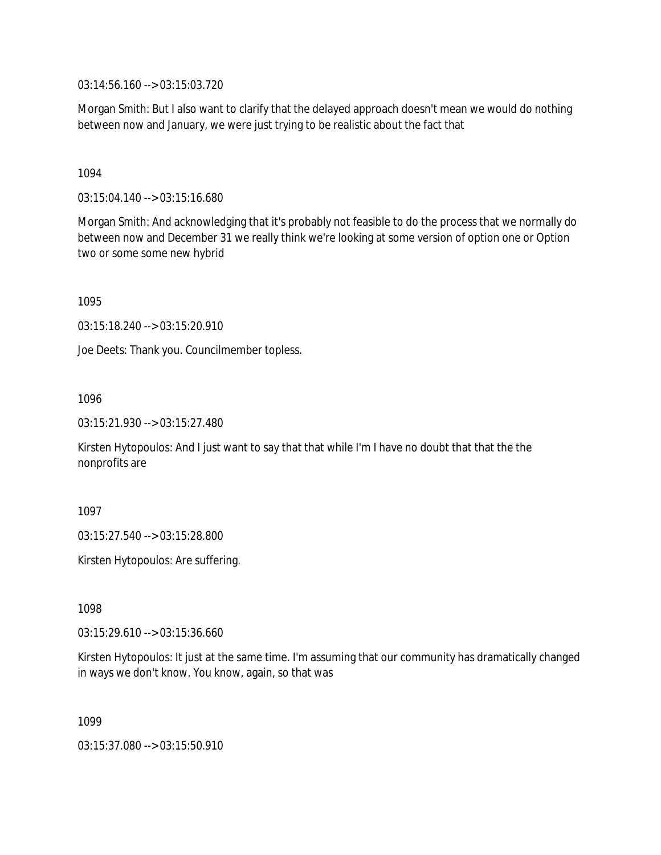03:14:56.160 --> 03:15:03.720

Morgan Smith: But I also want to clarify that the delayed approach doesn't mean we would do nothing between now and January, we were just trying to be realistic about the fact that

1094

03:15:04.140 --> 03:15:16.680

Morgan Smith: And acknowledging that it's probably not feasible to do the process that we normally do between now and December 31 we really think we're looking at some version of option one or Option two or some some new hybrid

1095

03:15:18.240 --> 03:15:20.910

Joe Deets: Thank you. Councilmember topless.

1096

03:15:21.930 --> 03:15:27.480

Kirsten Hytopoulos: And I just want to say that that while I'm I have no doubt that that the the nonprofits are

1097

03:15:27.540 --> 03:15:28.800

Kirsten Hytopoulos: Are suffering.

1098

03:15:29.610 --> 03:15:36.660

Kirsten Hytopoulos: It just at the same time. I'm assuming that our community has dramatically changed in ways we don't know. You know, again, so that was

1099

03:15:37.080 --> 03:15:50.910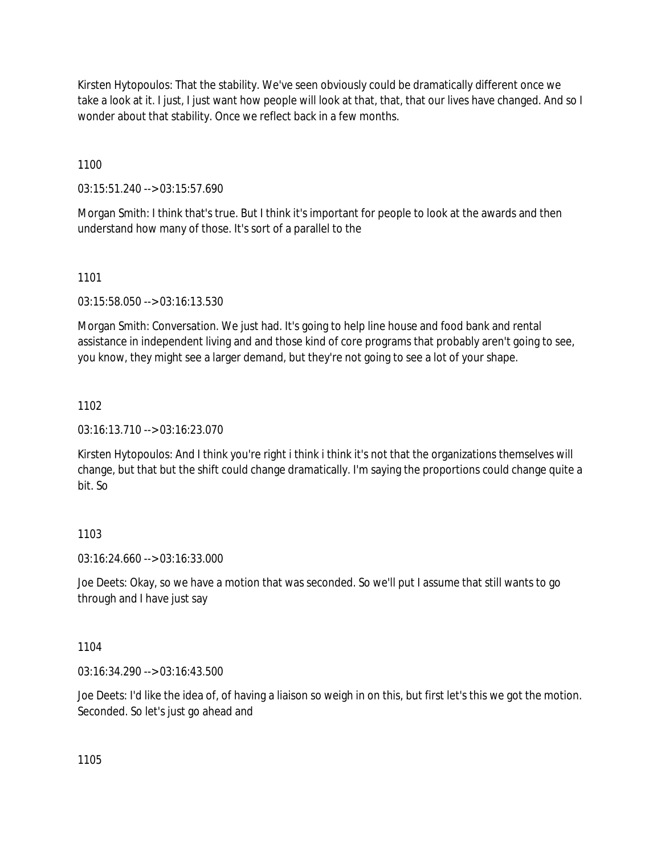Kirsten Hytopoulos: That the stability. We've seen obviously could be dramatically different once we take a look at it. I just, I just want how people will look at that, that, that our lives have changed. And so I wonder about that stability. Once we reflect back in a few months.

1100

03:15:51.240 --> 03:15:57.690

Morgan Smith: I think that's true. But I think it's important for people to look at the awards and then understand how many of those. It's sort of a parallel to the

# 1101

03:15:58.050 --> 03:16:13.530

Morgan Smith: Conversation. We just had. It's going to help line house and food bank and rental assistance in independent living and and those kind of core programs that probably aren't going to see, you know, they might see a larger demand, but they're not going to see a lot of your shape.

# 1102

03:16:13.710 --> 03:16:23.070

Kirsten Hytopoulos: And I think you're right i think i think it's not that the organizations themselves will change, but that but the shift could change dramatically. I'm saying the proportions could change quite a bit. So

# 1103

03:16:24.660 --> 03:16:33.000

Joe Deets: Okay, so we have a motion that was seconded. So we'll put I assume that still wants to go through and I have just say

1104

03:16:34.290 --> 03:16:43.500

Joe Deets: I'd like the idea of, of having a liaison so weigh in on this, but first let's this we got the motion. Seconded. So let's just go ahead and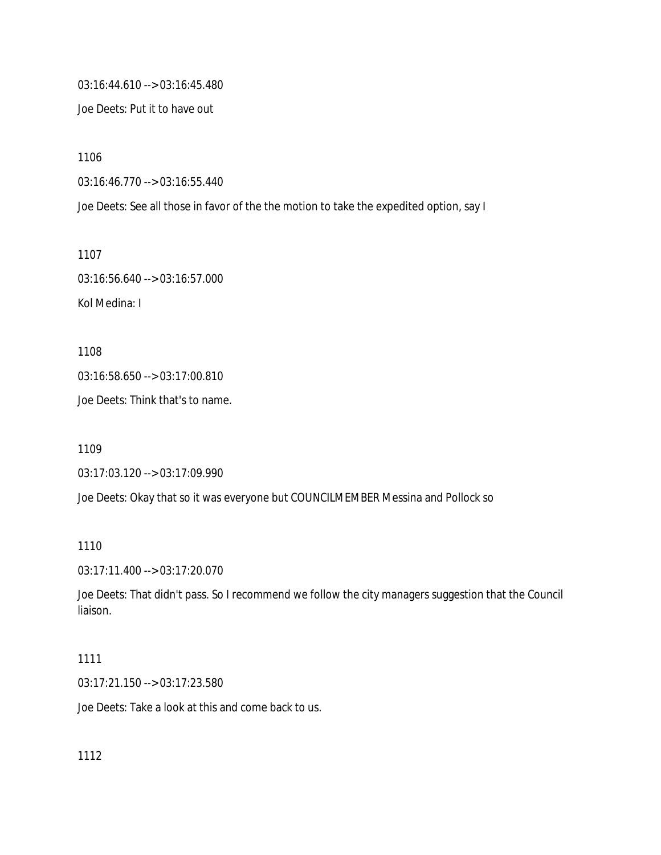03:16:44.610 --> 03:16:45.480

Joe Deets: Put it to have out

1106

03:16:46.770 --> 03:16:55.440

Joe Deets: See all those in favor of the the motion to take the expedited option, say I

1107

03:16:56.640 --> 03:16:57.000 Kol Medina: I

1108 03:16:58.650 --> 03:17:00.810

Joe Deets: Think that's to name.

1109

03:17:03.120 --> 03:17:09.990

Joe Deets: Okay that so it was everyone but COUNCILMEMBER Messina and Pollock so

1110

03:17:11.400 --> 03:17:20.070

Joe Deets: That didn't pass. So I recommend we follow the city managers suggestion that the Council liaison.

#### 1111

03:17:21.150 --> 03:17:23.580

Joe Deets: Take a look at this and come back to us.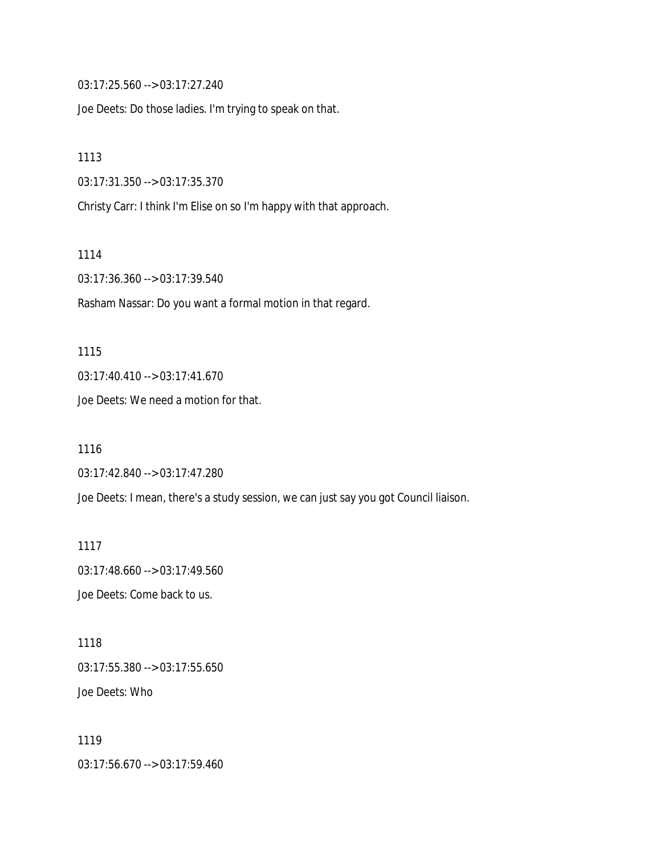03:17:25.560 --> 03:17:27.240

Joe Deets: Do those ladies. I'm trying to speak on that.

1113

03:17:31.350 --> 03:17:35.370

Christy Carr: I think I'm Elise on so I'm happy with that approach.

1114

03:17:36.360 --> 03:17:39.540

Rasham Nassar: Do you want a formal motion in that regard.

1115 03:17:40.410 --> 03:17:41.670 Joe Deets: We need a motion for that.

1116 03:17:42.840 --> 03:17:47.280 Joe Deets: I mean, there's a study session, we can just say you got Council liaison.

1117 03:17:48.660 --> 03:17:49.560 Joe Deets: Come back to us.

1118 03:17:55.380 --> 03:17:55.650 Joe Deets: Who

1119 03:17:56.670 --> 03:17:59.460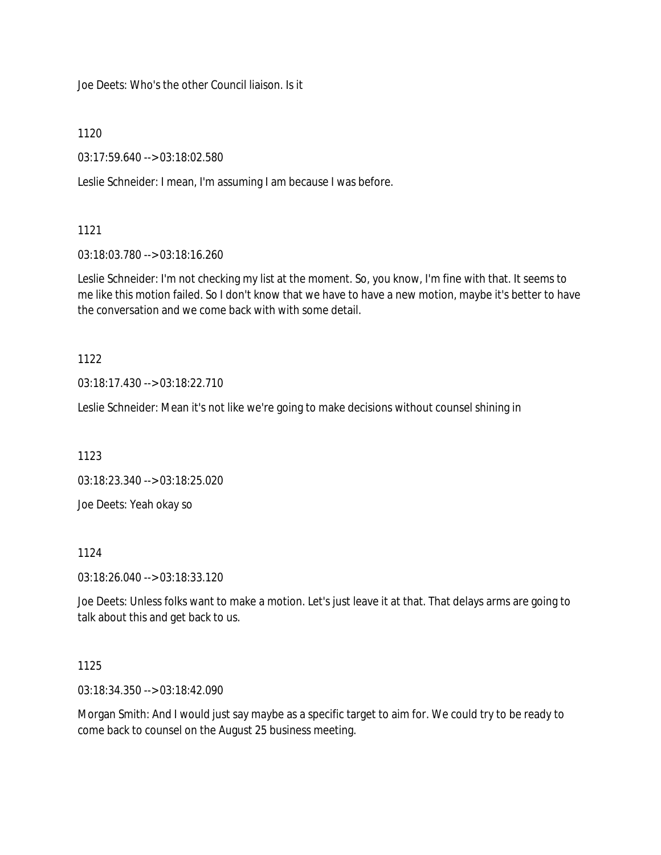Joe Deets: Who's the other Council liaison. Is it

1120

03:17:59.640 --> 03:18:02.580

Leslie Schneider: I mean, I'm assuming I am because I was before.

1121

03:18:03.780 --> 03:18:16.260

Leslie Schneider: I'm not checking my list at the moment. So, you know, I'm fine with that. It seems to me like this motion failed. So I don't know that we have to have a new motion, maybe it's better to have the conversation and we come back with with some detail.

1122

03:18:17.430 --> 03:18:22.710

Leslie Schneider: Mean it's not like we're going to make decisions without counsel shining in

1123

03:18:23.340 --> 03:18:25.020

Joe Deets: Yeah okay so

1124

03:18:26.040 --> 03:18:33.120

Joe Deets: Unless folks want to make a motion. Let's just leave it at that. That delays arms are going to talk about this and get back to us.

### 1125

03:18:34.350 --> 03:18:42.090

Morgan Smith: And I would just say maybe as a specific target to aim for. We could try to be ready to come back to counsel on the August 25 business meeting.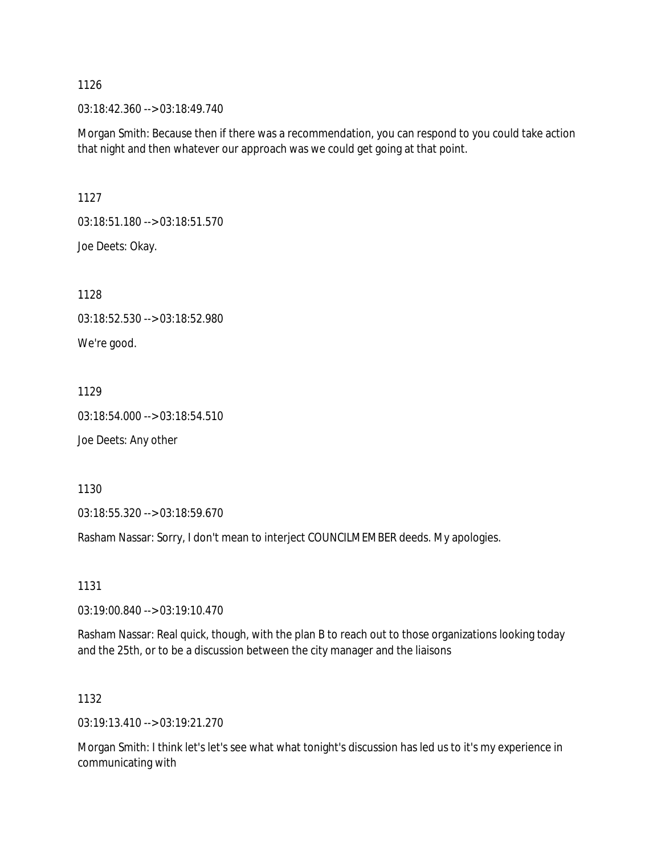03:18:42.360 --> 03:18:49.740

Morgan Smith: Because then if there was a recommendation, you can respond to you could take action that night and then whatever our approach was we could get going at that point.

1127

03:18:51.180 --> 03:18:51.570 Joe Deets: Okay.

1128

03:18:52.530 --> 03:18:52.980

We're good.

1129

03:18:54.000 --> 03:18:54.510

Joe Deets: Any other

1130

03:18:55.320 --> 03:18:59.670

Rasham Nassar: Sorry, I don't mean to interject COUNCILMEMBER deeds. My apologies.

1131

03:19:00.840 --> 03:19:10.470

Rasham Nassar: Real quick, though, with the plan B to reach out to those organizations looking today and the 25th, or to be a discussion between the city manager and the liaisons

1132

03:19:13.410 --> 03:19:21.270

Morgan Smith: I think let's let's see what what tonight's discussion has led us to it's my experience in communicating with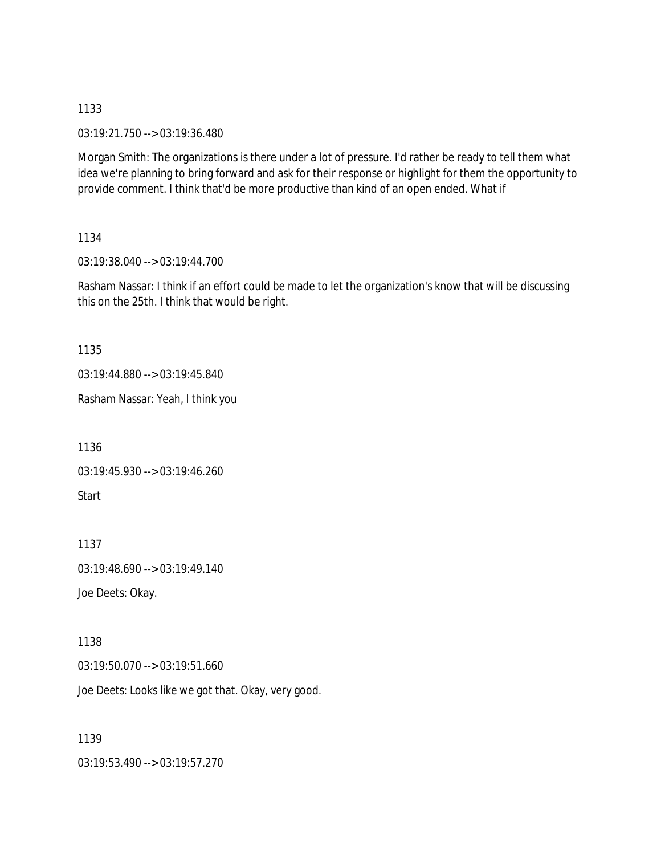03:19:21.750 --> 03:19:36.480

Morgan Smith: The organizations is there under a lot of pressure. I'd rather be ready to tell them what idea we're planning to bring forward and ask for their response or highlight for them the opportunity to provide comment. I think that'd be more productive than kind of an open ended. What if

### 1134

03:19:38.040 --> 03:19:44.700

Rasham Nassar: I think if an effort could be made to let the organization's know that will be discussing this on the 25th. I think that would be right.

### 1135

03:19:44.880 --> 03:19:45.840

Rasham Nassar: Yeah, I think you

1136

03:19:45.930 --> 03:19:46.260

Start

1137

03:19:48.690 --> 03:19:49.140

Joe Deets: Okay.

## 1138

03:19:50.070 --> 03:19:51.660

Joe Deets: Looks like we got that. Okay, very good.

## 1139

03:19:53.490 --> 03:19:57.270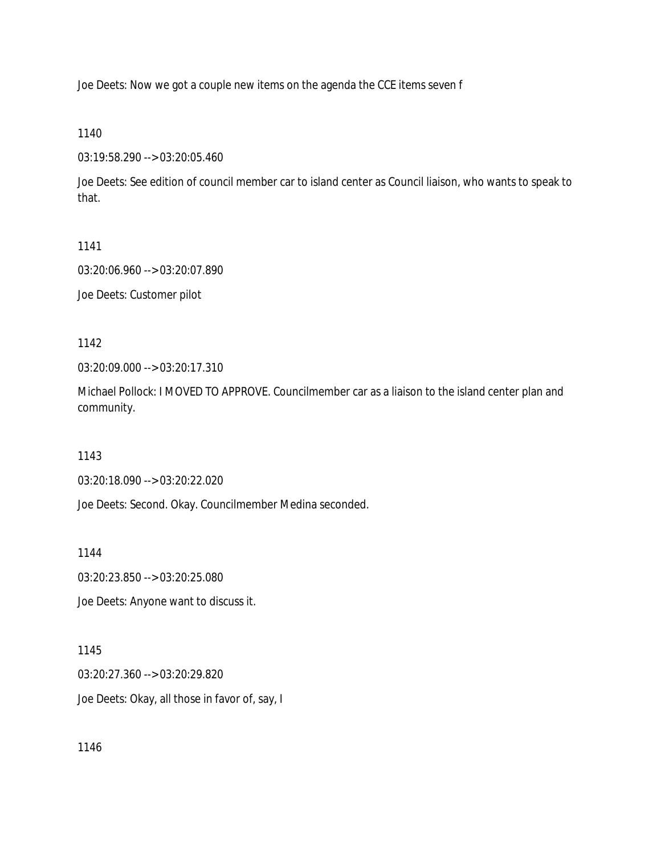Joe Deets: Now we got a couple new items on the agenda the CCE items seven f

1140

03:19:58.290 --> 03:20:05.460

Joe Deets: See edition of council member car to island center as Council liaison, who wants to speak to that.

1141

03:20:06.960 --> 03:20:07.890

Joe Deets: Customer pilot

1142

03:20:09.000 --> 03:20:17.310

Michael Pollock: I MOVED TO APPROVE. Councilmember car as a liaison to the island center plan and community.

1143

03:20:18.090 --> 03:20:22.020

Joe Deets: Second. Okay. Councilmember Medina seconded.

1144

03:20:23.850 --> 03:20:25.080

Joe Deets: Anyone want to discuss it.

1145

03:20:27.360 --> 03:20:29.820 Joe Deets: Okay, all those in favor of, say, I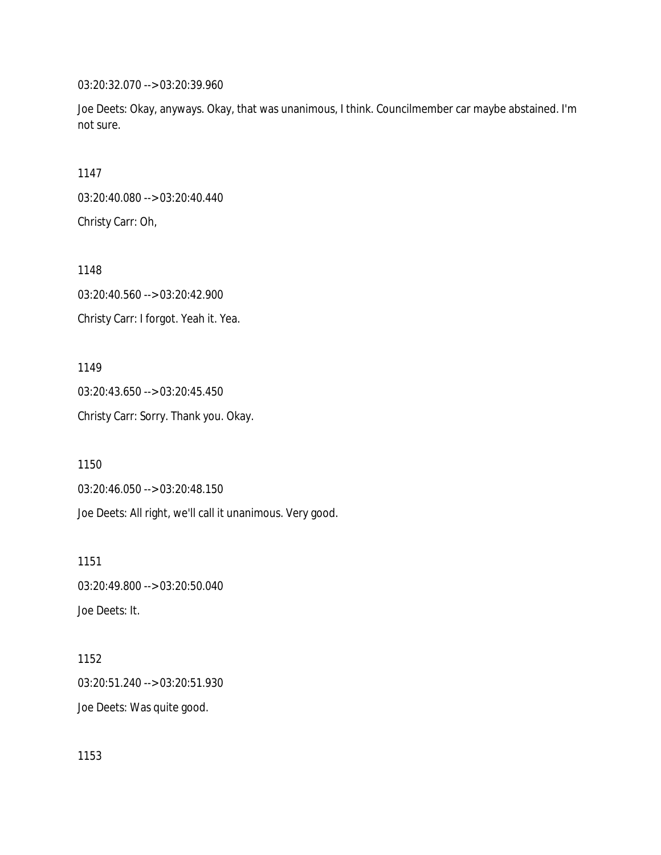03:20:32.070 --> 03:20:39.960

Joe Deets: Okay, anyways. Okay, that was unanimous, I think. Councilmember car maybe abstained. I'm not sure.

1147

03:20:40.080 --> 03:20:40.440 Christy Carr: Oh,

1148 03:20:40.560 --> 03:20:42.900 Christy Carr: I forgot. Yeah it. Yea.

1149 03:20:43.650 --> 03:20:45.450 Christy Carr: Sorry. Thank you. Okay.

1150

03:20:46.050 --> 03:20:48.150

Joe Deets: All right, we'll call it unanimous. Very good.

1151 03:20:49.800 --> 03:20:50.040 Joe Deets: It.

1152 03:20:51.240 --> 03:20:51.930 Joe Deets: Was quite good.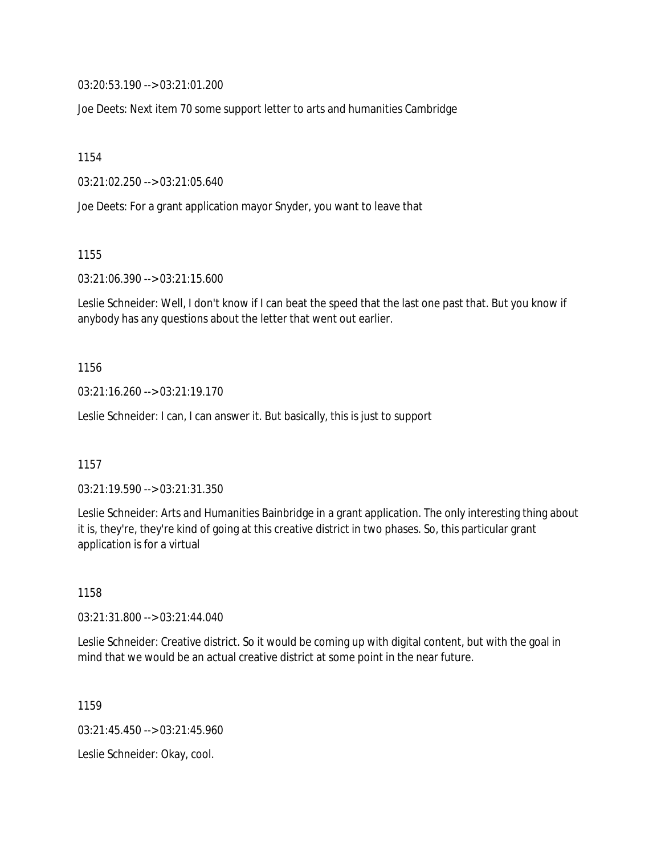03:20:53.190 --> 03:21:01.200

Joe Deets: Next item 70 some support letter to arts and humanities Cambridge

1154

03:21:02.250 --> 03:21:05.640

Joe Deets: For a grant application mayor Snyder, you want to leave that

1155

03:21:06.390 --> 03:21:15.600

Leslie Schneider: Well, I don't know if I can beat the speed that the last one past that. But you know if anybody has any questions about the letter that went out earlier.

1156

03:21:16.260 --> 03:21:19.170

Leslie Schneider: I can, I can answer it. But basically, this is just to support

1157

03:21:19.590 --> 03:21:31.350

Leslie Schneider: Arts and Humanities Bainbridge in a grant application. The only interesting thing about it is, they're, they're kind of going at this creative district in two phases. So, this particular grant application is for a virtual

1158

03:21:31.800 --> 03:21:44.040

Leslie Schneider: Creative district. So it would be coming up with digital content, but with the goal in mind that we would be an actual creative district at some point in the near future.

1159

03:21:45.450 --> 03:21:45.960

Leslie Schneider: Okay, cool.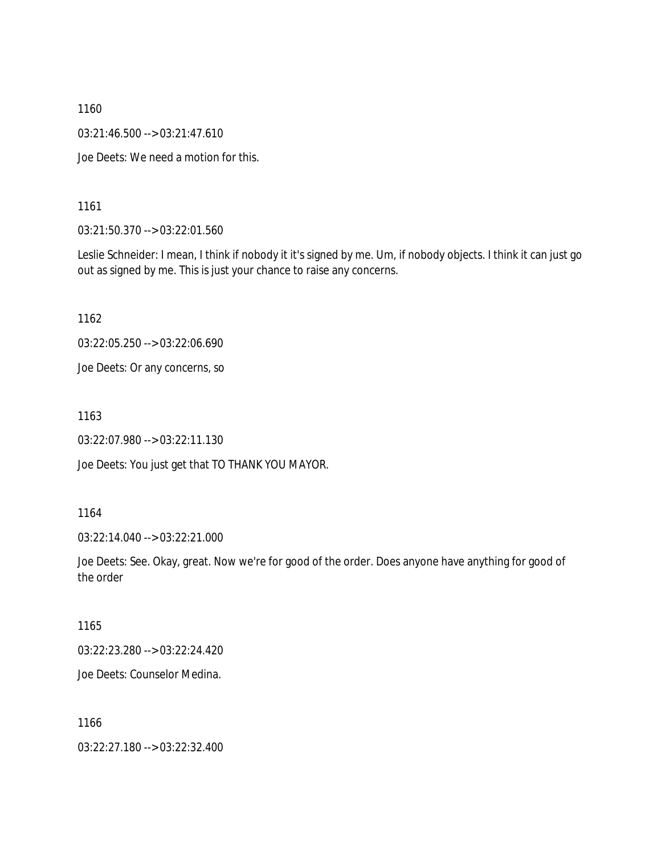03:21:46.500 --> 03:21:47.610

Joe Deets: We need a motion for this.

1161

03:21:50.370 --> 03:22:01.560

Leslie Schneider: I mean, I think if nobody it it's signed by me. Um, if nobody objects. I think it can just go out as signed by me. This is just your chance to raise any concerns.

1162

03:22:05.250 --> 03:22:06.690

Joe Deets: Or any concerns, so

1163

03:22:07.980 --> 03:22:11.130

Joe Deets: You just get that TO THANK YOU MAYOR.

1164

03:22:14.040 --> 03:22:21.000

Joe Deets: See. Okay, great. Now we're for good of the order. Does anyone have anything for good of the order

1165

03:22:23.280 --> 03:22:24.420

Joe Deets: Counselor Medina.

1166

03:22:27.180 --> 03:22:32.400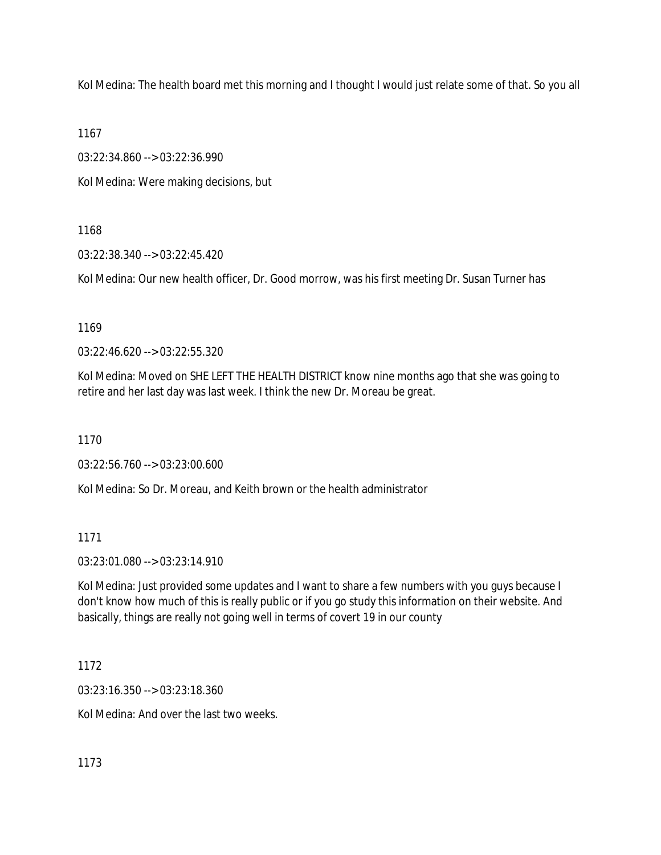Kol Medina: The health board met this morning and I thought I would just relate some of that. So you all

1167

03:22:34.860 --> 03:22:36.990

Kol Medina: Were making decisions, but

1168

03:22:38.340 --> 03:22:45.420

Kol Medina: Our new health officer, Dr. Good morrow, was his first meeting Dr. Susan Turner has

1169

03:22:46.620 --> 03:22:55.320

Kol Medina: Moved on SHE LEFT THE HEALTH DISTRICT know nine months ago that she was going to retire and her last day was last week. I think the new Dr. Moreau be great.

1170

03:22:56.760 --> 03:23:00.600

Kol Medina: So Dr. Moreau, and Keith brown or the health administrator

1171

03:23:01.080 --> 03:23:14.910

Kol Medina: Just provided some updates and I want to share a few numbers with you guys because I don't know how much of this is really public or if you go study this information on their website. And basically, things are really not going well in terms of covert 19 in our county

1172

03:23:16.350 --> 03:23:18.360

Kol Medina: And over the last two weeks.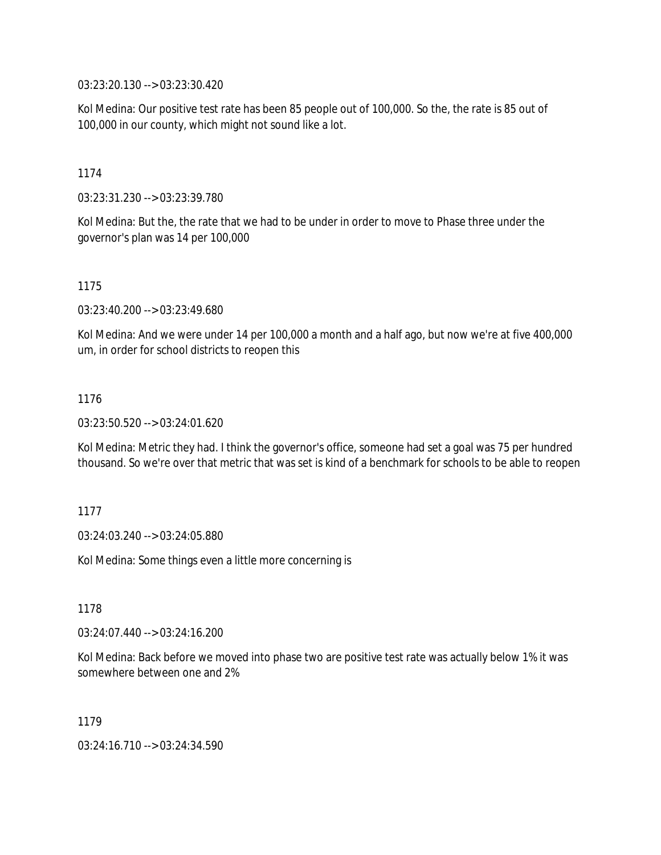03:23:20.130 --> 03:23:30.420

Kol Medina: Our positive test rate has been 85 people out of 100,000. So the, the rate is 85 out of 100,000 in our county, which might not sound like a lot.

1174

03:23:31.230 --> 03:23:39.780

Kol Medina: But the, the rate that we had to be under in order to move to Phase three under the governor's plan was 14 per 100,000

1175

03:23:40.200 --> 03:23:49.680

Kol Medina: And we were under 14 per 100,000 a month and a half ago, but now we're at five 400,000 um, in order for school districts to reopen this

1176

03:23:50.520 --> 03:24:01.620

Kol Medina: Metric they had. I think the governor's office, someone had set a goal was 75 per hundred thousand. So we're over that metric that was set is kind of a benchmark for schools to be able to reopen

1177

03:24:03.240 --> 03:24:05.880

Kol Medina: Some things even a little more concerning is

1178

03:24:07.440 --> 03:24:16.200

Kol Medina: Back before we moved into phase two are positive test rate was actually below 1% it was somewhere between one and 2%

1179

03:24:16.710 --> 03:24:34.590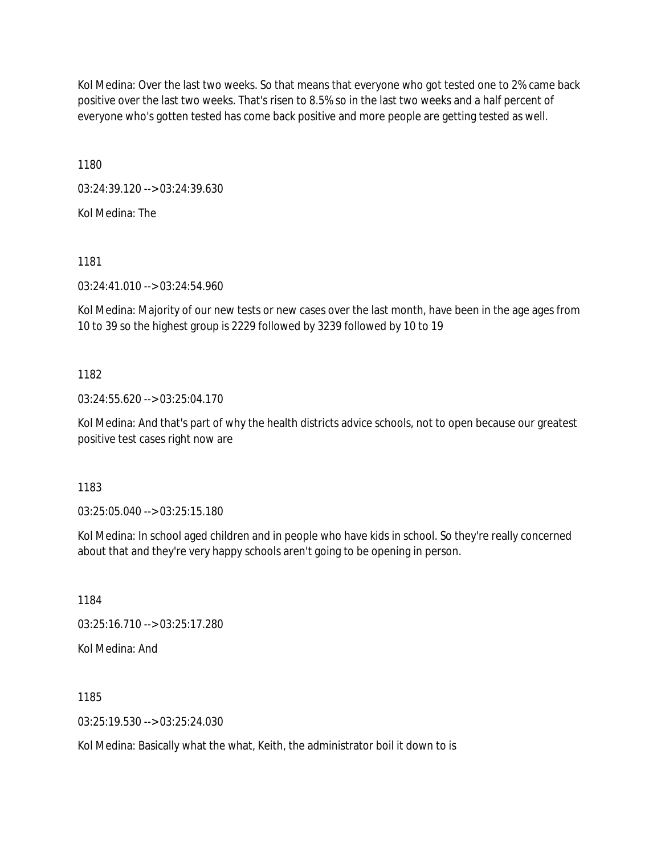Kol Medina: Over the last two weeks. So that means that everyone who got tested one to 2% came back positive over the last two weeks. That's risen to 8.5% so in the last two weeks and a half percent of everyone who's gotten tested has come back positive and more people are getting tested as well.

1180

03:24:39.120 --> 03:24:39.630

Kol Medina: The

1181

03:24:41.010 --> 03:24:54.960

Kol Medina: Majority of our new tests or new cases over the last month, have been in the age ages from 10 to 39 so the highest group is 2229 followed by 3239 followed by 10 to 19

# 1182

03:24:55.620 --> 03:25:04.170

Kol Medina: And that's part of why the health districts advice schools, not to open because our greatest positive test cases right now are

1183

03:25:05.040 --> 03:25:15.180

Kol Medina: In school aged children and in people who have kids in school. So they're really concerned about that and they're very happy schools aren't going to be opening in person.

1184

03:25:16.710 --> 03:25:17.280

Kol Medina: And

1185

03:25:19.530 --> 03:25:24.030

Kol Medina: Basically what the what, Keith, the administrator boil it down to is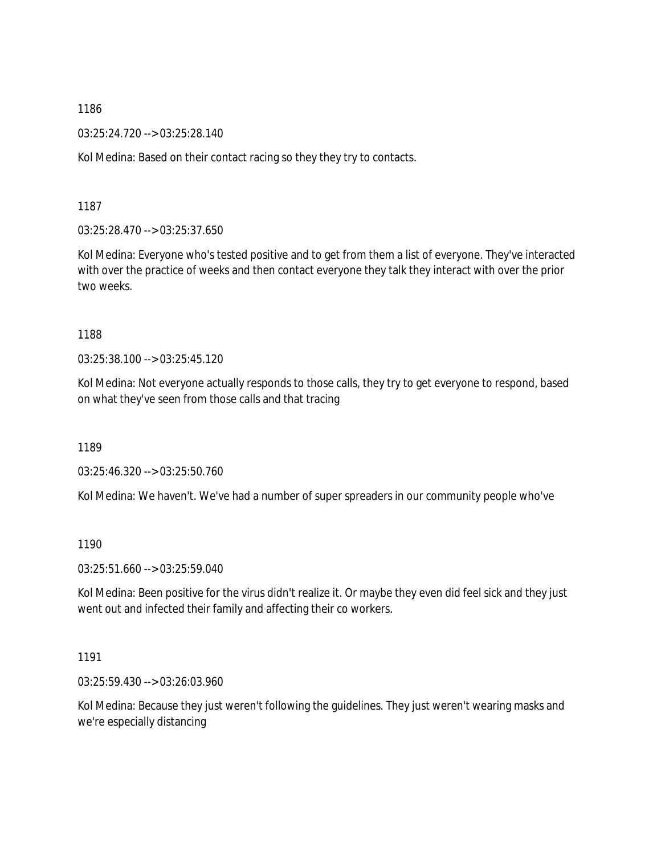03:25:24.720 --> 03:25:28.140

Kol Medina: Based on their contact racing so they they try to contacts.

1187

03:25:28.470 --> 03:25:37.650

Kol Medina: Everyone who's tested positive and to get from them a list of everyone. They've interacted with over the practice of weeks and then contact everyone they talk they interact with over the prior two weeks.

### 1188

03:25:38.100 --> 03:25:45.120

Kol Medina: Not everyone actually responds to those calls, they try to get everyone to respond, based on what they've seen from those calls and that tracing

1189

03:25:46.320 --> 03:25:50.760

Kol Medina: We haven't. We've had a number of super spreaders in our community people who've

1190

03:25:51.660 --> 03:25:59.040

Kol Medina: Been positive for the virus didn't realize it. Or maybe they even did feel sick and they just went out and infected their family and affecting their co workers.

1191

03:25:59.430 --> 03:26:03.960

Kol Medina: Because they just weren't following the guidelines. They just weren't wearing masks and we're especially distancing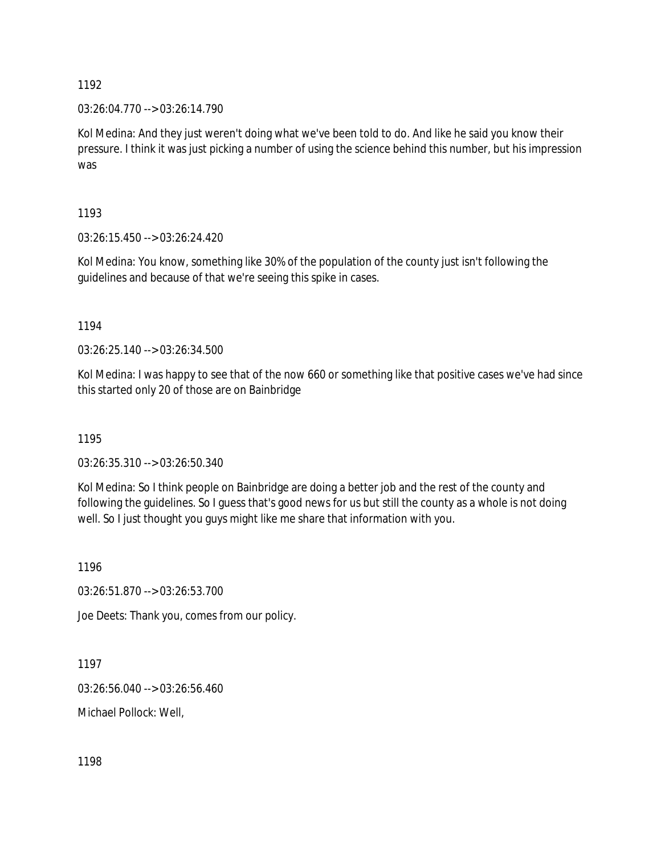03:26:04.770 --> 03:26:14.790

Kol Medina: And they just weren't doing what we've been told to do. And like he said you know their pressure. I think it was just picking a number of using the science behind this number, but his impression was

1193

03:26:15.450 --> 03:26:24.420

Kol Medina: You know, something like 30% of the population of the county just isn't following the guidelines and because of that we're seeing this spike in cases.

1194

03:26:25.140 --> 03:26:34.500

Kol Medina: I was happy to see that of the now 660 or something like that positive cases we've had since this started only 20 of those are on Bainbridge

1195

03:26:35.310 --> 03:26:50.340

Kol Medina: So I think people on Bainbridge are doing a better job and the rest of the county and following the guidelines. So I guess that's good news for us but still the county as a whole is not doing well. So I just thought you guys might like me share that information with you.

1196

03:26:51.870 --> 03:26:53.700

Joe Deets: Thank you, comes from our policy.

1197

03:26:56.040 --> 03:26:56.460

Michael Pollock: Well,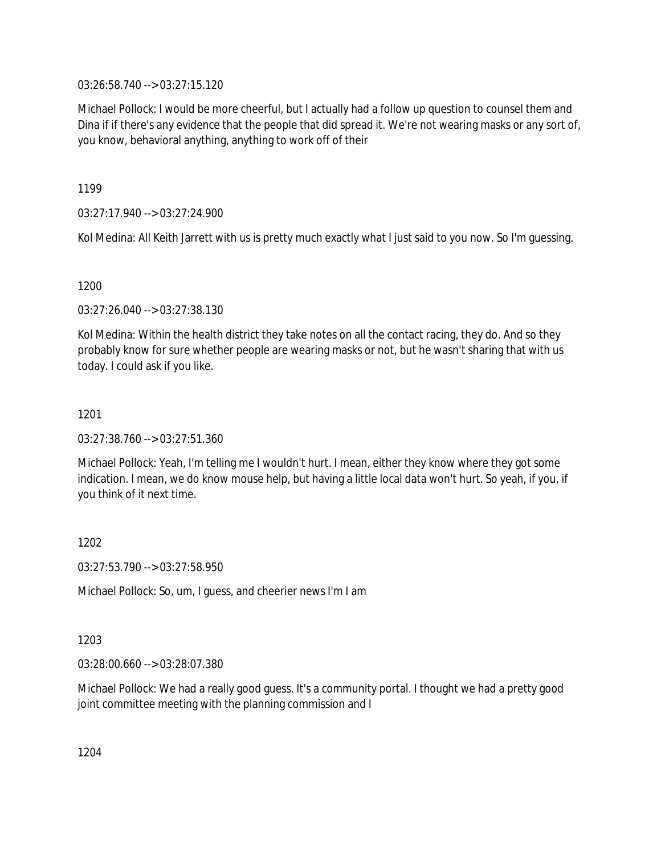03:26:58.740 --> 03:27:15.120

Michael Pollock: I would be more cheerful, but I actually had a follow up question to counsel them and Dina if if there's any evidence that the people that did spread it. We're not wearing masks or any sort of, you know, behavioral anything, anything to work off of their

1199

03:27:17.940 --> 03:27:24.900

Kol Medina: All Keith Jarrett with us is pretty much exactly what I just said to you now. So I'm guessing.

1200

03:27:26.040 --> 03:27:38.130

Kol Medina: Within the health district they take notes on all the contact racing, they do. And so they probably know for sure whether people are wearing masks or not, but he wasn't sharing that with us today. I could ask if you like.

# 1201

03:27:38.760 --> 03:27:51.360

Michael Pollock: Yeah, I'm telling me I wouldn't hurt. I mean, either they know where they got some indication. I mean, we do know mouse help, but having a little local data won't hurt. So yeah, if you, if you think of it next time.

1202

03:27:53.790 --> 03:27:58.950

Michael Pollock: So, um, I guess, and cheerier news I'm I am

1203

03:28:00.660 --> 03:28:07.380

Michael Pollock: We had a really good guess. It's a community portal. I thought we had a pretty good joint committee meeting with the planning commission and I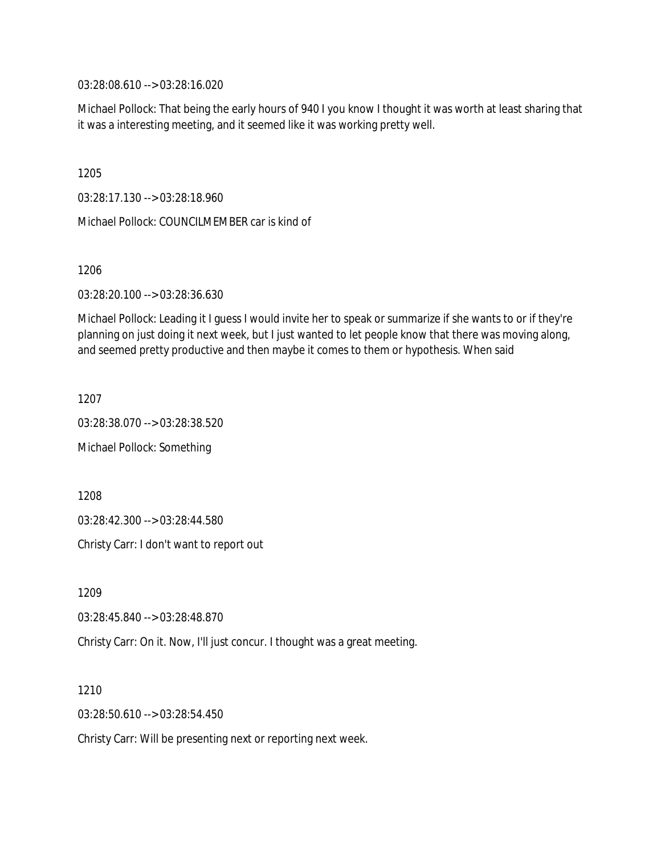03:28:08.610 --> 03:28:16.020

Michael Pollock: That being the early hours of 940 I you know I thought it was worth at least sharing that it was a interesting meeting, and it seemed like it was working pretty well.

1205

03:28:17.130 --> 03:28:18.960

Michael Pollock: COUNCILMEMBER car is kind of

1206

03:28:20.100 --> 03:28:36.630

Michael Pollock: Leading it I guess I would invite her to speak or summarize if she wants to or if they're planning on just doing it next week, but I just wanted to let people know that there was moving along, and seemed pretty productive and then maybe it comes to them or hypothesis. When said

1207

03:28:38.070 --> 03:28:38.520 Michael Pollock: Something

1208

03:28:42.300 --> 03:28:44.580

Christy Carr: I don't want to report out

1209

03:28:45.840 --> 03:28:48.870

Christy Carr: On it. Now, I'll just concur. I thought was a great meeting.

1210

03:28:50.610 --> 03:28:54.450

Christy Carr: Will be presenting next or reporting next week.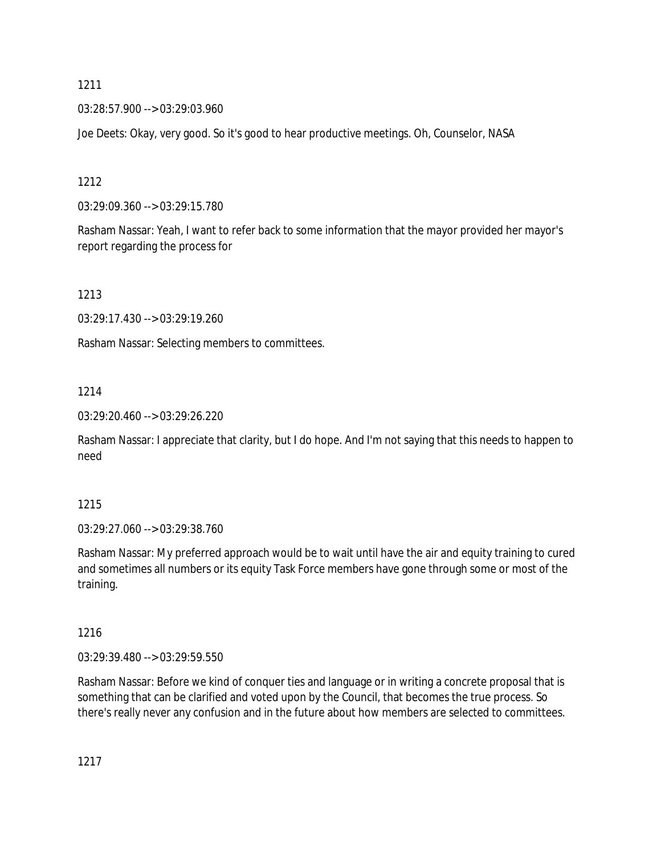03:28:57.900 --> 03:29:03.960

Joe Deets: Okay, very good. So it's good to hear productive meetings. Oh, Counselor, NASA

1212

03:29:09.360 --> 03:29:15.780

Rasham Nassar: Yeah, I want to refer back to some information that the mayor provided her mayor's report regarding the process for

1213

03:29:17.430 --> 03:29:19.260

Rasham Nassar: Selecting members to committees.

# 1214

03:29:20.460 --> 03:29:26.220

Rasham Nassar: I appreciate that clarity, but I do hope. And I'm not saying that this needs to happen to need

# 1215

03:29:27.060 --> 03:29:38.760

Rasham Nassar: My preferred approach would be to wait until have the air and equity training to cured and sometimes all numbers or its equity Task Force members have gone through some or most of the training.

# 1216

03:29:39.480 --> 03:29:59.550

Rasham Nassar: Before we kind of conquer ties and language or in writing a concrete proposal that is something that can be clarified and voted upon by the Council, that becomes the true process. So there's really never any confusion and in the future about how members are selected to committees.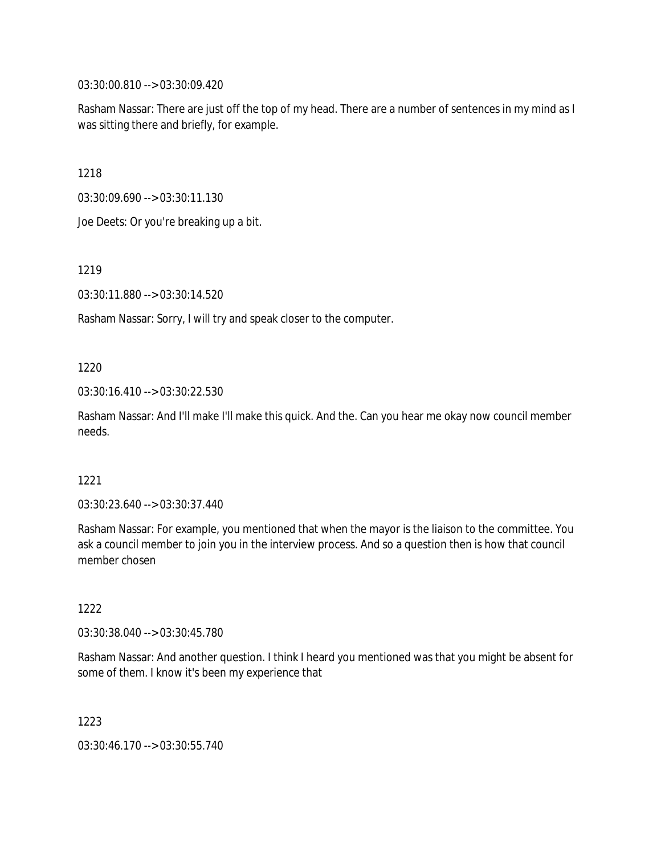03:30:00.810 --> 03:30:09.420

Rasham Nassar: There are just off the top of my head. There are a number of sentences in my mind as I was sitting there and briefly, for example.

1218

03:30:09.690 --> 03:30:11.130

Joe Deets: Or you're breaking up a bit.

1219

03:30:11.880 --> 03:30:14.520

Rasham Nassar: Sorry, I will try and speak closer to the computer.

1220

03:30:16.410 --> 03:30:22.530

Rasham Nassar: And I'll make I'll make this quick. And the. Can you hear me okay now council member needs.

#### 1221

03:30:23.640 --> 03:30:37.440

Rasham Nassar: For example, you mentioned that when the mayor is the liaison to the committee. You ask a council member to join you in the interview process. And so a question then is how that council member chosen

1222

03:30:38.040 --> 03:30:45.780

Rasham Nassar: And another question. I think I heard you mentioned was that you might be absent for some of them. I know it's been my experience that

1223

03:30:46.170 --> 03:30:55.740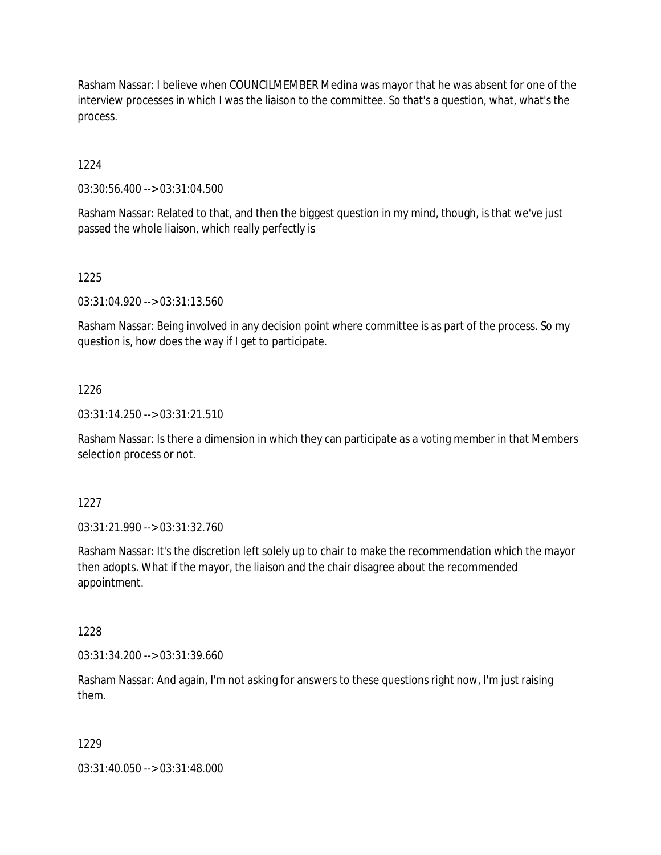Rasham Nassar: I believe when COUNCILMEMBER Medina was mayor that he was absent for one of the interview processes in which I was the liaison to the committee. So that's a question, what, what's the process.

1224

03:30:56.400 --> 03:31:04.500

Rasham Nassar: Related to that, and then the biggest question in my mind, though, is that we've just passed the whole liaison, which really perfectly is

1225

03:31:04.920 --> 03:31:13.560

Rasham Nassar: Being involved in any decision point where committee is as part of the process. So my question is, how does the way if I get to participate.

## 1226

03:31:14.250 --> 03:31:21.510

Rasham Nassar: Is there a dimension in which they can participate as a voting member in that Members selection process or not.

1227

03:31:21.990 --> 03:31:32.760

Rasham Nassar: It's the discretion left solely up to chair to make the recommendation which the mayor then adopts. What if the mayor, the liaison and the chair disagree about the recommended appointment.

1228

03:31:34.200 --> 03:31:39.660

Rasham Nassar: And again, I'm not asking for answers to these questions right now, I'm just raising them.

## 1229

03:31:40.050 --> 03:31:48.000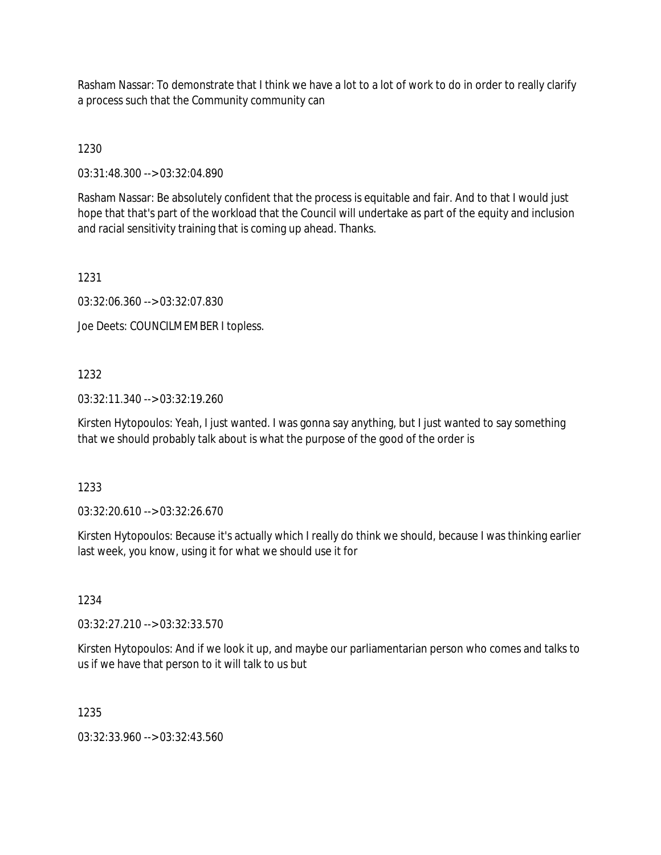Rasham Nassar: To demonstrate that I think we have a lot to a lot of work to do in order to really clarify a process such that the Community community can

1230

03:31:48.300 --> 03:32:04.890

Rasham Nassar: Be absolutely confident that the process is equitable and fair. And to that I would just hope that that's part of the workload that the Council will undertake as part of the equity and inclusion and racial sensitivity training that is coming up ahead. Thanks.

1231

03:32:06.360 --> 03:32:07.830

Joe Deets: COUNCILMEMBER I topless.

# 1232

03:32:11.340 --> 03:32:19.260

Kirsten Hytopoulos: Yeah, I just wanted. I was gonna say anything, but I just wanted to say something that we should probably talk about is what the purpose of the good of the order is

1233

03:32:20.610 --> 03:32:26.670

Kirsten Hytopoulos: Because it's actually which I really do think we should, because I was thinking earlier last week, you know, using it for what we should use it for

1234

03:32:27.210 --> 03:32:33.570

Kirsten Hytopoulos: And if we look it up, and maybe our parliamentarian person who comes and talks to us if we have that person to it will talk to us but

1235

03:32:33.960 --> 03:32:43.560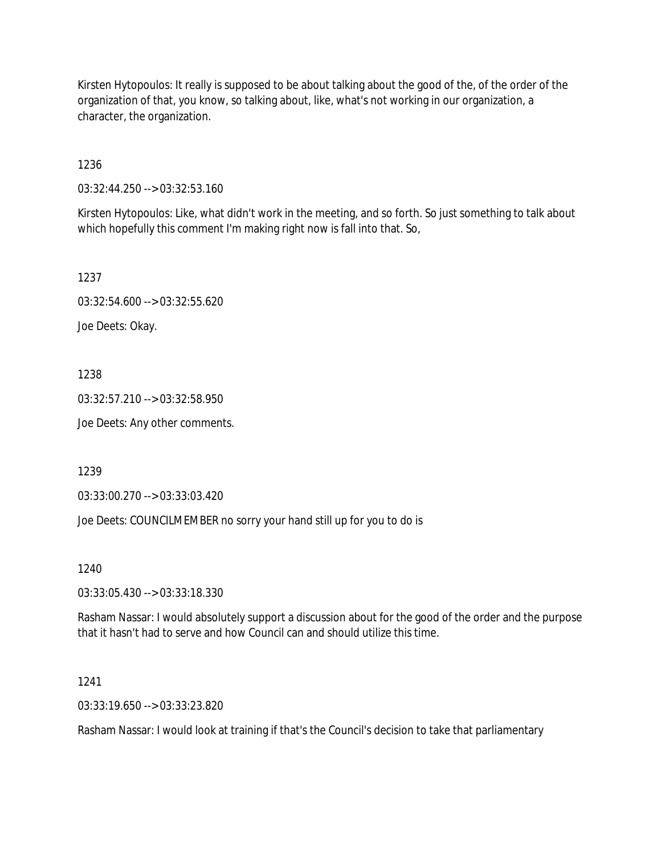Kirsten Hytopoulos: It really is supposed to be about talking about the good of the, of the order of the organization of that, you know, so talking about, like, what's not working in our organization, a character, the organization.

1236

03:32:44.250 --> 03:32:53.160

Kirsten Hytopoulos: Like, what didn't work in the meeting, and so forth. So just something to talk about which hopefully this comment I'm making right now is fall into that. So,

1237

03:32:54.600 --> 03:32:55.620

Joe Deets: Okay.

1238

03:32:57.210 --> 03:32:58.950

Joe Deets: Any other comments.

1239

03:33:00.270 --> 03:33:03.420

Joe Deets: COUNCILMEMBER no sorry your hand still up for you to do is

1240

03:33:05.430 --> 03:33:18.330

Rasham Nassar: I would absolutely support a discussion about for the good of the order and the purpose that it hasn't had to serve and how Council can and should utilize this time.

1241

03:33:19.650 --> 03:33:23.820

Rasham Nassar: I would look at training if that's the Council's decision to take that parliamentary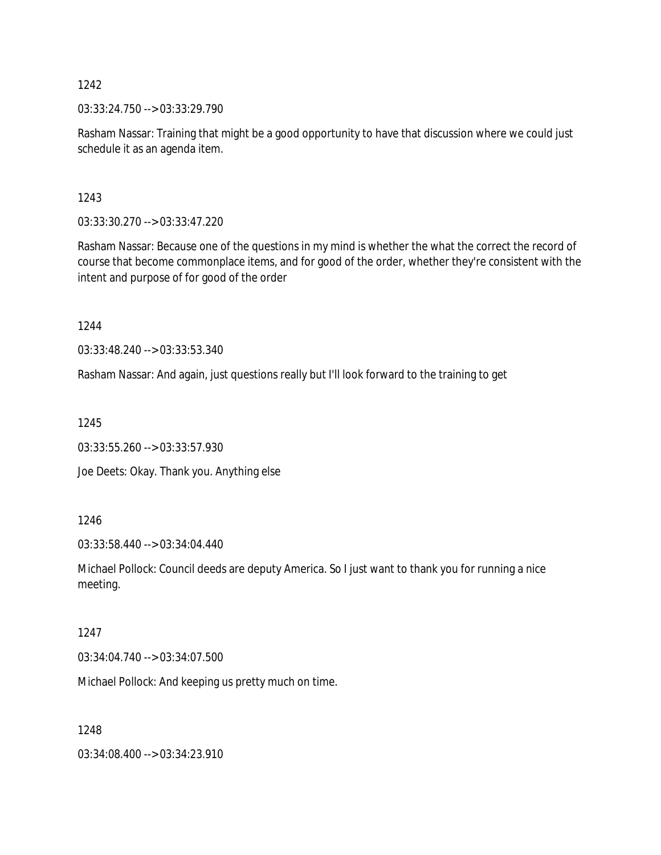03:33:24.750 --> 03:33:29.790

Rasham Nassar: Training that might be a good opportunity to have that discussion where we could just schedule it as an agenda item.

1243

03:33:30.270 --> 03:33:47.220

Rasham Nassar: Because one of the questions in my mind is whether the what the correct the record of course that become commonplace items, and for good of the order, whether they're consistent with the intent and purpose of for good of the order

1244

03:33:48.240 --> 03:33:53.340

Rasham Nassar: And again, just questions really but I'll look forward to the training to get

1245

03:33:55.260 --> 03:33:57.930

Joe Deets: Okay. Thank you. Anything else

1246

03:33:58.440 --> 03:34:04.440

Michael Pollock: Council deeds are deputy America. So I just want to thank you for running a nice meeting.

## 1247

03:34:04.740 --> 03:34:07.500

Michael Pollock: And keeping us pretty much on time.

1248

03:34:08.400 --> 03:34:23.910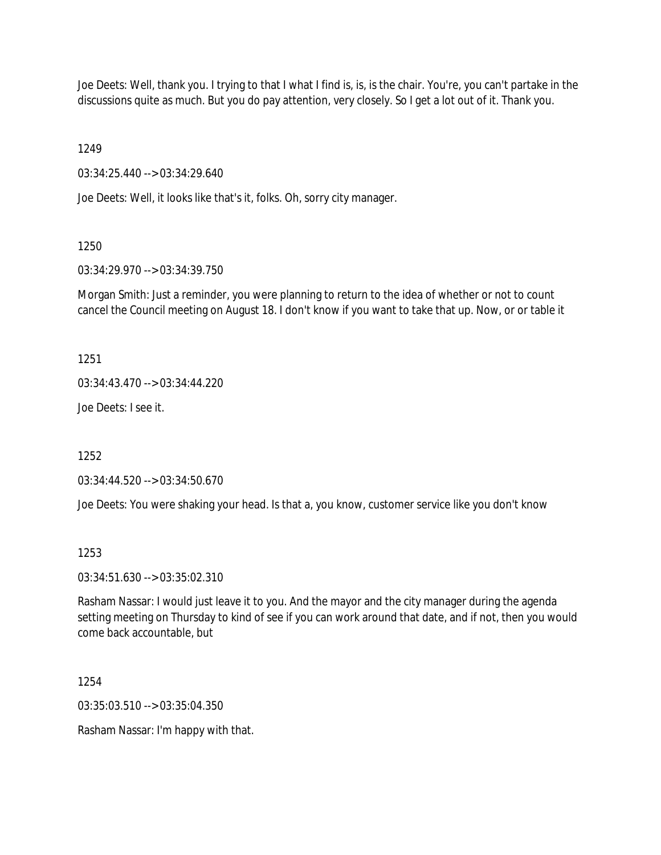Joe Deets: Well, thank you. I trying to that I what I find is, is, is the chair. You're, you can't partake in the discussions quite as much. But you do pay attention, very closely. So I get a lot out of it. Thank you.

1249

03:34:25.440 --> 03:34:29.640

Joe Deets: Well, it looks like that's it, folks. Oh, sorry city manager.

1250

03:34:29.970 --> 03:34:39.750

Morgan Smith: Just a reminder, you were planning to return to the idea of whether or not to count cancel the Council meeting on August 18. I don't know if you want to take that up. Now, or or table it

1251

03:34:43.470 --> 03:34:44.220

Joe Deets: I see it.

1252

03:34:44.520 --> 03:34:50.670

Joe Deets: You were shaking your head. Is that a, you know, customer service like you don't know

1253

03:34:51.630 --> 03:35:02.310

Rasham Nassar: I would just leave it to you. And the mayor and the city manager during the agenda setting meeting on Thursday to kind of see if you can work around that date, and if not, then you would come back accountable, but

1254

03:35:03.510 --> 03:35:04.350

Rasham Nassar: I'm happy with that.